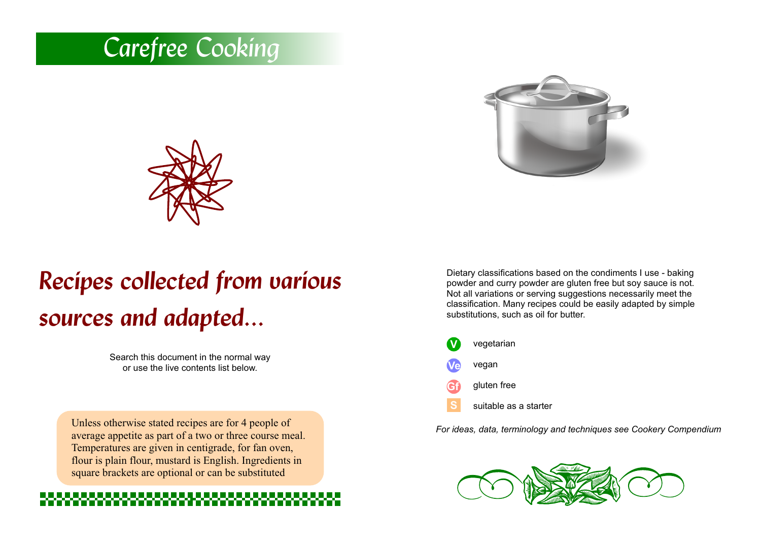# *Carefree Cooking*





# *Recipes collected from various sources and adapted...*

Search this document in the normal way or use the live contents list below.

Unless otherwise stated recipes are for 4 people of average appetite as part of a two or three course meal. Temperatures are given in centigrade, for fan oven, flour is plain flour, mustard is English. Ingredients in square brackets are optional or can be substituted

Dietary classifications based on the condiments I use - baking powder and curry powder are gluten free but soy sauce is not. Not all variations or serving suggestions necessarily meet the classification. Many recipes could be easily adapted by simple substitutions, such as oil for butter.

**V Gf Ve** vegetarian vegan gluten free **S** suitable as a starter

*For ideas, data, terminology and techniques see Cookery Compendium*

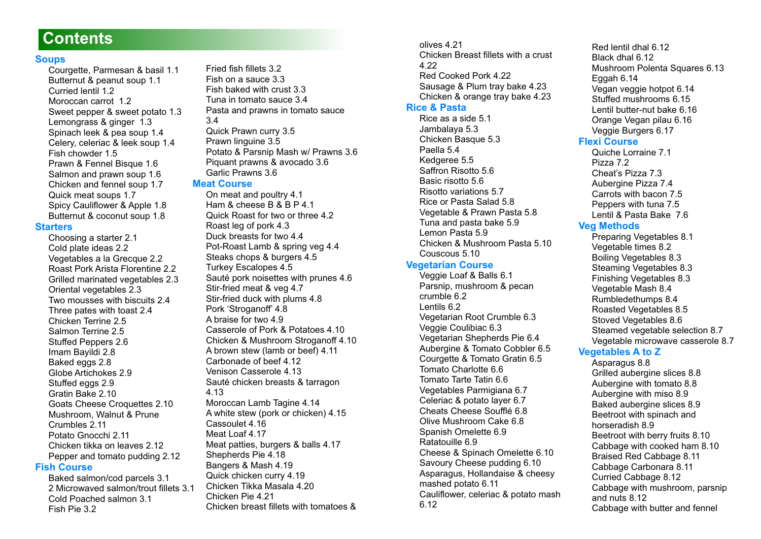### **Contents**

#### **[Soups](#page-3-0)**

[Courgette, Parmesan & basil 1.1](#page-3-1) [Butternut & peanut soup 1.1](#page-3-2) [Curried lentil 1.2](#page-3-3) [Moroccan carrot 1.2](#page-3-4) [Sweet pepper & sweet potato 1.3](#page-4-0) [Lemongrass & ginger 1.3](#page-4-1) [Spinach leek & pea soup 1.4](#page-4-2) [Celery, celeriac & leek soup 1.4](#page-4-3) [Fish chowder 1.5](#page-5-0) [Prawn & Fennel Bisque 1.6](#page-5-1) [Salmon and prawn soup 1.6](#page-5-2) [Chicken and fennel soup 1.7](#page-6-0) [Quick meat soups 1.7](#page-6-1) [Spicy Cauliflower & Apple 1.8](#page-6-2) [Butternut & coconut soup 1.8](#page-6-3) **[Starters](#page-7-0)**

[Choosing a starter 2.1](#page-7-1) [Cold plate ideas 2.2](#page-7-2) [Vegetables a la Grecque 2.2](#page-7-3) [Roast Pork Arista Florentine 2.2](#page-7-4) [Grilled marinated vegetables 2.3](#page-8-0) [Oriental vegetables 2.3](#page-8-1) [Two mousses with biscuits 2.4](#page-8-2) [Three pates with toast 2.4](#page-8-3) [Chicken Terrine 2.5](#page-9-0) [Salmon Terrine 2.5](#page-9-1) [Stuffed Peppers 2.6](#page-9-2) [Imam Bayildi 2.8](#page-10-0) [Baked eggs 2.8](#page-10-1) [Globe Artichokes 2.9](#page-11-0) [Stuffed eggs 2.9](#page-11-1) [Gratin Bake 2.10](#page-11-2) [Goats Cheese Croquettes 2.10](#page-11-3) [Mushroom, Walnut & Prune](#page-12-0)  [Crumbles 2.11](#page-12-0) [Potato Gnocchi 2.11](#page-12-1) [Chicken tikka on leaves 2.12](#page-12-2) [Pepper and tomato pudding 2.12](#page-12-3) **[Fish Course](#page-13-0)** [Baked salmon/cod parcels 3.1](#page-13-1)

[2 Microwaved salmon/trout fillets 3.1](#page-13-2) [Cold Poached salmon 3.1](#page-13-3)  [Fish Pie 3.2](#page-13-4)

[Fried fish fillets 3.2](#page-13-5) [Fish on a sauce 3.3](#page-14-0) [Fish baked with crust 3.3](#page-14-1) [Tuna in tomato sauce 3.4](#page-14-2) [Pasta and prawns in tomato sauce](#page-14-3)  [3.4](#page-14-3) [Quick Prawn curry 3.5](#page-15-0) [Prawn linguine 3.5](#page-15-1) [Potato & Parsnip Mash w/ Prawns 3.6](#page-15-2) [Piquant prawns & avocado 3.6](#page-15-3) [Garlic Prawns 3.6](#page-15-4)

#### **[Meat Course](#page-16-0)**

[On meat and poultry 4.1](#page-16-1) [Ham & cheese B & B P 4.1](#page-16-2) [Quick Roast for two or three 4.2](#page-16-3) [Roast leg of pork 4.3](#page-17-0) [Duck breasts for two 4.4](#page-17-1) [Pot-Roast Lamb & spring veg 4.4](#page-17-2) [Steaks chops & burgers 4.5](#page-18-0) [Turkey Escalopes 4.5](#page-18-1) [Sauté pork noisettes with prunes 4.6](#page-18-2) [Stir-fried meat & veg 4.7](#page-19-0) [Stir-fried duck with plums 4.8](#page-19-1) [Pork 'Stroganoff' 4.8](#page-19-2) [A braise for two 4.9](#page-20-0) [Casserole of Pork & Potatoes 4.10](#page-20-1) [Chicken & Mushroom Stroganoff 4.10](#page-20-2) [A brown stew \(lamb or beef\) 4.11](#page-21-0) [Carbonade of beef 4.12](#page-21-1) [Venison Casserole 4.13](#page-22-0) [Sauté chicken breasts & tarragon](#page-22-1)  [4.13](#page-22-1) [Moroccan Lamb Tagine 4.14](#page-22-2) [A white stew \(pork or chicken\) 4.15](#page-23-0) [Cassoulet 4.16](#page-23-1) [Meat Loaf 4.17](#page-24-0) [Meat patties, burgers & balls 4.17](#page-24-1) [Shepherds Pie 4.18](#page-24-2) [Bangers & Mash 4.19](#page-25-0) [Quick chicken curry 4.19](#page-25-1) [Chicken Tikka Masala 4.20](#page-25-2) [Chicken Pie 4.21](#page-26-0) [Chicken breast fillets with tomatoes &](#page-26-1) 

#### [olives 4.21](#page-26-1) [Chicken Breast fillets with a crust](#page-26-2)  [4.22](#page-26-2) [Red Cooked Pork 4.22](#page-26-3) [Sausage & Plum tray bake 4.23](#page-27-0) [Chicken & orange tray bake 4.23](#page-27-1)

#### **[Rice & Pasta](#page-28-0)**

[Rice as a side 5.1](#page-28-1) [Jambalaya 5.3](#page-29-0) [Chicken Basque 5.3](#page-29-1) [Paella 5.4](#page-29-2) [Kedgeree 5.5](#page-30-0) [Saffron Risotto 5.6](#page-30-1) [Basic risotto 5.6](#page-30-2) [Risotto variations 5.7](#page-31-0) [Rice or Pasta Salad 5.8](#page-31-1) [Vegetable & Prawn Pasta 5.8](#page-31-2) [Tuna and pasta bake 5.9](#page-32-0) [Lemon Pasta 5.9](#page-32-1) [Chicken & Mushroom Pasta 5.10](#page-32-2) [Couscous 5.10](#page-32-3)

#### **[Vegetarian Course](#page-33-0)**

[Veggie Loaf & Balls 6.1](#page-33-1) [Parsnip, mushroom & pecan](#page-33-2)  [crumble 6.2](#page-33-2) [Lentils 6.2](#page-33-3) [Vegetarian Root Crumble 6.3](#page-34-0) [Veggie Coulibiac 6.3](#page-34-1) [Vegetarian Shepherds Pie 6.4](#page-34-2) [Aubergine & Tomato Cobbler 6.5](#page-35-0) [Courgette & Tomato Gratin 6.5](#page-35-1) [Tomato Charlotte 6.6](#page-35-2) [Tomato Tarte Tatin 6.6](#page-35-3) [Vegetables Parmigiana 6.7](#page-36-0) [Celeriac & potato layer 6.7](#page-36-1) [Cheats Cheese Soufflé 6.8](#page-36-2) [Olive Mushroom Cake 6.8](#page-36-3) [Spanish Omelette 6.9](#page-37-0) [Ratatouille 6.9](#page-37-1) [Cheese & Spinach Omelette 6.10](#page-37-2) [Savoury Cheese pudding 6.10](#page-37-3) [Asparagus, Hollandaise & cheesy](#page-38-0)  [mashed potato 6.11](#page-38-0) [Cauliflower, celeriac & potato mash](#page-38-1)  [6.12](#page-38-1)

[Red lentil dhal 6.12](#page-38-2) [Black dhal 6.12](#page-38-3) [Mushroom Polenta Squares 6.13](#page-39-0) [Eggah 6.14](#page-39-1) [Vegan veggie hotpot 6.14](#page-39-2) [Stuffed mushrooms 6.15](#page-40-0) [Lentil butter-nut bake 6.16](#page-40-1) [Orange Vegan pilau 6.16](#page-40-2) [Veggie Burgers 6.17](#page-41-0)

#### **[Flexi Course](#page-42-0)**

[Quiche Lorraine 7.1](#page-42-1) [Pizza 7.2](#page-42-2) [Cheat's Pizza 7.3](#page-43-0) [Aubergine Pizza 7.4](#page-43-1) [Carrots with bacon 7.5](#page-44-0) [Peppers with tuna 7.5](#page-44-1) [Lentil & Pasta Bake 7.6](#page-44-2) 

#### **[Veg Methods](#page-45-0)**

[Preparing Vegetables 8.1](#page-45-1) [Vegetable times 8.2](#page-45-2) [Boiling Vegetables 8.3](#page-46-0) [Steaming Vegetables 8.3](#page-46-1) [Finishing Vegetables 8.3](#page-46-2) [Vegetable Mash 8.4](#page-46-3) [Rumbledethumps 8.4](#page-46-4) [Roasted Vegetables 8.5](#page-47-0) [Stoved Vegetables 8.6](#page-47-1) [Steamed vegetable selection 8.7](#page-48-0) [Vegetable microwave casserole 8.7](#page-48-1)

#### **[Vegetables A to Z](#page-48-2)**

[Asparagus 8.8](#page-48-3) [Grilled aubergine slices 8.8](#page-48-4) [Aubergine with tomato 8.8](#page-48-5) [Aubergine with miso 8.9](#page-49-0) [Baked aubergine slices 8.9](#page-49-1) [Beetroot with spinach and](#page-49-2)  [horseradish 8.9](#page-49-2) [Beetroot with berry fruits 8.10](#page-49-3) [Cabbage with cooked ham 8.10](#page-49-4) [Braised Red Cabbage 8.11](#page-50-0) [Cabbage Carbonara 8.11](#page-50-1) [Curried Cabbage 8.12](#page-50-2) [Cabbage with mushroom, parsnip](#page-50-3)  [and nuts 8.12](#page-50-3) [Cabbage with butter and fennel](#page-50-4)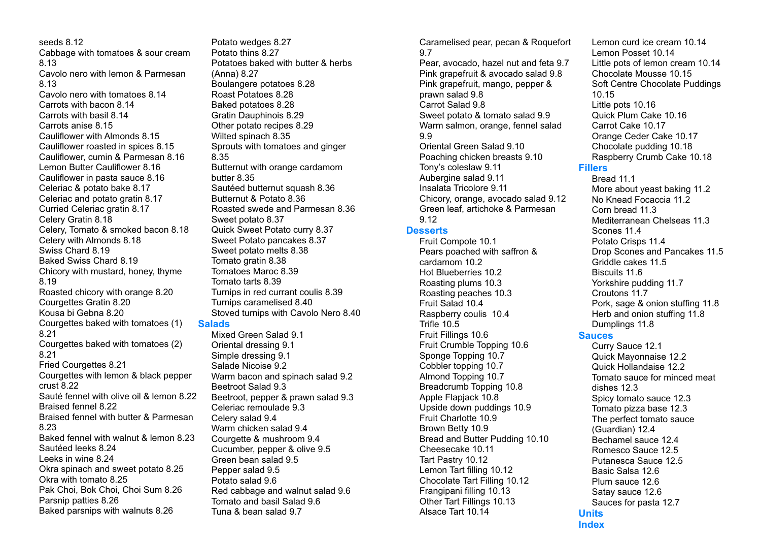[seeds 8.12](#page-50-4) [Cabbage with tomatoes & sour cream](#page-51-0)  [8.13](#page-51-0) [Cavolo nero with lemon & Parmesan](#page-51-1)  [8.13](#page-51-1) [Cavolo nero with tomatoes 8.14](#page-51-2) [Carrots with bacon 8.14](#page-51-3) [Carrots with basil 8.14](#page-51-4) [Carrots anise 8.15](#page-52-0) [Cauliflower with Almonds 8.15](#page-52-1) [Cauliflower roasted in spices 8.15](#page-52-2) [Cauliflower, cumin & Parmesan 8.16](#page-52-3) [Lemon Butter Cauliflower 8.16](#page-52-4) [Cauliflower in pasta sauce 8.16](#page-52-5) [Celeriac & potato bake 8.17](#page-53-0) [Celeriac and potato gratin 8.17](#page-53-1) [Curried Celeriac gratin 8.17](#page-53-2) [Celery Gratin 8.18](#page-53-3) [Celery, Tomato & smoked bacon 8.18](#page-53-4) [Celery with Almonds 8.18](#page-53-5) [Swiss Chard 8.19](#page-54-0) [Baked Swiss Chard 8.19](#page-54-1) [Chicory with mustard, honey, thyme](#page-54-2)  [8.19](#page-54-2) [Roasted chicory with orange 8.20](#page-54-3) [Courgettes Gratin 8.20](#page-54-4) [Kousa bi Gebna 8.20](#page-54-5) [Courgettes baked with tomatoes \(1\)](#page-55-0)  [8.21](#page-55-0) [Courgettes baked with tomatoes \(2\)](#page-55-1)  [8.21](#page-55-1) [Fried Courgettes 8.21](#page-55-2) [Courgettes with lemon & black pepper](#page-55-3)  [crust 8.22](#page-55-3) [Sauté fennel with olive oil & lemon 8.22](#page-55-4) [Braised fennel 8.22](#page-55-5) [Braised fennel with butter & Parmesan](#page-56-0)  [8.23](#page-56-0) [Baked fennel with walnut & lemon 8.23](#page-56-1) [Sautéed leeks 8.24](#page-56-2) [Leeks in wine 8.24](#page-56-3) [Okra spinach and sweet potato 8.25](#page-57-0) [Okra with tomato 8.25](#page-57-1) [Pak Choi, Bok Choi, Choi Sum 8.26](#page-57-2) [Parsnip patties 8.26](#page-57-3) [Baked parsnips with walnuts 8.26](#page-57-4)

[Potato wedges 8.27](#page-58-0) [Potato thins 8.27](#page-58-1) [Potatoes baked with butter & herbs](#page-58-2)  [\(Anna\) 8.27](#page-58-2) [Boulangere potatoes 8.28](#page-58-3) [Roast Potatoes 8.28](#page-58-4) [Baked potatoes 8.28](#page-58-5) [Gratin Dauphinois 8.29](#page-59-0) [Other potato recipes 8.29](#page-59-1) [Wilted spinach 8.35](#page-62-0) [Sprouts with tomatoes and ginger](#page-62-1)  [8.35](#page-62-1) [Butternut with orange cardamom](#page-62-2)  [butter 8.35](#page-62-2) [Sautéed butternut squash 8.36](#page-62-3) [Butternut & Potato 8.36](#page-62-4) [Roasted swede and Parmesan 8.36](#page-62-5) [Sweet potato 8.37](#page-63-0) [Quick Sweet Potato curry 8.37](#page-63-1) [Sweet Potato pancakes 8.37](#page-63-2) [Sweet potato melts 8.38](#page-63-3) [Tomato gratin 8.38](#page-63-4) [Tomatoes Maroc 8.39](#page-64-0) [Tomato tarts 8.39](#page-64-1) [Turnips in red currant coulis 8.39](#page-64-2) [Turnips caramelised 8.40](#page-64-3) [Stoved turnips with Cavolo Nero 8.40](#page-64-4) **[Salads](#page-65-0)** [Mixed Green Salad 9.1](#page-65-1) [Oriental dressing 9.1](#page-65-2)

[Simple dressing 9.1](#page-65-3) [Salade Nicoise 9.2](#page-65-4) [Warm bacon and spinach salad 9.2](#page-65-5) [Beetroot Salad 9.3](#page-66-0) [Beetroot, pepper & prawn salad 9.3](#page-66-1) [Celeriac remoulade 9.3](#page-66-2) [Celery salad 9.4](#page-66-3) [Warm chicken salad 9.4](#page-66-4) [Courgette & mushroom 9.4](#page-66-5) [Cucumber, pepper & olive 9.5](#page-67-0) [Green bean salad 9.5](#page-67-1) [Pepper salad 9.5](#page-67-2) [Potato salad 9.6](#page-67-3) [Red cabbage and walnut salad 9.6](#page-67-4) [Tomato and basil Salad 9.6](#page-67-5) [Tuna & bean salad 9.7](#page-68-0)

[Caramelised pear, pecan & Roquefort](#page-68-1)  [9.7](#page-68-1) [Pear, avocado, hazel nut and feta 9.7](#page-68-2) [Pink grapefruit & avocado salad 9.8](#page-68-3) [Pink grapefruit, mango, pepper &](#page-68-4)  [prawn salad 9.8](#page-68-4) [Carrot Salad 9.8](#page-68-5) [Sweet potato & tomato salad 9.9](#page-69-0) [Warm salmon, orange, fennel salad](#page-69-1)  [9.9](#page-69-1) [Oriental Green Salad 9.10](#page-69-2) [Poaching chicken breasts 9.10](#page-69-3) [Tony's coleslaw 9.11](#page-70-0) [Aubergine salad 9.11](#page-70-1) [Insalata Tricolore 9.11](#page-70-2) [Chicory, orange, avocado salad 9.12](#page-70-3) [Green leaf, artichoke & Parmesan](#page-70-4)  [9.12](#page-70-4)

#### **[Desserts](#page-71-0)**

[Fruit Compote 10.1](#page-71-1) [Pears poached with saffron &](#page-71-2)  [cardamom 10.2](#page-71-2) [Hot Blueberries 10.2](#page-71-3) [Roasting plums 10.3](#page-72-0) [Roasting peaches 10.3](#page-72-1) [Fruit Salad 10.4](#page-72-2) [Raspberry coulis 10.4](#page-72-3) [Trifle 10.5](#page-73-0) [Fruit Fillings 10.6](#page-73-1) [Fruit Crumble Topping 10.6](#page-73-2) [Sponge Topping 10.7](#page-74-0) [Cobbler topping 10.7](#page-74-1) [Almond Topping 10.7](#page-74-2) [Breadcrumb Topping 10.8](#page-74-3) [Apple Flapjack 10.8](#page-74-4) [Upside down puddings 10.9](#page-75-0) [Fruit Charlotte 10.9](#page-75-1) [Brown Betty 10.9](#page-75-2) [Bread and Butter Pudding 10.10](#page-75-3) [Cheesecake 10.11](#page-76-0) [Tart Pastry 10.12](#page-76-1) [Lemon Tart filling 10.12](#page-76-2) [Chocolate Tart Filling 10.12](#page-76-3) [Frangipani filling 10.13](#page-77-0) [Other Tart Fillings 10.13](#page-77-1) [Alsace Tart 10.14](#page-77-2)

[Lemon curd ice cream 10.14](#page-77-3) [Lemon Posset 10.14](#page-77-4) [Little pots of lemon cream 10.14](#page-77-5) [Chocolate Mousse 10.15](#page-78-0) [Soft Centre Chocolate Puddings](#page-78-1)  [10.15](#page-78-1) [Little pots 10.16](#page-78-2) [Quick Plum Cake 10.16](#page-78-3) [Carrot Cake 10.17](#page-79-0) [Orange Ceder Cake 10.17](#page-79-1) [Chocolate pudding 10.18](#page-79-2) [Raspberry Crumb Cake 10.18](#page-79-3) **[Fillers](#page-80-0)** [Bread 11.1](#page-80-1)

[More about yeast baking 11.2](#page-80-2) [No Knead Focaccia 11.2](#page-80-3) [Corn bread 11.3](#page-81-0) [Mediterranean Chelseas 11.3](#page-81-1) [Scones 11.4](#page-81-2) [Potato Crisps 11.4](#page-81-3) [Drop Scones and Pancakes 11.5](#page-82-0) [Griddle cakes 11.5](#page-82-1) [Biscuits 11.6](#page-82-2) [Yorkshire pudding 11.7](#page-83-0) [Croutons 11.7](#page-83-1) [Pork, sage & onion stuffing 11.8](#page-83-2) [Herb and onion stuffing 11.8](#page-83-3) [Dumplings 11.8](#page-83-4)

#### **[Sauces](#page-84-0)**

[Curry Sauce 12.1](#page-84-1) [Quick Mayonnaise 12.2](#page-84-2) [Quick Hollandaise 12.2](#page-84-3) [Tomato sauce for minced meat](#page-85-0)  [dishes 12.3](#page-85-0) [Spicy tomato sauce 12.3](#page-85-1) [Tomato pizza base 12.3](#page-85-2) [The perfect tomato sauce](#page-85-3)  [\(Guardian\) 12.4](#page-85-3) [Bechamel sauce 12.4](#page-85-4) [Romesco Sauce 12.5](#page-86-0) [Putanesca Sauce 12.5](#page-86-1) [Basic Salsa 12.6](#page-86-2) [Plum sauce 12.6](#page-86-3) [Satay sauce 12.6](#page-86-4) [Sauces for pasta 12.7](#page-87-0) **[Units](#page-88-0) [Index](#page-89-0)**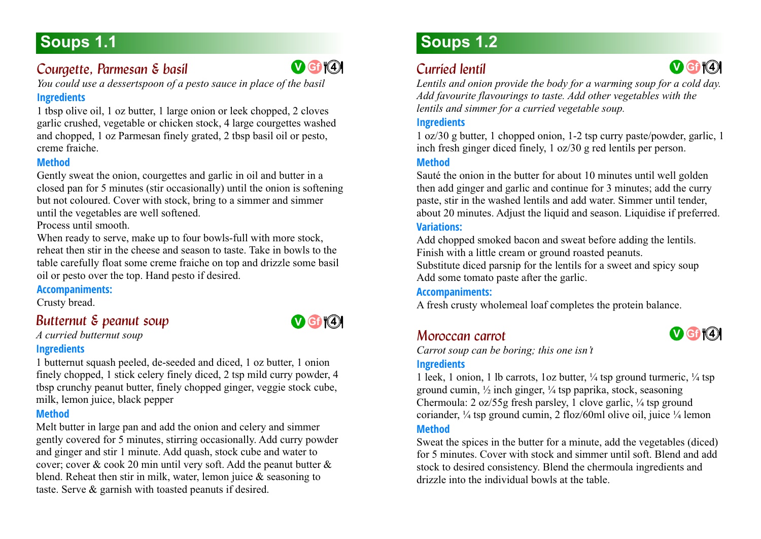# <span id="page-3-0"></span>**Soups 1.1**

### <span id="page-3-1"></span>**Courgette, Parmesan & basil**

*You could use a dessertspoon of a pesto sauce in place of the basil*

### **Ingredients**

1 tbsp olive oil, 1 oz butter, 1 large onion or leek chopped, 2 cloves garlic crushed, vegetable or chicken stock, 4 large courgettes washed and chopped, 1 oz Parmesan finely grated, 2 tbsp basil oil or pesto, creme fraiche.

### **Method**

Gently sweat the onion, courgettes and garlic in oil and butter in a closed pan for 5 minutes (stir occasionally) until the onion is softening but not coloured. Cover with stock, bring to a simmer and simmer until the vegetables are well softened.

Process until smooth.

When ready to serve, make up to four bowls-full with more stock, reheat then stir in the cheese and season to taste. Take in bowls to the table carefully float some creme fraiche on top and drizzle some basil oil or pesto over the top. Hand pesto if desired.

### **Accompaniments:**

<span id="page-3-2"></span>Crusty bread.

### *Butternut & peanut soup 1.1*



### **Ingredients**

1 butternut squash peeled, de-seeded and diced, 1 oz butter, 1 onion finely chopped, 1 stick celery finely diced, 2 tsp mild curry powder, 4 tbsp crunchy peanut butter, finely chopped ginger, veggie stock cube, milk, lemon juice, black pepper

### **Method**

Melt butter in large pan and add the onion and celery and simmer gently covered for 5 minutes, stirring occasionally. Add curry powder and ginger and stir 1 minute. Add quash, stock cube and water to cover; cover & cook 20 min until very soft. Add the peanut butter & blend. Reheat then stir in milk, water, lemon juice & seasoning to taste. Serve & garnish with toasted peanuts if desired.

# **Soups 1.2**

## <span id="page-3-3"></span>*Curried lentil*

*Lentils and onion provide the body for a warming soup for a cold day. Add favourite flavourings to taste. Add other vegetables with the lentils and simmer for a curried vegetable soup.*

### **Ingredients**

1 oz/30 g butter, 1 chopped onion, 1-2 tsp curry paste/powder, garlic, 1 inch fresh ginger diced finely, 1 oz/30 g red lentils per person.

### **Method**

Sauté the onion in the butter for about 10 minutes until well golden then add ginger and garlic and continue for 3 minutes; add the curry paste, stir in the washed lentils and add water. Simmer until tender, about 20 minutes. Adjust the liquid and season. Liquidise if preferred.

### **Variations:**

Add chopped smoked bacon and sweat before adding the lentils. Finish with a little cream or ground roasted peanuts. Substitute diced parsnip for the lentils for a sweet and spicy soup Add some tomato paste after the garlic.

#### **Accompaniments:**

A fresh crusty wholemeal loaf completes the protein balance.

### <span id="page-3-4"></span>*Moroccan carrot*



**V Gf <sup>4</sup> 4**

*Carrot soup can be boring; this one isn't*

### **Ingredients**

1 leek, 1 onion, 1 lb carrots,  $1 \text{ oz}$  butter,  $\frac{1}{4}$  tsp ground turmeric,  $\frac{1}{4}$  tsp ground cumin, ½ inch ginger, ¼ tsp paprika, stock, seasoning Chermoula: 2 oz/55g fresh parsley, 1 clove garlic, ¼ tsp ground coriander, ¼ tsp ground cumin, 2 floz/60ml olive oil, juice ¼ lemon

### **Method**

Sweat the spices in the butter for a minute, add the vegetables (diced) for 5 minutes. Cover with stock and simmer until soft. Blend and add stock to desired consistency. Blend the chermoula ingredients and drizzle into the individual bowls at the table.



**V Gf 4 4**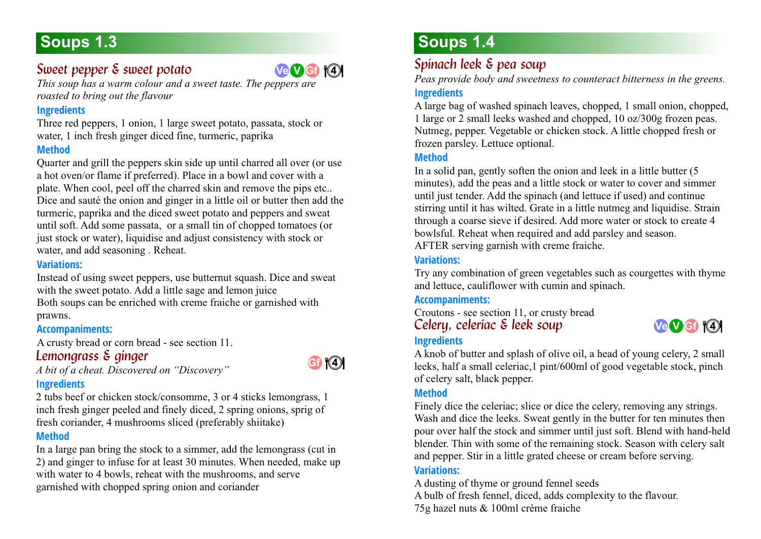# **Soups 1.3**

## <span id="page-4-0"></span>*Sweet pepper & sweet potato*

*This soup has a warm colour and a sweet taste. The peppers are roasted to bring out the flavour* **Ve V Gf 4 4**

### **Ingredients**

Three red peppers, 1 onion, 1 large sweet potato, passata, stock or water, 1 inch fresh ginger diced fine, turmeric, paprika

### **Method**

Quarter and grill the peppers skin side up until charred all over (or use a hot oven/or flame if preferred). Place in a bowl and cover with a plate. When cool, peel off the charred skin and remove the pips etc.. Dice and sauté the onion and ginger in a little oil or butter then add the turmeric, paprika and the diced sweet potato and peppers and sweat until soft. Add some passata, or a small tin of chopped tomatoes (or just stock or water), liquidise and adjust consistency with stock or water, and add seasoning . Reheat.

### **Variations:**

Instead of using sweet peppers, use butternut squash. Dice and sweat with the sweet potato. Add a little sage and lemon juice Both soups can be enriched with creme fraiche or garnished with prawns.

### **Accompaniments:**

<span id="page-4-1"></span>A crusty bread or corn bread - see section 11.

### **Lemongrass & ginger**

*A bit of a cheat. Discovered on "Discovery"*

# **Gf 4 4**

### **Ingredients**

2 tubs beef or chicken stock/consomme, 3 or 4 sticks lemongrass, 1 inch fresh ginger peeled and finely diced, 2 spring onions, sprig of fresh coriander, 4 mushrooms sliced (preferably shiitake)

### **Method**

In a large pan bring the stock to a simmer, add the lemongrass (cut in 2) and ginger to infuse for at least 30 minutes. When needed, make up with water to 4 bowls, reheat with the mushrooms, and serve garnished with chopped spring onion and coriander

# **Soups 1.4**

### <span id="page-4-2"></span>*Spinach leek & pea soup 1.4*

*Peas provide body and sweetness to counteract bitterness in the greens.*

### **Ingredients**

A large bag of washed spinach leaves, chopped, 1 small onion, chopped, 1 large or 2 small leeks washed and chopped, 10 oz/300g frozen peas. Nutmeg, pepper. Vegetable or chicken stock. A little chopped fresh or frozen parsley. Lettuce optional.

### **Method**

In a solid pan, gently soften the onion and leek in a little butter (5 minutes), add the peas and a little stock or water to cover and simmer until just tender. Add the spinach (and lettuce if used) and continue stirring until it has wilted. Grate in a little nutmeg and liquidise. Strain through a coarse sieve if desired. Add more water or stock to create 4 bowlsful. Reheat when required and add parsley and season. AFTER serving garnish with creme fraiche.

### **Variations:**

Try any combination of green vegetables such as courgettes with thyme and lettuce, cauliflower with cumin and spinach.

### **Accompaniments:**

<span id="page-4-3"></span>Croutons - see section 11, or crusty bread *Celery, celeriac & leek soup 1.4*



#### **Ingredients**

A knob of butter and splash of olive oil, a head of young celery, 2 small leeks, half a small celeriac,1 pint/600ml of good vegetable stock, pinch of celery salt, black pepper.

### **Method**

Finely dice the celeriac; slice or dice the celery, removing any strings. Wash and dice the leeks. Sweat gently in the butter for ten minutes then pour over half the stock and simmer until just soft. Blend with hand-held blender. Thin with some of the remaining stock. Season with celery salt and pepper. Stir in a little grated cheese or cream before serving.

### **Variations:**

A dusting of thyme or ground fennel seeds A bulb of fresh fennel, diced, adds complexity to the flavour. 75g hazel nuts & 100ml crème fraiche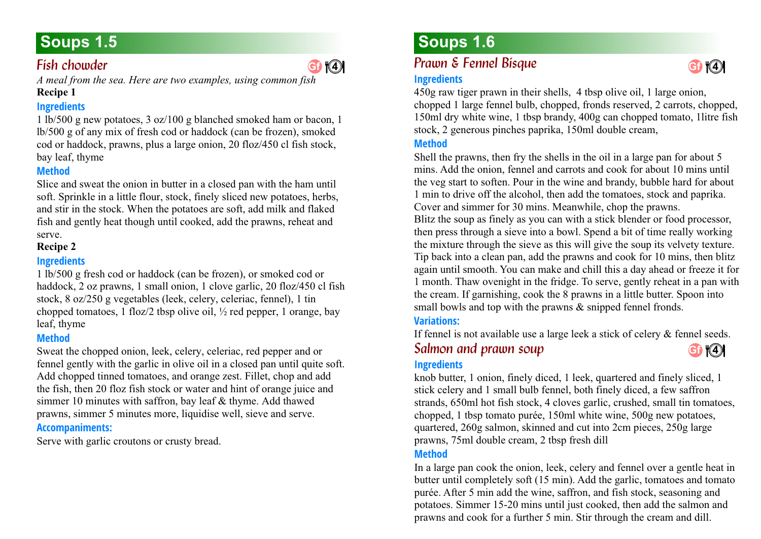### <span id="page-5-0"></span>*Fish chowder*

*A meal from the sea. Here are two examples, using common fish*  **Recipe 1**

### **Ingredients**

1 lb/500 g new potatoes, 3 oz/100 g blanched smoked ham or bacon, 1 lb/500 g of any mix of fresh cod or haddock (can be frozen), smoked cod or haddock, prawns, plus a large onion, 20 floz/450 cl fish stock, bay leaf, thyme

### **Method**

Slice and sweat the onion in butter in a closed pan with the ham until soft. Sprinkle in a little flour, stock, finely sliced new potatoes, herbs, and stir in the stock. When the potatoes are soft, add milk and flaked fish and gently heat though until cooked, add the prawns, reheat and serve.

### **Recipe 2**

### **Ingredients**

1 lb/500 g fresh cod or haddock (can be frozen), or smoked cod or haddock, 2 oz prawns, 1 small onion, 1 clove garlic, 20 floz/450 cl fish stock, 8 oz/250 g vegetables (leek, celery, celeriac, fennel), 1 tin chopped tomatoes, 1 floz/2 tbsp olive oil, ½ red pepper, 1 orange, bay leaf, thyme

### **Method**

Sweat the chopped onion, leek, celery, celeriac, red pepper and or fennel gently with the garlic in olive oil in a closed pan until quite soft. Add chopped tinned tomatoes, and orange zest. Fillet, chop and add the fish, then 20 floz fish stock or water and hint of orange juice and simmer 10 minutes with saffron, bay leaf & thyme. Add thawed prawns, simmer 5 minutes more, liquidise well, sieve and serve. **Accompaniments:**

Serve with garlic croutons or crusty bread.

# **Soups 1.5 Soups 1.6**

# *Prawn & Fennel Bisque 1.6* **Gf <sup>4</sup> 4 Gf <sup>4</sup> 4**

### <span id="page-5-1"></span>**Ingredients**

450g raw tiger prawn in their shells, 4 tbsp olive oil, 1 large onion, chopped 1 large fennel bulb, chopped, fronds reserved, 2 carrots, chopped, 150ml dry white wine, 1 tbsp brandy, 400g can chopped tomato, 1litre fish stock, 2 generous pinches paprika, 150ml double cream,

### **Method**

Shell the prawns, then fry the shells in the oil in a large pan for about 5 mins. Add the onion, fennel and carrots and cook for about 10 mins until the veg start to soften. Pour in the wine and brandy, bubble hard for about 1 min to drive off the alcohol, then add the tomatoes, stock and paprika. Cover and simmer for 30 mins. Meanwhile, chop the prawns.

Blitz the soup as finely as you can with a stick blender or food processor, then press through a sieve into a bowl. Spend a bit of time really working the mixture through the sieve as this will give the soup its velvety texture. Tip back into a clean pan, add the prawns and cook for 10 mins, then blitz again until smooth. You can make and chill this a day ahead or freeze it for 1 month. Thaw ovenight in the fridge. To serve, gently reheat in a pan with the cream. If garnishing, cook the 8 prawns in a little butter. Spoon into small bowls and top with the prawns  $\&$  snipped fennel fronds.

### **Variations:**

<span id="page-5-2"></span>If fennel is not available use a large leek a stick of celery & fennel seeds. **Salmon and prawn soup Gf <sup>4</sup> 4**

### **Ingredients**

knob butter, 1 onion, finely diced, 1 leek, quartered and finely sliced, 1 stick celery and 1 small bulb fennel, both finely diced, a few saffron strands, 650ml hot fish stock, 4 cloves garlic, crushed, small tin tomatoes, chopped, 1 tbsp tomato purée, 150ml white wine, 500g new potatoes, quartered, 260g salmon, skinned and cut into 2cm pieces, 250g large prawns, 75ml double cream, 2 tbsp fresh dill

### **Method**

In a large pan cook the onion, leek, celery and fennel over a gentle heat in butter until completely soft (15 min). Add the garlic, tomatoes and tomato purée. After 5 min add the wine, saffron, and fish stock, seasoning and potatoes. Simmer 15-20 mins until just cooked, then add the salmon and prawns and cook for a further 5 min. Stir through the cream and dill.

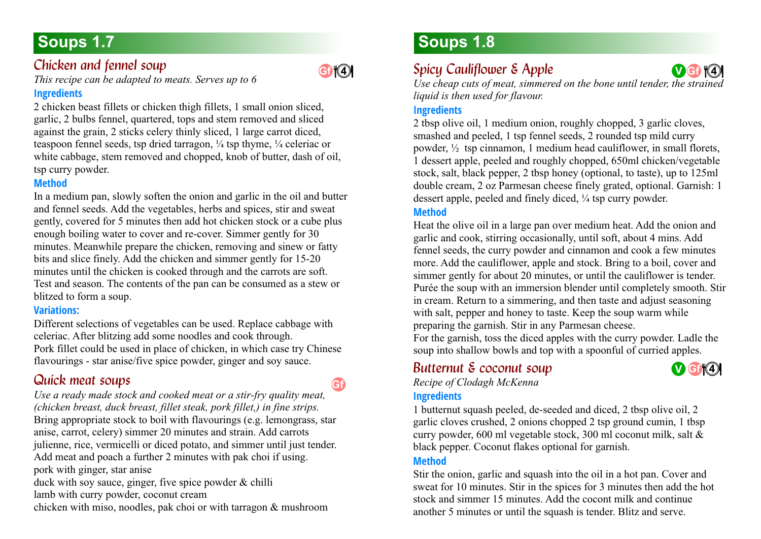# **Soups 1.7**

### <span id="page-6-0"></span>*Chicken and fennel soup*

*This recipe can be adapted to meats. Serves up to 6*

#### **Ingredients**

2 chicken beast fillets or chicken thigh fillets, 1 small onion sliced, garlic, 2 bulbs fennel, quartered, tops and stem removed and sliced against the grain, 2 sticks celery thinly sliced, 1 large carrot diced, teaspoon fennel seeds, tsp dried tarragon,  $\frac{1}{4}$  tsp thyme,  $\frac{1}{4}$  celeriac or white cabbage, stem removed and chopped, knob of butter, dash of oil, tsp curry powder.

### **Method**

In a medium pan, slowly soften the onion and garlic in the oil and butter and fennel seeds. Add the vegetables, herbs and spices, stir and sweat gently, covered for 5 minutes then add hot chicken stock or a cube plus enough boiling water to cover and re-cover. Simmer gently for 30 minutes. Meanwhile prepare the chicken, removing and sinew or fatty bits and slice finely. Add the chicken and simmer gently for 15-20 minutes until the chicken is cooked through and the carrots are soft. Test and season. The contents of the pan can be consumed as a stew or blitzed to form a soup.

### **Variations:**

Different selections of vegetables can be used. Replace cabbage with celeriac. After blitzing add some noodles and cook through. Pork fillet could be used in place of chicken, in which case try Chinese flavourings - star anise/five spice powder, ginger and soy sauce.

## <span id="page-6-1"></span>*Quick meat soups 1.7*

*Use a ready made stock and cooked meat or a stir-fry quality meat, (chicken breast, duck breast, fillet steak, pork fillet,) in fine strips.* Bring appropriate stock to boil with flavourings (e.g. lemongrass, star anise, carrot, celery) simmer 20 minutes and strain. Add carrots julienne, rice, vermicelli or diced potato, and simmer until just tender. Add meat and poach a further 2 minutes with pak choi if using. pork with ginger, star anise duck with soy sauce, ginger, five spice powder & chilli lamb with curry powder, coconut cream **Gf**

chicken with miso, noodles, pak choi or with tarragon & mushroom

# **Soups 1.8**

# <span id="page-6-2"></span>*Spicy Cauliflower & Apple*

Use cheap cuts of meat, simmered on the bone until tender, the strained *liquid is then used for flavour.* **V Gf 4 4**

### **Ingredients**

2 tbsp olive oil, 1 medium onion, roughly chopped, 3 garlic cloves, smashed and peeled, 1 tsp fennel seeds, 2 rounded tsp mild curry powder, ½ tsp cinnamon, 1 medium head cauliflower, in small florets, 1 dessert apple, peeled and roughly chopped, 650ml chicken/vegetable stock, salt, black pepper, 2 tbsp honey (optional, to taste), up to 125ml double cream, 2 oz Parmesan cheese finely grated, optional. Garnish: 1 dessert apple, peeled and finely diced, ¼ tsp curry powder.

### **Method**

Heat the olive oil in a large pan over medium heat. Add the onion and garlic and cook, stirring occasionally, until soft, about 4 mins. Add fennel seeds, the curry powder and cinnamon and cook a few minutes more. Add the cauliflower, apple and stock. Bring to a boil, cover and simmer gently for about 20 minutes, or until the cauliflower is tender. Purée the soup with an immersion blender until completely smooth. Stir in cream. Return to a simmering, and then taste and adjust seasoning with salt, pepper and honey to taste. Keep the soup warm while preparing the garnish. Stir in any Parmesan cheese.

For the garnish, toss the diced apples with the curry powder. Ladle the soup into shallow bowls and top with a spoonful of curried apples.

### <span id="page-6-3"></span>*Butternut & coconut soup 1.8*

**V Gf 4 4**

*Recipe of Clodagh McKenna*

### **Ingredients**

1 butternut squash peeled, de-seeded and diced, 2 tbsp olive oil, 2 garlic cloves crushed, 2 onions chopped 2 tsp ground cumin, 1 tbsp curry powder, 600 ml vegetable stock, 300 ml coconut milk, salt & black pepper. Coconut flakes optional for garnish.

### **Method**

Stir the onion, garlic and squash into the oil in a hot pan. Cover and sweat for 10 minutes. Stir in the spices for 3 minutes then add the hot stock and simmer 15 minutes. Add the cocont milk and continue another 5 minutes or until the squash is tender. Blitz and serve.



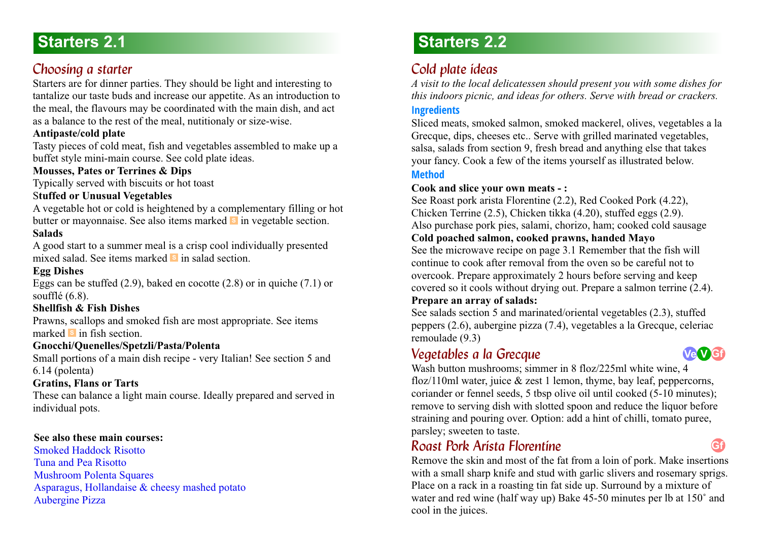# <span id="page-7-0"></span>**Starters 2.1**

## <span id="page-7-1"></span>*Choosing a starter*

Starters are for dinner parties. They should be light and interesting to tantalize our taste buds and increase our appetite. As an introduction to the meal, the flavours may be coordinated with the main dish, and act as a balance to the rest of the meal, nutitionaly or size-wise.

### **Antipaste/cold plate**

Tasty pieces of cold meat, fish and vegetables assembled to make up a buffet style mini-main course. See cold plate ideas.

### **Mousses, Pates or Terrines & Dips**

Typically served with biscuits or hot toast

### S**tuffed or Unusual Vegetables**

A vegetable hot or cold is heightened by a complementary filling or hot butter or mayonnaise. See also items marked **s** in vegetable section. **Salads**

A good start to a summer meal is a crisp cool individually presented mixed salad. See items marked s in salad section.

### **Egg Dishes**

Eggs can be stuffed (2.9), baked en cocotte (2.8) or in quiche (7.1) or soufflé (6.8).

### **Shellfish & Fish Dishes**

Prawns, scallops and smoked fish are most appropriate. See items marked **s** in fish section.

### **Gnocchi/Quenelles/Spetzli/Pasta/Polenta**

Small portions of a main dish recipe - very Italian! See section 5 and 6.14 (polenta)

### **Gratins, Flans or Tarts**

These can balance a light main course. Ideally prepared and served in individual pots.

### **See also these main courses:**

[Smoked Haddock Risotto](#page-31-0) [Tuna and Pea Risotto](#page-30-2) [Mushroom Polenta Squares](#page-39-0) [Asparagus, Hollandaise & cheesy mashed potato](#page-38-0) [Aubergine Pizza](#page-43-1)

# **Starters 2.2**

## <span id="page-7-2"></span>Cold plate *ideas*

*A visit to the local delicatessen should present you with some dishes for this indoors picnic, and ideas for others. Serve with bread or crackers.* **Ingredients**

Sliced meats, smoked salmon, smoked mackerel, olives, vegetables a la Grecque, dips, cheeses etc.. Serve with grilled marinated vegetables, salsa, salads from section 9, fresh bread and anything else that takes your fancy. Cook a few of the items yourself as illustrated below.

### **Method**

### **Cook and slice your own meats - :**

See Roast pork arista Florentine (2.2), Red Cooked Pork (4.22), Chicken Terrine (2.5), Chicken tikka (4.20), stuffed eggs (2.9). Also purchase pork pies, salami, chorizo, ham; cooked cold sausage

### **Cold poached salmon, cooked prawns, handed Mayo**

See the microwave recipe on page 3.1 Remember that the fish will continue to cook after removal from the oven so be careful not to overcook. Prepare approximately 2 hours before serving and keep covered so it cools without drying out. Prepare a salmon terrine (2.4). **Prepare an array of salads:**

See salads section 5 and marinated/oriental vegetables (2.3), stuffed peppers (2.6), aubergine pizza (7.4), vegetables a la Grecque, celeriac remoulade (9.3)

### <span id="page-7-3"></span>*Vegetables a la Grecque*



**Gf**

Wash button mushrooms; simmer in 8 floz/225ml white wine, 4 floz/110ml water, juice  $&$  zest 1 lemon, thyme, bay leaf, peppercorns, coriander or fennel seeds, 5 tbsp olive oil until cooked (5-10 minutes); remove to serving dish with slotted spoon and reduce the liquor before straining and pouring over. Option: add a hint of chilli, tomato puree, parsley; sweeten to taste.

### <span id="page-7-4"></span>*Roast Pork Arista Florentine 2.2*

Remove the skin and most of the fat from a loin of pork. Make insertions with a small sharp knife and stud with garlic slivers and rosemary sprigs. Place on a rack in a roasting tin fat side up. Surround by a mixture of water and red wine (half way up) Bake 45-50 minutes per lb at 150˚ and cool in the juices.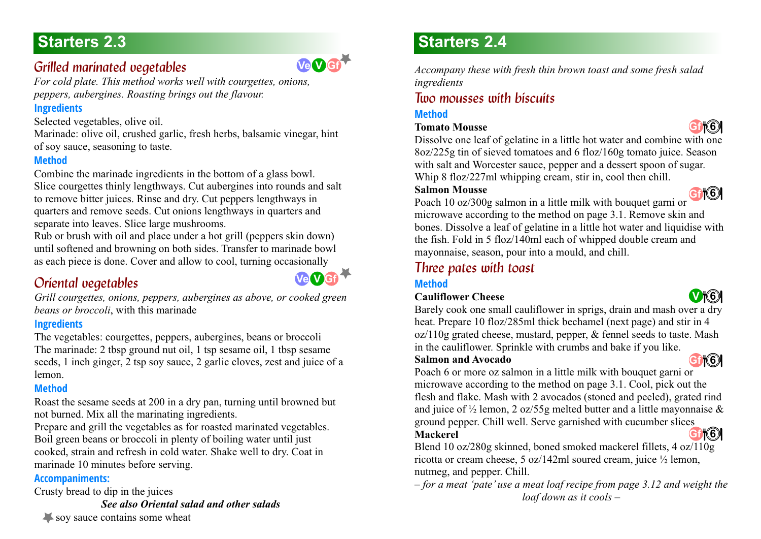## <span id="page-8-0"></span>*Grilled marinated vegetables 2.3*

*For cold plate. This method works well with courgettes, onions, peppers, aubergines. Roasting brings out the flavour.* 

### **Ingredients**

Selected vegetables, olive oil.

Marinade: olive oil, crushed garlic, fresh herbs, balsamic vinegar, hint of soy sauce, seasoning to taste.

### **Method**

Combine the marinade ingredients in the bottom of a glass bowl. Slice courgettes thinly lengthways. Cut aubergines into rounds and salt to remove bitter juices. Rinse and dry. Cut peppers lengthways in quarters and remove seeds. Cut onions lengthways in quarters and separate into leaves. Slice large mushrooms.

Rub or brush with oil and place under a hot grill (peppers skin down) until softened and browning on both sides. Transfer to marinade bowl as each piece is done. Cover and allow to cool, turning occasionally

## <span id="page-8-1"></span>*Oriental vegetables 2.3*



**Ve V Gf**

*Grill courgettes, onions, peppers, aubergines as above, or cooked green beans or broccoli*, with this marinade

### **Ingredients**

The vegetables: courgettes, peppers, aubergines, beans or broccoli The marinade: 2 tbsp ground nut oil, 1 tsp sesame oil, 1 tbsp sesame seeds, 1 inch ginger, 2 tsp soy sauce, 2 garlic cloves, zest and juice of a lemon.

### **Method**

Roast the sesame seeds at 200 in a dry pan, turning until browned but not burned. Mix all the marinating ingredients.

Prepare and grill the vegetables as for roasted marinated vegetables. Boil green beans or broccoli in plenty of boiling water until just cooked, strain and refresh in cold water. Shake well to dry. Coat in marinade 10 minutes before serving.

### **Accompaniments:**

Crusty bread to dip in the juices

*See also Oriental salad and other salads*

# **Starters 2.3 Starters 2.4**

*Accompany these with fresh thin brown toast and some fresh salad ingredients*

## <span id="page-8-2"></span>*Two mousses with biscuits 2.4*

### **Method**

### **Tomato Mousse**



Dissolve one leaf of gelatine in a little hot water and combine with one 8oz/225g tin of sieved tomatoes and 6 floz/160g tomato juice. Season with salt and Worcester sauce, pepper and a dessert spoon of sugar. Whip 8 floz/227ml whipping cream, stir in, cool then chill.

### **Salmon Mousse**



Poach 10 oz/300g salmon in a little milk with bouquet garni or microwave according to the method on page 3.1. Remove skin and bones. Dissolve a leaf of gelatine in a little hot water and liquidise with the fish. Fold in 5 floz/140ml each of whipped double cream and mayonnaise, season, pour into a mould, and chill.

### <span id="page-8-3"></span>*<i>Three pates with toast*

### **Method**

### **Cauliflower Cheese**



Barely cook one small cauliflower in sprigs, drain and mash over a dry heat. Prepare 10 floz/285ml thick bechamel (next page) and stir in 4 oz/110g grated cheese, mustard, pepper, & fennel seeds to taste. Mash in the cauliflower. Sprinkle with crumbs and bake if you like.

### **Salmon and Avocado**



Poach 6 or more oz salmon in a little milk with bouquet garni or microwave according to the method on page 3.1. Cool, pick out the flesh and flake. Mash with 2 avocados (stoned and peeled), grated rind and juice of  $\frac{1}{2}$  lemon, 2 oz/55g melted butter and a little mayonnaise & ground pepper. Chill well. Serve garnished with cucumber slices **Gf 4 6**

### **Mackerel**

Blend 10 oz/280g skinned, boned smoked mackerel fillets, 4 oz/110g ricotta or cream cheese, 5 oz/142ml soured cream, juice ½ lemon, nutmeg, and pepper. Chill.

*– for a meat 'pate' use a meat loaf recipe from page 3.12 and weight the loaf down as it cools –* 

soy sauce contains some wheat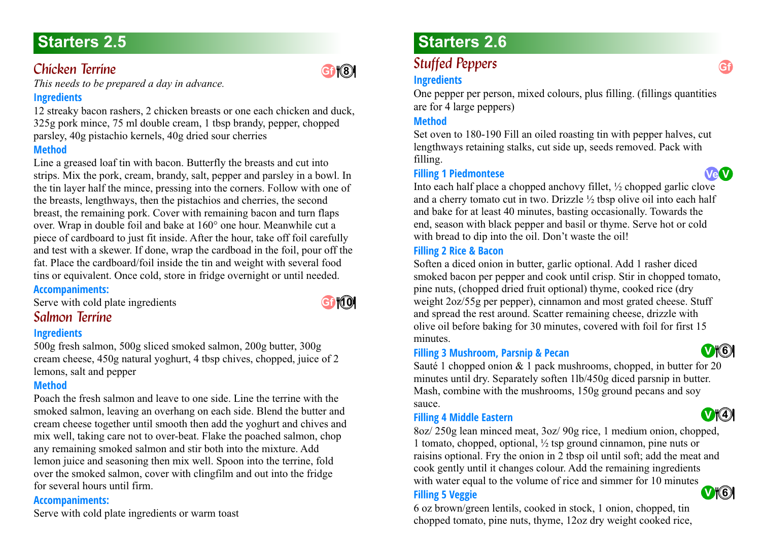### <span id="page-9-0"></span>*Chicken Terrine*

*This needs to be prepared a day in advance.*

### **Ingredients**

12 streaky bacon rashers, 2 chicken breasts or one each chicken and duck, 325g pork mince, 75 ml double cream, 1 tbsp brandy, pepper, chopped parsley, 40g pistachio kernels, 40g dried sour cherries

### **Method**

Line a greased loaf tin with bacon. Butterfly the breasts and cut into strips. Mix the pork, cream, brandy, salt, pepper and parsley in a bowl. In the tin layer half the mince, pressing into the corners. Follow with one of the breasts, lengthways, then the pistachios and cherries, the second breast, the remaining pork. Cover with remaining bacon and turn flaps over. Wrap in double foil and bake at 160° one hour. Meanwhile cut a piece of cardboard to just fit inside. After the hour, take off foil carefully and test with a skewer. If done, wrap the cardboad in the foil, pour off the fat. Place the cardboard/foil inside the tin and weight with several food tins or equivalent. Once cold, store in fridge overnight or until needed.

### **Accompaniments:**

<span id="page-9-1"></span>Serve with cold plate ingredients

# **Gf <sup>4</sup> 10**

**4 8**

### **Salmon Terrine**

### **Ingredients**

500g fresh salmon, 500g sliced smoked salmon, 200g butter, 300g cream cheese, 450g natural yoghurt, 4 tbsp chives, chopped, juice of 2 lemons, salt and pepper

### **Method**

Poach the fresh salmon and leave to one side. Line the terrine with the smoked salmon, leaving an overhang on each side. Blend the butter and cream cheese together until smooth then add the yoghurt and chives and mix well, taking care not to over-beat. Flake the poached salmon, chop any remaining smoked salmon and stir both into the mixture. Add lemon juice and seasoning then mix well. Spoon into the terrine, fold over the smoked salmon, cover with clingfilm and out into the fridge for several hours until firm.

### **Accompaniments:**

Serve with cold plate ingredients or warm toast

# **Starters 2.5 Starters 2.6**

# <span id="page-9-2"></span>**Stuffed Peppers**

### **Ingredients**

One pepper per person, mixed colours, plus filling. (fillings quantities are for 4 large peppers)

### **Method**

Set oven to 180-190 Fill an oiled roasting tin with pepper halves, cut lengthways retaining stalks, cut side up, seeds removed. Pack with filling.

### **Filling 1 Piedmontese**

**Ve V**

Into each half place a chopped anchovy fillet, ½ chopped garlic clove and a cherry tomato cut in two. Drizzle  $\frac{1}{2}$  tbsp olive oil into each half and bake for at least 40 minutes, basting occasionally. Towards the end, season with black pepper and basil or thyme. Serve hot or cold with bread to dip into the oil. Don't waste the oil!

### **Filling 2 Rice & Bacon**

Soften a diced onion in butter, garlic optional. Add 1 rasher diced smoked bacon per pepper and cook until crisp. Stir in chopped tomato, pine nuts, (chopped dried fruit optional) thyme, cooked rice (dry weight 2oz/55g per pepper), cinnamon and most grated cheese. Stuff and spread the rest around. Scatter remaining cheese, drizzle with olive oil before baking for 30 minutes, covered with foil for first 15 minutes.

### **Filling 3 Mushroom, Parsnip & Pecan**

Sauté 1 chopped onion & 1 pack mushrooms, chopped, in butter for 20 minutes until dry. Separately soften 1lb/450g diced parsnip in butter. Mash, combine with the mushrooms, 150g ground pecans and soy sauce.

### **Filling 4 Middle Eastern**

8oz/ 250g lean minced meat, 3oz/ 90g rice, 1 medium onion, chopped, 1 tomato, chopped, optional, ½ tsp ground cinnamon, pine nuts or raisins optional. Fry the onion in 2 tbsp oil until soft; add the meat and cook gently until it changes colour. Add the remaining ingredients with water equal to the volume of rice and simmer for 10 minutes **V 4 6**

### **Filling 5 Veggie**

6 oz brown/green lentils, cooked in stock, 1 onion, chopped, tin chopped tomato, pine nuts, thyme, 12oz dry weight cooked rice,





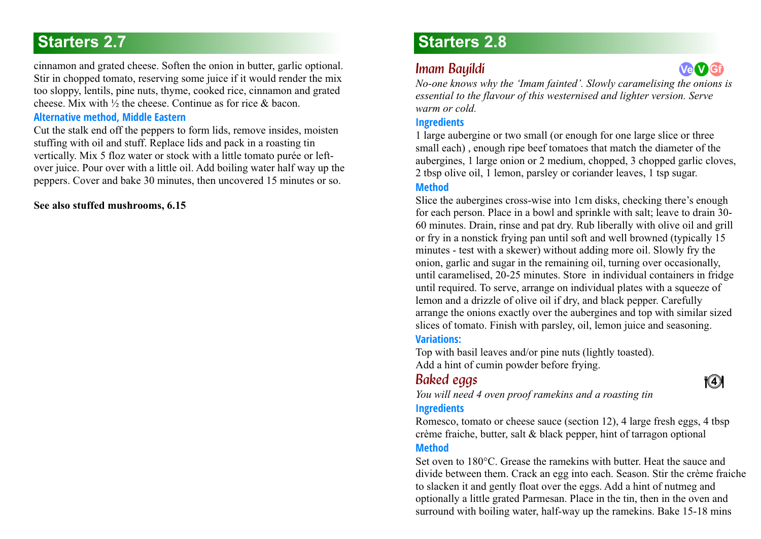**Ve V G**<sub>**i**</sub> cinnamon and grated cheese. Soften the onion in butter, garlic optional. **Imam Bauildi Ve V G**<sub>i</sub> Stir in chopped tomato, reserving some juice if it would render the mix too sloppy, lentils, pine nuts, thyme, cooked rice, cinnamon and grated cheese. Mix with  $\frac{1}{2}$  the cheese. Continue as for rice  $\&$  bacon.

#### **Alternative method, Middle Eastern**

Cut the stalk end off the peppers to form lids, remove insides, moisten stuffing with oil and stuff. Replace lids and pack in a roasting tin vertically. Mix 5 floz water or stock with a little tomato purée or leftover juice. Pour over with a little oil. Add boiling water half way up the peppers. Cover and bake 30 minutes, then uncovered 15 minutes or so.

#### **[See also stuffed mushrooms, 6.15](#page-40-0)**

# **Starters 2.7 Starters 2.8**

### <span id="page-10-0"></span>*Imam Bayildi 2.8*

*No-one knows why the 'Imam fainted'. Slowly caramelising the onions is essential to the flavour of this westernised and lighter version. Serve warm or cold.*

### **Ingredients**

1 large aubergine or two small (or enough for one large slice or three small each) , enough ripe beef tomatoes that match the diameter of the aubergines, 1 large onion or 2 medium, chopped, 3 chopped garlic cloves, 2 tbsp olive oil, 1 lemon, parsley or coriander leaves, 1 tsp sugar.

### **Method**

Slice the aubergines cross-wise into 1cm disks, checking there's enough for each person. Place in a bowl and sprinkle with salt; leave to drain 30- 60 minutes. Drain, rinse and pat dry. Rub liberally with olive oil and grill or fry in a nonstick frying pan until soft and well browned (typically 15 minutes - test with a skewer) without adding more oil. Slowly fry the onion, garlic and sugar in the remaining oil, turning over occasionally, until caramelised, 20-25 minutes. Store in individual containers in fridge until required. To serve, arrange on individual plates with a squeeze of lemon and a drizzle of olive oil if dry, and black pepper. Carefully arrange the onions exactly over the aubergines and top with similar sized slices of tomato. Finish with parsley, oil, lemon juice and seasoning.

### **Variations:**

Top with basil leaves and/or pine nuts (lightly toasted). Add a hint of cumin powder before frying.

### <span id="page-10-1"></span>*Baked eggs*

### **4 4**

*You will need 4 oven proof ramekins and a roasting tin*  **Ingredients**

Romesco, tomato or cheese sauce (section 12), 4 large fresh eggs, 4 tbsp crème fraiche, butter, salt & black pepper, hint of tarragon optional **Method**

Set oven to 180°C. Grease the ramekins with butter. Heat the sauce and divide between them. Crack an egg into each. Season. Stir the crème fraiche to slacken it and gently float over the eggs. Add a hint of nutmeg and optionally a little grated Parmesan. Place in the tin, then in the oven and surround with boiling water, half-way up the ramekins. Bake 15-18 mins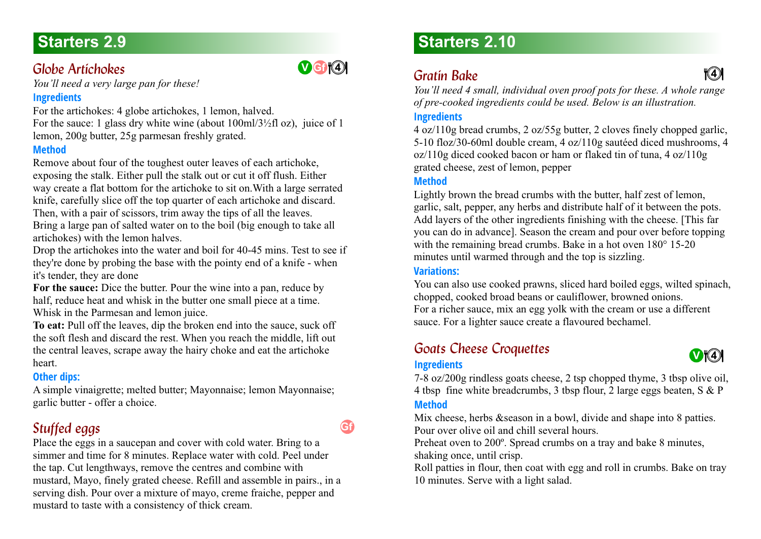# **Starters 2.9**

### <span id="page-11-0"></span>*Globe Artichokes*

*You'll need a very large pan for these!*

### **Ingredients**

For the artichokes: 4 globe artichokes, 1 lemon, halved. For the sauce: 1 glass dry white wine (about 100ml/3½fl oz), juice of 1 lemon, 200g butter, 25g parmesan freshly grated.

### **Method**

Remove about four of the toughest outer leaves of each artichoke, exposing the stalk. Either pull the stalk out or cut it off flush. Either way create a flat bottom for the artichoke to sit on.With a large serrated knife, carefully slice off the top quarter of each artichoke and discard. Then, with a pair of scissors, trim away the tips of all the leaves. Bring a large pan of salted water on to the boil (big enough to take all artichokes) with the lemon halves.

Drop the artichokes into the water and boil for 40-45 mins. Test to see if they're done by probing the base with the pointy end of a knife - when it's tender, they are done

**For the sauce:** Dice the butter. Pour the wine into a pan, reduce by half, reduce heat and whisk in the butter one small piece at a time. Whisk in the Parmesan and lemon juice.

**To eat:** Pull off the leaves, dip the broken end into the sauce, suck off the soft flesh and discard the rest. When you reach the middle, lift out the central leaves, scrape away the hairy choke and eat the artichoke heart.

### **Other dips:**

A simple vinaigrette; melted butter; Mayonnaise; lemon Mayonnaise; garlic butter - offer a choice.

# <span id="page-11-1"></span>*Stuffed eggs*

Place the eggs in a saucepan and cover with cold water. Bring to a simmer and time for 8 minutes. Replace water with cold. Peel under the tap. Cut lengthways, remove the centres and combine with mustard, Mayo, finely grated cheese. Refill and assemble in pairs., in a serving dish. Pour over a mixture of mayo, creme fraiche, pepper and mustard to taste with a consistency of thick cream.

# **Starters 2.10**

# *Gratin Bake 2.10* **<sup>4</sup> <sup>4</sup> <sup>4</sup> <sup>4</sup>**

**V** Giv(4)

**Gf**

<span id="page-11-2"></span>*You'll need 4 small, individual oven proof pots for these. A whole range of pre-cooked ingredients could be used. Below is an illustration.*

### **Ingredients**

4 oz/110g bread crumbs, 2 oz/55g butter, 2 cloves finely chopped garlic, 5-10 floz/30-60ml double cream, 4 oz/110g sautéed diced mushrooms, 4 oz/110g diced cooked bacon or ham or flaked tin of tuna, 4 oz/110g grated cheese, zest of lemon, pepper

### **Method**

Lightly brown the bread crumbs with the butter, half zest of lemon, garlic, salt, pepper, any herbs and distribute half of it between the pots. Add layers of the other ingredients finishing with the cheese. [This far you can do in advance]. Season the cream and pour over before topping with the remaining bread crumbs. Bake in a hot oven  $180^{\circ}$  15-20 minutes until warmed through and the top is sizzling.

### **Variations:**

**Ingredients**

You can also use cooked prawns, sliced hard boiled eggs, wilted spinach, chopped, cooked broad beans or cauliflower, browned onions. For a richer sauce, mix an egg yolk with the cream or use a different sauce. For a lighter sauce create a flavoured bechamel.

## <span id="page-11-3"></span>**Goats Cheese Croquettes**



7-8 oz/200g rindless goats cheese, 2 tsp chopped thyme, 3 tbsp olive oil, 4 tbsp fine white breadcrumbs, 3 tbsp flour, 2 large eggs beaten, S & P **Method**

Mix cheese, herbs &season in a bowl, divide and shape into 8 patties. Pour over olive oil and chill several hours.

Preheat oven to 200º. Spread crumbs on a tray and bake 8 minutes, shaking once, until crisp.

Roll patties in flour, then coat with egg and roll in crumbs. Bake on tray 10 minutes. Serve with a light salad.

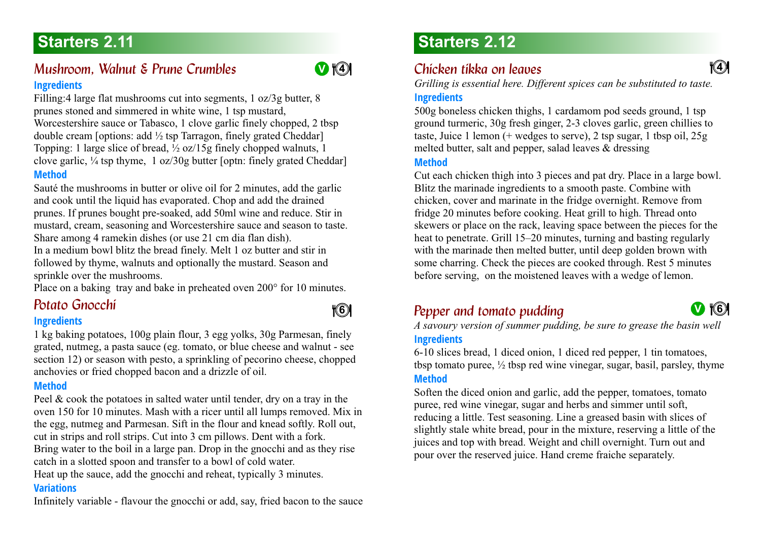### <span id="page-12-0"></span>*Mushroom, Walnut & Prune Crumbles* **Ingredients**

Filling:4 large flat mushrooms cut into segments, 1 oz/3g butter, 8 prunes stoned and simmered in white wine, 1 tsp mustard, Worcestershire sauce or Tabasco, 1 clove garlic finely chopped, 2 tbsp double cream [options: add ½ tsp Tarragon, finely grated Cheddar] Topping: 1 large slice of bread, ½ oz/15g finely chopped walnuts, 1 clove garlic,  $\frac{1}{4}$  tsp thyme, 1 oz/30g butter [optn: finely grated Cheddar] **Method**

Sauté the mushrooms in butter or olive oil for 2 minutes, add the garlic and cook until the liquid has evaporated. Chop and add the drained prunes. If prunes bought pre-soaked, add 50ml wine and reduce. Stir in mustard, cream, seasoning and Worcestershire sauce and season to taste. Share among 4 ramekin dishes (or use 21 cm dia flan dish).

In a medium bowl blitz the bread finely. Melt 1 oz butter and stir in followed by thyme, walnuts and optionally the mustard. Season and sprinkle over the mushrooms.

<span id="page-12-1"></span>Place on a baking tray and bake in preheated oven 200° for 10 minutes.

#### **Ingredients**

1 kg baking potatoes, 100g plain flour, 3 egg yolks, 30g Parmesan, finely grated, nutmeg, a pasta sauce (eg. tomato, or blue cheese and walnut - see section 12) or season with pesto, a sprinkling of pecorino cheese, chopped anchovies or fried chopped bacon and a drizzle of oil.

#### **Method**

Peel & cook the potatoes in salted water until tender, dry on a tray in the oven 150 for 10 minutes. Mash with a ricer until all lumps removed. Mix in the egg, nutmeg and Parmesan. Sift in the flour and knead softly. Roll out, cut in strips and roll strips. Cut into 3 cm pillows. Dent with a fork. Bring water to the boil in a large pan. Drop in the gnocchi and as they rise catch in a slotted spoon and transfer to a bowl of cold water.

Heat up the sauce, add the gnocchi and reheat, typically 3 minutes.

### **Variations**

Infinitely variable - flavour the gnocchi or add, say, fried bacon to the sauce

# **Starters 2.11 Starters 2.12**

## <span id="page-12-2"></span>**Chicken tikka on leaves**

*Grilling is essential here. Different spices can be substituted to taste.*

### **Ingredients**

500g boneless chicken thighs, 1 cardamom pod seeds ground, 1 tsp ground turmeric, 30g fresh ginger, 2-3 cloves garlic, green chillies to taste, Juice 1 lemon (+ wedges to serve), 2 tsp sugar, 1 tbsp oil, 25g melted butter, salt and pepper, salad leaves & dressing

#### **Method**

Cut each chicken thigh into 3 pieces and pat dry. Place in a large bowl. Blitz the marinade ingredients to a smooth paste. Combine with chicken, cover and marinate in the fridge overnight. Remove from fridge 20 minutes before cooking. Heat grill to high. Thread onto skewers or place on the rack, leaving space between the pieces for the heat to penetrate. Grill 15–20 minutes, turning and basting regularly with the marinade then melted butter, until deep golden brown with some charring. Check the pieces are cooked through. Rest 5 minutes before serving, on the moistened leaves with a wedge of lemon.

# *Pepper and tomato pudding 2.12 Potato Gnocchi 2.11* **<sup>V</sup>**

**4 6**

<span id="page-12-3"></span>*A savoury version of summer pudding, be sure to grease the basin well* **Ingredients**

6-10 slices bread, 1 diced onion, 1 diced red pepper, 1 tin tomatoes, tbsp tomato puree,  $\frac{1}{2}$  tbsp red wine vinegar, sugar, basil, parsley, thyme **Method**

Soften the diced onion and garlic, add the pepper, tomatoes, tomato puree, red wine vinegar, sugar and herbs and simmer until soft, reducing a little. Test seasoning. Line a greased basin with slices of slightly stale white bread, pour in the mixture, reserving a little of the juices and top with bread. Weight and chill overnight. Turn out and pour over the reserved juice. Hand creme fraiche separately.

**4 6** 

**4 4**



**4 4**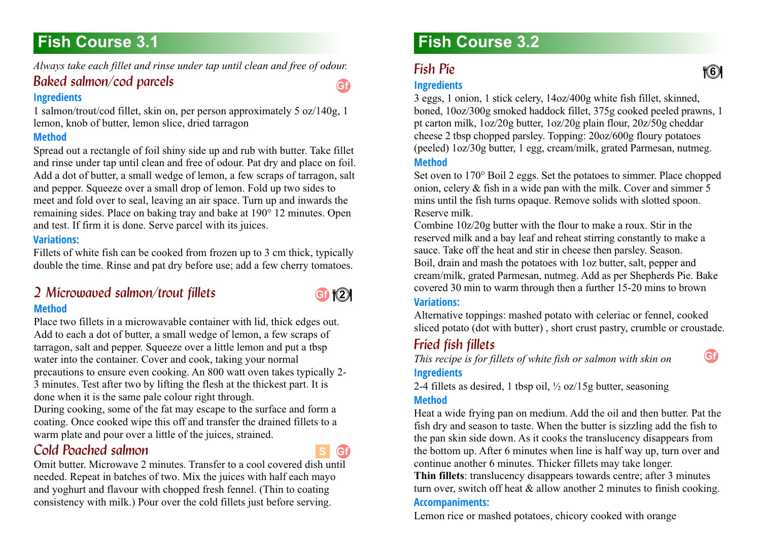# <span id="page-13-0"></span>**Fish Course 3.1**

<span id="page-13-1"></span>*Always take each fillet and rinse under tap until clean and free of odour.* 

### *Baked salmon/cod parcels*

### **Ingredients**

1 salmon/trout/cod fillet, skin on, per person approximately 5 oz/140g, 1 lemon, knob of butter, lemon slice, dried tarragon

### **Method**

Spread out a rectangle of foil shiny side up and rub with butter. Take fillet and rinse under tap until clean and free of odour. Pat dry and place on foil. Add a dot of butter, a small wedge of lemon, a few scraps of tarragon, salt and pepper. Squeeze over a small drop of lemon. Fold up two sides to meet and fold over to seal, leaving an air space. Turn up and inwards the remaining sides. Place on baking tray and bake at 190° 12 minutes. Open and test. If firm it is done. Serve parcel with its juices.

### **Variations:**

Fillets of white fish can be cooked from frozen up to 3 cm thick, typically double the time. Rinse and pat dry before use; add a few cherry tomatoes.

### <span id="page-13-2"></span>*2 Microwaved salmon/trout fillets 3.1* **Method**



**Gf**

Place two fillets in a microwavable container with lid, thick edges out. Add to each a dot of butter, a small wedge of lemon, a few scraps of tarragon, salt and pepper. Squeeze over a little lemon and put a tbsp water into the container. Cover and cook, taking your normal precautions to ensure even cooking. An 800 watt oven takes typically 2- 3 minutes. Test after two by lifting the flesh at the thickest part. It is done when it is the same pale colour right through.

During cooking, some of the fat may escape to the surface and form a coating. Once cooked wipe this off and transfer the drained fillets to a warm plate and pour over a little of the juices, strained.

### <span id="page-13-3"></span>*Cold Poached salmon 3.1*



Omit butter. Microwave 2 minutes. Transfer to a cool covered dish until needed. Repeat in batches of two. Mix the juices with half each mayo and yoghurt and flavour with chopped fresh fennel. (Thin to coating consistency with milk.) Pour over the cold fillets just before serving.

# **Fish Course 3.2**

### <span id="page-13-4"></span>**Fish Pie.**

### **Ingredients**

3 eggs, 1 onion, 1 stick celery, 14oz/400g white fish fillet, skinned, boned, 10oz/300g smoked haddock fillet, 375g cooked peeled prawns, 1 pt carton milk, 1oz/20g butter, 1oz/20g plain flour, 20z/50g cheddar cheese 2 tbsp chopped parsley. Topping: 20oz/600g floury potatoes (peeled) 1oz/30g butter, 1 egg, cream/milk, grated Parmesan, nutmeg. **Method**

Set oven to 170° Boil 2 eggs. Set the potatoes to simmer. Place chopped onion, celery & fish in a wide pan with the milk. Cover and simmer 5 mins until the fish turns opaque. Remove solids with slotted spoon. Reserve milk.

Combine 10z/20g butter with the flour to make a roux. Stir in the reserved milk and a bay leaf and reheat stirring constantly to make a sauce. Take off the heat and stir in cheese then parsley. Season. Boil, drain and mash the potatoes with 1oz butter, salt, pepper and cream/milk, grated Parmesan, nutmeg. Add as per Shepherds Pie. Bake covered 30 min to warm through then a further 15-20 mins to brown

### **Variations:**

Alternative toppings: mashed potato with celeriac or fennel, cooked sliced potato (dot with butter) , short crust pastry, crumble or croustade.

### <span id="page-13-5"></span>**Fried fish fillets**

*This recipe is for fillets of white fish or salmon with skin on* **Ingredients**

2-4 fillets as desired, 1 tbsp oil,  $\frac{1}{2}$  oz/15g butter, seasoning

### **Method**

Heat a wide frying pan on medium. Add the oil and then butter. Pat the fish dry and season to taste. When the butter is sizzling add the fish to the pan skin side down. As it cooks the translucency disappears from the bottom up. After 6 minutes when line is half way up, turn over and continue another 6 minutes. Thicker fillets may take longer.

**Thin fillets**: translucency disappears towards centre; after 3 minutes turn over, switch off heat  $&$  allow another 2 minutes to finish cooking.

### **Accompaniments:**

Lemon rice or mashed potatoes, chicory cooked with orange

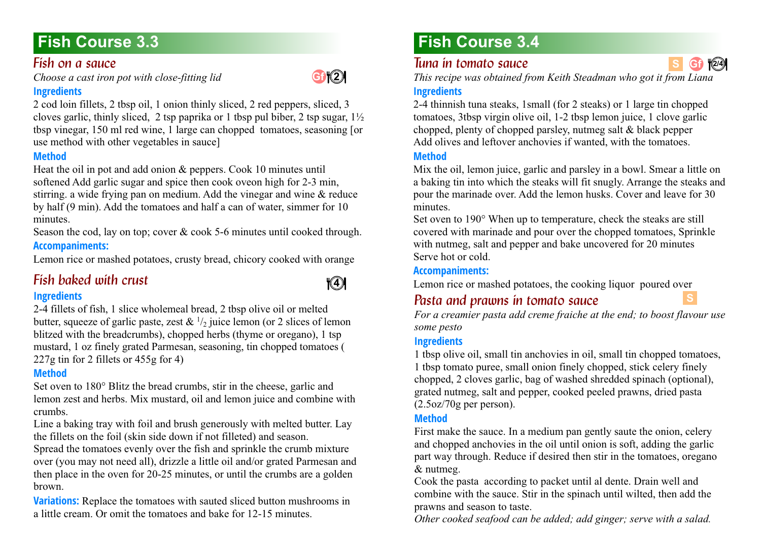# **Fish Course 3.3**

### <span id="page-14-0"></span>**Fish on a sauce**

*Choose a cast iron pot with close-fitting lid*

### **Ingredients**

2 cod loin fillets, 2 tbsp oil, 1 onion thinly sliced, 2 red peppers, sliced, 3 cloves garlic, thinly sliced, 2 tsp paprika or 1 tbsp pul biber, 2 tsp sugar,  $1\frac{1}{2}$ tbsp vinegar, 150 ml red wine, 1 large can chopped tomatoes, seasoning [or use method with other vegetables in sauce]

### **Method**

Heat the oil in pot and add onion & peppers. Cook 10 minutes until softened Add garlic sugar and spice then cook oveon high for 2-3 min, stirring. a wide frying pan on medium. Add the vinegar and wine & reduce by half (9 min). Add the tomatoes and half a can of water, simmer for 10 minutes.

Season the cod, lay on top; cover & cook 5-6 minutes until cooked through. **Accompaniments:**

Lemon rice or mashed potatoes, crusty bread, chicory cooked with orange

## <span id="page-14-1"></span>*Fish baked with crust*



**Gf 4 2**

### **Ingredients**

2-4 fillets of fish, 1 slice wholemeal bread, 2 tbsp olive oil or melted butter, squeeze of garlic paste, zest  $\& 1/2$  juice lemon (or 2 slices of lemon blitzed with the breadcrumbs), chopped herbs (thyme or oregano), 1 tsp mustard, 1 oz finely grated Parmesan, seasoning, tin chopped tomatoes ( 227g tin for 2 fillets or 455g for 4)

### **Method**

Set oven to 180° Blitz the bread crumbs, stir in the cheese, garlic and lemon zest and herbs. Mix mustard, oil and lemon juice and combine with crumbs.

Line a baking tray with foil and brush generously with melted butter. Lay the fillets on the foil (skin side down if not filleted) and season.

Spread the tomatoes evenly over the fish and sprinkle the crumb mixture over (you may not need all), drizzle a little oil and/or grated Parmesan and then place in the oven for 20-25 minutes, or until the crumbs are a golden brown.

**Variations:** Replace the tomatoes with sauted sliced button mushrooms in a little cream. Or omit the tomatoes and bake for 12-15 minutes.

# **Fish Course 3.4**

### <span id="page-14-2"></span>*Tuna in tomato sauce*

*This recipe was obtained from Keith Steadman who got it from Liana*

### **Ingredients**

2-4 thinnish tuna steaks, 1small (for 2 steaks) or 1 large tin chopped tomatoes, 3tbsp virgin olive oil, 1-2 tbsp lemon juice, 1 clove garlic chopped, plenty of chopped parsley, nutmeg salt & black pepper Add olives and leftover anchovies if wanted, with the tomatoes.

### **Method**

Mix the oil, lemon juice, garlic and parsley in a bowl. Smear a little on a baking tin into which the steaks will fit snugly. Arrange the steaks and pour the marinade over. Add the lemon husks. Cover and leave for 30 minutes.

Set oven to 190° When up to temperature, check the steaks are still covered with marinade and pour over the chopped tomatoes, Sprinkle with nutmeg, salt and pepper and bake uncovered for 20 minutes Serve hot or cold.

### **Accompaniments:**

<span id="page-14-3"></span>Lemon rice or mashed potatoes, the cooking liquor poured over

### *Pasta and prawns in tomato sauce*

*For a creamier pasta add creme fraiche at the end; to boost flavour use some pesto*

### **Ingredients**

1 tbsp olive oil, small tin anchovies in oil, small tin chopped tomatoes, 1 tbsp tomato puree, small onion finely chopped, stick celery finely chopped, 2 cloves garlic, bag of washed shredded spinach (optional), grated nutmeg, salt and pepper, cooked peeled prawns, dried pasta (2.5oz/70g per person).

### **Method**

First make the sauce. In a medium pan gently saute the onion, celery and chopped anchovies in the oil until onion is soft, adding the garlic part way through. Reduce if desired then stir in the tomatoes, oregano & nutmeg.

Cook the pasta according to packet until al dente. Drain well and combine with the sauce. Stir in the spinach until wilted, then add the prawns and season to taste.

*Other cooked seafood can be added; add ginger; serve with a salad.*

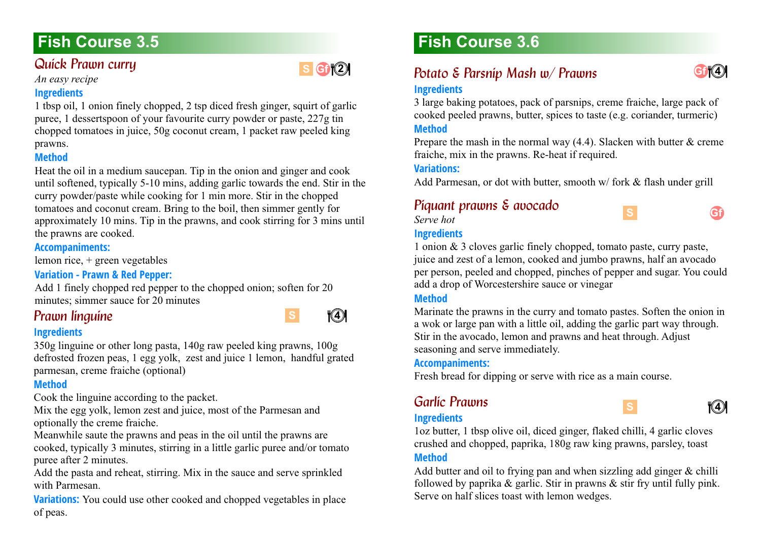# **Fish Course 3.5**

### <span id="page-15-0"></span>**Quick Prawn curry**

*An easy recipe*

### **Ingredients**

1 tbsp oil, 1 onion finely chopped, 2 tsp diced fresh ginger, squirt of garlic puree, 1 dessertspoon of your favourite curry powder or paste, 227g tin chopped tomatoes in juice, 50g coconut cream, 1 packet raw peeled king prawns.

### **Method**

Heat the oil in a medium saucepan. Tip in the onion and ginger and cook until softened, typically 5-10 mins, adding garlic towards the end. Stir in the curry powder/paste while cooking for 1 min more. Stir in the chopped tomatoes and coconut cream. Bring to the boil, then simmer gently for approximately 10 mins. Tip in the prawns, and cook stirring for 3 mins until the prawns are cooked.

#### **Accompaniments:**

lemon rice, + green vegetables

### **Variation - Prawn & Red Pepper:**

Add 1 finely chopped red pepper to the chopped onion; soften for 20 minutes; simmer sauce for 20 minutes

### <span id="page-15-1"></span>**Prawn linguine**

### **Ingredients**

350g linguine or other long pasta, 140g raw peeled king prawns, 100g defrosted frozen peas, 1 egg yolk, zest and juice 1 lemon, handful grated parmesan, creme fraiche (optional)

#### **Method**

Cook the linguine according to the packet.

Mix the egg yolk, lemon zest and juice, most of the Parmesan and optionally the creme fraiche.

Meanwhile saute the prawns and peas in the oil until the prawns are cooked, typically 3 minutes, stirring in a little garlic puree and/or tomato puree after 2 minutes.

Add the pasta and reheat, stirring. Mix in the sauce and serve sprinkled with Parmesan.

**Variations:** You could use other cooked and chopped vegetables in place of peas.

# **Fish Course 3.6**

# <span id="page-15-2"></span>*Potato & Parsnip Mash w/ Prawns*



**Gf**

### **Ingredients**

3 large baking potatoes, pack of parsnips, creme fraiche, large pack of cooked peeled prawns, butter, spices to taste (e.g. coriander, turmeric) **Method**

Prepare the mash in the normal way (4.4). Slacken with butter & creme fraiche, mix in the prawns. Re-heat if required.

#### **Variations:**

Add Parmesan, or dot with butter, smooth w/ fork & flash under grill

### <span id="page-15-3"></span>*Piquant prawns & avocado 3.6*

*Serve hot*

### **Ingredients**



**S**

**S**

### **Method**

Marinate the prawns in the curry and tomato pastes. Soften the onion in a wok or large pan with a little oil, adding the garlic part way through. Stir in the avocado, lemon and prawns and heat through. Adjust seasoning and serve immediately.

#### **Accompaniments:**

Fresh bread for dipping or serve with rice as a main course.

### <span id="page-15-4"></span>*Garlíc Prawns*



### **Ingredients**

1oz butter, 1 tbsp olive oil, diced ginger, flaked chilli, 4 garlic cloves crushed and chopped, paprika, 180g raw king prawns, parsley, toast **Method**

Add butter and oil to frying pan and when sizzling add ginger & chilli followed by paprika & garlic. Stir in prawns & stir fry until fully pink. Serve on half slices toast with lemon wedges.



**S**

**s Gf** (2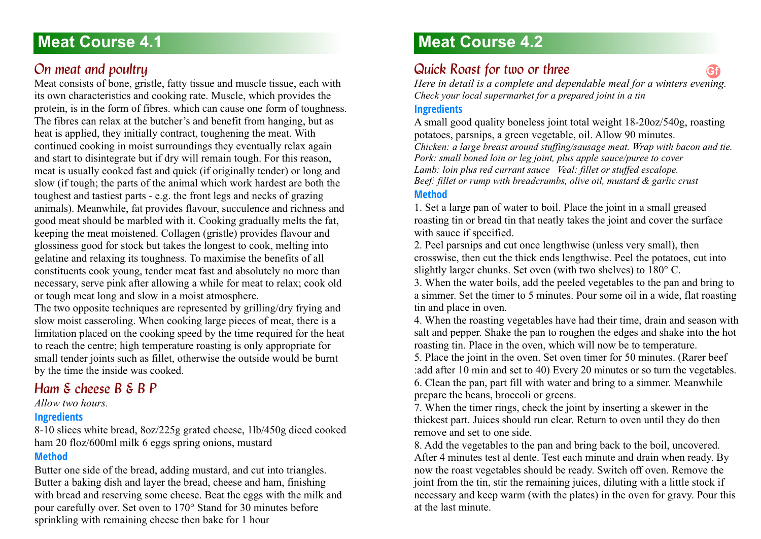### <span id="page-16-1"></span><span id="page-16-0"></span>*<u>On meat and poultru</u>*

Meat consists of bone, gristle, fatty tissue and muscle tissue, each with its own characteristics and cooking rate. Muscle, which provides the protein, is in the form of fibres. which can cause one form of toughness. The fibres can relax at the butcher's and benefit from hanging, but as heat is applied, they initially contract, toughening the meat. With continued cooking in moist surroundings they eventually relax again and start to disintegrate but if dry will remain tough. For this reason, meat is usually cooked fast and quick (if originally tender) or long and slow (if tough; the parts of the animal which work hardest are both the toughest and tastiest parts - e.g. the front legs and necks of grazing animals). Meanwhile, fat provides flavour, succulence and richness and good meat should be marbled with it. Cooking gradually melts the fat, keeping the meat moistened. Collagen (gristle) provides flavour and glossiness good for stock but takes the longest to cook, melting into gelatine and relaxing its toughness. To maximise the benefits of all constituents cook young, tender meat fast and absolutely no more than necessary, serve pink after allowing a while for meat to relax; cook old or tough meat long and slow in a moist atmosphere.

The two opposite techniques are represented by grilling/dry frying and slow moist casseroling. When cooking large pieces of meat, there is a limitation placed on the cooking speed by the time required for the heat to reach the centre; high temperature roasting is only appropriate for small tender joints such as fillet, otherwise the outside would be burnt by the time the inside was cooked.

### <span id="page-16-2"></span>*Ham & cheese B & B P.*

*Allow two hours.*

### **Ingredients**

8-10 slices white bread, 8oz/225g grated cheese, 1lb/450g diced cooked ham 20 floz/600ml milk 6 eggs spring onions, mustard

### **Method**

Butter one side of the bread, adding mustard, and cut into triangles. Butter a baking dish and layer the bread, cheese and ham, finishing with bread and reserving some cheese. Beat the eggs with the milk and pour carefully over. Set oven to 170° Stand for 30 minutes before sprinkling with remaining cheese then bake for 1 hour

# **Meat Course 4.2**

### <span id="page-16-3"></span>**Quick Roast for two or three**

*Here in detail is a complete and dependable meal for a winters evening. Check your local supermarket for a prepared joint in a tin* **Gf**

### **Ingredients**

A small good quality boneless joint total weight 18-20oz/540g, roasting potatoes, parsnips, a green vegetable, oil. Allow 90 minutes. *Chicken: a large breast around stuffing/sausage meat. Wrap with bacon and tie. Pork: small boned loin or leg joint, plus apple sauce/puree to cover Lamb: loin plus red currant sauce Veal: fillet or stuffed escalope. Beef: fillet or rump with breadcrumbs, olive oil, mustard & garlic crust* **Method**

1. Set a large pan of water to boil. Place the joint in a small greased roasting tin or bread tin that neatly takes the joint and cover the surface with sauce if specified.

2. Peel parsnips and cut once lengthwise (unless very small), then crosswise, then cut the thick ends lengthwise. Peel the potatoes, cut into slightly larger chunks. Set oven (with two shelves) to 180° C.

3. When the water boils, add the peeled vegetables to the pan and bring to a simmer. Set the timer to 5 minutes. Pour some oil in a wide, flat roasting tin and place in oven.

4. When the roasting vegetables have had their time, drain and season with salt and pepper. Shake the pan to roughen the edges and shake into the hot roasting tin. Place in the oven, which will now be to temperature.

5. Place the joint in the oven. Set oven timer for 50 minutes. (Rarer beef :add after 10 min and set to 40) Every 20 minutes or so turn the vegetables. 6. Clean the pan, part fill with water and bring to a simmer. Meanwhile prepare the beans, broccoli or greens.

7. When the timer rings, check the joint by inserting a skewer in the thickest part. Juices should run clear. Return to oven until they do then remove and set to one side.

8. Add the vegetables to the pan and bring back to the boil, uncovered. After 4 minutes test al dente. Test each minute and drain when ready. By now the roast vegetables should be ready. Switch off oven. Remove the joint from the tin, stir the remaining juices, diluting with a little stock if necessary and keep warm (with the plates) in the oven for gravy. Pour this at the last minute.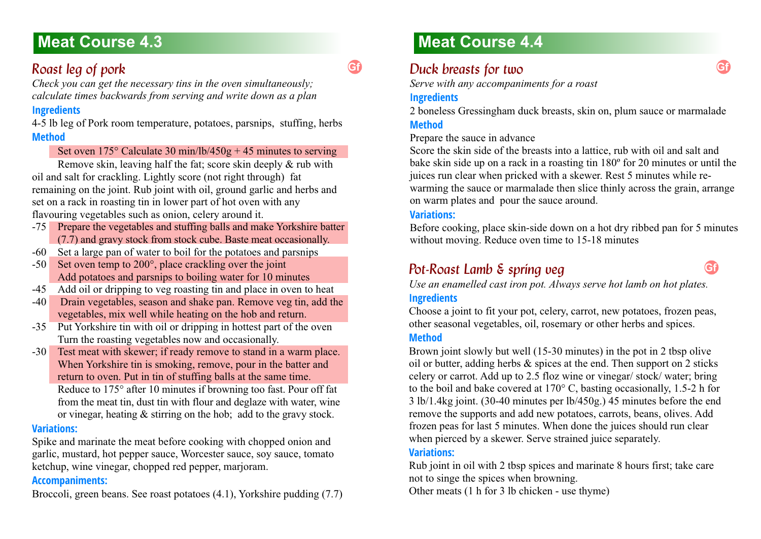## <span id="page-17-0"></span>*Roast leg of pork 4.3*

*Check you can get the necessary tins in the oven simultaneously; calculate times backwards from serving and write down as a plan*

### **Ingredients**

4-5 lb leg of Pork room temperature, potatoes, parsnips, stuffing, herbs **Method**

### Set oven  $175^{\circ}$  Calculate 30 min/lb/450g + 45 minutes to serving

Remove skin, leaving half the fat; score skin deeply & rub with oil and salt for crackling. Lightly score (not right through) fat remaining on the joint. Rub joint with oil, ground garlic and herbs and set on a rack in roasting tin in lower part of hot oven with any flavouring vegetables such as onion, celery around it.

- -75 Prepare the vegetables and stuffing balls and make Yorkshire batter (7.7) and gravy stock from stock cube. Baste meat occasionally.
- -60 Set a large pan of water to boil for the potatoes and parsnips
- -50 Set oven temp to 200°, place crackling over the joint Add potatoes and parsnips to boiling water for 10 minutes
- -45 Add oil or dripping to veg roasting tin and place in oven to heat
- -40 Drain vegetables, season and shake pan. Remove veg tin, add the vegetables, mix well while heating on the hob and return.
- -35 Put Yorkshire tin with oil or dripping in hottest part of the oven Turn the roasting vegetables now and occasionally.
- -30 Test meat with skewer; if ready remove to stand in a warm place. When Yorkshire tin is smoking, remove, pour in the batter and return to oven. Put in tin of stuffing balls at the same time. Reduce to 175° after 10 minutes if browning too fast. Pour off fat from the meat tin, dust tin with flour and deglaze with water, wine or vinegar, heating & stirring on the hob; add to the gravy stock.

### **Variations:**

Spike and marinate the meat before cooking with chopped onion and garlic, mustard, hot pepper sauce, Worcester sauce, soy sauce, tomato ketchup, wine vinegar, chopped red pepper, marjoram.

### **Accompaniments:**

Broccoli, green beans. See roast potatoes (4.1), Yorkshire pudding (7.7)

# **Meat Course 4.4**

# <span id="page-17-1"></span>*Duck breasts for two 4.4*

*Serve with any accompaniments for a roast* 

### **Ingredients**

**Gf**

2 boneless Gressingham duck breasts, skin on, plum sauce or marmalade **Method**

Prepare the sauce in advance

Score the skin side of the breasts into a lattice, rub with oil and salt and bake skin side up on a rack in a roasting tin 180º for 20 minutes or until the juices run clear when pricked with a skewer. Rest 5 minutes while rewarming the sauce or marmalade then slice thinly across the grain, arrange on warm plates and pour the sauce around.

#### **Variations:**

Before cooking, place skin-side down on a hot dry ribbed pan for 5 minutes without moving. Reduce oven time to 15-18 minutes

## <span id="page-17-2"></span>*Pot-Roast Lamb & spring veg*

**Gf**

*Use an enamelled cast iron pot. Always serve hot lamb on hot plates.*

### **Ingredients**

Choose a joint to fit your pot, celery, carrot, new potatoes, frozen peas, other seasonal vegetables, oil, rosemary or other herbs and spices.

#### **Method**

Brown joint slowly but well (15-30 minutes) in the pot in 2 tbsp olive oil or butter, adding herbs & spices at the end. Then support on 2 sticks celery or carrot. Add up to 2.5 floz wine or vinegar/ stock/ water; bring to the boil and bake covered at 170° C, basting occasionally, 1.5-2 h for 3 lb/1.4kg joint. (30-40 minutes per lb/450g.) 45 minutes before the end remove the supports and add new potatoes, carrots, beans, olives. Add frozen peas for last 5 minutes. When done the juices should run clear when pierced by a skewer. Serve strained juice separately.

### **Variations:**

Rub joint in oil with 2 tbsp spices and marinate 8 hours first; take care not to singe the spices when browning.

Other meats (1 h for 3 lb chicken - use thyme)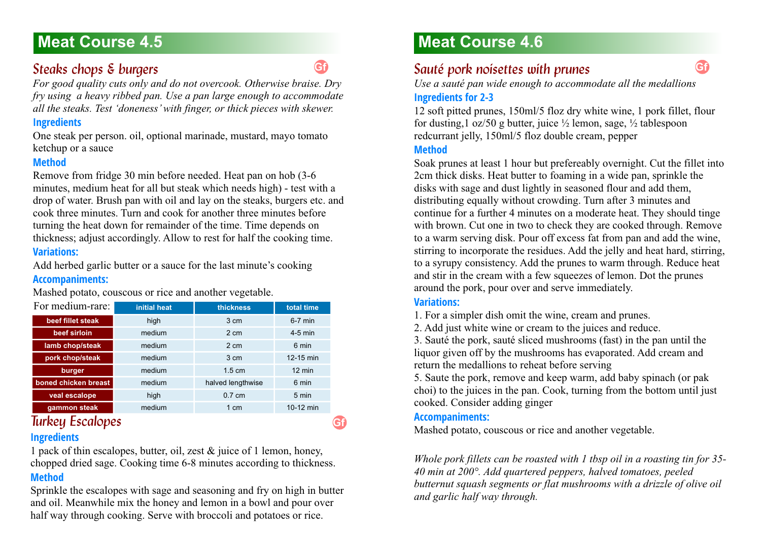# **Meat Course 4.5 <b>Meat Course 4.6 Meat Course 4.6**

### <span id="page-18-0"></span>**Steaks chops & burgers**

*For good quality cuts only and do not overcook. Otherwise braise. Dry fry using a heavy ribbed pan. Use a pan large enough to accommodate all the steaks. Test 'doneness' with finger, or thick pieces with skewer.*

#### **Ingredients**

One steak per person. oil, optional marinade, mustard, mayo tomato ketchup or a sauce

#### **Method**

Remove from fridge 30 min before needed. Heat pan on hob (3-6 minutes, medium heat for all but steak which needs high) - test with a drop of water. Brush pan with oil and lay on the steaks, burgers etc. and cook three minutes. Turn and cook for another three minutes before turning the heat down for remainder of the time. Time depends on thickness; adjust accordingly. Allow to rest for half the cooking time. **Variations:**

### Add herbed garlic butter or a sauce for the last minute's cooking

### **Accompaniments:**

Mashed potato, couscous or rice and another vegetable.

| For medium-rare:     | initial heat               | thickness         | total time       |  |
|----------------------|----------------------------|-------------------|------------------|--|
| beef fillet steak    | high                       | 3 cm              | $6-7$ min        |  |
| beef sirloin         | medium                     | 2 cm              | $4-5$ min        |  |
| lamb chop/steak      | medium                     | 2 cm              | 6 min            |  |
| pork chop/steak      | medium                     | 3 cm              | 12-15 min        |  |
| burger               | medium<br>$1.5 \text{ cm}$ |                   | $12 \text{ min}$ |  |
| boned chicken breast | medium                     | halved lengthwise | 6 min            |  |
| veal escalope        | high                       | $0.7 \text{ cm}$  | 5 min            |  |
| gammon steak         | medium                     | $1 \text{ cm}$    | 10-12 min        |  |

### <span id="page-18-1"></span>**Turkey Escalopes Ingredients**

1 pack of thin escalopes, butter, oil, zest & juice of 1 lemon, honey, chopped dried sage. Cooking time 6-8 minutes according to thickness. **Method**

Sprinkle the escalopes with sage and seasoning and fry on high in butter and oil. Meanwhile mix the honey and lemon in a bowl and pour over half way through cooking. Serve with broccoli and potatoes or rice.

## <span id="page-18-2"></span>*Sauté pork noisettes with prunes*

*Use a sauté pan wide enough to accommodate all the medallions* **Ingredients for 2-3**

#### 12 soft pitted prunes, 150ml/5 floz dry white wine, 1 pork fillet, flour for dusting,1 oz/50 g butter, juice ½ lemon, sage, ½ tablespoon redcurrant jelly, 150ml/5 floz double cream, pepper

#### **Method**

Soak prunes at least 1 hour but prefereably overnight. Cut the fillet into 2cm thick disks. Heat butter to foaming in a wide pan, sprinkle the disks with sage and dust lightly in seasoned flour and add them, distributing equally without crowding. Turn after 3 minutes and continue for a further 4 minutes on a moderate heat. They should tinge with brown. Cut one in two to check they are cooked through. Remove to a warm serving disk. Pour off excess fat from pan and add the wine, stirring to incorporate the residues. Add the jelly and heat hard, stirring, to a syrupy consistency. Add the prunes to warm through. Reduce heat and stir in the cream with a few squeezes of lemon. Dot the prunes around the pork, pour over and serve immediately.

### **Variations:**

1. For a simpler dish omit the wine, cream and prunes.

2. Add just white wine or cream to the juices and reduce.

3. Sauté the pork, sauté sliced mushrooms (fast) in the pan until the liquor given off by the mushrooms has evaporated. Add cream and return the medallions to reheat before serving

5. Saute the pork, remove and keep warm, add baby spinach (or pak choi) to the juices in the pan. Cook, turning from the bottom until just cooked. Consider adding ginger

### **Accompaniments:**

Mashed potato, couscous or rice and another vegetable.

*Whole pork fillets can be roasted with 1 tbsp oil in a roasting tin for 35- 40 min at 200°. Add quartered peppers, halved tomatoes, peeled butternut squash segments or flat mushrooms with a drizzle of olive oil and garlic half way through.*

**Gf**

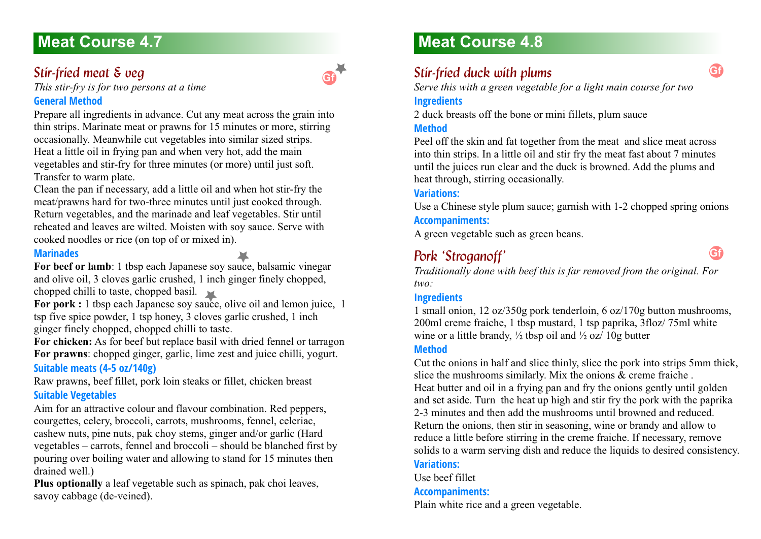# **Meat Course 4.7 Meat Course 4.8**

### <span id="page-19-0"></span>*Stir-fried meat & veg*

**Gf**

*This stir-fry is for two persons at a time* **General Method**

Prepare all ingredients in advance. Cut any meat across the grain into thin strips. Marinate meat or prawns for 15 minutes or more, stirring occasionally. Meanwhile cut vegetables into similar sized strips. Heat a little oil in frying pan and when very hot, add the main vegetables and stir-fry for three minutes (or more) until just soft. Transfer to warm plate.

Clean the pan if necessary, add a little oil and when hot stir-fry the meat/prawns hard for two-three minutes until just cooked through. Return vegetables, and the marinade and leaf vegetables. Stir until reheated and leaves are wilted. Moisten with soy sauce. Serve with cooked noodles or rice (on top of or mixed in).

#### **Marinades**

For beef or lamb: 1 tbsp each Japanese soy sauce, balsamic vinegar and olive oil, 3 cloves garlic crushed, 1 inch ginger finely chopped, chopped chilli to taste, chopped basil.

**For pork :** 1 tbsp each Japanese soy sauce, olive oil and lemon juice, 1 tsp five spice powder, 1 tsp honey, 3 cloves garlic crushed, 1 inch ginger finely chopped, chopped chilli to taste.

**For chicken:** As for beef but replace basil with dried fennel or tarragon **For prawns**: chopped ginger, garlic, lime zest and juice chilli, yogurt. **Suitable meats (4-5 oz/140g)**

Raw prawns, beef fillet, pork loin steaks or fillet, chicken breast **Suitable Vegetables**

Aim for an attractive colour and flavour combination. Red peppers, courgettes, celery, broccoli, carrots, mushrooms, fennel, celeriac, cashew nuts, pine nuts, pak choy stems, ginger and/or garlic (Hard vegetables – carrots, fennel and broccoli – should be blanched first by pouring over boiling water and allowing to stand for 15 minutes then drained well.)

**Plus optionally** a leaf vegetable such as spinach, pak choi leaves, savoy cabbage (de-veined).

### <span id="page-19-1"></span>*Stir-fried duck with plums*

*Serve this with a green vegetable for a light main course for two* **Ingredients**

2 duck breasts off the bone or mini fillets, plum sauce **Method**

Peel off the skin and fat together from the meat and slice meat across into thin strips. In a little oil and stir fry the meat fast about 7 minutes until the juices run clear and the duck is browned. Add the plums and heat through, stirring occasionally.

#### **Variations:**

Use a Chinese style plum sauce; garnish with 1-2 chopped spring onions

### **Accompaniments:**

A green vegetable such as green beans.

### <span id="page-19-2"></span>Pork 'Stroganoff'

*Traditionally done with beef this is far removed from the original. For two:*

#### **Ingredients**

1 small onion, 12 oz/350g pork tenderloin, 6 oz/170g button mushrooms, 200ml creme fraiche, 1 tbsp mustard, 1 tsp paprika, 3floz/ 75ml white wine or a little brandy,  $\frac{1}{2}$  tbsp oil and  $\frac{1}{2}$  oz $\frac{1}{2}$  10g butter

#### **Method**

Cut the onions in half and slice thinly, slice the pork into strips 5mm thick, slice the mushrooms similarly. Mix the onions & creme fraiche . Heat butter and oil in a frying pan and fry the onions gently until golden and set aside. Turn the heat up high and stir fry the pork with the paprika 2-3 minutes and then add the mushrooms until browned and reduced. Return the onions, then stir in seasoning, wine or brandy and allow to reduce a little before stirring in the creme fraiche. If necessary, remove solids to a warm serving dish and reduce the liquids to desired consistency. **Variations:**

Use beef fillet

### **Accompaniments:**

Plain white rice and a green vegetable.



**Gf**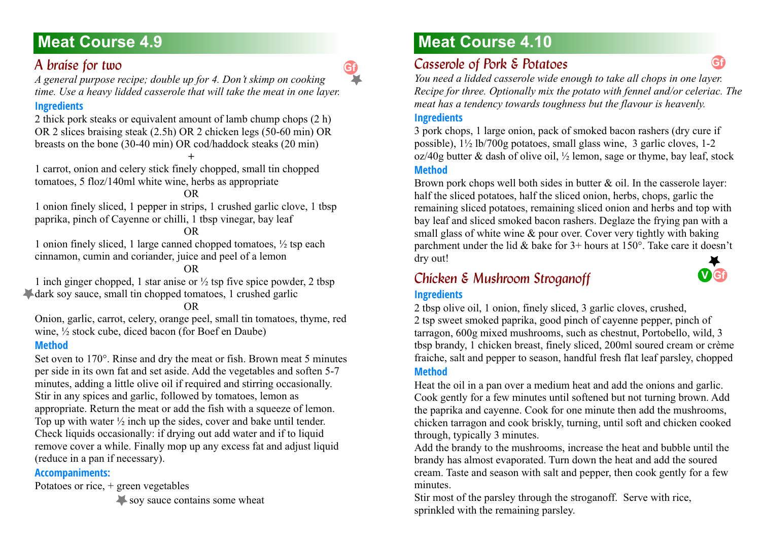### <span id="page-20-0"></span>A *braise for two*

*A general purpose recipe; double up for 4. Don't skimp on cooking time. Use a heavy lidded casserole that will take the meat in one layer.*

### **Ingredients**

2 thick pork steaks or equivalent amount of lamb chump chops (2 h) OR 2 slices braising steak (2.5h) OR 2 chicken legs (50-60 min) OR breasts on the bone (30-40 min) OR cod/haddock steaks (20 min) **+**

1 carrot, onion and celery stick finely chopped, small tin chopped tomatoes, 5 floz/140ml white wine, herbs as appropriate

#### OR

1 onion finely sliced, 1 pepper in strips, 1 crushed garlic clove, 1 tbsp paprika, pinch of Cayenne or chilli, 1 tbsp vinegar, bay leaf

#### OR

1 onion finely sliced, 1 large canned chopped tomatoes,  $\frac{1}{2}$  tsp each cinnamon, cumin and coriander, juice and peel of a lemon

#### OR

1 inch ginger chopped, 1 star anise or  $\frac{1}{2}$  tsp five spice powder, 2 tbsp dark soy sauce, small tin chopped tomatoes, 1 crushed garlic

#### OR

Onion, garlic, carrot, celery, orange peel, small tin tomatoes, thyme, red wine, ½ stock cube, diced bacon (for Boef en Daube)

#### **Method**

Set oven to 170°. Rinse and dry the meat or fish. Brown meat 5 minutes per side in its own fat and set aside. Add the vegetables and soften 5-7 minutes, adding a little olive oil if required and stirring occasionally. Stir in any spices and garlic, followed by tomatoes, lemon as appropriate. Return the meat or add the fish with a squeeze of lemon. Top up with water  $\frac{1}{2}$  inch up the sides, cover and bake until tender. Check liquids occasionally: if drying out add water and if to liquid remove cover a while. Finally mop up any excess fat and adjust liquid (reduce in a pan if necessary).

#### **Accompaniments:**

Potatoes or rice, + green vegetables

soy sauce contains some wheat

# **Meat Course 4.9 Meat Course 4.10**

## <span id="page-20-1"></span>*Casserole of Pork & Potatoes*

*You need a lidded casserole wide enough to take all chops in one layer. Recipe for three. Optionally mix the potato with fennel and/or celeriac. The meat has a tendency towards toughness but the flavour is heavenly.*

#### **Ingredients**

3 pork chops, 1 large onion, pack of smoked bacon rashers (dry cure if possible), 1½ lb/700g potatoes, small glass wine, 3 garlic cloves, 1-2  $oz/40g$  butter & dash of olive oil,  $\frac{1}{2}$  lemon, sage or thyme, bay leaf, stock **Method**

Brown pork chops well both sides in butter  $\&$  oil. In the casserole layer: half the sliced potatoes, half the sliced onion, herbs, chops, garlic the remaining sliced potatoes, remaining sliced onion and herbs and top with bay leaf and sliced smoked bacon rashers. Deglaze the frying pan with a small glass of white wine & pour over. Cover very tightly with baking parchment under the lid & bake for  $3+$  hours at  $150^\circ$ . Take care it doesn't dry out!

### <span id="page-20-2"></span>*Chicken & Mushroom Stroganoff 4.10* **Ingredients**



**Gf**

2 tbsp olive oil, 1 onion, finely sliced, 3 garlic cloves, crushed, 2 tsp sweet smoked paprika, good pinch of cayenne pepper, pinch of tarragon, 600g mixed mushrooms, such as chestnut, Portobello, wild, 3 tbsp brandy, 1 chicken breast, finely sliced, 200ml soured cream or crème fraiche, salt and pepper to season, handful fresh flat leaf parsley, chopped **Method**

Heat the oil in a pan over a medium heat and add the onions and garlic. Cook gently for a few minutes until softened but not turning brown. Add the paprika and cayenne. Cook for one minute then add the mushrooms, chicken tarragon and cook briskly, turning, until soft and chicken cooked through, typically 3 minutes.

Add the brandy to the mushrooms, increase the heat and bubble until the brandy has almost evaporated. Turn down the heat and add the soured cream. Taste and season with salt and pepper, then cook gently for a few minutes.

Stir most of the parsley through the stroganoff. Serve with rice, sprinkled with the remaining parsley.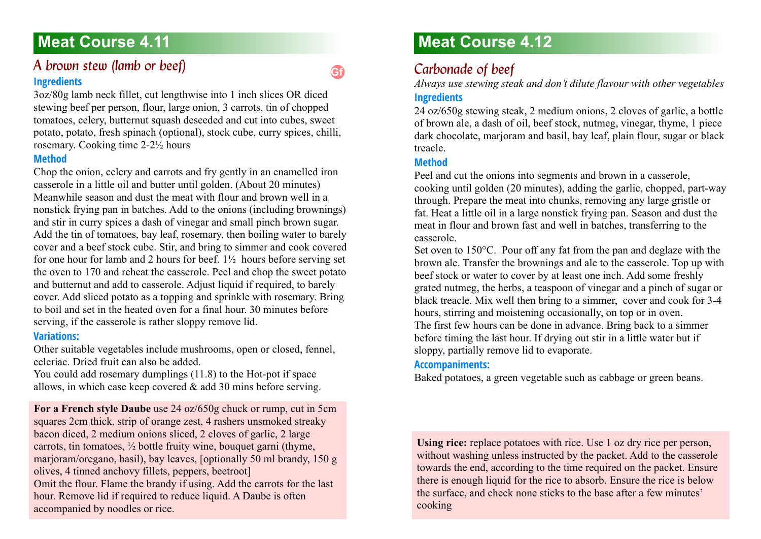### <span id="page-21-0"></span>*A brown stew (lamb or beef)* **Ingredients**

3oz/80g lamb neck fillet, cut lengthwise into 1 inch slices OR diced stewing beef per person, flour, large onion, 3 carrots, tin of chopped tomatoes, celery, butternut squash deseeded and cut into cubes, sweet potato, potato, fresh spinach (optional), stock cube, curry spices, chilli, rosemary. Cooking time 2-2½ hours

#### **Method**

Chop the onion, celery and carrots and fry gently in an enamelled iron casserole in a little oil and butter until golden. (About 20 minutes) Meanwhile season and dust the meat with flour and brown well in a nonstick frying pan in batches. Add to the onions (including brownings) and stir in curry spices a dash of vinegar and small pinch brown sugar. Add the tin of tomatoes, bay leaf, rosemary, then boiling water to barely cover and a beef stock cube. Stir, and bring to simmer and cook covered for one hour for lamb and 2 hours for beef.  $1\frac{1}{2}$  hours before serving set the oven to 170 and reheat the casserole. Peel and chop the sweet potato and butternut and add to casserole. Adjust liquid if required, to barely cover. Add sliced potato as a topping and sprinkle with rosemary. Bring to boil and set in the heated oven for a final hour. 30 minutes before serving, if the casserole is rather sloppy remove lid.

### **Variations:**

Other suitable vegetables include mushrooms, open or closed, fennel, celeriac. Dried fruit can also be added.

You could add rosemary dumplings (11.8) to the Hot-pot if space allows, in which case keep covered & add 30 mins before serving.

**For a French style Daube** use 24 oz/650g chuck or rump, cut in 5cm squares 2cm thick, strip of orange zest, 4 rashers unsmoked streaky bacon diced, 2 medium onions sliced, 2 cloves of garlic, 2 large carrots, tin tomatoes,  $\frac{1}{2}$  bottle fruity wine, bouquet garni (thyme, marjoram/oregano, basil), bay leaves, [optionally 50 ml brandy, 150 g olives, 4 tinned anchovy fillets, peppers, beetroot] Omit the flour. Flame the brandy if using. Add the carrots for the last hour. Remove lid if required to reduce liquid. A Daube is often accompanied by noodles or rice.

# **Meat Course 4.12**

## <span id="page-21-1"></span>Carbonade of beef

*Always use stewing steak and don't dilute flavour with other vegetables* **Ingredients**

24 oz/650g stewing steak, 2 medium onions, 2 cloves of garlic, a bottle of brown ale, a dash of oil, beef stock, nutmeg, vinegar, thyme, 1 piece dark chocolate, marjoram and basil, bay leaf, plain flour, sugar or black treacle.

### **Method**

**Gf**

Peel and cut the onions into segments and brown in a casserole, cooking until golden (20 minutes), adding the garlic, chopped, part-way through. Prepare the meat into chunks, removing any large gristle or fat. Heat a little oil in a large nonstick frying pan. Season and dust the meat in flour and brown fast and well in batches, transferring to the casserole.

Set oven to 150°C. Pour off any fat from the pan and deglaze with the brown ale. Transfer the brownings and ale to the casserole. Top up with beef stock or water to cover by at least one inch. Add some freshly grated nutmeg, the herbs, a teaspoon of vinegar and a pinch of sugar or black treacle. Mix well then bring to a simmer, cover and cook for 3-4 hours, stirring and moistening occasionally, on top or in oven. The first few hours can be done in advance. Bring back to a simmer before timing the last hour. If drying out stir in a little water but if sloppy, partially remove lid to evaporate.

#### **Accompaniments:**

Baked potatoes, a green vegetable such as cabbage or green beans.

Using rice: replace potatoes with rice. Use 1 oz dry rice per person, without washing unless instructed by the packet. Add to the casserole towards the end, according to the time required on the packet. Ensure there is enough liquid for the rice to absorb. Ensure the rice is below the surface, and check none sticks to the base after a few minutes' cooking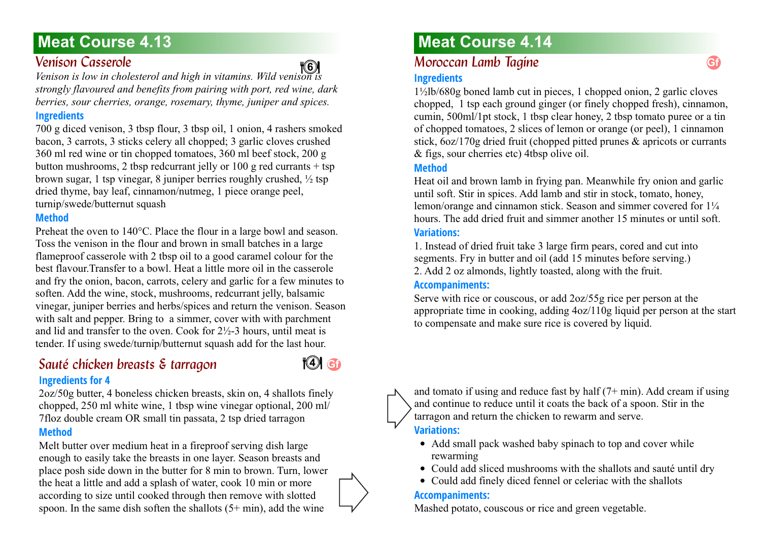### <span id="page-22-0"></span>*Venison Casserole 4.13*

**4 6**

*Venison is low in cholesterol and high in vitamins. Wild venison is strongly flavoured and benefits from pairing with port, red wine, dark berries, sour cherries, orange, rosemary, thyme, juniper and spices.*

### **Ingredients**

700 g diced venison, 3 tbsp flour, 3 tbsp oil, 1 onion, 4 rashers smoked bacon, 3 carrots, 3 sticks celery all chopped; 3 garlic cloves crushed 360 ml red wine or tin chopped tomatoes, 360 ml beef stock, 200 g button mushrooms, 2 tbsp redcurrant jelly or 100 g red currants  $+$  tsp brown sugar, 1 tsp vinegar, 8 juniper berries roughly crushed,  $\frac{1}{2}$  tsp dried thyme, bay leaf, cinnamon/nutmeg, 1 piece orange peel, turnip/swede/butternut squash

### **Method**

Preheat the oven to 140°C. Place the flour in a large bowl and season. Toss the venison in the flour and brown in small batches in a large flameproof casserole with 2 tbsp oil to a good caramel colour for the best flavour.Transfer to a bowl. Heat a little more oil in the casserole and fry the onion, bacon, carrots, celery and garlic for a few minutes to soften. Add the wine, stock, mushrooms, redcurrant jelly, balsamic vinegar, juniper berries and herbs/spices and return the venison. Season with salt and pepper. Bring to a simmer, cover with with parchment and lid and transfer to the oven. Cook for  $2\frac{1}{2}$ -3 hours, until meat is tender. If using swede/turnip/butternut squash add for the last hour.

### <span id="page-22-1"></span>*Sauté chicken breasts & tarragon 4.13* **Ingredients for 4**



2oz/50g butter, 4 boneless chicken breasts, skin on, 4 shallots finely chopped, 250 ml white wine, 1 tbsp wine vinegar optional, 200 ml/ 7floz double cream OR small tin passata, 2 tsp dried tarragon **Method**

Melt butter over medium heat in a fireproof serving dish large enough to easily take the breasts in one layer. Season breasts and place posh side down in the butter for 8 min to brown. Turn, lower the heat a little and add a splash of water, cook 10 min or more according to size until cooked through then remove with slotted spoon. In the same dish soften the shallots  $(5+ min)$ , add the wine

# **Meat Course 4.14**

### <span id="page-22-2"></span>*Moroccan Lamb Tagine 4.14*

### **Ingredients**

1½lb/680g boned lamb cut in pieces, 1 chopped onion, 2 garlic cloves chopped, 1 tsp each ground ginger (or finely chopped fresh), cinnamon, cumin, 500ml/1pt stock, 1 tbsp clear honey, 2 tbsp tomato puree or a tin of chopped tomatoes, 2 slices of lemon or orange (or peel), 1 cinnamon stick, 6oz/170g dried fruit (chopped pitted prunes & apricots or currants & figs, sour cherries etc) 4tbsp olive oil.

### **Method**

Heat oil and brown lamb in frying pan. Meanwhile fry onion and garlic until soft. Stir in spices. Add lamb and stir in stock, tomato, honey, lemon/orange and cinnamon stick. Season and simmer covered for  $1\frac{1}{4}$ hours. The add dried fruit and simmer another 15 minutes or until soft.

### **Variations:**

1. Instead of dried fruit take 3 large firm pears, cored and cut into segments. Fry in butter and oil (add 15 minutes before serving.) 2. Add 2 oz almonds, lightly toasted, along with the fruit.

### **Accompaniments:**

Serve with rice or couscous, or add 2oz/55g rice per person at the appropriate time in cooking, adding 4oz/110g liquid per person at the start to compensate and make sure rice is covered by liquid.



and tomato if using and reduce fast by half  $(7+ min)$ . Add cream if using and continue to reduce until it coats the back of a spoon. Stir in the tarragon and return the chicken to rewarm and serve.

### **Variations:**

- Add small pack washed baby spinach to top and cover while rewarming
- Could add sliced mushrooms with the shallots and sauté until dry
- Could add finely diced fennel or celeriac with the shallots

### **Accompaniments:**

Mashed potato, couscous or rice and green vegetable.

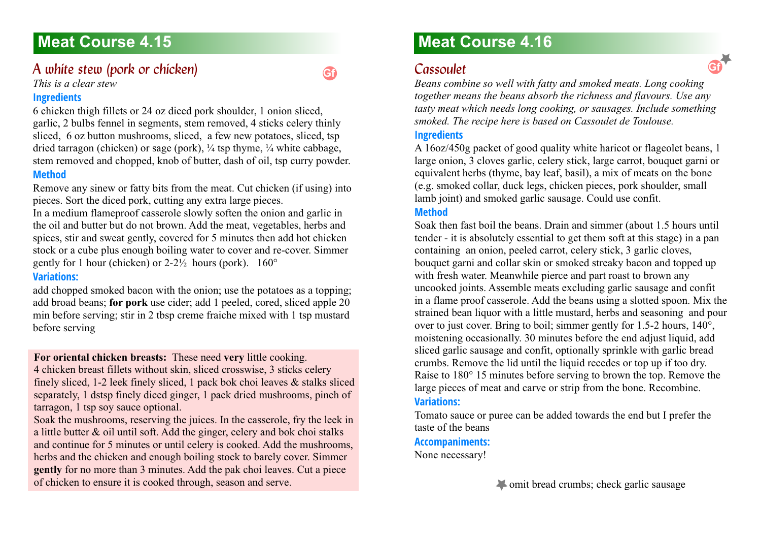### <span id="page-23-0"></span>A white stew (pork or chicken)

*This is a clear stew*

### **Ingredients**

6 chicken thigh fillets or 24 oz diced pork shoulder, 1 onion sliced, garlic, 2 bulbs fennel in segments, stem removed, 4 sticks celery thinly sliced, 6 oz button mushrooms, sliced, a few new potatoes, sliced, tsp dried tarragon (chicken) or sage (pork), ¼ tsp thyme, ¼ white cabbage, stem removed and chopped, knob of butter, dash of oil, tsp curry powder. **Method**

Remove any sinew or fatty bits from the meat. Cut chicken (if using) into pieces. Sort the diced pork, cutting any extra large pieces.

In a medium flameproof casserole slowly soften the onion and garlic in the oil and butter but do not brown. Add the meat, vegetables, herbs and spices, stir and sweat gently, covered for 5 minutes then add hot chicken stock or a cube plus enough boiling water to cover and re-cover. Simmer gently for 1 hour (chicken) or  $2-2\frac{1}{2}$  hours (pork).  $160^{\circ}$ 

### **Variations:**

add chopped smoked bacon with the onion; use the potatoes as a topping; add broad beans; **for pork** use cider; add 1 peeled, cored, sliced apple 20 min before serving; stir in 2 tbsp creme fraiche mixed with 1 tsp mustard before serving

**For oriental chicken breasts:** These need **very** little cooking.

4 chicken breast fillets without skin, sliced crosswise, 3 sticks celery finely sliced, 1-2 leek finely sliced, 1 pack bok choi leaves & stalks sliced separately, 1 dstsp finely diced ginger, 1 pack dried mushrooms, pinch of tarragon, 1 tsp soy sauce optional.

Soak the mushrooms, reserving the juices. In the casserole, fry the leek in a little butter & oil until soft. Add the ginger, celery and bok choi stalks and continue for 5 minutes or until celery is cooked. Add the mushrooms, herbs and the chicken and enough boiling stock to barely cover. Simmer **gently** for no more than 3 minutes. Add the pak choi leaves. Cut a piece of chicken to ensure it is cooked through, season and serve.

# **Meat Course 4.16**

### <span id="page-23-1"></span>*Cassoulet 4.16*

**Gf**

*Beans combine so well with fatty and smoked meats. Long cooking together means the beans absorb the richness and flavours. Use any tasty meat which needs long cooking, or sausages. Include something smoked. The recipe here is based on Cassoulet de Toulouse.*

### **Ingredients**

A 16oz/450g packet of good quality white haricot or flageolet beans, 1 large onion, 3 cloves garlic, celery stick, large carrot, bouquet garni or equivalent herbs (thyme, bay leaf, basil), a mix of meats on the bone (e.g. smoked collar, duck legs, chicken pieces, pork shoulder, small lamb joint) and smoked garlic sausage. Could use confit.

### **Method**

Soak then fast boil the beans. Drain and simmer (about 1.5 hours until tender - it is absolutely essential to get them soft at this stage) in a pan containing an onion, peeled carrot, celery stick, 3 garlic cloves, bouquet garni and collar skin or smoked streaky bacon and topped up with fresh water. Meanwhile pierce and part roast to brown any uncooked joints. Assemble meats excluding garlic sausage and confit in a flame proof casserole. Add the beans using a slotted spoon. Mix the strained bean liquor with a little mustard, herbs and seasoning and pour over to just cover. Bring to boil; simmer gently for 1.5-2 hours, 140°, moistening occasionally. 30 minutes before the end adjust liquid, add sliced garlic sausage and confit, optionally sprinkle with garlic bread crumbs. Remove the lid until the liquid recedes or top up if too dry. Raise to 180° 15 minutes before serving to brown the top. Remove the large pieces of meat and carve or strip from the bone. Recombine.

### **Variations:**

Tomato sauce or puree can be added towards the end but I prefer the taste of the beans

#### **Accompaniments:**

None necessary!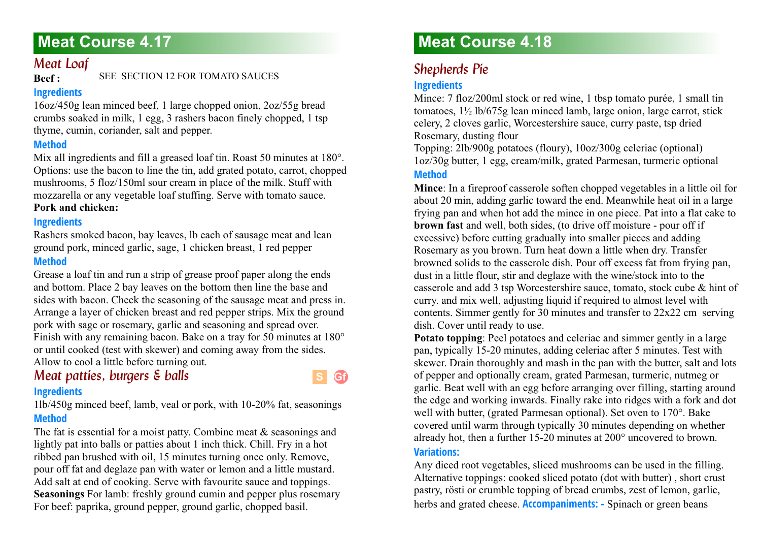### <span id="page-24-0"></span>*Meat Loaf*

**Beef :** SEE SECTION 12 FOR TOMATO SAUCES

### **Ingredients**

16oz/450g lean minced beef, 1 large chopped onion, 2oz/55g bread crumbs soaked in milk, 1 egg, 3 rashers bacon finely chopped, 1 tsp thyme, cumin, coriander, salt and pepper.

### **Method**

Mix all ingredients and fill a greased loaf tin. Roast 50 minutes at 180°. Options: use the bacon to line the tin, add grated potato, carrot, chopped mushrooms, 5 floz/150ml sour cream in place of the milk. Stuff with mozzarella or any vegetable loaf stuffing. Serve with tomato sauce. **Pork and chicken:**

### **Ingredients**

Rashers smoked bacon, bay leaves, lb each of sausage meat and lean ground pork, minced garlic, sage, 1 chicken breast, 1 red pepper **Method**

Grease a loaf tin and run a strip of grease proof paper along the ends and bottom. Place 2 bay leaves on the bottom then line the base and sides with bacon. Check the seasoning of the sausage meat and press in. Arrange a layer of chicken breast and red pepper strips. Mix the ground pork with sage or rosemary, garlic and seasoning and spread over. Finish with any remaining bacon. Bake on a tray for 50 minutes at 180° or until cooked (test with skewer) and coming away from the sides. Allow to cool a little before turning out.

# <span id="page-24-1"></span>*Meat patties, burgers & balls*

### **Ingredients**

1lb/450g minced beef, lamb, veal or pork, with 10-20% fat, seasonings **Method**

The fat is essential for a moist patty. Combine meat & seasonings and lightly pat into balls or patties about 1 inch thick. Chill. Fry in a hot ribbed pan brushed with oil, 15 minutes turning once only. Remove, pour off fat and deglaze pan with water or lemon and a little mustard. Add salt at end of cooking. Serve with favourite sauce and toppings. **Seasonings** For lamb: freshly ground cumin and pepper plus rosemary For beef: paprika, ground pepper, ground garlic, chopped basil.

# **Meat Course 4.18**

# <span id="page-24-2"></span>**Shepherds Pie**

### **Ingredients**

Mince: 7 floz/200ml stock or red wine, 1 tbsp tomato purée, 1 small tin tomatoes, 1½ lb/675g lean minced lamb, large onion, large carrot, stick celery, 2 cloves garlic, Worcestershire sauce, curry paste, tsp dried Rosemary, dusting flour

Topping: 2lb/900g potatoes (floury), 10oz/300g celeriac (optional) 1oz/30g butter, 1 egg, cream/milk, grated Parmesan, turmeric optional **Method**

**Mince**: In a fireproof casserole soften chopped vegetables in a little oil for about 20 min, adding garlic toward the end. Meanwhile heat oil in a large frying pan and when hot add the mince in one piece. Pat into a flat cake to **brown fast** and well, both sides, (to drive off moisture - pour off if excessive) before cutting gradually into smaller pieces and adding Rosemary as you brown. Turn heat down a little when dry. Transfer browned solids to the casserole dish. Pour off excess fat from frying pan, dust in a little flour, stir and deglaze with the wine/stock into to the casserole and add 3 tsp Worcestershire sauce, tomato, stock cube & hint of curry. and mix well, adjusting liquid if required to almost level with contents. Simmer gently for 30 minutes and transfer to 22x22 cm serving dish. Cover until ready to use.

**Potato topping**: Peel potatoes and celeriac and simmer gently in a large pan, typically 15-20 minutes, adding celeriac after 5 minutes. Test with skewer. Drain thoroughly and mash in the pan with the butter, salt and lots of pepper and optionally cream, grated Parmesan, turmeric, nutmeg or garlic. Beat well with an egg before arranging over filling, starting around the edge and working inwards. Finally rake into ridges with a fork and dot well with butter, (grated Parmesan optional). Set oven to 170°. Bake covered until warm through typically 30 minutes depending on whether already hot, then a further 15-20 minutes at 200° uncovered to brown.

### **Variations:**

**Gf**

Any diced root vegetables, sliced mushrooms can be used in the filling. Alternative toppings: cooked sliced potato (dot with butter) , short crust pastry, rösti or crumble topping of bread crumbs, zest of lemon, garlic, herbs and grated cheese. **Accompaniments: -** Spinach or green beans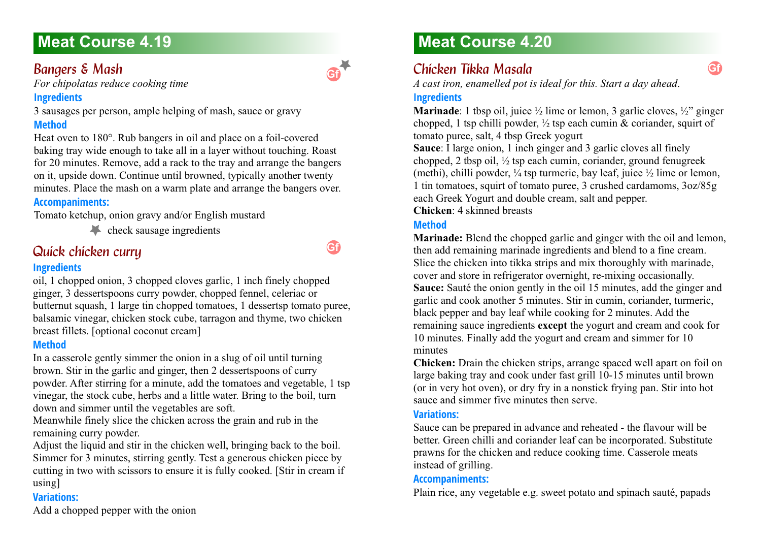### <span id="page-25-0"></span>**Bangers & Mash**

*For chipolatas reduce cooking time*

### **Ingredients**

3 sausages per person, ample helping of mash, sauce or gravy **Method**

Heat oven to 180°. Rub bangers in oil and place on a foil-covered baking tray wide enough to take all in a layer without touching. Roast for 20 minutes. Remove, add a rack to the tray and arrange the bangers on it, upside down. Continue until browned, typically another twenty minutes. Place the mash on a warm plate and arrange the bangers over.

### **Accompaniments:**

Tomato ketchup, onion gravy and/or English mustard

check sausage ingredients

## <span id="page-25-1"></span>**Quick chicken curry**

### **Ingredients**

oil, 1 chopped onion, 3 chopped cloves garlic, 1 inch finely chopped ginger, 3 dessertspoons curry powder, chopped fennel, celeriac or butternut squash, 1 large tin chopped tomatoes, 1 dessertsp tomato puree, balsamic vinegar, chicken stock cube, tarragon and thyme, two chicken breast fillets. [optional coconut cream]

### **Method**

In a casserole gently simmer the onion in a slug of oil until turning brown. Stir in the garlic and ginger, then 2 dessertspoons of curry powder. After stirring for a minute, add the tomatoes and vegetable, 1 tsp vinegar, the stock cube, herbs and a little water. Bring to the boil, turn down and simmer until the vegetables are soft.

Meanwhile finely slice the chicken across the grain and rub in the remaining curry powder.

Adjust the liquid and stir in the chicken well, bringing back to the boil. Simmer for 3 minutes, stirring gently. Test a generous chicken piece by cutting in two with scissors to ensure it is fully cooked. [Stir in cream if using]

### **Variations:**

Add a chopped pepper with the onion

# **Meat Course 4.20**

## <span id="page-25-2"></span>*Chicken Tikka Masala 4.20*

*A cast iron, enamelled pot is ideal for this. Start a day ahead*.

### **Ingredients**

**Marinade**: 1 tbsp oil, juice  $\frac{1}{2}$  lime or lemon, 3 garlic cloves,  $\frac{1}{2}$  ginger chopped, 1 tsp chilli powder,  $\frac{1}{2}$  tsp each cumin & coriander, squirt of tomato puree, salt, 4 tbsp Greek yogurt

**Gf**

**Sauce**: I large onion, 1 inch ginger and 3 garlic cloves all finely chopped, 2 tbsp oil, ½ tsp each cumin, coriander, ground fenugreek (methi), chilli powder,  $\frac{1}{4}$  tsp turmeric, bay leaf, juice  $\frac{1}{2}$  lime or lemon, 1 tin tomatoes, squirt of tomato puree, 3 crushed cardamoms, 3oz/85g each Greek Yogurt and double cream, salt and pepper.

**Chicken**: 4 skinned breasts

### **Method**

**Marinade:** Blend the chopped garlic and ginger with the oil and lemon, then add remaining marinade ingredients and blend to a fine cream. Slice the chicken into tikka strips and mix thoroughly with marinade, cover and store in refrigerator overnight, re-mixing occasionally. **Sauce:** Sauté the onion gently in the oil 15 minutes, add the ginger and garlic and cook another 5 minutes. Stir in cumin, coriander, turmeric, black pepper and bay leaf while cooking for 2 minutes. Add the remaining sauce ingredients **except** the yogurt and cream and cook for 10 minutes. Finally add the yogurt and cream and simmer for 10 minutes

**Chicken:** Drain the chicken strips, arrange spaced well apart on foil on large baking tray and cook under fast grill 10-15 minutes until brown (or in very hot oven), or dry fry in a nonstick frying pan. Stir into hot sauce and simmer five minutes then serve.

### **Variations:**

Sauce can be prepared in advance and reheated - the flavour will be better. Green chilli and coriander leaf can be incorporated. Substitute prawns for the chicken and reduce cooking time. Casserole meats instead of grilling.

### **Accompaniments:**

Plain rice, any vegetable e.g. sweet potato and spinach sauté, papads

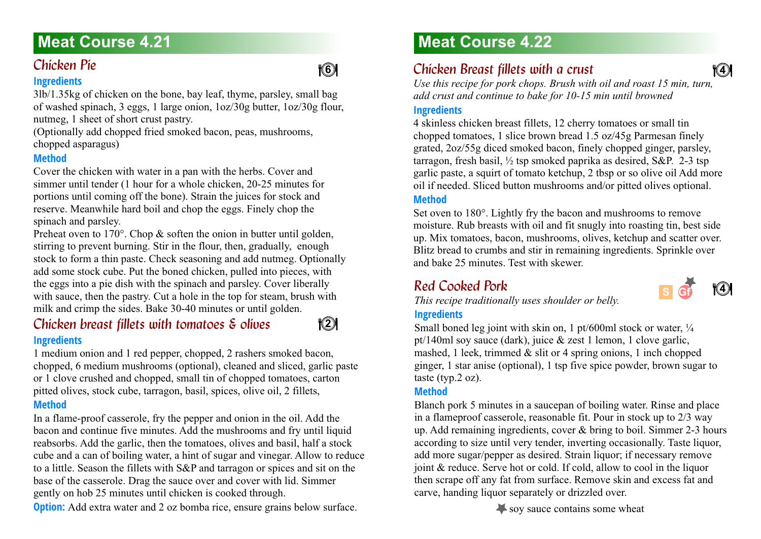# <span id="page-26-0"></span>**Chicken Pie**

### **Ingredients**

3lb/1.35kg of chicken on the bone, bay leaf, thyme, parsley, small bag of washed spinach, 3 eggs, 1 large onion, 1oz/30g butter, 1oz/30g flour, nutmeg, 1 sheet of short crust pastry.

(Optionally add chopped fried smoked bacon, peas, mushrooms, chopped asparagus)

### **Method**

Cover the chicken with water in a pan with the herbs. Cover and simmer until tender (1 hour for a whole chicken, 20-25 minutes for portions until coming off the bone). Strain the juices for stock and reserve. Meanwhile hard boil and chop the eggs. Finely chop the spinach and parsley.

Preheat oven to 170°. Chop & soften the onion in butter until golden, stirring to prevent burning. Stir in the flour, then, gradually, enough stock to form a thin paste. Check seasoning and add nutmeg. Optionally add some stock cube. Put the boned chicken, pulled into pieces, with the eggs into a pie dish with the spinach and parsley. Cover liberally with sauce, then the pastry. Cut a hole in the top for steam, brush with milk and crimp the sides. Bake 30-40 minutes or until golden.

### <span id="page-26-1"></span>*Chicken breast fillets with tomatoes & olives* **Ingredients**

1 medium onion and 1 red pepper, chopped, 2 rashers smoked bacon, chopped, 6 medium mushrooms (optional), cleaned and sliced, garlic paste or 1 clove crushed and chopped, small tin of chopped tomatoes, carton pitted olives, stock cube, tarragon, basil, spices, olive oil, 2 fillets, **Method**

In a flame-proof casserole, fry the pepper and onion in the oil. Add the bacon and continue five minutes. Add the mushrooms and fry until liquid reabsorbs. Add the garlic, then the tomatoes, olives and basil, half a stock cube and a can of boiling water, a hint of sugar and vinegar. Allow to reduce to a little. Season the fillets with S&P and tarragon or spices and sit on the base of the casserole. Drag the sauce over and cover with lid. Simmer gently on hob 25 minutes until chicken is cooked through.

**Option:** Add extra water and 2 oz bomba rice, ensure grains below surface.

# **Meat Course 4.22**

## <span id="page-26-2"></span>*Chicken Breast fillets with a crust*

*Use this recipe for pork chops. Brush with oil and roast 15 min, turn, add crust and continue to bake for 10-15 min until browned*

### **Ingredients**

4 skinless chicken breast fillets, 12 cherry tomatoes or small tin chopped tomatoes, 1 slice brown bread 1.5 oz/45g Parmesan finely grated, 2oz/55g diced smoked bacon, finely chopped ginger, parsley, tarragon, fresh basil, ½ tsp smoked paprika as desired, S&P. 2-3 tsp garlic paste, a squirt of tomato ketchup, 2 tbsp or so olive oil Add more oil if needed. Sliced button mushrooms and/or pitted olives optional.

### **Method**

Set oven to 180°. Lightly fry the bacon and mushrooms to remove moisture. Rub breasts with oil and fit snugly into roasting tin, best side up. Mix tomatoes, bacon, mushrooms, olives, ketchup and scatter over. Blitz bread to crumbs and stir in remaining ingredients. Sprinkle over and bake 25 minutes. Test with skewer.

## <span id="page-26-3"></span>**Red Cooked Pork**



**4 4**

*This recipe traditionally uses shoulder or belly.*

### **Ingredients**

Small boned leg joint with skin on, 1 pt/600ml stock or water,  $\frac{1}{4}$ pt/140ml soy sauce (dark), juice & zest 1 lemon, 1 clove garlic, mashed, 1 leek, trimmed  $\&$  slit or 4 spring onions, 1 inch chopped ginger, 1 star anise (optional), 1 tsp five spice powder, brown sugar to taste (typ.2 oz).

### **Method**

Blanch pork 5 minutes in a saucepan of boiling water. Rinse and place in a flameproof casserole, reasonable fit. Pour in stock up to 2/3 way up. Add remaining ingredients, cover & bring to boil. Simmer 2-3 hours according to size until very tender, inverting occasionally. Taste liquor, add more sugar/pepper as desired. Strain liquor; if necessary remove joint & reduce. Serve hot or cold. If cold, allow to cool in the liquor then scrape off any fat from surface. Remove skin and excess fat and carve, handing liquor separately or drizzled over.

soy sauce contains some wheat



**42** 22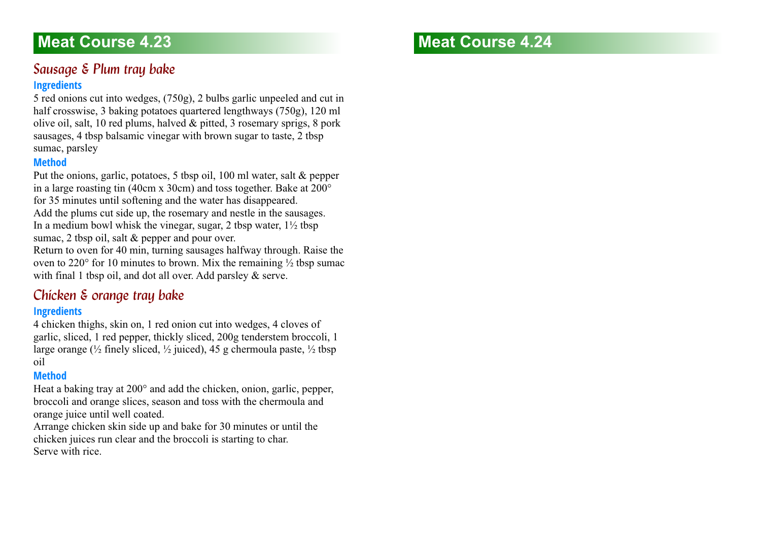### <span id="page-27-0"></span>**Sausage & Plum tray bake Ingredients**

5 red onions cut into wedges, (750g), 2 bulbs garlic unpeeled and cut in half crosswise, 3 baking potatoes quartered lengthways (750g), 120 ml olive oil, salt, 10 red plums, halved & pitted, 3 rosemary sprigs, 8 pork sausages, 4 tbsp balsamic vinegar with brown sugar to taste, 2 tbsp sumac, parsley

#### **Method**

Put the onions, garlic, potatoes, 5 tbsp oil, 100 ml water, salt & pepper in a large roasting tin (40cm x 30cm) and toss together. Bake at 200° for 35 minutes until softening and the water has disappeared. Add the plums cut side up, the rosemary and nestle in the sausages. In a medium bowl whisk the vinegar, sugar, 2 tbsp water,  $1\frac{1}{2}$  tbsp sumac, 2 tbsp oil, salt & pepper and pour over.

Return to oven for 40 min, turning sausages halfway through. Raise the oven to 220 $\degree$  for 10 minutes to brown. Mix the remaining  $\frac{1}{2}$  tbsp sumac with final 1 tbsp oil, and dot all over. Add parsley & serve.

### <span id="page-27-1"></span>*Chicken & orange tray bake*

### **Ingredients**

4 chicken thighs, skin on, 1 red onion cut into wedges, 4 cloves of garlic, sliced, 1 red pepper, thickly sliced, 200g tenderstem broccoli, 1 large orange ( $\frac{1}{2}$  finely sliced,  $\frac{1}{2}$  juiced), 45 g chermoula paste,  $\frac{1}{2}$  tbsp oil

### **Method**

Heat a baking tray at 200° and add the chicken, onion, garlic, pepper, broccoli and orange slices, season and toss with the chermoula and orange juice until well coated.

Arrange chicken skin side up and bake for 30 minutes or until the chicken juices run clear and the broccoli is starting to char. Serve with rice.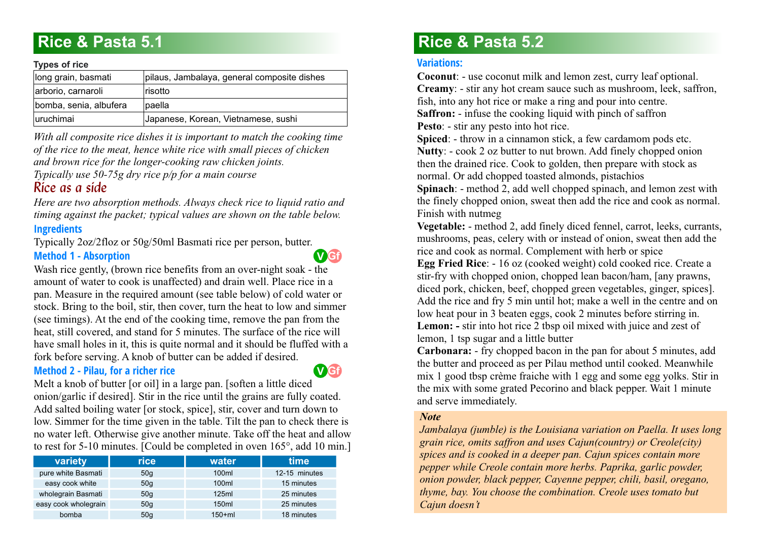# <span id="page-28-0"></span>**Rice & Pasta 5.1**

#### **Types of rice**

| . , <b>.</b>           |                                             |
|------------------------|---------------------------------------------|
| long grain, basmati    | pilaus, Jambalaya, general composite dishes |
| arborio, carnaroli     | Irisotto                                    |
| bomba, senia, albufera | lpaella                                     |
| luruchimai             | Japanese, Korean, Vietnamese, sushi         |

*With all composite rice dishes it is important to match the cooking time of the rice to the meat, hence white rice with small pieces of chicken and brown rice for the longer-cooking raw chicken joints.* 

<span id="page-28-1"></span>*Typically use 50-75g dry rice p/p for a main course*

### *Rice as a side*

*Here are two absorption methods. Always check rice to liquid ratio and timing against the packet; typical values are shown on the table below.* **Ingredients**

Typically 2oz/2floz or 50g/50ml Basmati rice per person, butter. **Method 1 - Absorption**

Wash rice gently, (brown rice benefits from an over-night soak - the amount of water to cook is unaffected) and drain well. Place rice in a pan. Measure in the required amount (see table below) of cold water or stock. Bring to the boil, stir, then cover, turn the heat to low and simmer (see timings). At the end of the cooking time, remove the pan from the heat, still covered, and stand for 5 minutes. The surface of the rice will have small holes in it, this is quite normal and it should be fluffed with a fork before serving. A knob of butter can be added if desired.

### **Method 2 - Pilau, for a richer rice**



**Gf V**

Melt a knob of butter [or oil] in a large pan. [soften a little diced onion/garlic if desired]. Stir in the rice until the grains are fully coated. Add salted boiling water [or stock, spice], stir, cover and turn down to low. Simmer for the time given in the table. Tilt the pan to check there is no water left. Otherwise give another minute. Take off the heat and allow to rest for 5-10 minutes. [Could be completed in oven 165°, add 10 min.]

| variety              | <b>rice</b>     | water   | time          |  |
|----------------------|-----------------|---------|---------------|--|
| pure white Basmati   | 50q             | 100ml   | 12-15 minutes |  |
| easy cook white      | 50q             | 100ml   | 15 minutes    |  |
| wholegrain Basmati   | 50q             | 125ml   | 25 minutes    |  |
| easy cook wholegrain | 50q             | 150ml   | 25 minutes    |  |
| bomba                | 50 <sub>q</sub> | $150+m$ | 18 minutes    |  |

# **Rice & Pasta 5.2**

#### **Variations:**

**Coconut**: - use coconut milk and lemon zest, curry leaf optional. **Creamy**: - stir any hot cream sauce such as mushroom, leek, saffron, fish, into any hot rice or make a ring and pour into centre. **Saffron:** - infuse the cooking liquid with pinch of saffron **Pesto**: - stir any pesto into hot rice.

**Spiced**: - throw in a cinnamon stick, a few cardamom pods etc. **Nutty**: - cook 2 oz butter to nut brown. Add finely chopped onion then the drained rice. Cook to golden, then prepare with stock as normal. Or add chopped toasted almonds, pistachios

**Spinach**: - method 2, add well chopped spinach, and lemon zest with the finely chopped onion, sweat then add the rice and cook as normal. Finish with nutmeg

**Vegetable:** - method 2, add finely diced fennel, carrot, leeks, currants, mushrooms, peas, celery with or instead of onion, sweat then add the rice and cook as normal. Complement with herb or spice

**Egg Fried Rice**: - 16 oz (cooked weight) cold cooked rice. Create a stir-fry with chopped onion, chopped lean bacon/ham, [any prawns, diced pork, chicken, beef, chopped green vegetables, ginger, spices]. Add the rice and fry 5 min until hot; make a well in the centre and on low heat pour in 3 beaten eggs, cook 2 minutes before stirring in. **Lemon: -** stir into hot rice 2 tbsp oil mixed with juice and zest of lemon, 1 tsp sugar and a little butter

**Carbonara:** - fry chopped bacon in the pan for about 5 minutes, add the butter and proceed as per Pilau method until cooked. Meanwhile mix 1 good tbsp crème fraiche with 1 egg and some egg yolks. Stir in the mix with some grated Pecorino and black pepper. Wait 1 minute and serve immediately.

#### *Note*

*Jambalaya (jumble) is the Louisiana variation on Paella. It uses long grain rice, omits saffron and uses Cajun(country) or Creole(city) spices and is cooked in a deeper pan. Cajun spices contain more pepper while Creole contain more herbs. Paprika, garlic powder, onion powder, black pepper, Cayenne pepper, chili, basil, oregano, thyme, bay. You choose the combination. Creole uses tomato but Cajun doesn't*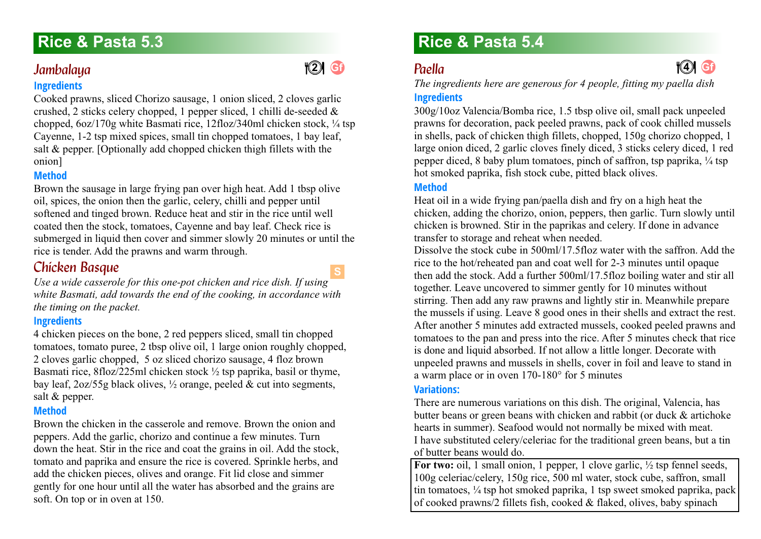### <span id="page-29-0"></span>**Gf** *Jambalaya 5.3*

### **Ingredients**

Cooked prawns, sliced Chorizo sausage, 1 onion sliced, 2 cloves garlic crushed, 2 sticks celery chopped, 1 pepper sliced, 1 chilli de-seeded  $\&$ chopped, 6oz/170g white Basmati rice, 12floz/340ml chicken stock, ¼ tsp Cayenne, 1-2 tsp mixed spices, small tin chopped tomatoes, 1 bay leaf, salt & pepper. [Optionally add chopped chicken thigh fillets with the onion]

### **Method**

Brown the sausage in large frying pan over high heat. Add 1 tbsp olive oil, spices, the onion then the garlic, celery, chilli and pepper until softened and tinged brown. Reduce heat and stir in the rice until well coated then the stock, tomatoes, Cayenne and bay leaf. Check rice is submerged in liquid then cover and simmer slowly 20 minutes or until the rice is tender. Add the prawns and warm through.

### <span id="page-29-1"></span>**Chicken Basque**

**S**

**Gf 4 2**

*Use a wide casserole for this one-pot chicken and rice dish. If using white Basmati, add towards the end of the cooking, in accordance with the timing on the packet.*

### **Ingredients**

4 chicken pieces on the bone, 2 red peppers sliced, small tin chopped tomatoes, tomato puree, 2 tbsp olive oil, 1 large onion roughly chopped, 2 cloves garlic chopped, 5 oz sliced chorizo sausage, 4 floz brown Basmati rice, 8floz/225ml chicken stock ½ tsp paprika, basil or thyme, bay leaf,  $2oz/55g$  black olives,  $\frac{1}{2}$  orange, peeled & cut into segments, salt & pepper.

### **Method**

Brown the chicken in the casserole and remove. Brown the onion and peppers. Add the garlic, chorizo and continue a few minutes. Turn down the heat. Stir in the rice and coat the grains in oil. Add the stock, tomato and paprika and ensure the rice is covered. Sprinkle herbs, and add the chicken pieces, olives and orange. Fit lid close and simmer gently for one hour until all the water has absorbed and the grains are soft. On top or in oven at 150.

# **Rice & Pasta 5.3 Rice & Pasta 5.4**

# <span id="page-29-2"></span>*Paella 5.4*

*The ingredients here are generous for 4 people, fitting my paella dish*

**44** 6

### **Ingredients**

300g/10oz Valencia/Bomba rice, 1.5 tbsp olive oil, small pack unpeeled prawns for decoration, pack peeled prawns, pack of cook chilled mussels in shells, pack of chicken thigh fillets, chopped, 150g chorizo chopped, 1 large onion diced, 2 garlic cloves finely diced, 3 sticks celery diced, 1 red pepper diced, 8 baby plum tomatoes, pinch of saffron, tsp paprika,  $\frac{1}{4}$  tsp hot smoked paprika, fish stock cube, pitted black olives.

### **Method**

Heat oil in a wide frying pan/paella dish and fry on a high heat the chicken, adding the chorizo, onion, peppers, then garlic. Turn slowly until chicken is browned. Stir in the paprikas and celery. If done in advance transfer to storage and reheat when needed.

Dissolve the stock cube in 500ml/17.5floz water with the saffron. Add the rice to the hot/reheated pan and coat well for 2-3 minutes until opaque then add the stock. Add a further 500ml/17.5floz boiling water and stir all together. Leave uncovered to simmer gently for 10 minutes without stirring. Then add any raw prawns and lightly stir in. Meanwhile prepare the mussels if using. Leave 8 good ones in their shells and extract the rest. After another 5 minutes add extracted mussels, cooked peeled prawns and tomatoes to the pan and press into the rice. After 5 minutes check that rice is done and liquid absorbed. If not allow a little longer. Decorate with unpeeled prawns and mussels in shells, cover in foil and leave to stand in a warm place or in oven 170-180° for 5 minutes

### **Variations:**

There are numerous variations on this dish. The original, Valencia, has butter beans or green beans with chicken and rabbit (or duck & artichoke hearts in summer). Seafood would not normally be mixed with meat. I have substituted celery/celeriac for the traditional green beans, but a tin of butter beans would do.

For two: oil, 1 small onion, 1 pepper, 1 clove garlic,  $\frac{1}{2}$  tsp fennel seeds, 100g celeriac/celery, 150g rice, 500 ml water, stock cube, saffron, small tin tomatoes, ¼ tsp hot smoked paprika, 1 tsp sweet smoked paprika, pack of cooked prawns/2 fillets fish, cooked & flaked, olives, baby spinach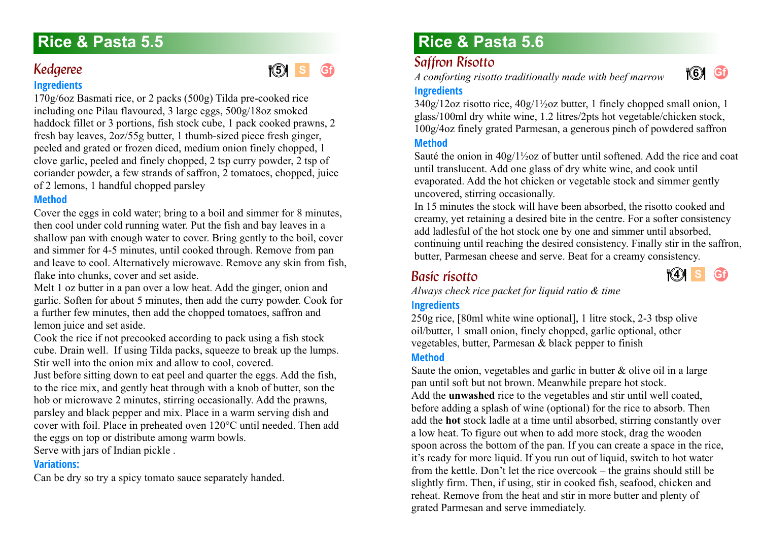### <span id="page-30-0"></span>Kedgeree **Ingredients**

170g/6oz Basmati rice, or 2 packs (500g) Tilda pre-cooked rice including one Pilau flavoured, 3 large eggs, 500g/18oz smoked haddock fillet or 3 portions, fish stock cube, 1 pack cooked prawns, 2 fresh bay leaves, 2oz/55g butter, 1 thumb-sized piece fresh ginger, peeled and grated or frozen diced, medium onion finely chopped, 1 clove garlic, peeled and finely chopped, 2 tsp curry powder, 2 tsp of coriander powder, a few strands of saffron, 2 tomatoes, chopped, juice of 2 lemons, 1 handful chopped parsley

**S Gf**

### **Method**

Cover the eggs in cold water; bring to a boil and simmer for 8 minutes, then cool under cold running water. Put the fish and bay leaves in a shallow pan with enough water to cover. Bring gently to the boil, cover and simmer for 4-5 minutes, until cooked through. Remove from pan and leave to cool. Alternatively microwave. Remove any skin from fish, flake into chunks, cover and set aside.

Melt 1 oz butter in a pan over a low heat. Add the ginger, onion and garlic. Soften for about 5 minutes, then add the curry powder. Cook for a further few minutes, then add the chopped tomatoes, saffron and lemon juice and set aside.

Cook the rice if not precooked according to pack using a fish stock cube. Drain well. If using Tilda packs, squeeze to break up the lumps. Stir well into the onion mix and allow to cool, covered.

Just before sitting down to eat peel and quarter the eggs. Add the fish, to the rice mix, and gently heat through with a knob of butter, son the hob or microwave 2 minutes, stirring occasionally. Add the prawns, parsley and black pepper and mix. Place in a warm serving dish and cover with foil. Place in preheated oven 120°C until needed. Then add the eggs on top or distribute among warm bowls.

Serve with jars of Indian pickle .

### **Variations:**

Can be dry so try a spicy tomato sauce separately handed.

# **Rice & Pasta 5.5 Rice & Pasta 5.6**

### <span id="page-30-1"></span>**Saffron Risotto**

*A comforting risotto traditionally made with beef marrow* **<sup>4</sup> 5 <sup>4</sup> 6**



### **Ingredients**

340g/12oz risotto rice, 40g/1½oz butter, 1 finely chopped small onion, 1 glass/100ml dry white wine, 1.2 litres/2pts hot vegetable/chicken stock, 100g/4oz finely grated Parmesan, a generous pinch of powdered saffron

### **Method**

Sauté the onion in 40g/1½oz of butter until softened. Add the rice and coat until translucent. Add one glass of dry white wine, and cook until evaporated. Add the hot chicken or vegetable stock and simmer gently uncovered, stirring occasionally.

In 15 minutes the stock will have been absorbed, the risotto cooked and creamy, yet retaining a desired bite in the centre. For a softer consistency add ladlesful of the hot stock one by one and simmer until absorbed, continuing until reaching the desired consistency. Finally stir in the saffron, butter, Parmesan cheese and serve. Beat for a creamy consistency.

## <span id="page-30-2"></span>*Basic risotto 5.6*



*Always check rice packet for liquid ratio & time*

### **Ingredients**

250g rice, [80ml white wine optional], 1 litre stock, 2-3 tbsp olive oil/butter, 1 small onion, finely chopped, garlic optional, other vegetables, butter, Parmesan & black pepper to finish

### **Method**

Saute the onion, vegetables and garlic in butter & olive oil in a large pan until soft but not brown. Meanwhile prepare hot stock. Add the **unwashed** rice to the vegetables and stir until well coated, before adding a splash of wine (optional) for the rice to absorb. Then add the **hot** stock ladle at a time until absorbed, stirring constantly over a low heat. To figure out when to add more stock, drag the wooden spoon across the bottom of the pan. If you can create a space in the rice, it's ready for more liquid. If you run out of liquid, switch to hot water from the kettle. Don't let the rice overcook – the grains should still be slightly firm. Then, if using, stir in cooked fish, seafood, chicken and reheat. Remove from the heat and stir in more butter and plenty of grated Parmesan and serve immediately.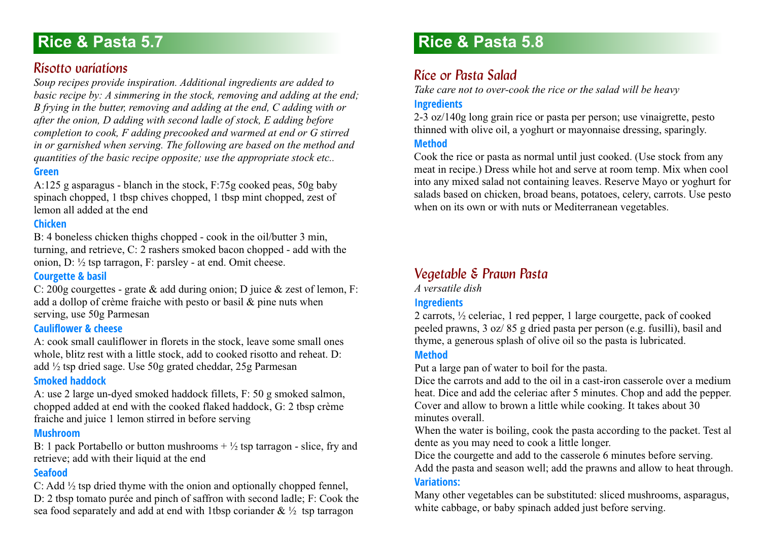# **Rice & Pasta 5.7**

### <span id="page-31-0"></span>*Risotto variations 5.7*

*Soup recipes provide inspiration. Additional ingredients are added to basic recipe by: A simmering in the stock, removing and adding at the end; B frying in the butter, removing and adding at the end, C adding with or after the onion, D adding with second ladle of stock, E adding before completion to cook, F adding precooked and warmed at end or G stirred in or garnished when serving. The following are based on the method and quantities of the basic recipe opposite; use the appropriate stock etc..* **Green**

A:125 g asparagus - blanch in the stock, F:75g cooked peas, 50g baby spinach chopped, 1 tbsp chives chopped, 1 tbsp mint chopped, zest of lemon all added at the end

#### **Chicken**

B: 4 boneless chicken thighs chopped - cook in the oil/butter 3 min, turning, and retrieve, C: 2 rashers smoked bacon chopped - add with the onion, D: ½ tsp tarragon, F: parsley - at end. Omit cheese.

#### **Courgette & basil**

C: 200g courgettes - grate & add during onion; D juice & zest of lemon, F: add a dollop of crème fraiche with pesto or basil & pine nuts when serving, use 50g Parmesan

#### **Cauliflower & cheese**

A: cook small cauliflower in florets in the stock, leave some small ones whole, blitz rest with a little stock, add to cooked risotto and reheat. D: add ½ tsp dried sage. Use 50g grated cheddar, 25g Parmesan

#### **Smoked haddock**

A: use 2 large un-dyed smoked haddock fillets, F: 50 g smoked salmon, chopped added at end with the cooked flaked haddock, G: 2 tbsp crème fraiche and juice 1 lemon stirred in before serving

#### **Mushroom**

B: 1 pack Portabello or button mushrooms  $+ \frac{1}{2}$  tsp tarragon - slice, fry and retrieve; add with their liquid at the end

### **Seafood**

C: Add ½ tsp dried thyme with the onion and optionally chopped fennel,

D: 2 tbsp tomato purée and pinch of saffron with second ladle; F: Cook the sea food separately and add at end with 1tbsp coriander  $\& \frac{1}{2}$  tsp tarragon

# **Rice & Pasta 5.8**

### <span id="page-31-1"></span>*Rice or Pasta Salad*

*Take care not to over-cook the rice or the salad will be heavy*

### **Ingredients**

2-3 oz/140g long grain rice or pasta per person; use vinaigrette, pesto thinned with olive oil, a yoghurt or mayonnaise dressing, sparingly.

#### **Method**

Cook the rice or pasta as normal until just cooked. (Use stock from any meat in recipe.) Dress while hot and serve at room temp. Mix when cool into any mixed salad not containing leaves. Reserve Mayo or yoghurt for salads based on chicken, broad beans, potatoes, celery, carrots. Use pesto when on its own or with nuts or Mediterranean vegetables.

### <span id="page-31-2"></span>**Vegetable & Prawn Pasta**

*A versatile dish*

### **Ingredients**

2 carrots, ½ celeriac, 1 red pepper, 1 large courgette, pack of cooked peeled prawns, 3 oz/ 85 g dried pasta per person (e.g. fusilli), basil and thyme, a generous splash of olive oil so the pasta is lubricated.

#### **Method**

Put a large pan of water to boil for the pasta.

Dice the carrots and add to the oil in a cast-iron casserole over a medium heat. Dice and add the celeriac after 5 minutes. Chop and add the pepper. Cover and allow to brown a little while cooking. It takes about 30 minutes overall.

When the water is boiling, cook the pasta according to the packet. Test al dente as you may need to cook a little longer.

Dice the courgette and add to the casserole 6 minutes before serving. Add the pasta and season well; add the prawns and allow to heat through. **Variations:**

Many other vegetables can be substituted: sliced mushrooms, asparagus, white cabbage, or baby spinach added just before serving.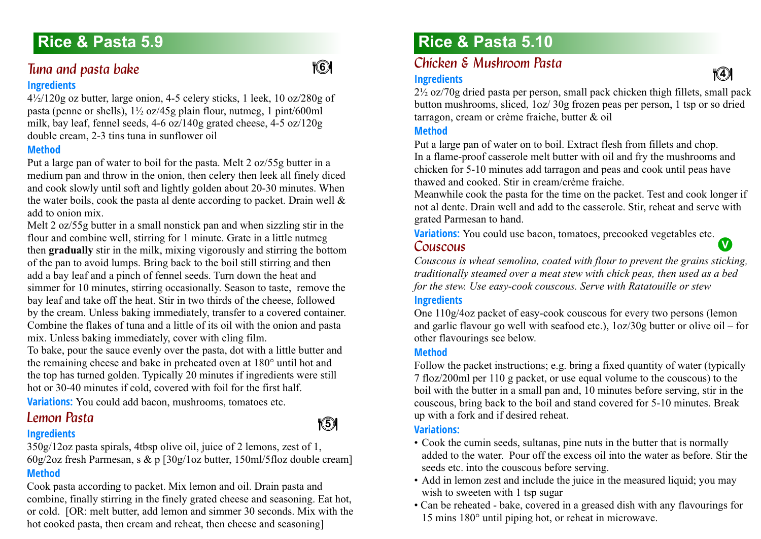# **Rice & Pasta 5.9**

### <span id="page-32-0"></span>*Tuna and pasta bake* **Ingredients**

4½/120g oz butter, large onion, 4-5 celery sticks, 1 leek, 10 oz/280g of pasta (penne or shells), 1½ oz/45g plain flour, nutmeg, 1 pint/600ml milk, bay leaf, fennel seeds, 4-6 oz/140g grated cheese, 4-5 oz/120g double cream, 2-3 tins tuna in sunflower oil

### **Method**

Put a large pan of water to boil for the pasta. Melt 2 oz/55g butter in a medium pan and throw in the onion, then celery then leek all finely diced and cook slowly until soft and lightly golden about 20-30 minutes. When the water boils, cook the pasta al dente according to packet. Drain well  $\&$ add to onion mix.

Melt 2 oz/55g butter in a small nonstick pan and when sizzling stir in the flour and combine well, stirring for 1 minute. Grate in a little nutmeg then **gradually** stir in the milk, mixing vigorously and stirring the bottom of the pan to avoid lumps. Bring back to the boil still stirring and then add a bay leaf and a pinch of fennel seeds. Turn down the heat and simmer for 10 minutes, stirring occasionally. Season to taste, remove the bay leaf and take off the heat. Stir in two thirds of the cheese, followed by the cream. Unless baking immediately, transfer to a covered container. Combine the flakes of tuna and a little of its oil with the onion and pasta mix. Unless baking immediately, cover with cling film.

To bake, pour the sauce evenly over the pasta, dot with a little butter and the remaining cheese and bake in preheated oven at 180° until hot and the top has turned golden. Typically 20 minutes if ingredients were still hot or 30-40 minutes if cold, covered with foil for the first half.

<span id="page-32-1"></span>**Variations:** You could add bacon, mushrooms, tomatoes etc.

### **Lemon Pasta**

### **Ingredients**

350g/12oz pasta spirals, 4tbsp olive oil, juice of 2 lemons, zest of 1, 60g/2oz fresh Parmesan, s & p [30g/1oz butter, 150ml/5floz double cream] **Method**

Cook pasta according to packet. Mix lemon and oil. Drain pasta and combine, finally stirring in the finely grated cheese and seasoning. Eat hot, or cold. [OR: melt butter, add lemon and simmer 30 seconds. Mix with the hot cooked pasta, then cream and reheat, then cheese and seasoning]

# <span id="page-32-2"></span>**Rice & Pasta 5.10**

#### *Chicken & Mushroom Pasta* **<sup>4</sup> <sup>6</sup> <sup>4</sup> <sup>4</sup>**

#### **Ingredients**

 $2\frac{1}{2}$  oz/70g dried pasta per person, small pack chicken thigh fillets, small pack button mushrooms, sliced, 1oz/ 30g frozen peas per person, 1 tsp or so dried tarragon, cream or crème fraiche, butter & oil

#### **Method**

Put a large pan of water on to boil. Extract flesh from fillets and chop. In a flame-proof casserole melt butter with oil and fry the mushrooms and chicken for 5-10 minutes add tarragon and peas and cook until peas have thawed and cooked. Stir in cream/crème fraiche.

Meanwhile cook the pasta for the time on the packet. Test and cook longer if not al dente. Drain well and add to the casserole. Stir, reheat and serve with grated Parmesan to hand.

<span id="page-32-3"></span>**Variations:** You could use bacon, tomatoes, precooked vegetables etc. *Couscous 5.10* **V**

*Couscous is wheat semolina, coated with flour to prevent the grains sticking, traditionally steamed over a meat stew with chick peas, then used as a bed for the stew. Use easy-cook couscous. Serve with Ratatouille or stew*

### **Ingredients**

One 110g/4oz packet of easy-cook couscous for every two persons (lemon and garlic flavour go well with seafood etc.), 1oz/30g butter or olive oil – for other flavourings see below.

### **Method**

Follow the packet instructions; e.g. bring a fixed quantity of water (typically 7 floz/200ml per 110 g packet, or use equal volume to the couscous) to the boil with the butter in a small pan and, 10 minutes before serving, stir in the couscous, bring back to the boil and stand covered for 5-10 minutes. Break up with a fork and if desired reheat.

#### **Variations:**

**16** 

- Cook the cumin seeds, sultanas, pine nuts in the butter that is normally added to the water. Pour off the excess oil into the water as before. Stir the seeds etc. into the couscous before serving.
- Add in lemon zest and include the juice in the measured liquid; you may wish to sweeten with 1 tsp sugar
- Can be reheated bake, covered in a greased dish with any flavourings for 15 mins 180° until piping hot, or reheat in microwave.

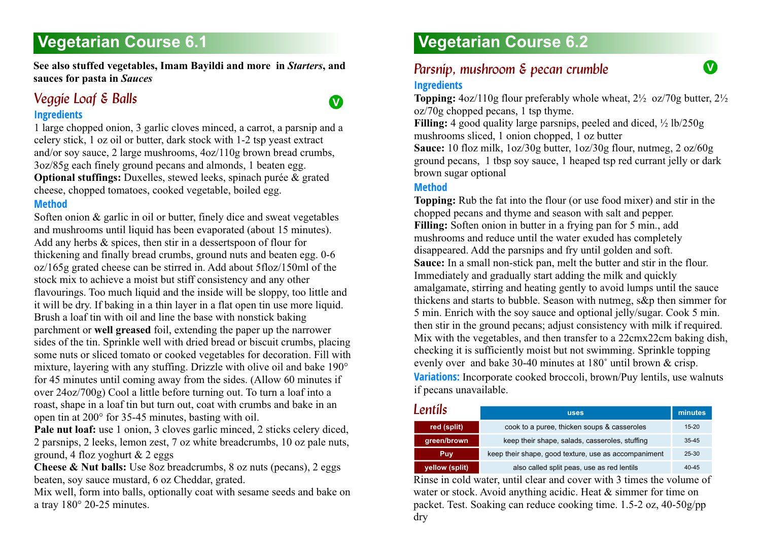# <span id="page-33-0"></span>**Vegetarian Course 6.1**

**See also stuffed vegetables, Imam Bayildi and more in** *Starters***, and <b>***Parsnin mushroom & necan crumble* **sauces for pasta in** *Sauces*

### <span id="page-33-1"></span>*Veggie Loaf & Balls* **Ingredients**

1 large chopped onion, 3 garlic cloves minced, a carrot, a parsnip and a celery stick, 1 oz oil or butter, dark stock with 1-2 tsp yeast extract and/or soy sauce, 2 large mushrooms, 4oz/110g brown bread crumbs, 3oz/85g each finely ground pecans and almonds, 1 beaten egg. **Optional stuffings:** Duxelles, stewed leeks, spinach purée & grated cheese, chopped tomatoes, cooked vegetable, boiled egg.

#### **Method**

Soften onion & garlic in oil or butter, finely dice and sweat vegetables and mushrooms until liquid has been evaporated (about 15 minutes). Add any herbs & spices, then stir in a dessertspoon of flour for thickening and finally bread crumbs, ground nuts and beaten egg. 0-6 oz/165g grated cheese can be stirred in. Add about 5floz/150ml of the stock mix to achieve a moist but stiff consistency and any other flavourings. Too much liquid and the inside will be sloppy, too little and it will be dry. If baking in a thin layer in a flat open tin use more liquid. Brush a loaf tin with oil and line the base with nonstick baking parchment or **well greased** foil, extending the paper up the narrower sides of the tin. Sprinkle well with dried bread or biscuit crumbs, placing some nuts or sliced tomato or cooked vegetables for decoration. Fill with mixture, layering with any stuffing. Drizzle with olive oil and bake 190° for 45 minutes until coming away from the sides. (Allow 60 minutes if over 24oz/700g) Cool a little before turning out. To turn a loaf into a roast, shape in a loaf tin but turn out, coat with crumbs and bake in an open tin at 200° for 35-45 minutes, basting with oil.

**Pale nut loaf:** use 1 onion, 3 cloves garlic minced, 2 sticks celery diced, 2 parsnips, 2 leeks, lemon zest, 7 oz white breadcrumbs, 10 oz pale nuts, ground, 4 floz yoghurt & 2 eggs

**Cheese & Nut balls:** Use 8oz breadcrumbs, 8 oz nuts (pecans), 2 eggs beaten, soy sauce mustard, 6 oz Cheddar, grated.

Mix well, form into balls, optionally coat with sesame seeds and bake on a tray 180° 20-25 minutes.

# **Vegetarian Course 6.2**

### <span id="page-33-2"></span>*Parsnip, mushroom & pecan crumble* **Ingredients**

**Topping:** 4oz/110g flour preferably whole wheat, 2½ oz/70g butter, 2½ oz/70g chopped pecans, 1 tsp thyme.

**Filling:** 4 good quality large parsnips, peeled and diced, ½ lb/250g mushrooms sliced, 1 onion chopped, 1 oz butter

**Sauce:** 10 floz milk, 1oz/30g butter, 1oz/30g flour, nutmeg, 2 oz/60g ground pecans, 1 tbsp soy sauce, 1 heaped tsp red currant jelly or dark brown sugar optional

### **Method**

**Topping:** Rub the fat into the flour (or use food mixer) and stir in the chopped pecans and thyme and season with salt and pepper. **Filling:** Soften onion in butter in a frying pan for 5 min., add mushrooms and reduce until the water exuded has completely disappeared. Add the parsnips and fry until golden and soft. **Sauce:** In a small non-stick pan, melt the butter and stir in the flour. Immediately and gradually start adding the milk and quickly amalgamate, stirring and heating gently to avoid lumps until the sauce thickens and starts to bubble. Season with nutmeg, s&p then simmer for 5 min. Enrich with the soy sauce and optional jelly/sugar. Cook 5 min. then stir in the ground pecans; adjust consistency with milk if required. Mix with the vegetables, and then transfer to a 22cmx22cm baking dish, checking it is sufficiently moist but not swimming. Sprinkle topping evenly over and bake 30-40 minutes at 180˚ until brown & crisp. **Variations:** Incorporate cooked broccoli, brown/Puy lentils, use walnuts if pecans unavailable.

<span id="page-33-3"></span>

| Lentils        | <b>uses</b>                                          | minutes   |
|----------------|------------------------------------------------------|-----------|
| red (split)    | cook to a puree, thicken soups & casseroles          | $15 - 20$ |
| green/brown    | keep their shape, salads, casseroles, stuffing       | $35 - 45$ |
| Puv            | keep their shape, good texture, use as accompaniment | 25-30     |
| yellow (split) | also called split peas, use as red lentils           | $40 - 45$ |

Rinse in cold water, until clear and cover with 3 times the volume of water or stock. Avoid anything acidic. Heat & simmer for time on packet. Test. Soaking can reduce cooking time. 1.5-2 oz, 40-50g/pp dry

**V**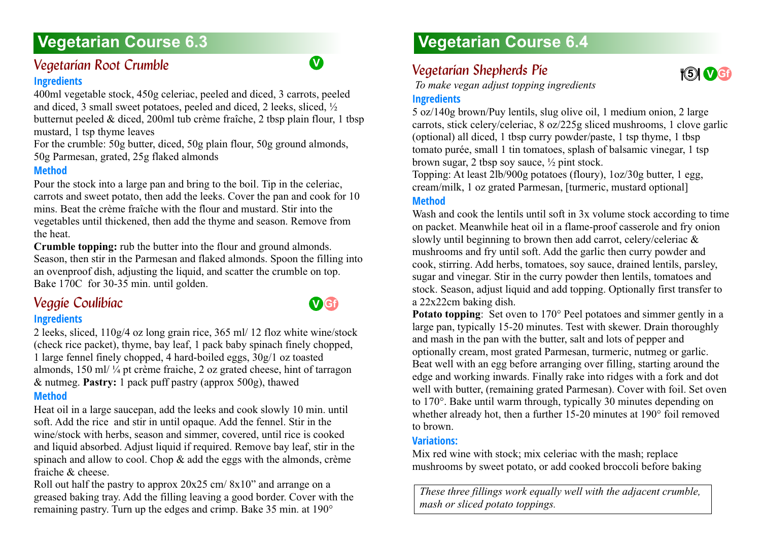# **Vegetarian Course 6.3 Vegetarian Course 6.4**

# <span id="page-34-0"></span>*Vegetarian Root Crumble 6.3*

### **Ingredients**

400ml vegetable stock, 450g celeriac, peeled and diced, 3 carrots, peeled and diced, 3 small sweet potatoes, peeled and diced, 2 leeks, sliced, ½ butternut peeled & diced, 200ml tub crème fraîche, 2 tbsp plain flour, 1 tbsp mustard, 1 tsp thyme leaves

For the crumble: 50g butter, diced, 50g plain flour, 50g ground almonds, 50g Parmesan, grated, 25g flaked almonds

### **Method**

Pour the stock into a large pan and bring to the boil. Tip in the celeriac, carrots and sweet potato, then add the leeks. Cover the pan and cook for 10 mins. Beat the crème fraîche with the flour and mustard. Stir into the vegetables until thickened, then add the thyme and season. Remove from the heat.

**Crumble topping:** rub the butter into the flour and ground almonds. Season, then stir in the Parmesan and flaked almonds. Spoon the filling into an ovenproof dish, adjusting the liquid, and scatter the crumble on top. Bake 170C for 30-35 min. until golden.

# <span id="page-34-1"></span>*Veggie Coulibiac 6.3*

### **Ingredients**

2 leeks, sliced, 110g/4 oz long grain rice, 365 ml/ 12 floz white wine/stock (check rice packet), thyme, bay leaf, 1 pack baby spinach finely chopped, 1 large fennel finely chopped, 4 hard-boiled eggs, 30g/1 oz toasted almonds, 150 ml/ ¼ pt crème fraiche, 2 oz grated cheese, hint of tarragon & nutmeg. **Pastry:** 1 pack puff pastry (approx 500g), thawed **Method**

Heat oil in a large saucepan, add the leeks and cook slowly 10 min. until soft. Add the rice and stir in until opaque. Add the fennel. Stir in the wine/stock with herbs, season and simmer, covered, until rice is cooked and liquid absorbed. Adjust liquid if required. Remove bay leaf, stir in the spinach and allow to cool. Chop & add the eggs with the almonds, crème fraiche & cheese.

Roll out half the pastry to approx 20x25 cm/ 8x10" and arrange on a greased baking tray. Add the filling leaving a good border. Cover with the remaining pastry. Turn up the edges and crimp. Bake 35 min. at 190°

## <span id="page-34-2"></span>**Vegetarian Shepherds Pie.**

 *To make vegan adjust topping ingredients*

### **Ingredients**

5 oz/140g brown/Puy lentils, slug olive oil, 1 medium onion, 2 large carrots, stick celery/celeriac, 8 oz/225g sliced mushrooms, 1 clove garlic (optional) all diced, 1 tbsp curry powder/paste, 1 tsp thyme, 1 tbsp tomato purée, small 1 tin tomatoes, splash of balsamic vinegar, 1 tsp brown sugar, 2 tbsp soy sauce, ½ pint stock.

Topping: At least 2lb/900g potatoes (floury), 1oz/30g butter, 1 egg, cream/milk, 1 oz grated Parmesan, [turmeric, mustard optional]

### **Method**

Wash and cook the lentils until soft in 3x volume stock according to time on packet. Meanwhile heat oil in a flame-proof casserole and fry onion slowly until beginning to brown then add carrot, celery/celeriac & mushrooms and fry until soft. Add the garlic then curry powder and cook, stirring. Add herbs, tomatoes, soy sauce, drained lentils, parsley, sugar and vinegar. Stir in the curry powder then lentils, tomatoes and stock. Season, adjust liquid and add topping. Optionally first transfer to a 22x22cm baking dish.

**Potato topping:** Set oven to 170° Peel potatoes and simmer gently in a large pan, typically 15-20 minutes. Test with skewer. Drain thoroughly and mash in the pan with the butter, salt and lots of pepper and optionally cream, most grated Parmesan, turmeric, nutmeg or garlic. Beat well with an egg before arranging over filling, starting around the edge and working inwards. Finally rake into ridges with a fork and dot well with butter, (remaining grated Parmesan). Cover with foil. Set oven to 170°. Bake until warm through, typically 30 minutes depending on whether already hot, then a further 15-20 minutes at 190° foil removed to brown.

### **Variations:**

Mix red wine with stock; mix celeriac with the mash; replace mushrooms by sweet potato, or add cooked broccoli before baking

*These three fillings work equally well with the adjacent crumble, mash or sliced potato toppings.*



**V**

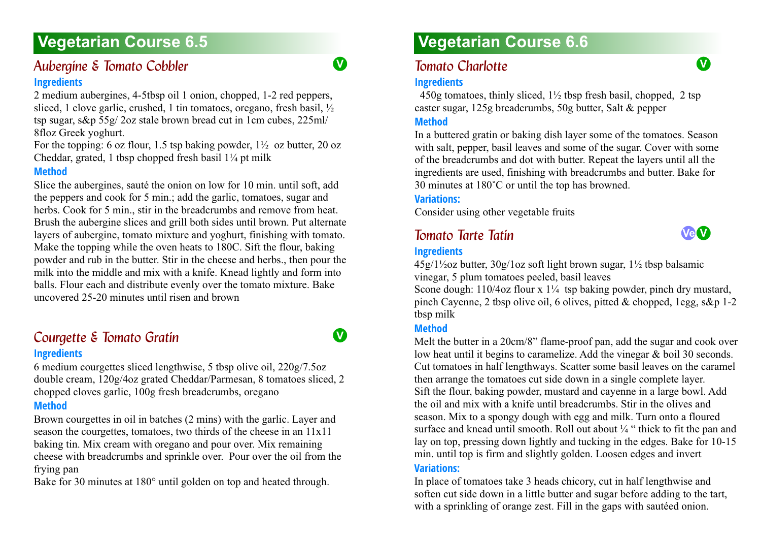# **Vegetarian Course 6.5**

### <span id="page-35-0"></span>*Aubergine & Tomato Cobbler 6.5* **Ingredients**

2 medium aubergines, 4-5tbsp oil 1 onion, chopped, 1-2 red peppers, sliced, 1 clove garlic, crushed, 1 tin tomatoes, oregano, fresh basil, ½ tsp sugar, s&p 55g/ 2oz stale brown bread cut in 1cm cubes, 225ml/ 8floz Greek yoghurt.

For the topping: 6 oz flour, 1.5 tsp baking powder,  $1\frac{1}{2}$  oz butter, 20 oz Cheddar, grated, 1 tbsp chopped fresh basil  $1\frac{1}{4}$  pt milk

#### **Method**

Slice the aubergines, sauté the onion on low for 10 min. until soft, add the peppers and cook for 5 min.; add the garlic, tomatoes, sugar and herbs. Cook for 5 min., stir in the breadcrumbs and remove from heat. Brush the aubergine slices and grill both sides until brown. Put alternate layers of aubergine, tomato mixture and yoghurt, finishing with tomato. Make the topping while the oven heats to 180C. Sift the flour, baking powder and rub in the butter. Stir in the cheese and herbs., then pour the milk into the middle and mix with a knife. Knead lightly and form into balls. Flour each and distribute evenly over the tomato mixture. Bake uncovered 25-20 minutes until risen and brown

### <span id="page-35-1"></span>**Courgette & Tomato Gratin Ingredients**

6 medium courgettes sliced lengthwise, 5 tbsp olive oil, 220g/7.5oz double cream, 120g/4oz grated Cheddar/Parmesan, 8 tomatoes sliced, 2 chopped cloves garlic, 100g fresh breadcrumbs, oregano

### **Method**

Brown courgettes in oil in batches (2 mins) with the garlic. Layer and season the courgettes, tomatoes, two thirds of the cheese in an 11x11 baking tin. Mix cream with oregano and pour over. Mix remaining cheese with breadcrumbs and sprinkle over. Pour over the oil from the frying pan

Bake for 30 minutes at 180° until golden on top and heated through.

# **Vegetarian Course 6.6**

### <span id="page-35-2"></span>*Tomato Charlotte*

#### **Ingredients**

450g tomatoes, thinly sliced,  $1\frac{1}{2}$  tbsp fresh basil, chopped, 2 tsp caster sugar, 125g breadcrumbs, 50g butter, Salt & pepper

#### **Method**

**V**

**V**

In a buttered gratin or baking dish layer some of the tomatoes. Season with salt, pepper, basil leaves and some of the sugar. Cover with some of the breadcrumbs and dot with butter. Repeat the layers until all the ingredients are used, finishing with breadcrumbs and butter. Bake for 30 minutes at 180˚C or until the top has browned.

#### **Variations:**

Consider using other vegetable fruits

### <span id="page-35-3"></span>*Tomato Tarte Tatin 6.6*



**V**

#### **Ingredients**

45g/1½oz butter, 30g/1oz soft light brown sugar, 1½ tbsp balsamic vinegar, 5 plum tomatoes peeled, basil leaves

Scone dough:  $110/4$ oz flour x  $1\frac{1}{4}$  tsp baking powder, pinch dry mustard, pinch Cayenne, 2 tbsp olive oil, 6 olives, pitted  $\&$  chopped, 1egg, s $\&$ p 1-2 tbsp milk

### **Method**

Melt the butter in a 20cm/8" flame-proof pan, add the sugar and cook over low heat until it begins to caramelize. Add the vinegar & boil 30 seconds. Cut tomatoes in half lengthways. Scatter some basil leaves on the caramel then arrange the tomatoes cut side down in a single complete layer. Sift the flour, baking powder, mustard and cayenne in a large bowl. Add the oil and mix with a knife until breadcrumbs. Stir in the olives and season. Mix to a spongy dough with egg and milk. Turn onto a floured surface and knead until smooth. Roll out about  $\frac{1}{4}$  " thick to fit the pan and lay on top, pressing down lightly and tucking in the edges. Bake for 10-15 min. until top is firm and slightly golden. Loosen edges and invert

#### **Variations:**

In place of tomatoes take 3 heads chicory, cut in half lengthwise and soften cut side down in a little butter and sugar before adding to the tart, with a sprinkling of orange zest. Fill in the gaps with sauteed onion.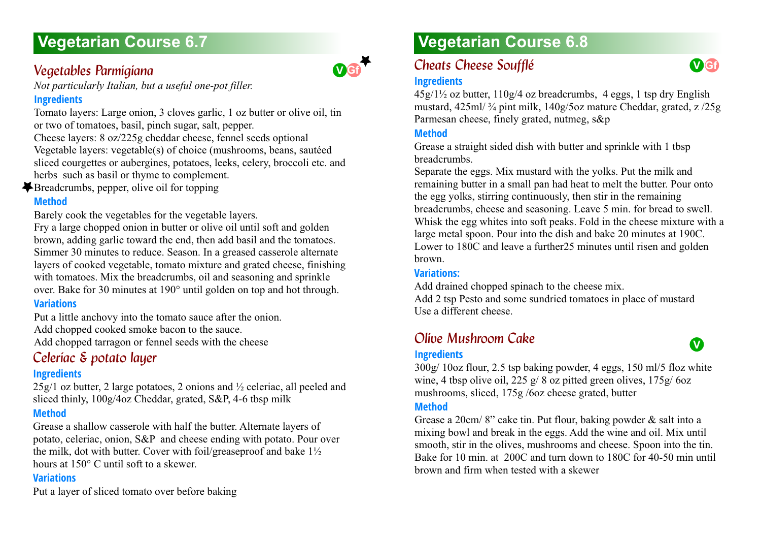# **Vegetarian Course 6.7 Vegetarian Course 6.8**

# *Vegetables Parmigiana 6.7*

*Not particularly Italian, but a useful one-pot filler.*

# **Ingredients**

Tomato layers: Large onion, 3 cloves garlic, 1 oz butter or olive oil, tin or two of tomatoes, basil, pinch sugar, salt, pepper.

Cheese layers: 8 oz/225g cheddar cheese, fennel seeds optional Vegetable layers: vegetable(s) of choice (mushrooms, beans, sautéed sliced courgettes or aubergines, potatoes, leeks, celery, broccoli etc. and herbs such as basil or thyme to complement.

Breadcrumbs, pepper, olive oil for topping

# **Method**

Barely cook the vegetables for the vegetable layers.

Fry a large chopped onion in butter or olive oil until soft and golden brown, adding garlic toward the end, then add basil and the tomatoes. Simmer 30 minutes to reduce. Season. In a greased casserole alternate layers of cooked vegetable, tomato mixture and grated cheese, finishing with tomatoes. Mix the breadcrumbs, oil and seasoning and sprinkle over. Bake for 30 minutes at 190° until golden on top and hot through.

### **Variations**

Put a little anchovy into the tomato sauce after the onion. Add chopped cooked smoke bacon to the sauce. Add chopped tarragon or fennel seeds with the cheese

# *Celeriac & potato layer 6.7*

# **Ingredients**

 $25g/1$  oz butter, 2 large potatoes, 2 onions and  $\frac{1}{2}$  celeriac, all peeled and sliced thinly, 100g/4oz Cheddar, grated, S&P, 4-6 tbsp milk

# **Method**

Grease a shallow casserole with half the butter. Alternate layers of potato, celeriac, onion, S&P and cheese ending with potato. Pour over the milk, dot with butter. Cover with foil/greaseproof and bake 1½ hours at 150° C until soft to a skewer.

### **Variations**

Put a layer of sliced tomato over before baking

# **Cheats Cheese Soufflé**

### **Ingredients**

 $45g/1\frac{1}{2}$  oz butter,  $110g/4$  oz breadcrumbs, 4 eggs, 1 tsp dry English mustard, 425ml/ ¾ pint milk, 140g/5oz mature Cheddar, grated, z /25g Parmesan cheese, finely grated, nutmeg, s&p

## **Method**

**V Gf**

Grease a straight sided dish with butter and sprinkle with 1 tbsp breadcrumbs.

Separate the eggs. Mix mustard with the yolks. Put the milk and remaining butter in a small pan had heat to melt the butter. Pour onto the egg yolks, stirring continuously, then stir in the remaining breadcrumbs, cheese and seasoning. Leave 5 min. for bread to swell. Whisk the egg whites into soft peaks. Fold in the cheese mixture with a large metal spoon. Pour into the dish and bake 20 minutes at 190C. Lower to 180C and leave a further25 minutes until risen and golden brown.

### **Variations:**

Add drained chopped spinach to the cheese mix. Add 2 tsp Pesto and some sundried tomatoes in place of mustard Use a different cheese.

# *Olive Mushroom Cake 6.8*

#### **Ingredients**

300g/ 10oz flour, 2.5 tsp baking powder, 4 eggs, 150 ml/5 floz white wine, 4 tbsp olive oil, 225 g/ 8 oz pitted green olives, 175g/ 6oz mushrooms, sliced, 175g /6oz cheese grated, butter

#### **Method**

Grease a 20cm/ 8" cake tin. Put flour, baking powder & salt into a mixing bowl and break in the eggs. Add the wine and oil. Mix until smooth, stir in the olives, mushrooms and cheese. Spoon into the tin. Bake for 10 min. at 200C and turn down to 180C for 40-50 min until brown and firm when tested with a skewer



**V**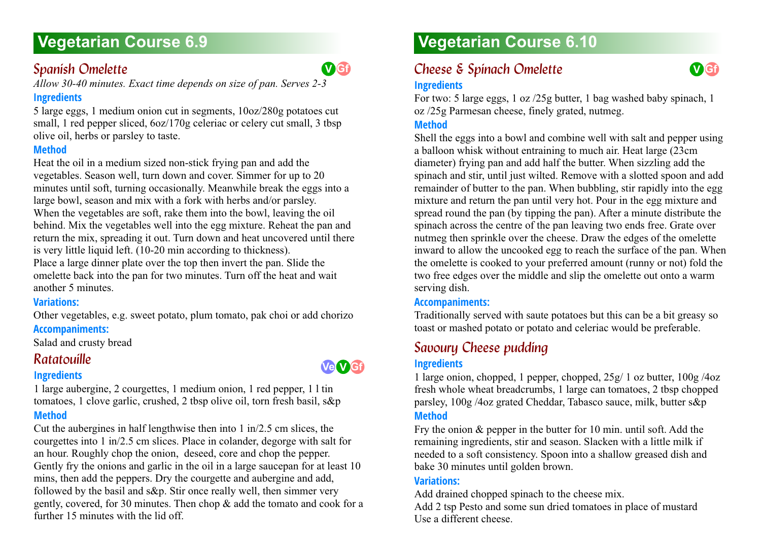# **Vegetarian Course 6.9**

# **Spanish Omelette**

*Allow 30-40 minutes. Exact time depends on size of pan. Serves 2-3*

# **Ingredients**

5 large eggs, 1 medium onion cut in segments, 10oz/280g potatoes cut small, 1 red pepper sliced,  $6oz/170g$  celeriac or celery cut small, 3 tbsp olive oil, herbs or parsley to taste.

# **Method**

Heat the oil in a medium sized non-stick frying pan and add the vegetables. Season well, turn down and cover. Simmer for up to 20 minutes until soft, turning occasionally. Meanwhile break the eggs into a large bowl, season and mix with a fork with herbs and/or parsley. When the vegetables are soft, rake them into the bowl, leaving the oil behind. Mix the vegetables well into the egg mixture. Reheat the pan and return the mix, spreading it out. Turn down and heat uncovered until there is very little liquid left. (10-20 min according to thickness). Place a large dinner plate over the top then invert the pan. Slide the omelette back into the pan for two minutes. Turn off the heat and wait another 5 minutes.

# **Variations:**

Other vegetables, e.g. sweet potato, plum tomato, pak choi or add chorizo **Accompaniments:**

Salad and crusty bread

# *Ratatouille*

### **Ingredients**

1 large aubergine, 2 courgettes, 1 medium onion, 1 red pepper, 1 l tin tomatoes, 1 clove garlic, crushed, 2 tbsp olive oil, torn fresh basil, s&p **Method**

Cut the aubergines in half lengthwise then into 1 in/2.5 cm slices, the courgettes into 1 in/2.5 cm slices. Place in colander, degorge with salt for an hour. Roughly chop the onion, deseed, core and chop the pepper. Gently fry the onions and garlic in the oil in a large saucepan for at least 10 mins, then add the peppers. Dry the courgette and aubergine and add, followed by the basil and s&p. Stir once really well, then simmer very gently, covered, for 30 minutes. Then chop & add the tomato and cook for a further 15 minutes with the lid off.

# **Vegetarian Course 6.10**

# **Cheese & Spinach Omelette**

### **Ingredients**

For two: 5 large eggs, 1 oz /25g butter, 1 bag washed baby spinach, 1 oz /25g Parmesan cheese, finely grated, nutmeg.

**V Gf**

# **Method**

Shell the eggs into a bowl and combine well with salt and pepper using a balloon whisk without entraining to much air. Heat large (23cm diameter) frying pan and add half the butter. When sizzling add the spinach and stir, until just wilted. Remove with a slotted spoon and add remainder of butter to the pan. When bubbling, stir rapidly into the egg mixture and return the pan until very hot. Pour in the egg mixture and spread round the pan (by tipping the pan). After a minute distribute the spinach across the centre of the pan leaving two ends free. Grate over nutmeg then sprinkle over the cheese. Draw the edges of the omelette inward to allow the uncooked egg to reach the surface of the pan. When the omelette is cooked to your preferred amount (runny or not) fold the two free edges over the middle and slip the omelette out onto a warm serving dish.

# **Accompaniments:**

Traditionally served with saute potatoes but this can be a bit greasy so toast or mashed potato or potato and celeriac would be preferable.

# *Savoury Cheese pudding 6.10*

### **Ingredients**

1 large onion, chopped, 1 pepper, chopped, 25g/ 1 oz butter, 100g /4oz fresh whole wheat breadcrumbs, 1 large can tomatoes, 2 tbsp chopped parsley, 100g /4oz grated Cheddar, Tabasco sauce, milk, butter s&p **Method**

Fry the onion & pepper in the butter for 10 min. until soft. Add the remaining ingredients, stir and season. Slacken with a little milk if needed to a soft consistency. Spoon into a shallow greased dish and bake 30 minutes until golden brown.

### **Variations:**

Add drained chopped spinach to the cheese mix.

Add 2 tsp Pesto and some sun dried tomatoes in place of mustard Use a different cheese.



**V Gf**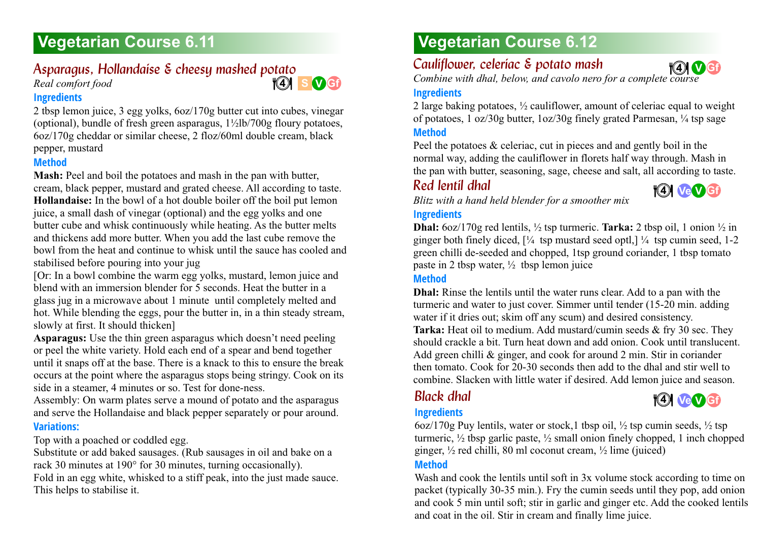# **Vegetarian Course 6.11 Vegetarian Course 6.12**

# *Asparagus, Hollandaise & cheesy mashed potato 6.11*

*Real comfort food*

#### **Ingredients**

2 tbsp lemon juice, 3 egg yolks, 6oz/170g butter cut into cubes, vinegar (optional), bundle of fresh green asparagus,  $1/21b/700g$  floury potatoes, 6oz/170g cheddar or similar cheese, 2 floz/60ml double cream, black pepper, mustard

#### **Method**

**Mash:** Peel and boil the potatoes and mash in the pan with butter, cream, black pepper, mustard and grated cheese. All according to taste. **Hollandaise:** In the bowl of a hot double boiler off the boil put lemon juice, a small dash of vinegar (optional) and the egg yolks and one butter cube and whisk continuously while heating. As the butter melts and thickens add more butter. When you add the last cube remove the bowl from the heat and continue to whisk until the sauce has cooled and stabilised before pouring into your jug

[Or: In a bowl combine the warm egg yolks, mustard, lemon juice and blend with an immersion blender for 5 seconds. Heat the butter in a glass jug in a microwave about 1 minute until completely melted and hot. While blending the eggs, pour the butter in, in a thin steady stream, slowly at first. It should thicken]

**Asparagus:** Use the thin green asparagus which doesn't need peeling or peel the white variety. Hold each end of a spear and bend together until it snaps off at the base. There is a knack to this to ensure the break occurs at the point where the asparagus stops being stringy. Cook on its side in a steamer, 4 minutes or so. Test for done-ness.

Assembly: On warm plates serve a mound of potato and the asparagus and serve the Hollandaise and black pepper separately or pour around. **Variations:**

Top with a poached or coddled egg.

Substitute or add baked sausages. (Rub sausages in oil and bake on a rack 30 minutes at 190° for 30 minutes, turning occasionally).

Fold in an egg white, whisked to a stiff peak, into the just made sauce. This helps to stabilise it.

# *Cauliflower, celeriac & potato mash 6.12*

*Combine with dhal, below, and cavolo nero for a complete course* **V Gf 4 4**

### **Ingredients**

**S V Gf 4 4**

2 large baking potatoes, ½ cauliflower, amount of celeriac equal to weight of potatoes, 1 oz/30g butter, 1oz/30g finely grated Parmesan, ¼ tsp sage **Method**

Peel the potatoes & celeriac, cut in pieces and and gently boil in the normal way, adding the cauliflower in florets half way through. Mash in the pan with butter, seasoning, sage, cheese and salt, all according to taste.

# **Red lentil dhal**



*Blitz with a hand held blender for a smoother mix*

### **Ingredients**

**Dhal:** 6oz/170g red lentils,  $\frac{1}{2}$  tsp turmeric. **Tarka:** 2 tbsp oil, 1 onion  $\frac{1}{2}$  in ginger both finely diced,  $[\frac{1}{4}$  tsp mustard seed optl,  $]\frac{1}{4}$  tsp cumin seed, 1-2 green chilli de-seeded and chopped, 1tsp ground coriander, 1 tbsp tomato paste in 2 tbsp water,  $\frac{1}{2}$  tbsp lemon juice

# **Method**

**Dhal:** Rinse the lentils until the water runs clear. Add to a pan with the turmeric and water to just cover. Simmer until tender (15-20 min. adding water if it dries out; skim off any scum) and desired consistency. **Tarka:** Heat oil to medium. Add mustard/cumin seeds & fry 30 sec. They should crackle a bit. Turn heat down and add onion. Cook until translucent. Add green chilli & ginger, and cook for around 2 min. Stir in coriander then tomato. Cook for 20-30 seconds then add to the dhal and stir well to combine. Slacken with little water if desired. Add lemon juice and season.

# *Black dhal*



# **Ingredients**

6oz/170g Puy lentils, water or stock, 1 tbsp oil,  $\frac{1}{2}$  tsp cumin seeds,  $\frac{1}{2}$  tsp turmeric,  $\frac{1}{2}$  tbsp garlic paste,  $\frac{1}{2}$  small onion finely chopped, 1 inch chopped ginger,  $\frac{1}{2}$  red chilli, 80 ml coconut cream,  $\frac{1}{2}$  lime (juiced)

### **Method**

Wash and cook the lentils until soft in 3x volume stock according to time on packet (typically 30-35 min.). Fry the cumin seeds until they pop, add onion and cook 5 min until soft; stir in garlic and ginger etc. Add the cooked lentils and coat in the oil. Stir in cream and finally lime juice.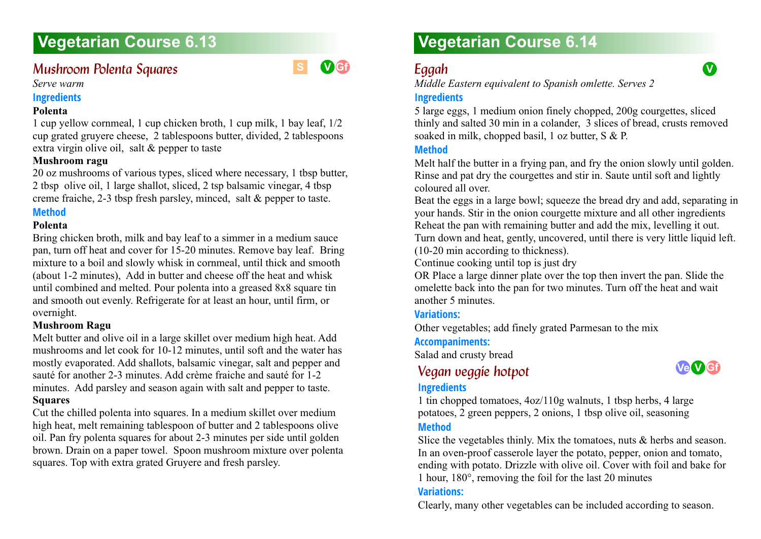# **Vegetarian Course 6.13 Vegetarian Course 6.14**

# *Mushroom Polenta Squares*



#### *Serve warm*

#### **Ingredients**

#### **Polenta**

1 cup yellow cornmeal, 1 cup chicken broth, 1 cup milk, 1 bay leaf, 1/2 cup grated gruyere cheese, 2 tablespoons butter, divided, 2 tablespoons extra virgin olive oil, salt & pepper to taste

#### **Mushroom ragu**

20 oz mushrooms of various types, sliced where necessary, 1 tbsp butter, 2 tbsp olive oil, 1 large shallot, sliced, 2 tsp balsamic vinegar, 4 tbsp creme fraiche, 2-3 tbsp fresh parsley, minced, salt & pepper to taste.

### **Method**

#### **Polenta**

Bring chicken broth, milk and bay leaf to a simmer in a medium sauce pan, turn off heat and cover for 15-20 minutes. Remove bay leaf. Bring mixture to a boil and slowly whisk in cornmeal, until thick and smooth (about 1-2 minutes), Add in butter and cheese off the heat and whisk until combined and melted. Pour polenta into a greased 8x8 square tin and smooth out evenly. Refrigerate for at least an hour, until firm, or overnight.

#### **Mushroom Ragu**

Melt butter and olive oil in a large skillet over medium high heat. Add mushrooms and let cook for 10-12 minutes, until soft and the water has mostly evaporated. Add shallots, balsamic vinegar, salt and pepper and sauté for another 2-3 minutes. Add crème fraiche and sauté for 1-2 minutes. Add parsley and season again with salt and pepper to taste. **Squares**

Cut the chilled polenta into squares. In a medium skillet over medium high heat, melt remaining tablespoon of butter and 2 tablespoons olive oil. Pan fry polenta squares for about 2-3 minutes per side until golden brown. Drain on a paper towel. Spoon mushroom mixture over polenta squares. Top with extra grated Gruyere and fresh parsley.

*Middle Eastern equivalent to Spanish omlette. Serves 2*

#### **Ingredients**

5 large eggs, 1 medium onion finely chopped, 200g courgettes, sliced thinly and salted 30 min in a colander, 3 slices of bread, crusts removed soaked in milk, chopped basil, 1 oz butter, S & P.

#### **Method**

Melt half the butter in a frying pan, and fry the onion slowly until golden. Rinse and pat dry the courgettes and stir in. Saute until soft and lightly coloured all over.

Beat the eggs in a large bowl; squeeze the bread dry and add, separating in your hands. Stir in the onion courgette mixture and all other ingredients Reheat the pan with remaining butter and add the mix, levelling it out. Turn down and heat, gently, uncovered, until there is very little liquid left. (10-20 min according to thickness).

Continue cooking until top is just dry

OR Place a large dinner plate over the top then invert the pan. Slide the omelette back into the pan for two minutes. Turn off the heat and wait another 5 minutes.

### **Variations:**

Other vegetables; add finely grated Parmesan to the mix

#### **Accompaniments:**

Salad and crusty bread

# *Vegan veggie hotpot 6.14*

#### **Ingredients**

**Ve V Gf**

1 tin chopped tomatoes, 4oz/110g walnuts, 1 tbsp herbs, 4 large potatoes, 2 green peppers, 2 onions, 1 tbsp olive oil, seasoning **Method**

Slice the vegetables thinly. Mix the tomatoes, nuts & herbs and season. In an oven-proof casserole layer the potato, pepper, onion and tomato, ending with potato. Drizzle with olive oil. Cover with foil and bake for 1 hour, 180°, removing the foil for the last 20 minutes

#### **Variations:**

Clearly, many other vegetables can be included according to season.



**V**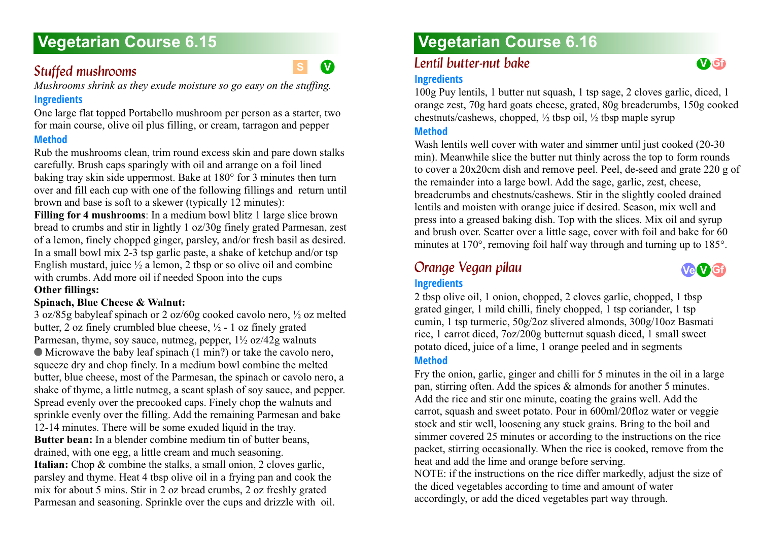# **Stuffed mushrooms** 6.15<sup>6</sup>

*Mushrooms shrink as they exude moisture so go easy on the stuffing.*

### **Ingredients**

One large flat topped Portabello mushroom per person as a starter, two for main course, olive oil plus filling, or cream, tarragon and pepper **Method**

Rub the mushrooms clean, trim round excess skin and pare down stalks carefully. Brush caps sparingly with oil and arrange on a foil lined baking tray skin side uppermost. Bake at 180° for 3 minutes then turn over and fill each cup with one of the following fillings and return until brown and base is soft to a skewer (typically 12 minutes):

**Filling for 4 mushrooms:** In a medium bowl blitz 1 large slice brown bread to crumbs and stir in lightly 1 oz/30g finely grated Parmesan, zest of a lemon, finely chopped ginger, parsley, and/or fresh basil as desired. In a small bowl mix 2-3 tsp garlic paste, a shake of ketchup and/or tsp English mustard, juice  $\frac{1}{2}$  a lemon, 2 tbsp or so olive oil and combine with crumbs. Add more oil if needed Spoon into the cups

### **Other fillings:**

### **Spinach, Blue Cheese & Walnut:**

3 oz/85g babyleaf spinach or 2 oz/60g cooked cavolo nero, ½ oz melted butter, 2 oz finely crumbled blue cheese,  $\frac{1}{2}$  - 1 oz finely grated Parmesan, thyme, soy sauce, nutmeg, pepper,  $1\frac{1}{2}$  oz/42g walnuts Microwave the baby leaf spinach (1 min?) or take the cavolo nero, squeeze dry and chop finely. In a medium bowl combine the melted butter, blue cheese, most of the Parmesan, the spinach or cavolo nero, a shake of thyme, a little nutmeg, a scant splash of soy sauce, and pepper. Spread evenly over the precooked caps. Finely chop the walnuts and sprinkle evenly over the filling. Add the remaining Parmesan and bake 12-14 minutes. There will be some exuded liquid in the tray. **Butter bean:** In a blender combine medium tin of butter beans, drained, with one egg, a little cream and much seasoning. **Italian:** Chop & combine the stalks, a small onion, 2 cloves garlic, parsley and thyme. Heat 4 tbsp olive oil in a frying pan and cook the mix for about 5 mins. Stir in 2 oz bread crumbs, 2 oz freshly grated Parmesan and seasoning. Sprinkle over the cups and drizzle with oil.

# **Vegetarian Course 6.15 Vegetarian Course 6.16**

# *Lentil butter-nut bake*

# **Ingredients**

100g Puy lentils, 1 butter nut squash, 1 tsp sage, 2 cloves garlic, diced, 1 orange zest, 70g hard goats cheese, grated, 80g breadcrumbs, 150g cooked chestnuts/cashews, chopped,  $\frac{1}{2}$  tbsp oil,  $\frac{1}{2}$  tbsp maple syrup

### **Method**

Wash lentils well cover with water and simmer until just cooked (20-30) min). Meanwhile slice the butter nut thinly across the top to form rounds to cover a 20x20cm dish and remove peel. Peel, de-seed and grate 220 g of the remainder into a large bowl. Add the sage, garlic, zest, cheese, breadcrumbs and chestnuts/cashews. Stir in the slightly cooled drained lentils and moisten with orange juice if desired. Season, mix well and press into a greased baking dish. Top with the slices. Mix oil and syrup and brush over. Scatter over a little sage, cover with foil and bake for 60 minutes at 170°, removing foil half way through and turning up to 185°.

# *Orange Vegan pilau*

**Ve V Gf**

**V Gf**

# **Ingredients**

2 tbsp olive oil, 1 onion, chopped, 2 cloves garlic, chopped, 1 tbsp grated ginger, 1 mild chilli, finely chopped, 1 tsp coriander, 1 tsp cumin, 1 tsp turmeric, 50g/2oz slivered almonds, 300g/10oz Basmati rice, 1 carrot diced, 7oz/200g butternut squash diced, 1 small sweet potato diced, juice of a lime, 1 orange peeled and in segments **Method**

Fry the onion, garlic, ginger and chilli for 5 minutes in the oil in a large pan, stirring often. Add the spices & almonds for another 5 minutes. Add the rice and stir one minute, coating the grains well. Add the carrot, squash and sweet potato. Pour in 600ml/20floz water or veggie stock and stir well, loosening any stuck grains. Bring to the boil and simmer covered 25 minutes or according to the instructions on the rice packet, stirring occasionally. When the rice is cooked, remove from the heat and add the lime and orange before serving.

NOTE: if the instructions on the rice differ markedly, adjust the size of the diced vegetables according to time and amount of water accordingly, or add the diced vegetables part way through.

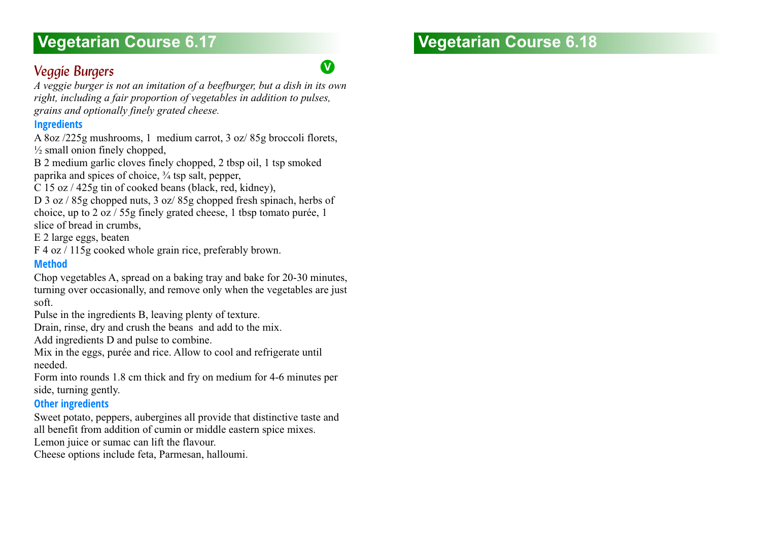# **Vegetarian Course 6.17 Vegetarian Course 6.18**

# **Veggie Burgers** 6.177 and 177 and 178 and 178 and 178 and 178 and 178 and 178 and 178 and 178 and 178 and 178 and 178 and 178 and 178 and 178 and 178 and 178 and 178 and 178 and 178 and 178 and 178 and 178 and 178 and 178

*A veggie burger is not an imitation of a beefburger, but a dish in its own right, including a fair proportion of vegetables in addition to pulses, grains and optionally finely grated cheese.*

## **Ingredients**

A 8oz /225g mushrooms, 1 medium carrot, 3 oz/ 85g broccoli florets,  $\frac{1}{2}$  small onion finely chopped,

B 2 medium garlic cloves finely chopped, 2 tbsp oil, 1 tsp smoked paprika and spices of choice, ¾ tsp salt, pepper,

- C 15 oz / 425g tin of cooked beans (black, red, kidney),
- D 3 oz / 85g chopped nuts, 3 oz / 85g chopped fresh spinach, herbs of choice, up to 2 oz / 55g finely grated cheese, 1 tbsp tomato purée, 1 slice of bread in crumbs,

E 2 large eggs, beaten

F 4 oz / 115g cooked whole grain rice, preferably brown.

### **Method**

Chop vegetables A, spread on a baking tray and bake for 20-30 minutes, turning over occasionally, and remove only when the vegetables are just soft.

Pulse in the ingredients B, leaving plenty of texture.

Drain, rinse, dry and crush the beans and add to the mix.

Add ingredients D and pulse to combine.

Mix in the eggs, purée and rice. Allow to cool and refrigerate until needed.

Form into rounds 1.8 cm thick and fry on medium for 4-6 minutes per side, turning gently.

# **Other ingredients**

Sweet potato, peppers, aubergines all provide that distinctive taste and all benefit from addition of cumin or middle eastern spice mixes.

Lemon juice or sumac can lift the flavour.

Cheese options include feta, Parmesan, halloumi.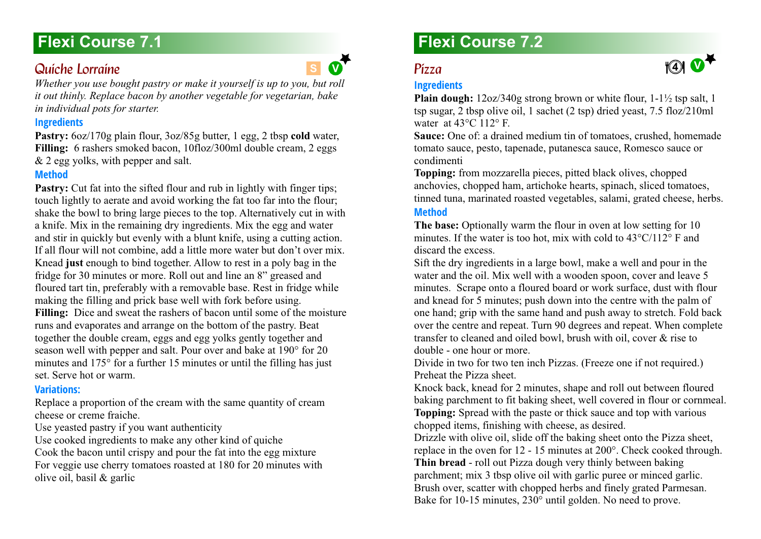# **Flexi Course 7.1**

# *Quiche Lorraine 7.1*

*Whether you use bought pastry or make it yourself is up to you, but roll it out thinly. Replace bacon by another vegetable for vegetarian, bake in individual pots for starter.*

### **Ingredients**

Pastry:  $6oz/170g$  plain flour,  $3oz/85g$  butter, 1 egg, 2 tbsp **cold** water, Filling: 6 rashers smoked bacon, 10floz/300ml double cream, 2 eggs & 2 egg yolks, with pepper and salt.

## **Method**

**Pastry:** Cut fat into the sifted flour and rub in lightly with finger tips: touch lightly to aerate and avoid working the fat too far into the flour; shake the bowl to bring large pieces to the top. Alternatively cut in with a knife. Mix in the remaining dry ingredients. Mix the egg and water and stir in quickly but evenly with a blunt knife, using a cutting action. If all flour will not combine, add a little more water but don't over mix. Knead **just** enough to bind together. Allow to rest in a poly bag in the fridge for 30 minutes or more. Roll out and line an 8" greased and floured tart tin, preferably with a removable base. Rest in fridge while making the filling and prick base well with fork before using. **Filling:** Dice and sweat the rashers of bacon until some of the moisture runs and evaporates and arrange on the bottom of the pastry. Beat together the double cream, eggs and egg yolks gently together and season well with pepper and salt. Pour over and bake at 190° for 20 minutes and 175° for a further 15 minutes or until the filling has just set. Serve hot or warm.

### **Variations:**

Replace a proportion of the cream with the same quantity of cream cheese or creme fraiche.

Use yeasted pastry if you want authenticity

Use cooked ingredients to make any other kind of quiche Cook the bacon until crispy and pour the fat into the egg mixture For veggie use cherry tomatoes roasted at 180 for 20 minutes with olive oil, basil & garlic

# **Flexi Course 7.2**

#### *Pizza 7.2* S  $\bullet$  **P**  $\bullet$  **P**  $\bullet$  **P**  $\bullet$  **P**  $\bullet$  **P**  $\bullet$  **P**  $\bullet$  **P**  $\bullet$  **P**  $\bullet$  **P**  $\bullet$  **P**  $\bullet$  **P**  $\bullet$  **P**  $\bullet$  **P**  $\bullet$  **P**  $\bullet$  **P**  $\bullet$  **P**  $\bullet$  **P**  $\bullet$  **P**  $\bullet$  **P**  $\bullet$  **P**  $\bullet$  **P**  $\bullet$  **P**  $\bullet$  **P**  $\bullet$  **P**  $\bullet$

**V**

# **Ingredients**

**Plain dough:** 12oz/340g strong brown or white flour, 1-1<sup>1</sup>/<sub>2</sub> tsp salt, 1 tsp sugar, 2 tbsp olive oil, 1 sachet (2 tsp) dried yeast, 7.5 floz/210ml water at  $43^{\circ}$ C 112° F.

**1**  $\bullet$ 

**Sauce:** One of: a drained medium tin of tomatoes, crushed, homemade tomato sauce, pesto, tapenade, putanesca sauce, Romesco sauce or condimenti

**Topping:** from mozzarella pieces, pitted black olives, chopped anchovies, chopped ham, artichoke hearts, spinach, sliced tomatoes, tinned tuna, marinated roasted vegetables, salami, grated cheese, herbs.

# **Method**

**The base:** Optionally warm the flour in oven at low setting for 10 minutes. If the water is too hot, mix with cold to 43°C/112° F and discard the excess.

Sift the dry ingredients in a large bowl, make a well and pour in the water and the oil. Mix well with a wooden spoon, cover and leave 5 minutes. Scrape onto a floured board or work surface, dust with flour and knead for 5 minutes; push down into the centre with the palm of one hand; grip with the same hand and push away to stretch. Fold back over the centre and repeat. Turn 90 degrees and repeat. When complete transfer to cleaned and oiled bowl, brush with oil, cover & rise to double - one hour or more.

Divide in two for two ten inch Pizzas. (Freeze one if not required.) Preheat the Pizza sheet.

Knock back, knead for 2 minutes, shape and roll out between floured baking parchment to fit baking sheet, well covered in flour or cornmeal. **Topping:** Spread with the paste or thick sauce and top with various chopped items, finishing with cheese, as desired.

Drizzle with olive oil, slide off the baking sheet onto the Pizza sheet, replace in the oven for 12 - 15 minutes at 200°. Check cooked through. **Thin bread** - roll out Pizza dough very thinly between baking parchment; mix 3 tbsp olive oil with garlic puree or minced garlic. Brush over, scatter with chopped herbs and finely grated Parmesan. Bake for 10-15 minutes, 230° until golden. No need to prove.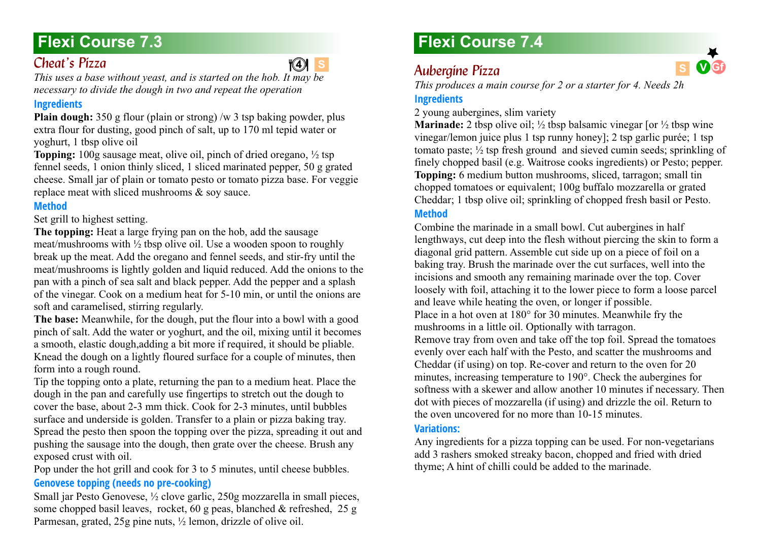# **Flexi Course 7.3**

# *Cheat's Pízza*

# $\sqrt{4}$  s

*This uses a base without yeast, and is started on the hob. It may be necessary to divide the dough in two and repeat the operation*

### **Ingredients**

**Plain dough:** 350 g flour (plain or strong) /w 3 tsp baking powder, plus extra flour for dusting, good pinch of salt, up to 170 ml tepid water or yoghurt, 1 tbsp olive oil

**Topping:** 100g sausage meat, olive oil, pinch of dried oregano,  $\frac{1}{2}$  tsp fennel seeds, 1 onion thinly sliced, 1 sliced marinated pepper, 50 g grated cheese. Small jar of plain or tomato pesto or [tomato pizza base.](#page-85-0) For veggie replace meat with sliced mushrooms & soy sauce.

# **Method**

Set grill to highest setting.

**The topping:** Heat a large frying pan on the hob, add the sausage meat/mushrooms with ½ tbsp olive oil. Use a wooden spoon to roughly break up the meat. Add the oregano and fennel seeds, and stir-fry until the meat/mushrooms is lightly golden and liquid reduced. Add the onions to the pan with a pinch of sea salt and black pepper. Add the pepper and a splash of the vinegar. Cook on a medium heat for 5-10 min, or until the onions are soft and caramelised, stirring regularly.

**The base:** Meanwhile, for the dough, put the flour into a bowl with a good pinch of salt. Add the water or yoghurt, and the oil, mixing until it becomes a smooth, elastic dough,adding a bit more if required, it should be pliable. Knead the dough on a lightly floured surface for a couple of minutes, then form into a rough round.

Tip the topping onto a plate, returning the pan to a medium heat. Place the dough in the pan and carefully use fingertips to stretch out the dough to cover the base, about 2-3 mm thick. Cook for 2-3 minutes, until bubbles surface and underside is golden. Transfer to a plain or pizza baking tray. Spread the pesto then spoon the topping over the pizza, spreading it out and pushing the sausage into the dough, then grate over the cheese. Brush any exposed crust with oil.

Pop under the hot grill and cook for 3 to 5 minutes, until cheese bubbles. **Genovese topping (needs no pre-cooking)**

Small jar Pesto Genovese, ½ clove garlic, 250g mozzarella in small pieces, some chopped basil leaves, rocket, 60 g peas, blanched & refreshed, 25 g Parmesan, grated, 25g pine nuts, ½ lemon, drizzle of olive oil.

# **Flexi Course 7.4**

# *Aubergine Pizza 7.4* **S V Gf <sup>4</sup> 4**

*This produces a main course for 2 or a starter for 4. Needs 2h*

# **Ingredients**

2 young aubergines, slim variety

**Marinade:** 2 tbsp olive oil;  $\frac{1}{2}$  tbsp balsamic vinegar [or  $\frac{1}{2}$  tbsp wine vinegar/lemon juice plus 1 tsp runny honey]; 2 tsp garlic purée; 1 tsp tomato paste; ½ tsp fresh ground and sieved cumin seeds; sprinkling of finely chopped basil (e.g. Waitrose cooks ingredients) or Pesto; pepper. **Topping:** 6 medium button mushrooms, sliced, tarragon; small tin chopped tomatoes or equivalent; 100g buffalo mozzarella or grated Cheddar; 1 tbsp olive oil; sprinkling of chopped fresh basil or Pesto. **Method**

Combine the marinade in a small bowl. Cut aubergines in half lengthways, cut deep into the flesh without piercing the skin to form a diagonal grid pattern. Assemble cut side up on a piece of foil on a baking tray. Brush the marinade over the cut surfaces, well into the incisions and smooth any remaining marinade over the top. Cover loosely with foil, attaching it to the lower piece to form a loose parcel and leave while heating the oven, or longer if possible. Place in a hot oven at 180° for 30 minutes. Meanwhile fry the mushrooms in a little oil. Optionally with tarragon. Remove tray from oven and take off the top foil. Spread the tomatoes evenly over each half with the Pesto, and scatter the mushrooms and Cheddar (if using) on top. Re-cover and return to the oven for 20 minutes, increasing temperature to 190°. Check the aubergines for softness with a skewer and allow another 10 minutes if necessary. Then dot with pieces of mozzarella (if using) and drizzle the oil. Return to the oven uncovered for no more than 10-15 minutes.

### **Variations:**

Any ingredients for a pizza topping can be used. For non-vegetarians add 3 rashers smoked streaky bacon, chopped and fried with dried thyme; A hint of chilli could be added to the marinade.

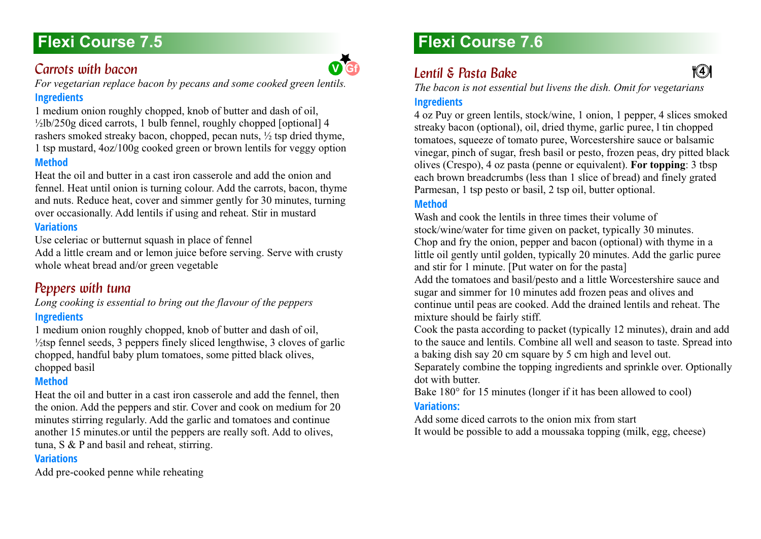# **Flexi Course 7.5**

# *Carrots with bacon*

*For vegetarian replace bacon by pecans and some cooked green lentils.*

# **Ingredients**

1 medium onion roughly chopped, knob of butter and dash of oil,  $\frac{1}{2}$ lb/250g diced carrots, 1 bulb fennel, roughly chopped [optional] 4 rashers smoked streaky bacon, chopped, pecan nuts, ½ tsp dried thyme, 1 tsp mustard, 4oz/100g cooked green or brown lentils for veggy option **Method**

Heat the oil and butter in a cast iron casserole and add the onion and fennel. Heat until onion is turning colour. Add the carrots, bacon, thyme and nuts. Reduce heat, cover and simmer gently for 30 minutes, turning over occasionally. Add lentils if using and reheat. Stir in mustard

# **Variations**

Use celeriac or butternut squash in place of fennel

Add a little cream and or lemon juice before serving. Serve with crusty whole wheat bread and/or green vegetable

# **Peppers with tuna**

*Long cooking is essential to bring out the flavour of the peppers*

# **Ingredients**

1 medium onion roughly chopped, knob of butter and dash of oil,  $\frac{1}{2}$ tsp fennel seeds, 3 peppers finely sliced lengthwise, 3 cloves of garlic chopped, handful baby plum tomatoes, some pitted black olives, chopped basil

# **Method**

Heat the oil and butter in a cast iron casserole and add the fennel, then the onion. Add the peppers and stir. Cover and cook on medium for 20 minutes stirring regularly. Add the garlic and tomatoes and continue another 15 minutes.or until the peppers are really soft. Add to olives, tuna, S & P and basil and reheat, stirring.

### **Variations**

Add pre-cooked penne while reheating

# **Flexi Course 7.6**

# *Lentil & Pasta Bake*

*The bacon is not essential but livens the dish. Omit for vegetarians*

**4 4**

# **Ingredients**

4 oz Puy or green lentils, stock/wine, 1 onion, 1 pepper, 4 slices smoked streaky bacon (optional), oil, dried thyme, garlic puree, l tin chopped tomatoes, squeeze of tomato puree, Worcestershire sauce or balsamic vinegar, pinch of sugar, fresh basil or pesto, frozen peas, dry pitted black olives (Crespo), 4 oz pasta (penne or equivalent). **For topping**: 3 tbsp each brown breadcrumbs (less than 1 slice of bread) and finely grated Parmesan, 1 tsp pesto or basil, 2 tsp oil, butter optional.

## **Method**

Wash and cook the lentils in three times their volume of stock/wine/water for time given on packet, typically 30 minutes. Chop and fry the onion, pepper and bacon (optional) with thyme in a little oil gently until golden, typically 20 minutes. Add the garlic puree and stir for 1 minute. [Put water on for the pasta]

Add the tomatoes and basil/pesto and a little Worcestershire sauce and sugar and simmer for 10 minutes add frozen peas and olives and continue until peas are cooked. Add the drained lentils and reheat. The mixture should be fairly stiff.

Cook the pasta according to packet (typically 12 minutes), drain and add to the sauce and lentils. Combine all well and season to taste. Spread into a baking dish say 20 cm square by 5 cm high and level out.

Separately combine the topping ingredients and sprinkle over. Optionally dot with butter.

Bake 180° for 15 minutes (longer if it has been allowed to cool) **Variations:**

Add some diced carrots to the onion mix from start It would be possible to add a moussaka topping (milk, egg, cheese)

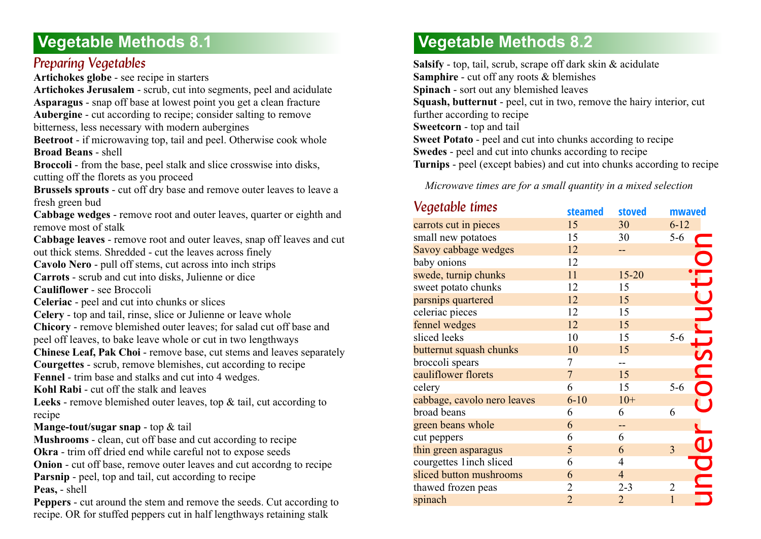# **Preparing Vegetables**

**Artichokes globe** - see recipe in starters

**Artichokes Jerusalem** - scrub, cut into segments, peel and acidulate **Asparagus** - snap off base at lowest point you get a clean fracture **Aubergine** - cut according to recipe; consider salting to remove

bitterness, less necessary with modern aubergines

**Beetroot** - if microwaving top, tail and peel. Otherwise cook whole **Broad Beans** - shell

**Broccoli** - from the base, peel stalk and slice crosswise into disks, cutting off the florets as you proceed

**Brussels sprouts** - cut off dry base and remove outer leaves to leave a fresh green bud

**Cabbage wedges** - remove root and outer leaves, quarter or eighth and remove most of stalk

**Cabbage leaves** - remove root and outer leaves, snap off leaves and cut out thick stems. Shredded - cut the leaves across finely

**Cavolo Nero** - pull off stems, cut across into inch strips

**Carrots** - scrub and cut into disks, Julienne or dice

**Cauliflower** - see Broccoli

- **Celeriac**  peel and cut into chunks or slices
- **Celery**  top and tail, rinse, slice or Julienne or leave whole

**Chicory** - remove blemished outer leaves; for salad cut off base and peel off leaves, to bake leave whole or cut in two lengthways

**Chinese Leaf, Pak Choi - remove base, cut stems and leaves separately** 

**Courgettes** - scrub, remove blemishes, cut according to recipe

**Fennel** - trim base and stalks and cut into 4 wedges.

**Kohl Rabi** - cut off the stalk and leaves

**Leeks** - remove blemished outer leaves, top & tail, cut according to recipe

#### **Mange-tout/sugar snap** - top & tail

**Mushrooms** - clean, cut off base and cut according to recipe **Okra** - trim off dried end while careful not to expose seeds **Onion** - cut off base, remove outer leaves and cut accordng to recipe **Parsnip** - peel, top and tail, cut according to recipe **Peas,** - shell

**Peppers** - cut around the stem and remove the seeds. Cut according to recipe. OR for stuffed peppers cut in half lengthways retaining stalk

# **Vegetable Methods 8.2**

**Salsify** - top, tail, scrub, scrape off dark skin & acidulate **Samphire** - cut off any roots & blemishes **Spinach** - sort out any blemished leaves **Squash, butternut** - peel, cut in two, remove the hairy interior, cut further according to recipe **Sweetcorn** - top and tail **Sweet Potato** - peel and cut into chunks according to recipe **Swedes** - peel and cut into chunks according to recipe **Turnips** - peel (except babies) and cut into chunks according to recipe

*Microwave times are for a small quantity in a mixed selection*

| Vegetable times             | steamed        | stoved         | mwaved         |
|-----------------------------|----------------|----------------|----------------|
| carrots cut in pieces       | 15             | 30             | $6 - 12$       |
| small new potatoes          | 15             | 30             | $5-6$          |
| Savoy cabbage wedges        | 12             |                |                |
| baby onions                 | 12             |                |                |
| swede, turnip chunks        | 11             | $15 - 20$      | ONStructio     |
| sweet potato chunks         | 12             | 15             |                |
| parsnips quartered          | 12             | 15             |                |
| celeriac pieces             | 12             | 15             |                |
| fennel wedges               | 12             | 15             |                |
| sliced leeks                | 10             | 15             | $5-6$          |
| butternut squash chunks     | 10             | 15             |                |
| broccoli spears             | 7              |                |                |
| cauliflower florets         | $\overline{7}$ | 15             |                |
| celery                      | 6              | 15             | $5 - 6$        |
| cabbage, cavolo nero leaves | $6 - 10$       | $10+$          |                |
| broad beans                 | 6              | 6              | 6              |
| green beans whole           | 6              | --             |                |
| cut peppers                 | 6              | 6              |                |
| thin green asparagus        | 5              | 6              | 3              |
| courgettes 1inch sliced     | 6              | 4              | UND            |
| sliced button mushrooms     | 6              | $\overline{4}$ |                |
| thawed frozen peas          | $\overline{2}$ | $2 - 3$        | $\overline{2}$ |
| spinach                     | $\overline{2}$ | $\overline{2}$ | $\mathbf{1}$   |
|                             |                |                |                |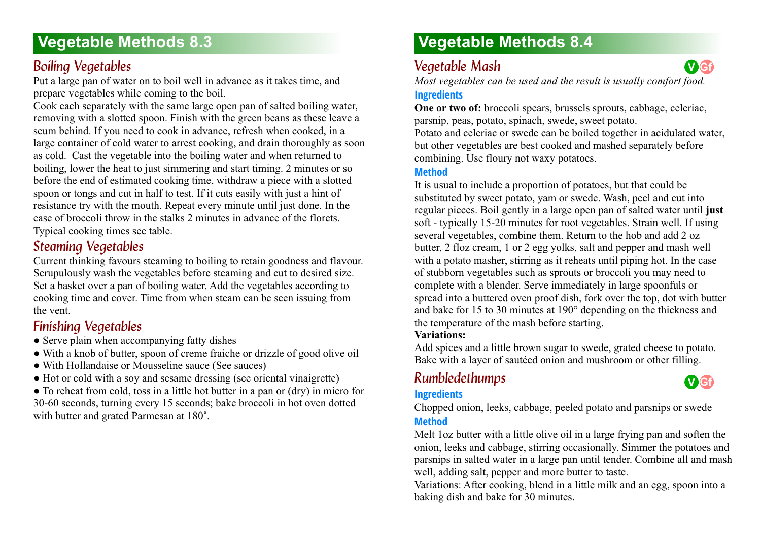# **Boiling Vegetables**

Put a large pan of water on to boil well in advance as it takes time, and prepare vegetables while coming to the boil.

Cook each separately with the same large open pan of salted boiling water, removing with a slotted spoon. Finish with the green beans as these leave a scum behind. If you need to cook in advance, refresh when cooked, in a large container of cold water to arrest cooking, and drain thoroughly as soon as cold. Cast the vegetable into the boiling water and when returned to boiling, lower the heat to just simmering and start timing. 2 minutes or so before the end of estimated cooking time, withdraw a piece with a slotted spoon or tongs and cut in half to test. If it cuts easily with just a hint of resistance try with the mouth. Repeat every minute until just done. In the case of broccoli throw in the stalks 2 minutes in advance of the florets. Typical cooking times see table.

# *Steaming Vegetables*

Current thinking favours steaming to boiling to retain goodness and flavour. Scrupulously wash the vegetables before steaming and cut to desired size. Set a basket over a pan of boiling water. Add the vegetables according to cooking time and cover. Time from when steam can be seen issuing from the vent.

# *Finishing Vegetables 8.3*

- Serve plain when accompanying fatty dishes
- With a knob of butter, spoon of creme fraiche or drizzle of good olive oil
- With Hollandaise or Mousseline sauce (See sauces)
- Hot or cold with a soy and sesame dressing (see oriental vinaigrette)

● To reheat from cold, toss in a little hot butter in a pan or (dry) in micro for 30-60 seconds, turning every 15 seconds; bake broccoli in hot oven dotted with butter and grated Parmesan at 180˚.

# **Vegetable Methods 8.4**

# *Vegetable Mash 8.4*

*Most vegetables can be used and the result is usually comfort food.*

### **Ingredients**

**One or two of:** broccoli spears, brussels sprouts, cabbage, celeriac, parsnip, peas, potato, spinach, swede, sweet potato.

Potato and celeriac or swede can be boiled together in acidulated water, but other vegetables are best cooked and mashed separately before combining. Use floury not waxy potatoes.

### **Method**

It is usual to include a proportion of potatoes, but that could be substituted by sweet potato, yam or swede. Wash, peel and cut into regular pieces. Boil gently in a large open pan of salted water until **just** soft - typically 15-20 minutes for root vegetables. Strain well. If using several vegetables, combine them. Return to the hob and add 2 oz butter, 2 floz cream, 1 or 2 egg yolks, salt and pepper and mash well with a potato masher, stirring as it reheats until piping hot. In the case of stubborn vegetables such as sprouts or broccoli you may need to complete with a blender. Serve immediately in large spoonfuls or spread into a buttered oven proof dish, fork over the top, dot with butter and bake for 15 to 30 minutes at 190° depending on the thickness and the temperature of the mash before starting.

# **Variations:**

Add spices and a little brown sugar to swede, grated cheese to potato. Bake with a layer of sautéed onion and mushroom or other filling.

# *Rumbledethumps 8.4*

### **Ingredients**



**V Gf**

Chopped onion, leeks, cabbage, peeled potato and parsnips or swede **Method**

Melt 1oz butter with a little olive oil in a large frying pan and soften the onion, leeks and cabbage, stirring occasionally. Simmer the potatoes and parsnips in salted water in a large pan until tender. Combine all and mash well, adding salt, pepper and more butter to taste.

Variations: After cooking, blend in a little milk and an egg, spoon into a baking dish and bake for 30 minutes.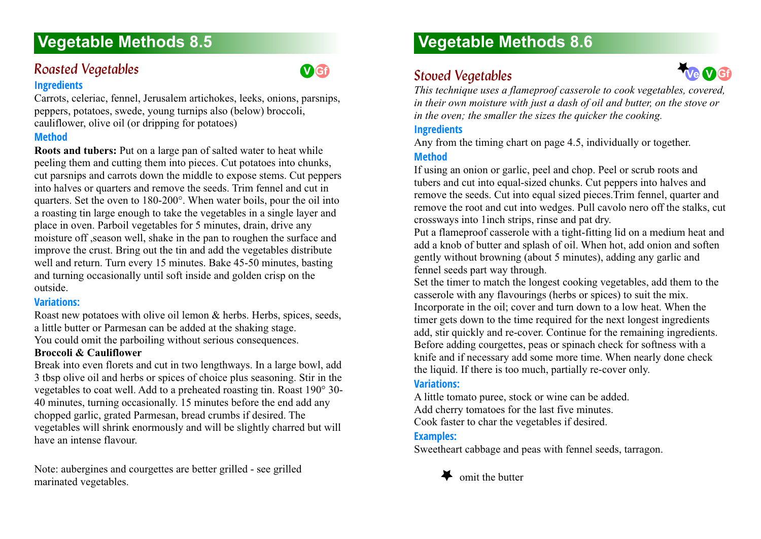# **Roasted Vegetables**

#### **Ingredients**

Carrots, celeriac, fennel, Jerusalem artichokes, leeks, onions, parsnips, peppers, potatoes, swede, young turnips also (below) broccoli, cauliflower, olive oil (or dripping for potatoes)

#### **Method**

**Roots and tubers:** Put on a large pan of salted water to heat while peeling them and cutting them into pieces. Cut potatoes into chunks, cut parsnips and carrots down the middle to expose stems. Cut peppers into halves or quarters and remove the seeds. Trim fennel and cut in quarters. Set the oven to 180-200°. When water boils, pour the oil into a roasting tin large enough to take the vegetables in a single layer and place in oven. Parboil vegetables for 5 minutes, drain, drive any moisture off ,season well, shake in the pan to roughen the surface and improve the crust. Bring out the tin and add the vegetables distribute well and return. Turn every 15 minutes. Bake 45-50 minutes, basting and turning occasionally until soft inside and golden crisp on the outside.

#### **Variations:**

Roast new potatoes with olive oil lemon & herbs. Herbs, spices, seeds, a little butter or Parmesan can be added at the shaking stage. You could omit the parboiling without serious consequences.

### **Broccoli & Cauliflower**

Break into even florets and cut in two lengthways. In a large bowl, add 3 tbsp olive oil and herbs or spices of choice plus seasoning. Stir in the vegetables to coat well. Add to a preheated roasting tin. Roast 190° 30- 40 minutes, turning occasionally. 15 minutes before the end add any chopped garlic, grated Parmesan, bread crumbs if desired. The vegetables will shrink enormously and will be slightly charred but will have an intense flavour.

Note: aubergines and courgettes are better grilled - see grilled marinated vegetables.

# **Vegetable Methods 8.6**

# **Stoved Vegetables**



*This technique uses a flameproof casserole to cook vegetables, covered, in their own moisture with just a dash of oil and butter, on the stove or in the oven; the smaller the sizes the quicker the cooking.*

#### **Ingredients**

Any from the timing chart on page 4.5, individually or together.

### **Method**

**V Gf**

If using an onion or garlic, peel and chop. Peel or scrub roots and tubers and cut into equal-sized chunks. Cut peppers into halves and remove the seeds. Cut into equal sized pieces.Trim fennel, quarter and remove the root and cut into wedges. Pull cavolo nero off the stalks, cut crossways into 1inch strips, rinse and pat dry.

Put a flameproof casserole with a tight-fitting lid on a medium heat and add a knob of butter and splash of oil. When hot, add onion and soften gently without browning (about 5 minutes), adding any garlic and fennel seeds part way through.

Set the timer to match the longest cooking vegetables, add them to the casserole with any flavourings (herbs or spices) to suit the mix. Incorporate in the oil; cover and turn down to a low heat. When the timer gets down to the time required for the next longest ingredients add, stir quickly and re-cover. Continue for the remaining ingredients. Before adding courgettes, peas or spinach check for softness with a knife and if necessary add some more time. When nearly done check the liquid. If there is too much, partially re-cover only.

#### **Variations:**

A little tomato puree, stock or wine can be added. Add cherry tomatoes for the last five minutes.

Cook faster to char the vegetables if desired.

### **Examples:**

Sweetheart cabbage and peas with fennel seeds, tarragon.

# omit the butter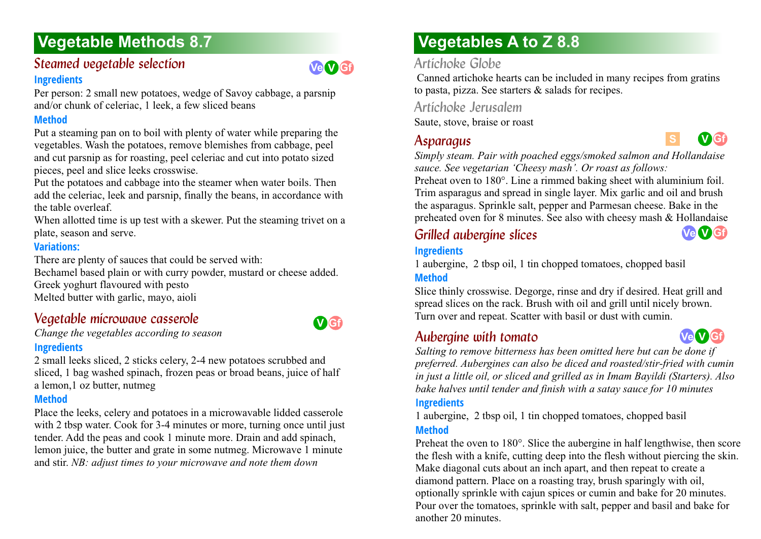# **Steamed vegetable selection**

#### **Ingredients**

Per person: 2 small new potatoes, wedge of Savoy cabbage, a parsnip and/or chunk of celeriac, 1 leek, a few sliced beans

### **Method**

Put a steaming pan on to boil with plenty of water while preparing the vegetables. Wash the potatoes, remove blemishes from cabbage, peel and cut parsnip as for roasting, peel celeriac and cut into potato sized pieces, peel and slice leeks crosswise.

Put the potatoes and cabbage into the steamer when water boils. Then add the celeriac, leek and parsnip, finally the beans, in accordance with the table overleaf.

When allotted time is up test with a skewer. Put the steaming trivet on a plate, season and serve.

### **Variations:**

There are plenty of sauces that could be served with:

Bechamel based plain or with curry powder, mustard or cheese added. Greek yoghurt flavoured with pesto Melted butter with garlic, mayo, aioli

# *Vegetable microwave casserole 8.7*

*Change the vegetables according to season* 

### **Ingredients**

2 small leeks sliced, 2 sticks celery, 2-4 new potatoes scrubbed and sliced, 1 bag washed spinach, frozen peas or broad beans, juice of half a lemon,1 oz butter, nutmeg

# **Method**

Place the leeks, celery and potatoes in a microwavable lidded casserole with 2 tbsp water. Cook for 3-4 minutes or more, turning once until just tender. Add the peas and cook 1 minute more. Drain and add spinach, lemon juice, the butter and grate in some nutmeg. Microwave 1 minute and stir. *NB: adjust times to your microwave and note them down*

# **Vegetables A to Z 8.8**

# *Artichoke Globe*

 Canned artichoke hearts can be included in many recipes from gratins to pasta, pizza. See starters & salads for recipes.

*Artichoke Jerusalem* Saute, stove, braise or roast

# Asparagus



*Simply steam. Pair with poached eggs/smoked salmon and Hollandaise sauce. See vegetarian 'Cheesy mash'. Or roast as follows:*

Preheat oven to 180°. Line a rimmed baking sheet with aluminium foil. Trim asparagus and spread in single layer. Mix garlic and oil and brush the asparagus. Sprinkle salt, pepper and Parmesan cheese. Bake in the preheated oven for 8 minutes. See also with cheesy mash & Hollandaise

# *Grilled aubergine slices*



# **Ingredients**

1 aubergine, 2 tbsp oil, 1 tin chopped tomatoes, chopped basil **Method**

Slice thinly crosswise. Degorge, rinse and dry if desired. Heat grill and spread slices on the rack. Brush with oil and grill until nicely brown. Turn over and repeat. Scatter with basil or dust with cumin.

# *Aubergine with tomato 8.8*



*Salting to remove bitterness has been omitted here but can be done if preferred. Aubergines can also be diced and roasted/stir-fried with cumin in just a little oil, or sliced and grilled as in Imam Bayildi (Starters). Also bake halves until tender and finish with a satay sauce for 10 minutes*

# **Ingredients**

1 aubergine, 2 tbsp oil, 1 tin chopped tomatoes, chopped basil **Method**

Preheat the oven to 180°. Slice the aubergine in half lengthwise, then score the flesh with a knife, cutting deep into the flesh without piercing the skin. Make diagonal cuts about an inch apart, and then repeat to create a diamond pattern. Place on a roasting tray, brush sparingly with oil, optionally sprinkle with cajun spices or cumin and bake for 20 minutes. Pour over the tomatoes, sprinkle with salt, pepper and basil and bake for another 20 minutes.



**Ve V Gf**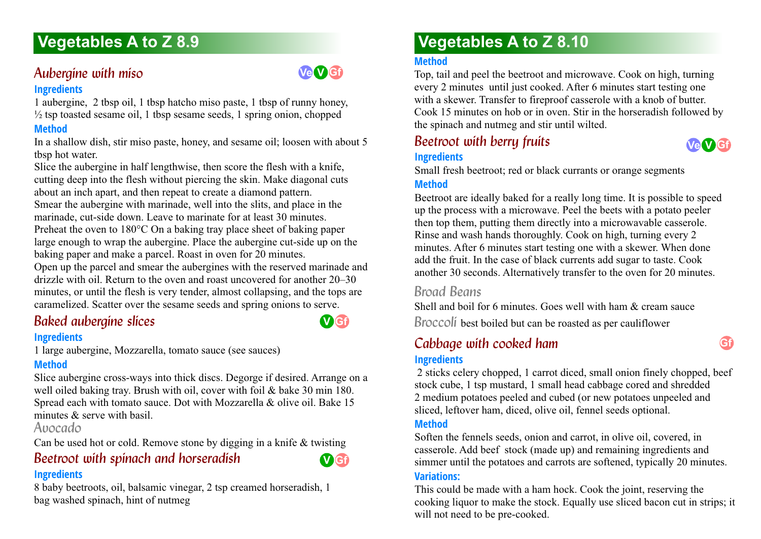# Aubergine with miso.

#### **Ingredients**

1 aubergine, 2 tbsp oil, 1 tbsp hatcho miso paste, 1 tbsp of runny honey,  $\frac{1}{2}$  tsp toasted sesame oil, 1 tbsp sesame seeds, 1 spring onion, chopped

### **Method**

In a shallow dish, stir miso paste, honey, and sesame oil; loosen with about 5 tbsp hot water.

Slice the aubergine in half lengthwise, then score the flesh with a knife, cutting deep into the flesh without piercing the skin. Make diagonal cuts about an inch apart, and then repeat to create a diamond pattern. Smear the aubergine with marinade, well into the slits, and place in the marinade, cut-side down. Leave to marinate for at least 30 minutes. Preheat the oven to 180°C On a baking tray place sheet of baking paper large enough to wrap the aubergine. Place the aubergine cut-side up on the baking paper and make a parcel. Roast in oven for 20 minutes. Open up the parcel and smear the aubergines with the reserved marinade and drizzle with oil. Return to the oven and roast uncovered for another 20–30

minutes, or until the flesh is very tender, almost collapsing, and the tops are caramelized. Scatter over the sesame seeds and spring onions to serve.

# **Baked aubergine slices**

#### **Ingredients**

1 large aubergine, Mozzarella, tomato sauce (see sauces)

# **Method**

Slice aubergine cross-ways into thick discs. Degorge if desired. Arrange on a well oiled baking tray. Brush with oil, cover with foil & bake 30 min 180. Spread each with tomato sauce. Dot with Mozzarella & olive oil. Bake 15 minutes  $\&$  serve with basil.

# *Avocado*

Can be used hot or cold. Remove stone by digging in a knife & twisting

# **Beetroot with spinach and horseradish**

#### **Ingredients**

8 baby beetroots, oil, balsamic vinegar, 2 tsp creamed horseradish, 1 bag washed spinach, hint of nutmeg

# **Vegetables A to Z 8.10**

#### **Method**

Top, tail and peel the beetroot and microwave. Cook on high, turning every 2 minutes until just cooked. After 6 minutes start testing one with a skewer. Transfer to fireproof casserole with a knob of butter. Cook 15 minutes on hob or in oven. Stir in the horseradish followed by the spinach and nutmeg and stir until wilted.

# **Beetroot with berry fruits Ingredients**

Small fresh beetroot; red or black currants or orange segments

### **Method**

Beetroot are ideally baked for a really long time. It is possible to speed up the process with a microwave. Peel the beets with a potato peeler then top them, putting them directly into a microwavable casserole. Rinse and wash hands thoroughly. Cook on high, turning every 2 minutes. After 6 minutes start testing one with a skewer. When done add the fruit. In the case of black currents add sugar to taste. Cook another 30 seconds. Alternatively transfer to the oven for 20 minutes.

# *Broad Beans*

Shell and boil for 6 minutes. Goes well with ham  $\&$  cream sauce *Broccoli* best boiled but can be roasted as per cauliflower

# *Cabbage with cooked ham*

### **Ingredients**

 2 sticks celery chopped, 1 carrot diced, small onion finely chopped, beef stock cube, 1 tsp mustard, 1 small head cabbage cored and shredded 2 medium potatoes peeled and cubed (or new potatoes unpeeled and sliced, leftover ham, diced, olive oil, fennel seeds optional.

### **Method**

Soften the fennels seeds, onion and carrot, in olive oil, covered, in casserole. Add beef stock (made up) and remaining ingredients and simmer until the potatoes and carrots are softened, typically 20 minutes.

#### **Variations:**

This could be made with a ham hock. Cook the joint, reserving the cooking liquor to make the stock. Equally use sliced bacon cut in strips; it will not need to be pre-cooked.



**Gf**



**V Gf**

**Ve V Gf**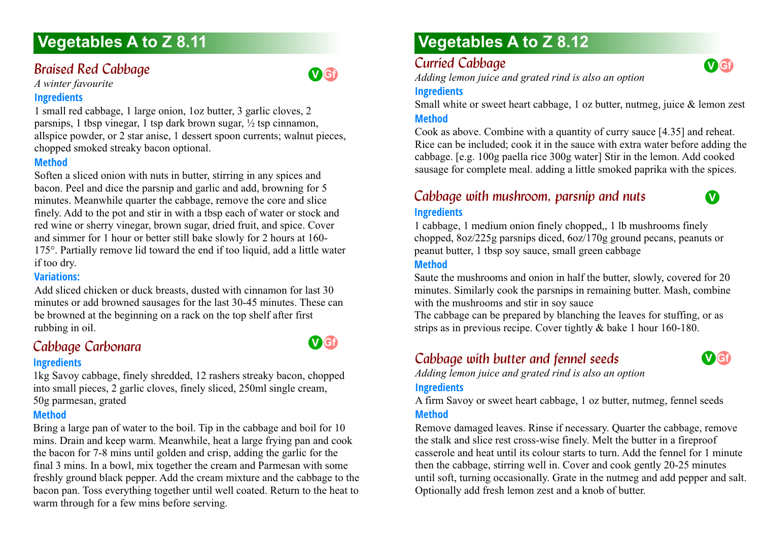# **Braised Red Cabbage**

*A winter favourite*

#### **Ingredients**

1 small red cabbage, 1 large onion, 1oz butter, 3 garlic cloves, 2 parsnips, 1 tbsp vinegar, 1 tsp dark brown sugar,  $\frac{1}{2}$  tsp cinnamon, allspice powder, or 2 star anise, 1 dessert spoon currents; walnut pieces, chopped smoked streaky bacon optional.

#### **Method**

Soften a sliced onion with nuts in butter, stirring in any spices and bacon. Peel and dice the parsnip and garlic and add, browning for 5 minutes. Meanwhile quarter the cabbage, remove the core and slice finely. Add to the pot and stir in with a tbsp each of water or stock and red wine or sherry vinegar, brown sugar, dried fruit, and spice. Cover and simmer for 1 hour or better still bake slowly for 2 hours at 160- 175°. Partially remove lid toward the end if too liquid, add a little water if too dry.

### **Variations:**

Add sliced chicken or duck breasts, dusted with cinnamon for last 30 minutes or add browned sausages for the last 30-45 minutes. These can be browned at the beginning on a rack on the top shelf after first rubbing in oil.

# *Cabbage Carbonara 8.11*

#### **Ingredients**

1kg Savoy cabbage, finely shredded, 12 rashers streaky bacon, chopped into small pieces, 2 garlic cloves, finely sliced, 250ml single cream, 50g parmesan, grated

# **Method**

Bring a large pan of water to the boil. Tip in the cabbage and boil for 10 mins. Drain and keep warm. Meanwhile, heat a large frying pan and cook the bacon for 7-8 mins until golden and crisp, adding the garlic for the final 3 mins. In a bowl, mix together the cream and Parmesan with some freshly ground black pepper. Add the cream mixture and the cabbage to the bacon pan. Toss everything together until well coated. Return to the heat to warm through for a few mins before serving.

# **Vegetables A to Z 8.12**

# **Curried Cabbage**

**V Gf**

**V**

*Adding lemon juice and grated rind is also an option*

### **Ingredients**

Small white or sweet heart cabbage, 1 oz butter, nutmeg, juice & lemon zest

#### **Method**

Cook as above. Combine with a quantity of curry sauce [4.35] and reheat. Rice can be included; cook it in the sauce with extra water before adding the cabbage. [e.g. 100g paella rice 300g water] Stir in the lemon. Add cooked sausage for complete meal. adding a little smoked paprika with the spices.

# *Cabbage with mushroom, parsnip and nuts* **Ingredients**

1 cabbage, 1 medium onion finely chopped,, 1 lb mushrooms finely chopped, 8oz/225g parsnips diced, 6oz/170g ground pecans, peanuts or peanut butter, 1 tbsp soy sauce, small green cabbage

#### **Method**

Saute the mushrooms and onion in half the butter, slowly, covered for 20 minutes. Similarly cook the parsnips in remaining butter. Mash, combine with the mushrooms and stir in soy sauce

The cabbage can be prepared by blanching the leaves for stuffing, or as strips as in previous recipe. Cover tightly & bake 1 hour 160-180.

# *Cabbage with butter and fennel seeds*

**V Gf**

*Adding lemon juice and grated rind is also an option*

#### **Ingredients**

A firm Savoy or sweet heart cabbage, 1 oz butter, nutmeg, fennel seeds **Method**

Remove damaged leaves. Rinse if necessary. Quarter the cabbage, remove the stalk and slice rest cross-wise finely. Melt the butter in a fireproof casserole and heat until its colour starts to turn. Add the fennel for 1 minute then the cabbage, stirring well in. Cover and cook gently 20-25 minutes until soft, turning occasionally. Grate in the nutmeg and add pepper and salt. Optionally add fresh lemon zest and a knob of butter.



**V Gf**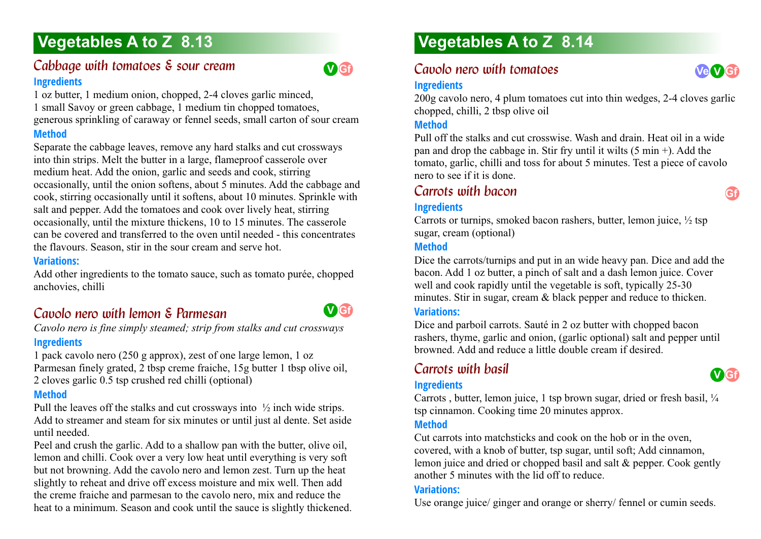# *Cabbage with tomatoes & sour cream* **Ingredients**

1 oz butter, 1 medium onion, chopped, 2-4 cloves garlic minced, 1 small Savoy or green cabbage, 1 medium tin chopped tomatoes, generous sprinkling of caraway or fennel seeds, small carton of sour cream **Method**

Separate the cabbage leaves, remove any hard stalks and cut crossways into thin strips. Melt the butter in a large, flameproof casserole over medium heat. Add the onion, garlic and seeds and cook, stirring occasionally, until the onion softens, about 5 minutes. Add the cabbage and cook, stirring occasionally until it softens, about 10 minutes. Sprinkle with salt and pepper. Add the tomatoes and cook over lively heat, stirring occasionally, until the mixture thickens, 10 to 15 minutes. The casserole can be covered and transferred to the oven until needed - this concentrates the flavours. Season, stir in the sour cream and serve hot.

#### **Variations:**

Add other ingredients to the tomato sauce, such as tomato purée, chopped anchovies, chilli

# *Cavolo nero with lemon & Parmesan*

*Cavolo nero is fine simply steamed; strip from stalks and cut crossways* **Ingredients**

1 pack cavolo nero (250 g approx), zest of one large lemon, 1 oz Parmesan finely grated, 2 tbsp creme fraiche, 15g butter 1 tbsp olive oil, 2 cloves garlic 0.5 tsp crushed red chilli (optional)

### **Method**

Pull the leaves off the stalks and cut crossways into ½ inch wide strips. Add to streamer and steam for six minutes or until just al dente. Set aside until needed.

Peel and crush the garlic. Add to a shallow pan with the butter, olive oil, lemon and chilli. Cook over a very low heat until everything is very soft but not browning. Add the cavolo nero and lemon zest. Turn up the heat slightly to reheat and drive off excess moisture and mix well. Then add the creme fraiche and parmesan to the cavolo nero, mix and reduce the heat to a minimum. Season and cook until the sauce is slightly thickened.

# **Vegetables A to Z 8.14**

# *Cavolo nero with tomatoes*

#### **Ingredients**

**V Gf**

**V Gf**

200g cavolo nero, 4 plum tomatoes cut into thin wedges, 2-4 cloves garlic chopped, chilli, 2 tbsp olive oil

### **Method**

Pull off the stalks and cut crosswise. Wash and drain. Heat oil in a wide pan and drop the cabbage in. Stir fry until it wilts  $(5 \text{ min} +)$ . Add the tomato, garlic, chilli and toss for about 5 minutes. Test a piece of cavolo nero to see if it is done.

# *Carrots with bacon*

### **Ingredients**

Carrots or turnips, smoked bacon rashers, butter, lemon juice,  $\frac{1}{2}$  tsp sugar, cream (optional)

### **Method**

Dice the carrots/turnips and put in an wide heavy pan. Dice and add the bacon. Add 1 oz butter, a pinch of salt and a dash lemon juice. Cover well and cook rapidly until the vegetable is soft, typically 25-30 minutes. Stir in sugar, cream & black pepper and reduce to thicken.

### **Variations:**

Dice and parboil carrots. Sauté in 2 oz butter with chopped bacon rashers, thyme, garlic and onion, (garlic optional) salt and pepper until browned. Add and reduce a little double cream if desired.

# *Carrots with basil*

#### **Ingredients**



Carrots, butter, lemon juice, 1 tsp brown sugar, dried or fresh basil,  $\frac{1}{4}$ tsp cinnamon. Cooking time 20 minutes approx.

### **Method**

Cut carrots into matchsticks and cook on the hob or in the oven, covered, with a knob of butter, tsp sugar, until soft; Add cinnamon, lemon juice and dried or chopped basil and salt & pepper. Cook gently another 5 minutes with the lid off to reduce.

#### **Variations:**

Use orange juice/ ginger and orange or sherry/ fennel or cumin seeds.



**Gf**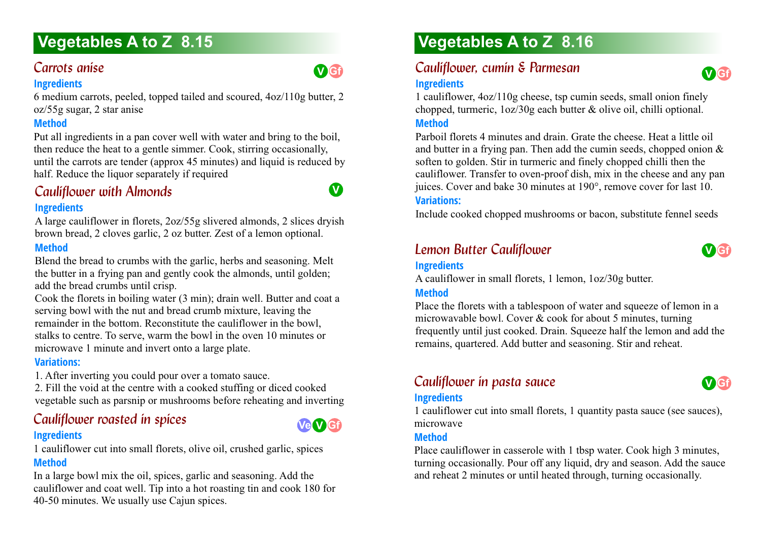# *Carrots anise*

### **Ingredients**

6 medium carrots, peeled, topped tailed and scoured, 4oz/110g butter, 2 oz/55g sugar, 2 star anise

## **Method**

Put all ingredients in a pan cover well with water and bring to the boil, then reduce the heat to a gentle simmer. Cook, stirring occasionally, until the carrots are tender (approx 45 minutes) and liquid is reduced by half. Reduce the liquor separately if required

# *Cauliflower with Almonds*

### **Ingredients**

A large cauliflower in florets, 2oz/55g slivered almonds, 2 slices dryish brown bread, 2 cloves garlic, 2 oz butter. Zest of a lemon optional.

# **Method**

Blend the bread to crumbs with the garlic, herbs and seasoning. Melt the butter in a frying pan and gently cook the almonds, until golden; add the bread crumbs until crisp.

Cook the florets in boiling water (3 min); drain well. Butter and coat a serving bowl with the nut and bread crumb mixture, leaving the remainder in the bottom. Reconstitute the cauliflower in the bowl, stalks to centre. To serve, warm the bowl in the oven 10 minutes or microwave 1 minute and invert onto a large plate.

### **Variations:**

1. After inverting you could pour over a tomato sauce.

2. Fill the void at the centre with a cooked stuffing or diced cooked vegetable such as parsnip or mushrooms before reheating and inverting

# *Cauliflower roasted in spices* **Ingredients**

1 cauliflower cut into small florets, olive oil, crushed garlic, spices **Method**

In a large bowl mix the oil, spices, garlic and seasoning. Add the cauliflower and coat well. Tip into a hot roasting tin and cook 180 for 40-50 minutes. We usually use Cajun spices.

# **Vegetables A to Z 8.16**

# *Cauliflower, cumin & Parmesan* **Ingredients**

1 cauliflower, 4oz/110g cheese, tsp cumin seeds, small onion finely chopped, turmeric, 1oz/30g each butter & olive oil, chilli optional. **Method**

Parboil florets 4 minutes and drain. Grate the cheese. Heat a little oil and butter in a frying pan. Then add the cumin seeds, chopped onion & soften to golden. Stir in turmeric and finely chopped chilli then the cauliflower. Transfer to oven-proof dish, mix in the cheese and any pan juices. Cover and bake 30 minutes at 190°, remove cover for last 10.

### **Variations:**

Include cooked chopped mushrooms or bacon, substitute fennel seeds

# **Lemon Butter Cauliflower**



**V Gf**

# **Ingredients**

A cauliflower in small florets, 1 lemon, 1oz/30g butter.

### **Method**

Place the florets with a tablespoon of water and squeeze of lemon in a microwavable bowl. Cover & cook for about 5 minutes, turning frequently until just cooked. Drain. Squeeze half the lemon and add the remains, quartered. Add butter and seasoning. Stir and reheat.

# **Cauliflower in pasta sauce**



#### **Ingredients**



#### **Method**

**Ve V Gf**

**V Gf**

**V**

Place cauliflower in casserole with 1 tbsp water. Cook high 3 minutes, turning occasionally. Pour off any liquid, dry and season. Add the sauce and reheat 2 minutes or until heated through, turning occasionally.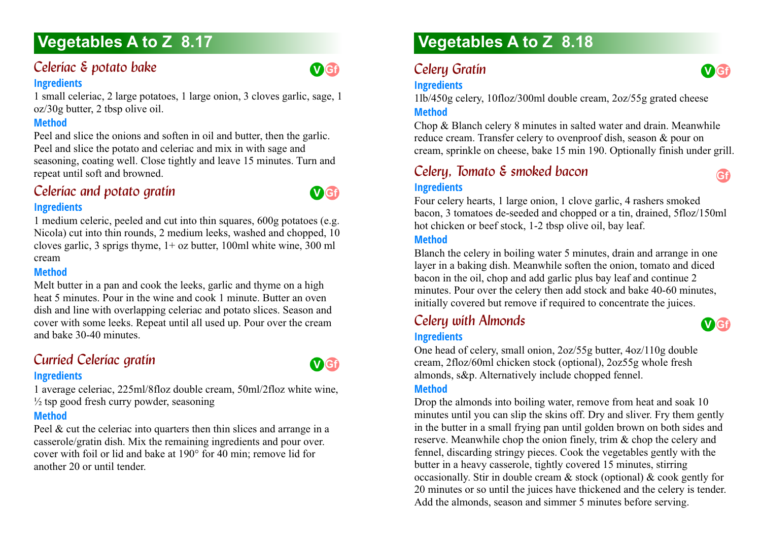# *Celeriac & potato bake*

#### **Ingredients**

1 small celeriac, 2 large potatoes, 1 large onion, 3 cloves garlic, sage, 1 oz/30g butter, 2 tbsp olive oil.

## **Method**

Peel and slice the onions and soften in oil and butter, then the garlic. Peel and slice the potato and celeriac and mix in with sage and seasoning, coating well. Close tightly and leave 15 minutes. Turn and repeat until soft and browned.

# *Celeriac and potato gratin* **Ingredients**



**V Gf**

1 medium celeric, peeled and cut into thin squares, 600g potatoes (e.g. Nicola) cut into thin rounds, 2 medium leeks, washed and chopped, 10 cloves garlic, 3 sprigs thyme, 1+ oz butter, 100ml white wine, 300 ml cream

### **Method**

Melt butter in a pan and cook the leeks, garlic and thyme on a high heat 5 minutes. Pour in the wine and cook 1 minute. Butter an oven dish and line with overlapping celeriac and potato slices. Season and cover with some leeks. Repeat until all used up. Pour over the cream and bake 30-40 minutes.

# **Curried Celeriac gratin**



**Ingredients** 1 average celeriac, 225ml/8floz double cream, 50ml/2floz white wine,  $\frac{1}{2}$  tsp good fresh curry powder, seasoning

### **Method**

Peel & cut the celeriac into quarters then thin slices and arrange in a casserole/gratin dish. Mix the remaining ingredients and pour over. cover with foil or lid and bake at 190° for 40 min; remove lid for another 20 or until tender.

# **Vegetables A to Z 8.18**

# **Celery Gratin**

# **Ingredients**



**Gf**

1lb/450g celery, 10floz/300ml double cream, 2oz/55g grated cheese **Method**

Chop & Blanch celery 8 minutes in salted water and drain. Meanwhile reduce cream. Transfer celery to ovenproof dish, season & pour on cream, sprinkle on cheese, bake 15 min 190. Optionally finish under grill.

# *Celery, Tomato & smoked bacon* **Ingredients**

Four celery hearts, 1 large onion, 1 clove garlic, 4 rashers smoked bacon, 3 tomatoes de-seeded and chopped or a tin, drained, 5floz/150ml hot chicken or beef stock, 1-2 tbsp olive oil, bay leaf.

#### **Method**

Blanch the celery in boiling water 5 minutes, drain and arrange in one layer in a baking dish. Meanwhile soften the onion, tomato and diced bacon in the oil, chop and add garlic plus bay leaf and continue 2 minutes. Pour over the celery then add stock and bake 40-60 minutes, initially covered but remove if required to concentrate the juices.

# *Celery with Almonds*



# **Ingredients**

One head of celery, small onion, 2oz/55g butter, 4oz/110g double cream, 2floz/60ml chicken stock (optional), 2oz55g whole fresh almonds, s&p. Alternatively include chopped fennel.

#### **Method**

Drop the almonds into boiling water, remove from heat and soak 10 minutes until you can slip the skins off. Dry and sliver. Fry them gently in the butter in a small frying pan until golden brown on both sides and reserve. Meanwhile chop the onion finely, trim & chop the celery and fennel, discarding stringy pieces. Cook the vegetables gently with the butter in a heavy casserole, tightly covered 15 minutes, stirring occasionally. Stir in double cream & stock (optional) & cook gently for 20 minutes or so until the juices have thickened and the celery is tender. Add the almonds, season and simmer 5 minutes before serving.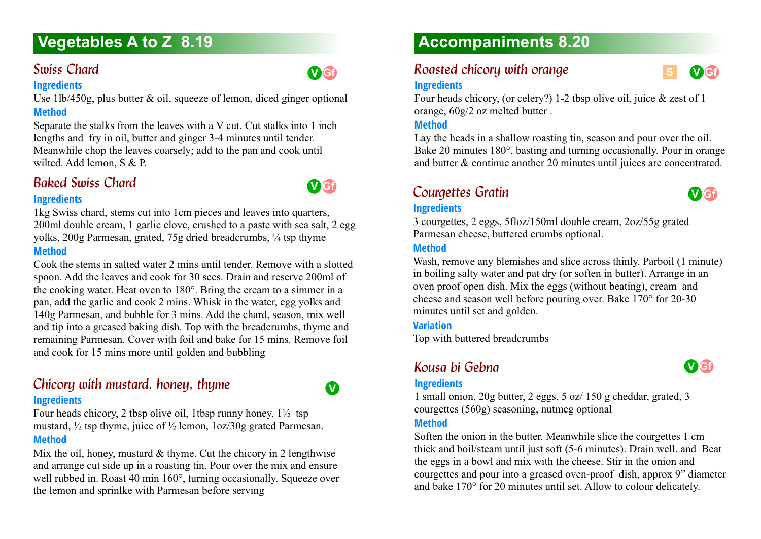# *Swiss Chard*

#### **Ingredients**

Use 1lb/450g, plus butter & oil, squeeze of lemon, diced ginger optional **Method**

Separate the stalks from the leaves with a V cut. Cut stalks into 1 inch lengths and fry in oil, butter and ginger 3-4 minutes until tender. Meanwhile chop the leaves coarsely; add to the pan and cook until wilted. Add lemon, S & P.

# *Baked Swiss Chard*

#### **Ingredients**

1kg Swiss chard, stems cut into 1cm pieces and leaves into quarters, 200ml double cream, 1 garlic clove, crushed to a paste with sea salt, 2 egg yolks, 200g Parmesan, grated, 75g dried breadcrumbs, ¼ tsp thyme **Method**

Cook the stems in salted water 2 mins until tender. Remove with a slotted spoon. Add the leaves and cook for 30 secs. Drain and reserve 200ml of the cooking water. Heat oven to 180°. Bring the cream to a simmer in a pan, add the garlic and cook 2 mins. Whisk in the water, egg yolks and 140g Parmesan, and bubble for 3 mins. Add the chard, season, mix well and tip into a greased baking dish. Top with the breadcrumbs, thyme and remaining Parmesan. Cover with foil and bake for 15 mins. Remove foil and cook for 15 mins more until golden and bubbling

# *Chicory with mustard, honey, thyme*

# **Ingredients**

Four heads chicory, 2 tbsp olive oil, 1tbsp runny honey,  $1\frac{1}{2}$  tsp mustard, ½ tsp thyme, juice of ½ lemon, 1oz/30g grated Parmesan. **Method**

Mix the oil, honey, mustard  $&$  thyme. Cut the chicory in 2 lengthwise and arrange cut side up in a roasting tin. Pour over the mix and ensure well rubbed in. Roast 40 min 160°, turning occasionally. Squeeze over the lemon and sprinlke with Parmesan before serving

# **Accompaniments 8.20**

# *Roasted chicory with orange*

#### **Ingredients**

Four heads chicory, (or celery?) 1-2 tbsp olive oil, juice & zest of 1 orange, 60g/2 oz melted butter .

### **Method**

Lay the heads in a shallow roasting tin, season and pour over the oil. Bake 20 minutes 180°, basting and turning occasionally. Pour in orange and butter & continue another 20 minutes until juices are concentrated.

# *Courgettes Gratin 8.20*

**Ingredients** 3 courgettes, 2 eggs, 5floz/150ml double cream, 2oz/55g grated Parmesan cheese, buttered crumbs optional.

#### **Method**

Wash, remove any blemishes and slice across thinly. Parboil (1 minute) in boiling salty water and pat dry (or soften in butter). Arrange in an oven proof open dish. Mix the eggs (without beating), cream and cheese and season well before pouring over. Bake 170° for 20-30 minutes until set and golden.

#### **Variation**

Top with buttered breadcrumbs

# *Kousa bi Gebna 8.20*



**V Gf**

**S**

**V Gf**

#### **Ingredients**

1 small onion, 20g butter, 2 eggs, 5 oz/ 150 g cheddar, grated, 3 courgettes (560g) seasoning, nutmeg optional

#### **Method**

Soften the onion in the butter. Meanwhile slice the courgettes 1 cm thick and boil/steam until just soft (5-6 minutes). Drain well. and Beat the eggs in a bowl and mix with the cheese. Stir in the onion and courgettes and pour into a greased oven-proof dish, approx 9" diameter and bake 170° for 20 minutes until set. Allow to colour delicately.



**V**

**V Gf**

**V Gf**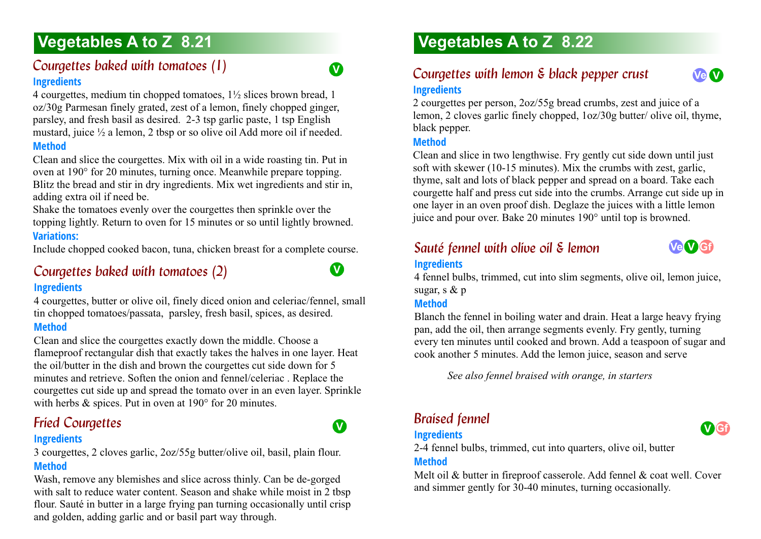# *Courgettes baked with tomatoes (1)* **Ingredients**

4 courgettes, medium tin chopped tomatoes, 1½ slices brown bread, 1 oz/30g Parmesan finely grated, zest of a lemon, finely chopped ginger, parsley, and fresh basil as desired. 2-3 tsp garlic paste, 1 tsp English mustard, juice ½ a lemon, 2 tbsp or so olive oil Add more oil if needed. **Method**

Clean and slice the courgettes. Mix with oil in a wide roasting tin. Put in oven at 190° for 20 minutes, turning once. Meanwhile prepare topping. Blitz the bread and stir in dry ingredients. Mix wet ingredients and stir in, adding extra oil if need be.

Shake the tomatoes evenly over the courgettes then sprinkle over the topping lightly. Return to oven for 15 minutes or so until lightly browned. **Variations:**

Include chopped cooked bacon, tuna, chicken breast for a complete course.

# *Courgettes baked with tomatoes (2)* **Ingredients**

4 courgettes, butter or olive oil, finely diced onion and celeriac/fennel, small tin chopped tomatoes/passata, parsley, fresh basil, spices, as desired. **Method**

Clean and slice the courgettes exactly down the middle. Choose a flameproof rectangular dish that exactly takes the halves in one layer. Heat the oil/butter in the dish and brown the courgettes cut side down for 5 minutes and retrieve. Soften the onion and fennel/celeriac . Replace the courgettes cut side up and spread the tomato over in an even layer. Sprinkle with herbs & spices. Put in oven at 190 $\degree$  for 20 minutes.

# **Fried Courgettes Accounts 2.21 Courgettes Courgettes Courgettes Courgettes**

### **Ingredients**

3 courgettes, 2 cloves garlic, 2oz/55g butter/olive oil, basil, plain flour. **Method**

Wash, remove any blemishes and slice across thinly. Can be de-gorged with salt to reduce water content. Season and shake while moist in 2 tbsp flour. Sauté in butter in a large frying pan turning occasionally until crisp and golden, adding garlic and or basil part way through.

# **Vegetables A to Z 8.22**

# Courgettes with lemon & black pepper crust **Ingredients**



#### **Method**

**V**

**V**

**V**

Clean and slice in two lengthwise. Fry gently cut side down until just soft with skewer (10-15 minutes). Mix the crumbs with zest, garlic, thyme, salt and lots of black pepper and spread on a board. Take each courgette half and press cut side into the crumbs. Arrange cut side up in one layer in an oven proof dish. Deglaze the juices with a little lemon juice and pour over. Bake 20 minutes 190° until top is browned.

# *Sauté fennel with olive oil & lemon* **Ingredients**

**Ve V Gf**

**Ve V**

4 fennel bulbs, trimmed, cut into slim segments, olive oil, lemon juice, sugar, s & p

#### **Method**

Blanch the fennel in boiling water and drain. Heat a large heavy frying pan, add the oil, then arrange segments evenly. Fry gently, turning every ten minutes until cooked and brown. Add a teaspoon of sugar and cook another 5 minutes. Add the lemon juice, season and serve

*See also fennel braised with orange, in starters*

# *Braised fennel*

# **Ingredients**

2-4 fennel bulbs, trimmed, cut into quarters, olive oil, butter **Method**

Melt oil & butter in fireproof casserole. Add fennel & coat well. Cover and simmer gently for 30-40 minutes, turning occasionally.

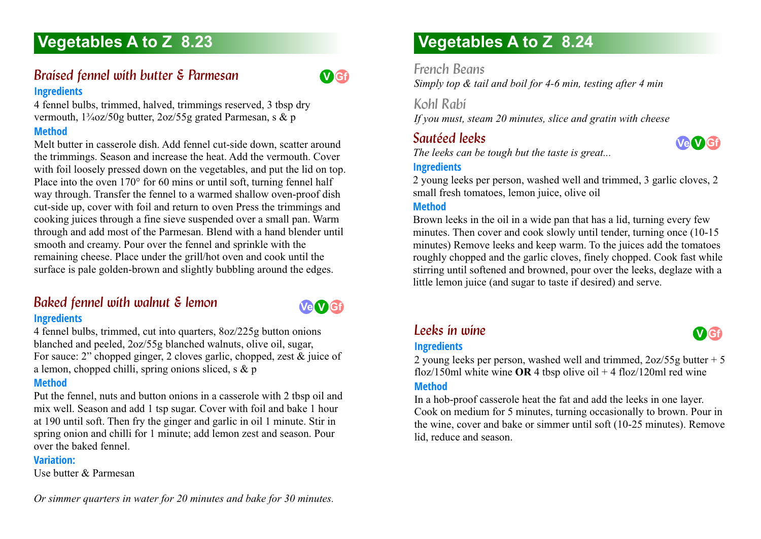# **Braised fennel with butter & Parmesan Ingredients**

4 fennel bulbs, trimmed, halved, trimmings reserved, 3 tbsp dry vermouth,  $1\frac{3}{4}$ oz/50g butter,  $2$ oz/55g grated Parmesan, s & p

### **Method**

Melt butter in casserole dish. Add fennel cut-side down, scatter around the trimmings. Season and increase the heat. Add the vermouth. Cover with foil loosely pressed down on the vegetables, and put the lid on top. Place into the oven 170° for 60 mins or until soft, turning fennel half way through. Transfer the fennel to a warmed shallow oven-proof dish cut-side up, cover with foil and return to oven Press the trimmings and cooking juices through a fine sieve suspended over a small pan. Warm through and add most of the Parmesan. Blend with a hand blender until smooth and creamy. Pour over the fennel and sprinkle with the remaining cheese. Place under the grill/hot oven and cook until the surface is pale golden-brown and slightly bubbling around the edges.

# **Baked fennel with walnut & lemon**

**Ve V Gf**

**V Gf**

# **Ingredients**

4 fennel bulbs, trimmed, cut into quarters, 8oz/225g button onions blanched and peeled, 2oz/55g blanched walnuts, olive oil, sugar, For sauce: 2" chopped ginger, 2 cloves garlic, chopped, zest & juice of a lemon, chopped chilli, spring onions sliced, s  $\&$  p

### **Method**

Put the fennel, nuts and button onions in a casserole with 2 tbsp oil and mix well. Season and add 1 tsp sugar. Cover with foil and bake 1 hour at 190 until soft. Then fry the ginger and garlic in oil 1 minute. Stir in spring onion and chilli for 1 minute; add lemon zest and season. Pour over the baked fennel.

#### **Variation:**

Use butter & Parmesan

# **Vegetables A to Z 8.24**

*French Beans*

*Simply top & tail and boil for 4-6 min, testing after 4 min*

*Kohl Rabi*

*If you must, steam 20 minutes, slice and gratin with cheese*

# *Sautéed leeks*

*The leeks can be tough but the taste is great...*

## **Ingredients**

2 young leeks per person, washed well and trimmed, 3 garlic cloves, 2 small fresh tomatoes, lemon juice, olive oil

### **Method**

Brown leeks in the oil in a wide pan that has a lid, turning every few minutes. Then cover and cook slowly until tender, turning once (10-15 minutes) Remove leeks and keep warm. To the juices add the tomatoes roughly chopped and the garlic cloves, finely chopped. Cook fast while stirring until softened and browned, pour over the leeks, deglaze with a little lemon juice (and sugar to taste if desired) and serve.

# *Leeks in wine*

**Ingredients**

2 young leeks per person, washed well and trimmed, 2oz/55g butter + 5 floz/150ml white wine OR 4 tbsp olive oil  $+$  4 floz/120ml red wine **Method**

In a hob-proof casserole heat the fat and add the leeks in one layer. Cook on medium for 5 minutes, turning occasionally to brown. Pour in the wine, cover and bake or simmer until soft (10-25 minutes). Remove lid, reduce and season.



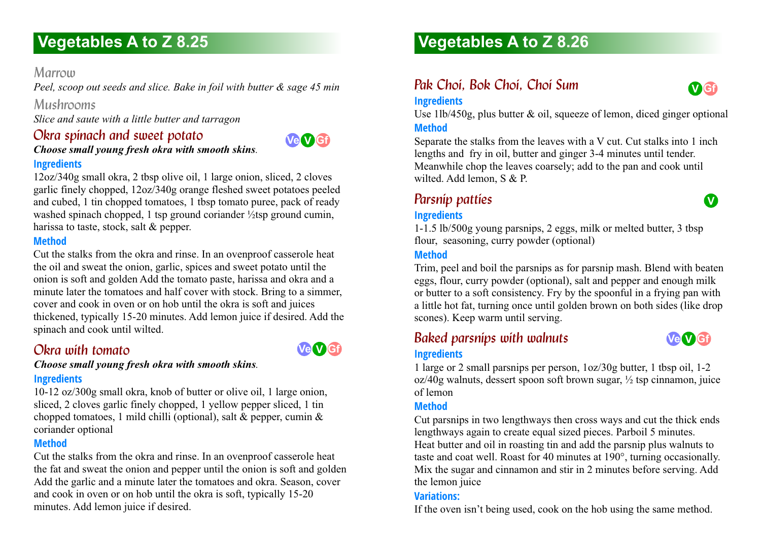# *Marrow*

*Peel, scoop out seeds and slice. Bake in foil with butter & sage 45 min*

# *Mushrooms*

*Slice and saute with a little butter and tarragon*

# *Okra spinach and sweet potato*

### *Choose small young fresh okra with smooth skins.*  **Ingredients**

12oz/340g small okra, 2 tbsp olive oil, 1 large onion, sliced, 2 cloves garlic finely chopped, 12oz/340g orange fleshed sweet potatoes peeled and cubed, 1 tin chopped tomatoes, 1 tbsp tomato puree, pack of ready washed spinach chopped, 1 tsp ground coriander <sup>1</sup>/<sub>2</sub>tsp ground cumin, harissa to taste, stock, salt & pepper.

### **Method**

Cut the stalks from the okra and rinse. In an ovenproof casserole heat the oil and sweat the onion, garlic, spices and sweet potato until the onion is soft and golden Add the tomato paste, harissa and okra and a minute later the tomatoes and half cover with stock. Bring to a simmer, cover and cook in oven or on hob until the okra is soft and juices thickened, typically 15-20 minutes. Add lemon juice if desired. Add the spinach and cook until wilted.

# *Okra with tomato 8.25*

*Choose small young fresh okra with smooth skins.* **Ingredients**

10-12 oz/300g small okra, knob of butter or olive oil, 1 large onion, sliced, 2 cloves garlic finely chopped, 1 yellow pepper sliced, 1 tin chopped tomatoes, 1 mild chilli (optional), salt & pepper, cumin & coriander optional

#### **Method**

Cut the stalks from the okra and rinse. In an ovenproof casserole heat the fat and sweat the onion and pepper until the onion is soft and golden Add the garlic and a minute later the tomatoes and okra. Season, cover and cook in oven or on hob until the okra is soft, typically 15-20 minutes. Add lemon juice if desired.

# **Vegetables A to Z 8.26**

# *Pak Choi, Bok Choi, Choi Sum*



**V**

#### **Ingredients**

Use  $11b/450g$ , plus butter  $\&$  oil, squeeze of lemon, diced ginger optional **Method**

Separate the stalks from the leaves with a V cut. Cut stalks into 1 inch lengths and fry in oil, butter and ginger 3-4 minutes until tender. Meanwhile chop the leaves coarsely; add to the pan and cook until wilted. Add lemon, S & P.

# **Parsnip patties**

### **Ingredients**

1-1.5 lb/500g young parsnips, 2 eggs, milk or melted butter, 3 tbsp flour, seasoning, curry powder (optional)

### **Method**

Trim, peel and boil the parsnips as for parsnip mash. Blend with beaten eggs, flour, curry powder (optional), salt and pepper and enough milk or butter to a soft consistency. Fry by the spoonful in a frying pan with a little hot fat, turning once until golden brown on both sides (like drop scones). Keep warm until serving.

# *Baked parsnips with walnuts*



### **Ingredients**

**Ve V Gf**

**Ve V Gf**

1 large or 2 small parsnips per person, 1oz/30g butter, 1 tbsp oil, 1-2 oz/40g walnuts, dessert spoon soft brown sugar, ½ tsp cinnamon, juice of lemon

#### **Method**

Cut parsnips in two lengthways then cross ways and cut the thick ends lengthways again to create equal sized pieces. Parboil 5 minutes. Heat butter and oil in roasting tin and add the parsnip plus walnuts to taste and coat well. Roast for 40 minutes at 190°, turning occasionally. Mix the sugar and cinnamon and stir in 2 minutes before serving. Add the lemon juice

### **Variations:**

If the oven isn't being used, cook on the hob using the same method.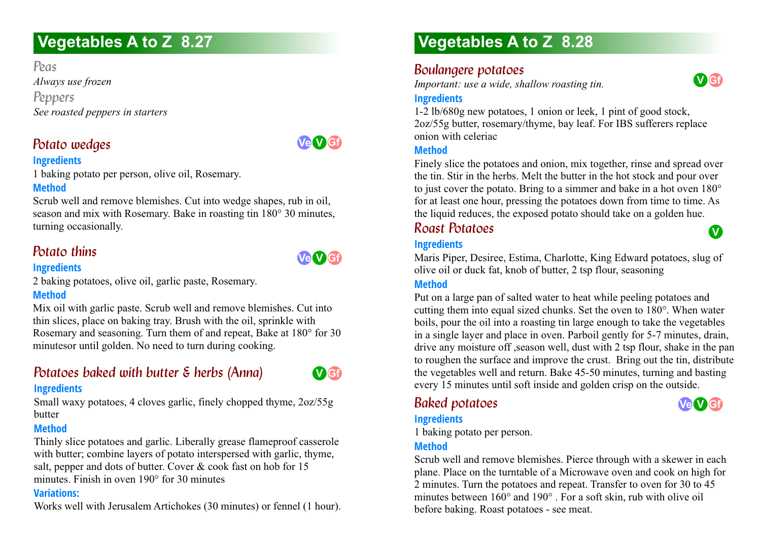*Peas Always use frozen Peppers See roasted peppers in starters*

# *Potato wedges*

**Ve V Gf**

# **Ingredients**

1 baking potato per person, olive oil, Rosemary.

# **Method**

Scrub well and remove blemishes. Cut into wedge shapes, rub in oil, season and mix with Rosemary. Bake in roasting tin 180° 30 minutes, turning occasionally.

# *Potato thins*

#### **Ingredients**

2 baking potatoes, olive oil, garlic paste, Rosemary.

# **Method**

Mix oil with garlic paste. Scrub well and remove blemishes. Cut into thin slices, place on baking tray. Brush with the oil, sprinkle with Rosemary and seasoning. Turn them of and repeat, Bake at 180° for 30 minutesor until golden. No need to turn during cooking.

# *Potatoes baked with butter & herbs (Anna)*



### **Ingredients**

Small waxy potatoes, 4 cloves garlic, finely chopped thyme, 2oz/55g butter

#### **Method**

Thinly slice potatoes and garlic. Liberally grease flameproof casserole with butter; combine layers of potato interspersed with garlic, thyme, salt, pepper and dots of butter. Cover & cook fast on hob for 15 minutes. Finish in oven 190° for 30 minutes

#### **Variations:**

Works well with Jerusalem Artichokes (30 minutes) or fennel (1 hour).

# **Vegetables A to Z 8.28**

# **Boulangere potatoes**

*Important: use a wide, shallow roasting tin.*



**V**

**Ve V Gf**

### **Ingredients**

1-2 lb/680g new potatoes, 1 onion or leek, 1 pint of good stock, 2oz/55g butter, rosemary/thyme, bay leaf. For IBS sufferers replace onion with celeriac

#### **Method**

Finely slice the potatoes and onion, mix together, rinse and spread over the tin. Stir in the herbs. Melt the butter in the hot stock and pour over to just cover the potato. Bring to a simmer and bake in a hot oven 180° for at least one hour, pressing the potatoes down from time to time. As the liquid reduces, the exposed potato should take on a golden hue.

# *Roast Potatoes*

### **Ingredients**

Maris Piper, Desiree, Estima, Charlotte, King Edward potatoes, slug of olive oil or duck fat, knob of butter, 2 tsp flour, seasoning

### **Method**

Put on a large pan of salted water to heat while peeling potatoes and cutting them into equal sized chunks. Set the oven to 180°. When water boils, pour the oil into a roasting tin large enough to take the vegetables in a single layer and place in oven. Parboil gently for 5-7 minutes, drain, drive any moisture off ,season well, dust with 2 tsp flour, shake in the pan to roughen the surface and improve the crust. Bring out the tin, distribute the vegetables well and return. Bake 45-50 minutes, turning and basting every 15 minutes until soft inside and golden crisp on the outside.

# *Baked potatoes*

# **Ingredients**

1 baking potato per person.

#### **Method**

Scrub well and remove blemishes. Pierce through with a skewer in each plane. Place on the turntable of a Microwave oven and cook on high for 2 minutes. Turn the potatoes and repeat. Transfer to oven for 30 to 45 minutes between 160° and 190° . For a soft skin, rub with olive oil before baking. Roast potatoes - see meat.

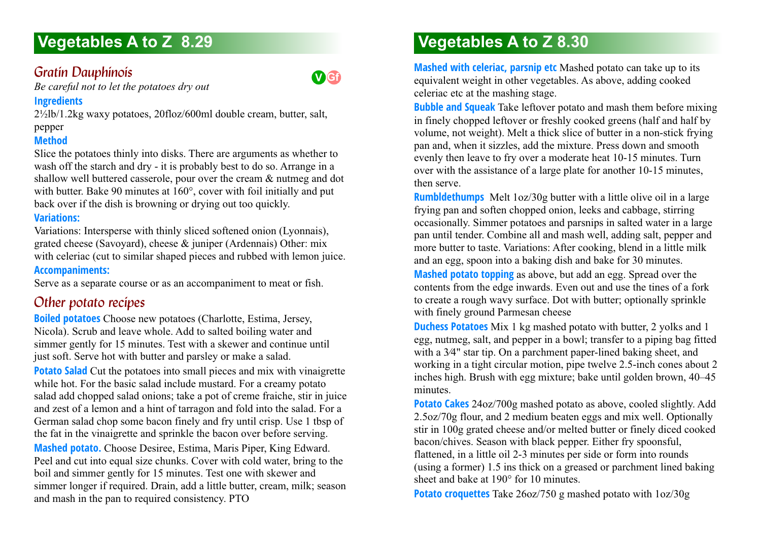# *Gratin Dauphinois*

**V Gf**

*Be careful not to let the potatoes dry out*

#### **Ingredients**

2½lb/1.2kg waxy potatoes, 20floz/600ml double cream, butter, salt, pepper

# **Method**

Slice the potatoes thinly into disks. There are arguments as whether to wash off the starch and dry - it is probably best to do so. Arrange in a shallow well buttered casserole, pour over the cream & nutmeg and dot with butter. Bake 90 minutes at 160°, cover with foil initially and put back over if the dish is browning or drying out too quickly.

## **Variations:**

Variations: Intersperse with thinly sliced softened onion (Lyonnais), grated cheese (Savoyard), cheese & juniper (Ardennais) Other: mix with celeriac (cut to similar shaped pieces and rubbed with lemon juice. **Accompaniments:**

Serve as a separate course or as an accompaniment to meat or fish.

# *Other potato recipes*

**Boiled potatoes** Choose new potatoes (Charlotte, Estima, Jersey, Nicola). Scrub and leave whole. Add to salted boiling water and simmer gently for 15 minutes. Test with a skewer and continue until just soft. Serve hot with butter and parsley or make a salad. **Potato Salad** Cut the potatoes into small pieces and mix with vinaigrette while hot. For the basic salad include mustard. For a creamy potato salad add chopped salad onions; take a pot of creme fraiche, stir in juice and zest of a lemon and a hint of tarragon and fold into the salad. For a German salad chop some bacon finely and fry until crisp. Use 1 tbsp of the fat in the vinaigrette and sprinkle the bacon over before serving. **Mashed potato.** Choose Desiree, Estima, Maris Piper, King Edward. Peel and cut into equal size chunks. Cover with cold water, bring to the boil and simmer gently for 15 minutes. Test one with skewer and simmer longer if required. Drain, add a little butter, cream, milk; season and mash in the pan to required consistency. PTO

# **Vegetables A to Z 8.30**

**Mashed with celeriac, parsnip etc** Mashed potato can take up to its equivalent weight in other vegetables. As above, adding cooked celeriac etc at the mashing stage.

**Bubble and Squeak** Take leftover potato and mash them before mixing in finely chopped leftover or freshly cooked greens (half and half by volume, not weight). Melt a thick slice of butter in a non-stick frying pan and, when it sizzles, add the mixture. Press down and smooth evenly then leave to fry over a moderate heat 10-15 minutes. Turn over with the assistance of a large plate for another 10-15 minutes, then serve.

**Rumbldethumps** Melt 1oz/30g butter with a little olive oil in a large frying pan and soften chopped onion, leeks and cabbage, stirring occasionally. Simmer potatoes and parsnips in salted water in a large pan until tender. Combine all and mash well, adding salt, pepper and more butter to taste. Variations: After cooking, blend in a little milk and an egg, spoon into a baking dish and bake for 30 minutes.

**Mashed potato topping** as above, but add an egg. Spread over the contents from the edge inwards. Even out and use the tines of a fork to create a rough wavy surface. Dot with butter; optionally sprinkle with finely ground Parmesan cheese

**Duchess Potatoes** Mix 1 kg mashed potato with butter, 2 yolks and 1 egg, nutmeg, salt, and pepper in a bowl; transfer to a piping bag fitted with a 3⁄4" star tip. On a parchment paper-lined baking sheet, and working in a tight circular motion, pipe twelve 2.5-inch cones about 2 inches high. Brush with egg mixture; bake until golden brown, 40–45 minutes.

**Potato Cakes** 24oz/700g mashed potato as above, cooled slightly. Add 2.5oz/70g flour, and 2 medium beaten eggs and mix well. Optionally stir in 100g grated cheese and/or melted butter or finely diced cooked bacon/chives. Season with black pepper. Either fry spoonsful, flattened, in a little oil 2-3 minutes per side or form into rounds (using a former) 1.5 ins thick on a greased or parchment lined baking sheet and bake at 190° for 10 minutes.

**Potato croquettes** Take 26oz/750 g mashed potato with 1oz/30g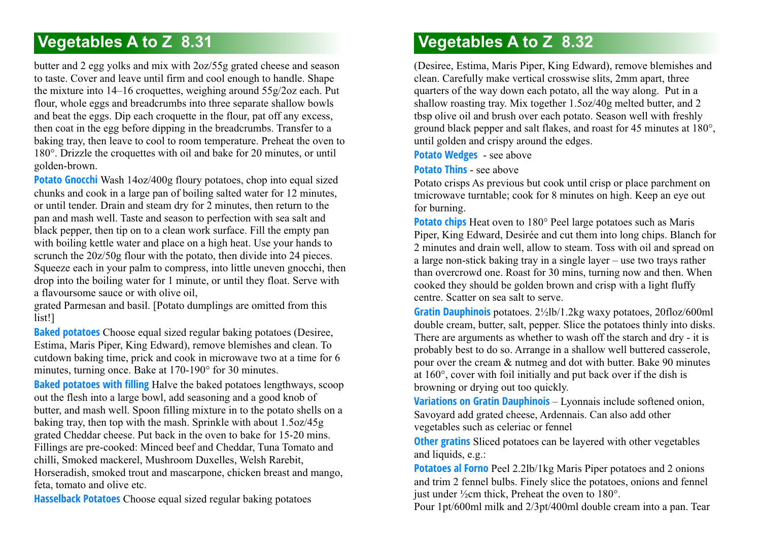butter and 2 egg yolks and mix with 2oz/55g grated cheese and season to taste. Cover and leave until firm and cool enough to handle. Shape the mixture into 14–16 croquettes, weighing around 55g/2oz each. Put flour, whole eggs and breadcrumbs into three separate shallow bowls and beat the eggs. Dip each croquette in the flour, pat off any excess, then coat in the egg before dipping in the breadcrumbs. Transfer to a baking tray, then leave to cool to room temperature. Preheat the oven to 180°. Drizzle the croquettes with oil and bake for 20 minutes, or until golden-brown.

**Potato Gnocchi** Wash 14oz/400g floury potatoes, chop into equal sized chunks and cook in a large pan of boiling salted water for 12 minutes, or until tender. Drain and steam dry for 2 minutes, then return to the pan and mash well. Taste and season to perfection with sea salt and black pepper, then tip on to a clean work surface. Fill the empty pan with boiling kettle water and place on a high heat. Use your hands to scrunch the  $20z/50g$  flour with the potato, then divide into 24 pieces. Squeeze each in your palm to compress, into little uneven gnocchi, then drop into the boiling water for 1 minute, or until they float. Serve with a flavoursome sauce or with olive oil,

grated Parmesan and basil. [Potato dumplings are omitted from this list!]

**Baked potatoes** Choose equal sized regular baking potatoes (Desiree, Estima, Maris Piper, King Edward), remove blemishes and clean. To cutdown baking time, prick and cook in microwave two at a time for 6 minutes, turning once. Bake at 170-190° for 30 minutes.

**Baked potatoes with filling** Halve the baked potatoes lengthways, scoop out the flesh into a large bowl, add seasoning and a good knob of butter, and mash well. Spoon filling mixture in to the potato shells on a baking tray, then top with the mash. Sprinkle with about 1.5oz/45g grated Cheddar cheese. Put back in the oven to bake for 15-20 mins. Fillings are pre-cooked: Minced beef and Cheddar, Tuna Tomato and chilli, Smoked mackerel, Mushroom Duxelles, Welsh Rarebit, Horseradish, smoked trout and mascarpone, chicken breast and mango, feta, tomato and olive etc.

**Hasselback Potatoes** Choose equal sized regular baking potatoes

# **Vegetables A to Z 8.32**

(Desiree, Estima, Maris Piper, King Edward), remove blemishes and clean. Carefully make vertical crosswise slits, 2mm apart, three quarters of the way down each potato, all the way along. Put in a shallow roasting tray. Mix together 1.5oz/40g melted butter, and 2 tbsp olive oil and brush over each potato. Season well with freshly ground black pepper and salt flakes, and roast for 45 minutes at 180°, until golden and crispy around the edges.

**Potato Wedges** - see above

**Potato Thins** - see above

Potato crisps As previous but cook until crisp or place parchment on tmicrowave turntable; cook for 8 minutes on high. Keep an eye out for burning.

**Potato chips** Heat oven to 180° Peel large potatoes such as Maris Piper, King Edward, Desirée and cut them into long chips. Blanch for 2 minutes and drain well, allow to steam. Toss with oil and spread on a large non-stick baking tray in a single layer – use two trays rather than overcrowd one. Roast for 30 mins, turning now and then. When cooked they should be golden brown and crisp with a light fluffy centre. Scatter on sea salt to serve.

**Gratin Dauphinois** potatoes. 2½lb/1.2kg waxy potatoes, 20floz/600ml double cream, butter, salt, pepper. Slice the potatoes thinly into disks. There are arguments as whether to wash off the starch and dry - it is probably best to do so. Arrange in a shallow well buttered casserole, pour over the cream & nutmeg and dot with butter. Bake 90 minutes at 160°, cover with foil initially and put back over if the dish is browning or drying out too quickly.

**Variations on Gratin Dauphinois** – Lyonnais include softened onion, Savoyard add grated cheese, Ardennais. Can also add other vegetables such as celeriac or fennel

**Other gratins** Sliced potatoes can be layered with other vegetables and liquids, e.g.:

**Potatoes al Forno** Peel 2.2lb/1kg Maris Piper potatoes and 2 onions and trim 2 fennel bulbs. Finely slice the potatoes, onions and fennel just under  $\frac{1}{2}$ cm thick, Preheat the oven to 180°.

Pour 1pt/600ml milk and 2/3pt/400ml double cream into a pan. Tear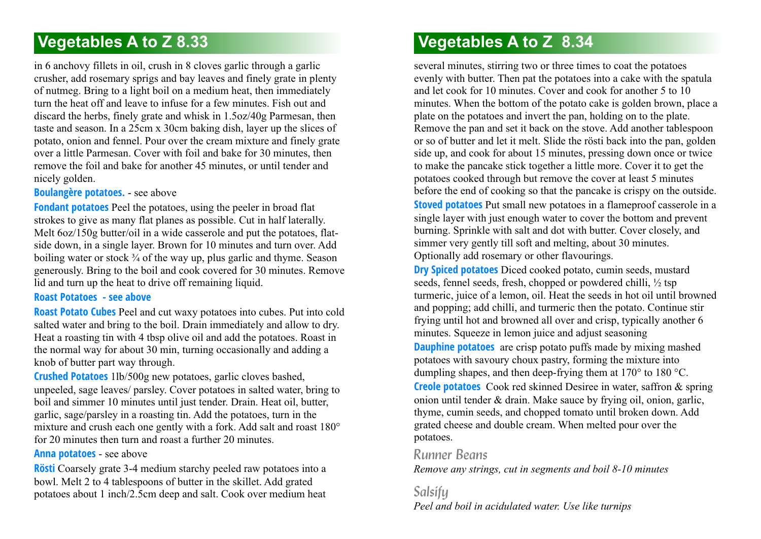in 6 anchovy fillets in oil, crush in 8 cloves garlic through a garlic crusher, add rosemary sprigs and bay leaves and finely grate in plenty of nutmeg. Bring to a light boil on a medium heat, then immediately turn the heat off and leave to infuse for a few minutes. Fish out and discard the herbs, finely grate and whisk in 1.5oz/40g Parmesan, then taste and season. In a 25cm x 30cm baking dish, layer up the slices of potato, onion and fennel. Pour over the cream mixture and finely grate over a little Parmesan. Cover with foil and bake for 30 minutes, then remove the foil and bake for another 45 minutes, or until tender and nicely golden.

**Boulangère potatoes.** - see above

**Fondant potatoes** Peel the potatoes, using the peeler in broad flat strokes to give as many flat planes as possible. Cut in half laterally. Melt  $6oz/150g$  butter/oil in a wide casserole and put the potatoes, flatside down, in a single layer. Brown for 10 minutes and turn over. Add boiling water or stock  $\frac{3}{4}$  of the way up, plus garlic and thyme. Season generously. Bring to the boil and cook covered for 30 minutes. Remove lid and turn up the heat to drive off remaining liquid.

### **Roast Potatoes - see above**

**Roast Potato Cubes** Peel and cut waxy potatoes into cubes. Put into cold salted water and bring to the boil. Drain immediately and allow to dry. Heat a roasting tin with 4 tbsp olive oil and add the potatoes. Roast in the normal way for about 30 min, turning occasionally and adding a knob of butter part way through.

**Crushed Potatoes** 1lb/500g new potatoes, garlic cloves bashed, unpeeled, sage leaves/ parsley. Cover potatoes in salted water, bring to boil and simmer 10 minutes until just tender. Drain. Heat oil, butter, garlic, sage/parsley in a roasting tin. Add the potatoes, turn in the mixture and crush each one gently with a fork. Add salt and roast 180° for 20 minutes then turn and roast a further 20 minutes.

#### **Anna potatoes** - see above

**Rösti** Coarsely grate 3-4 medium starchy peeled raw potatoes into a bowl. Melt 2 to 4 tablespoons of butter in the skillet. Add grated potatoes about 1 inch/2.5cm deep and salt. Cook over medium heat

# **Vegetables A to Z 8.34**

several minutes, stirring two or three times to coat the potatoes evenly with butter. Then pat the potatoes into a cake with the spatula and let cook for 10 minutes. Cover and cook for another 5 to 10 minutes. When the bottom of the potato cake is golden brown, place a plate on the potatoes and invert the pan, holding on to the plate. Remove the pan and set it back on the stove. Add another tablespoon or so of butter and let it melt. Slide the rösti back into the pan, golden side up, and cook for about 15 minutes, pressing down once or twice to make the pancake stick together a little more. Cover it to get the potatoes cooked through but remove the cover at least 5 minutes before the end of cooking so that the pancake is crispy on the outside.

**Stoved potatoes** Put small new potatoes in a flameproof casserole in a single layer with just enough water to cover the bottom and prevent burning. Sprinkle with salt and dot with butter. Cover closely, and simmer very gently till soft and melting, about 30 minutes. Optionally add rosemary or other flavourings.

**Dry Spiced potatoes** Diced cooked potato, cumin seeds, mustard seeds, fennel seeds, fresh, chopped or powdered chilli, ½ tsp turmeric, juice of a lemon, oil. Heat the seeds in hot oil until browned and popping; add chilli, and turmeric then the potato. Continue stir frying until hot and browned all over and crisp, typically another 6 minutes. Squeeze in lemon juice and adjust seasoning **Dauphine potatoes** are crisp potato puffs made by mixing mashed potatoes with savoury choux pastry, forming the mixture into dumpling shapes, and then deep-frying them at 170° to 180 °C.

**Creole potatoes** Cook red skinned Desiree in water, saffron & spring onion until tender & drain. Make sauce by frying oil, onion, garlic, thyme, cumin seeds, and chopped tomato until broken down. Add grated cheese and double cream. When melted pour over the potatoes.

### *Runner Beans*

*Remove any strings, cut in segments and boil 8-10 minutes*

*Salsify Peel and boil in acidulated water. Use like turnips*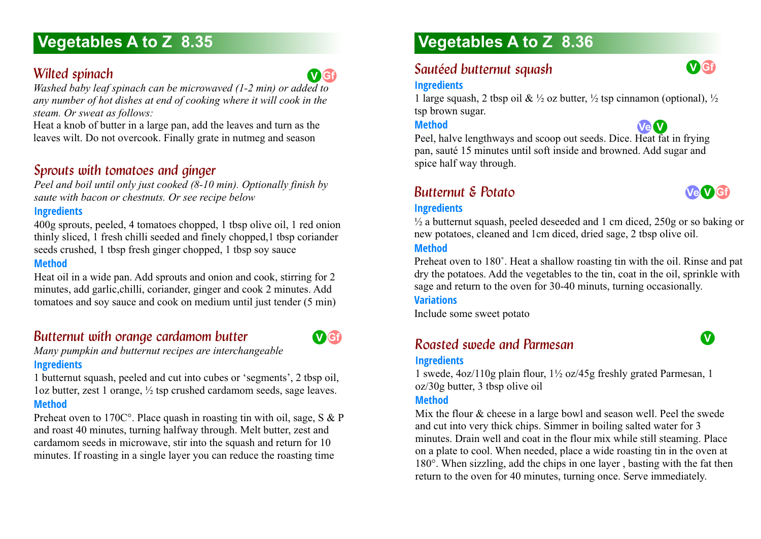# **Wilted spinach**



*Washed baby leaf spinach can be microwaved (1-2 min) or added to any number of hot dishes at end of cooking where it will cook in the steam. Or sweat as follows:*

Heat a knob of butter in a large pan, add the leaves and turn as the leaves wilt. Do not overcook. Finally grate in nutmeg and season

# *Sprouts with tomatoes and ginger*

*Peel and boil until only just cooked (8-10 min). Optionally finish by saute with bacon or chestnuts. Or see recipe below*

#### **Ingredients**

400g sprouts, peeled, 4 tomatoes chopped, 1 tbsp olive oil, 1 red onion thinly sliced, 1 fresh chilli seeded and finely chopped,1 tbsp coriander seeds crushed, 1 tbsp fresh ginger chopped, 1 tbsp soy sauce

#### **Method**

Heat oil in a wide pan. Add sprouts and onion and cook, stirring for 2 minutes, add garlic,chilli, coriander, ginger and cook 2 minutes. Add tomatoes and soy sauce and cook on medium until just tender (5 min)

# *Butternut with orange cardamom butter*



*Many pumpkin and butternut recipes are interchangeable* **Ingredients**

1 butternut squash, peeled and cut into cubes or 'segments', 2 tbsp oil, 1oz butter, zest 1 orange, ½ tsp crushed cardamom seeds, sage leaves. **Method**

Preheat oven to 170C°. Place quash in roasting tin with oil, sage, S & P and roast 40 minutes, turning halfway through. Melt butter, zest and cardamom seeds in microwave, stir into the squash and return for 10 minutes. If roasting in a single layer you can reduce the roasting time

# **Vegetables A to Z 8.36**

# **Sautéed butternut squash**

#### **Ingredients**

1 large squash, 2 tbsp oil &  $\frac{1}{2}$  oz butter,  $\frac{1}{2}$  tsp cinnamon (optional),  $\frac{1}{2}$ tsp brown sugar.

#### **Method**



Peel, halve lengthways and scoop out seeds. Dice. Heat fat in frying pan, sauté 15 minutes until soft inside and browned. Add sugar and spice half way through.

# *Butternut & Potato 8.36*



**V Gf**

#### **Ingredients**

 $\frac{1}{2}$  a butternut squash, peeled deseeded and 1 cm diced, 250g or so baking or new potatoes, cleaned and 1cm diced, dried sage, 2 tbsp olive oil.

#### **Method**

Preheat oven to 180˚. Heat a shallow roasting tin with the oil. Rinse and pat dry the potatoes. Add the vegetables to the tin, coat in the oil, sprinkle with sage and return to the oven for 30-40 minuts, turning occasionally.

**Variations**

Include some sweet potato

# **Roasted swede and Parmesan**



# **Ingredients**

1 swede, 4oz/110g plain flour, 1½ oz/45g freshly grated Parmesan, 1 oz/30g butter, 3 tbsp olive oil

#### **Method**

Mix the flour & cheese in a large bowl and season well. Peel the swede and cut into very thick chips. Simmer in boiling salted water for 3 minutes. Drain well and coat in the flour mix while still steaming. Place on a plate to cool. When needed, place a wide roasting tin in the oven at 180°. When sizzling, add the chips in one layer , basting with the fat then return to the oven for 40 minutes, turning once. Serve immediately.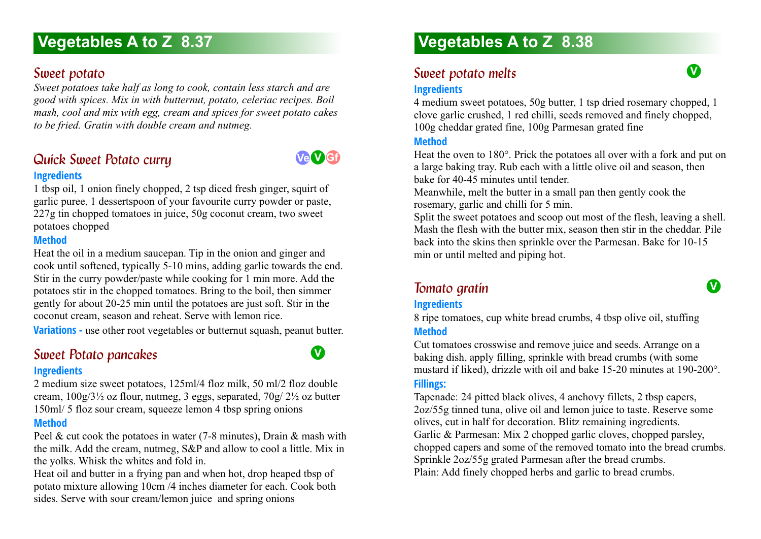# *Sweet potato*

*Sweet potatoes take half as long to cook, contain less starch and are good with spices. Mix in with butternut, potato, celeriac recipes. Boil mash, cool and mix with egg, cream and spices for sweet potato cakes to be fried. Gratin with double cream and nutmeg.*

# **Quick Sweet Potato curry Ingredients**



**V**

1 tbsp oil, 1 onion finely chopped, 2 tsp diced fresh ginger, squirt of garlic puree, 1 dessertspoon of your favourite curry powder or paste, 227g tin chopped tomatoes in juice, 50g coconut cream, two sweet potatoes chopped

#### **Method**

Heat the oil in a medium saucepan. Tip in the onion and ginger and cook until softened, typically 5-10 mins, adding garlic towards the end. Stir in the curry powder/paste while cooking for 1 min more. Add the potatoes stir in the chopped tomatoes. Bring to the boil, then simmer gently for about 20-25 min until the potatoes are just soft. Stir in the coconut cream, season and reheat. Serve with lemon rice.

**Variations** - use other root vegetables or butternut squash, peanut butter.

# **Sweet Potato pancakes**

#### **Ingredients**

2 medium size sweet potatoes, 125ml/4 floz milk, 50 ml/2 floz double cream,  $100g/3\frac{1}{2}$  oz flour, nutmeg, 3 eggs, separated,  $70g/2\frac{1}{2}$  oz butter 150ml/ 5 floz sour cream, squeeze lemon 4 tbsp spring onions

### **Method**

Peel & cut cook the potatoes in water (7-8 minutes), Drain & mash with the milk. Add the cream, nutmeg, S&P and allow to cool a little. Mix in the yolks. Whisk the whites and fold in.

Heat oil and butter in a frying pan and when hot, drop heaped tbsp of potato mixture allowing 10cm /4 inches diameter for each. Cook both sides. Serve with sour cream/lemon juice and spring onions

# **Vegetables A to Z 8.38**

# *Sweet potato melts*



4 medium sweet potatoes, 50g butter, 1 tsp dried rosemary chopped, 1 clove garlic crushed, 1 red chilli, seeds removed and finely chopped, 100g cheddar grated fine, 100g Parmesan grated fine

#### **Method**

Heat the oven to 180°. Prick the potatoes all over with a fork and put on a large baking tray. Rub each with a little olive oil and season, then bake for 40-45 minutes until tender.

Meanwhile, melt the butter in a small pan then gently cook the rosemary, garlic and chilli for 5 min.

Split the sweet potatoes and scoop out most of the flesh, leaving a shell. Mash the flesh with the butter mix, season then stir in the cheddar. Pile back into the skins then sprinkle over the Parmesan. Bake for 10-15 min or until melted and piping hot.

# *Tomato gratin 8.38*

**V**

### **Ingredients**

8 ripe tomatoes, cup white bread crumbs, 4 tbsp olive oil, stuffing **Method**

Cut tomatoes crosswise and remove juice and seeds. Arrange on a baking dish, apply filling, sprinkle with bread crumbs (with some mustard if liked), drizzle with oil and bake 15-20 minutes at 190-200°. **Fillings:**

#### Tapenade: 24 pitted black olives, 4 anchovy fillets, 2 tbsp capers, 2oz/55g tinned tuna, olive oil and lemon juice to taste. Reserve some olives, cut in half for decoration. Blitz remaining ingredients. Garlic & Parmesan: Mix 2 chopped garlic cloves, chopped parsley, chopped capers and some of the removed tomato into the bread crumbs. Sprinkle 2oz/55g grated Parmesan after the bread crumbs. Plain: Add finely chopped herbs and garlic to bread crumbs.

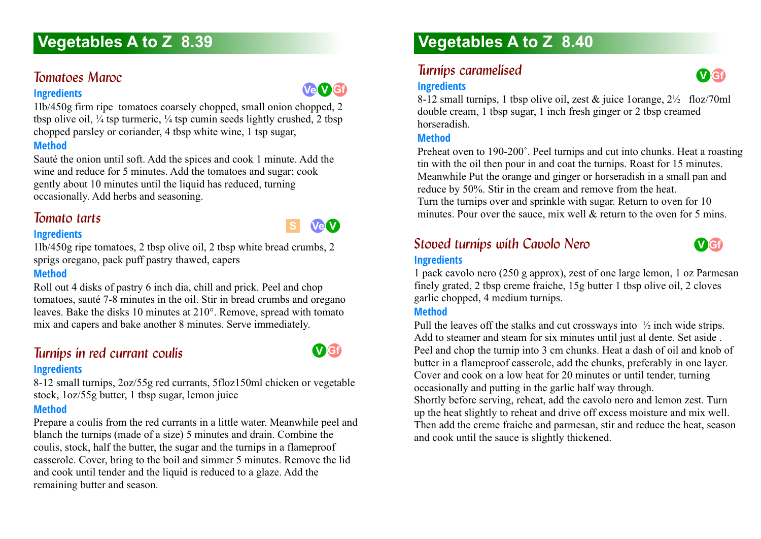# *Tomatoes Maroc 8.39*

#### **Ingredients**

1lb/450g firm ripe tomatoes coarsely chopped, small onion chopped, 2 tbsp olive oil,  $\frac{1}{4}$  tsp turmeric,  $\frac{1}{4}$  tsp cumin seeds lightly crushed, 2 tbsp chopped parsley or coriander, 4 tbsp white wine, 1 tsp sugar,

## **Method**

Sauté the onion until soft. Add the spices and cook 1 minute. Add the wine and reduce for 5 minutes. Add the tomatoes and sugar; cook gently about 10 minutes until the liquid has reduced, turning occasionally. Add herbs and seasoning.

# *Tomato tarts 8.39*

#### **Ingredients**

1lb/450g ripe tomatoes, 2 tbsp olive oil, 2 tbsp white bread crumbs, 2 sprigs oregano, pack puff pastry thawed, capers

### **Method**

Roll out 4 disks of pastry 6 inch dia, chill and prick. Peel and chop tomatoes, sauté 7-8 minutes in the oil. Stir in bread crumbs and oregano leaves. Bake the disks 10 minutes at 210°. Remove, spread with tomato mix and capers and bake another 8 minutes. Serve immediately.

# *Turnips in red currant coulis*

#### **Ingredients**

8-12 small turnips, 2oz/55g red currants, 5floz150ml chicken or vegetable stock, 1oz/55g butter, 1 tbsp sugar, lemon juice

# **Method**

Prepare a coulis from the red currants in a little water. Meanwhile peel and blanch the turnips (made of a size) 5 minutes and drain. Combine the coulis, stock, half the butter, the sugar and the turnips in a flameproof casserole. Cover, bring to the boil and simmer 5 minutes. Remove the lid and cook until tender and the liquid is reduced to a glaze. Add the remaining butter and season.

# **Vegetables A to Z 8.40**

# *Turnips caramelised*

# **Ingredients**

8-12 small turnips, 1 tbsp olive oil, zest  $\&$  juice 1orange,  $2\frac{1}{2}$  floz/70ml double cream, 1 tbsp sugar, 1 inch fresh ginger or 2 tbsp creamed horseradish.

#### **Method**

Preheat oven to 190-200˚. Peel turnips and cut into chunks. Heat a roasting tin with the oil then pour in and coat the turnips. Roast for 15 minutes. Meanwhile Put the orange and ginger or horseradish in a small pan and reduce by 50%. Stir in the cream and remove from the heat. Turn the turnips over and sprinkle with sugar. Return to oven for 10 minutes. Pour over the sauce, mix well & return to the oven for 5 mins.

# **Stoved turnips with Cavolo Nero Ingredients**



#### 1 pack cavolo nero (250 g approx), zest of one large lemon, 1 oz Parmesan finely grated, 2 tbsp creme fraiche, 15g butter 1 tbsp olive oil, 2 cloves garlic chopped, 4 medium turnips.

### **Method**

Pull the leaves off the stalks and cut crossways into ½ inch wide strips. Add to steamer and steam for six minutes until just al dente. Set aside . Peel and chop the turnip into 3 cm chunks. Heat a dash of oil and knob of butter in a flameproof casserole, add the chunks, preferably in one layer. Cover and cook on a low heat for 20 minutes or until tender, turning occasionally and putting in the garlic half way through.

Shortly before serving, reheat, add the cavolo nero and lemon zest. Turn up the heat slightly to reheat and drive off excess moisture and mix well. Then add the creme fraiche and parmesan, stir and reduce the heat, season and cook until the sauce is slightly thickened.



**Ve V Gf**

**S Ve V**

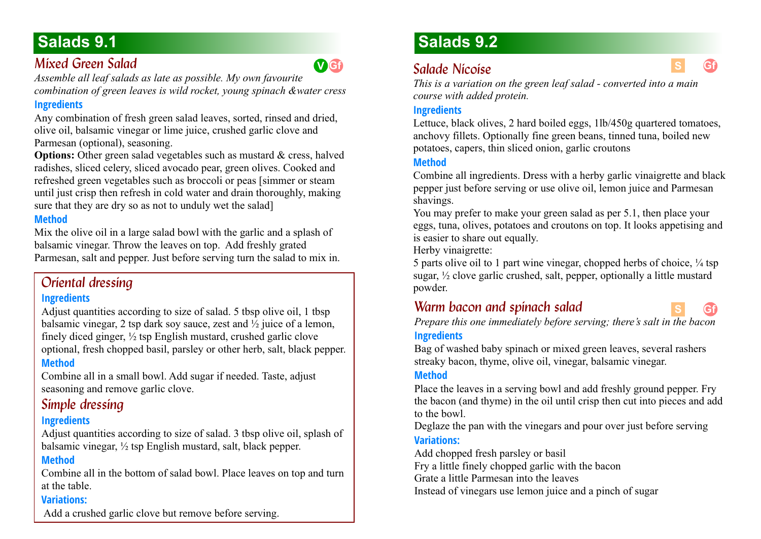# *Mixed Green Salad*

*Assemble all leaf salads as late as possible. My own favourite combination of green leaves is wild rocket, young spinach &water cress* 

# **Ingredients**

Any combination of fresh green salad leaves, sorted, rinsed and dried, olive oil, balsamic vinegar or lime juice, crushed garlic clove and Parmesan (optional), seasoning.

**Options:** Other green salad vegetables such as mustard & cress, halved radishes, sliced celery, sliced avocado pear, green olives. Cooked and refreshed green vegetables such as broccoli or peas [simmer or steam until just crisp then refresh in cold water and drain thoroughly, making sure that they are dry so as not to unduly wet the salad]

### **Method**

Mix the olive oil in a large salad bowl with the garlic and a splash of balsamic vinegar. Throw the leaves on top. Add freshly grated Parmesan, salt and pepper. Just before serving turn the salad to mix in.

# *Oriental dressing*

### **Ingredients**

Adjust quantities according to size of salad. 5 tbsp olive oil, 1 tbsp balsamic vinegar, 2 tsp dark soy sauce, zest and  $\frac{1}{2}$  juice of a lemon, finely diced ginger,  $\frac{1}{2}$  tsp English mustard, crushed garlic clove optional, fresh chopped basil, parsley or other herb, salt, black pepper. **Method**

Combine all in a small bowl. Add sugar if needed. Taste, adjust seasoning and remove garlic clove.

# *Simple dressing*

### **Ingredients**

Adjust quantities according to size of salad. 3 tbsp olive oil, splash of balsamic vinegar, ½ tsp English mustard, salt, black pepper.

### **Method**

Combine all in the bottom of salad bowl. Place leaves on top and turn at the table.

### **Variations:**

Add a crushed garlic clove but remove before serving.

# **Salads 9.2**

# *Salade Nicoise*

*This is a variation on the green leaf salad - converted into a main course with added protein.*

### **Ingredients**

Lettuce, black olives, 2 hard boiled eggs, 1lb/450g quartered tomatoes, anchovy fillets. Optionally fine green beans, tinned tuna, boiled new potatoes, capers, thin sliced onion, garlic croutons

### **Method**

Combine all ingredients. Dress with a herby garlic vinaigrette and black pepper just before serving or use olive oil, lemon juice and Parmesan shavings.

You may prefer to make your green salad as per 5.1, then place your eggs, tuna, olives, potatoes and croutons on top. It looks appetising and is easier to share out equally.

Herby vinaigrette:

5 parts olive oil to 1 part wine vinegar, chopped herbs of choice,  $\frac{1}{4}$  tsp sugar, ½ clove garlic crushed, salt, pepper, optionally a little mustard powder.

# *Warm bacon and spinach salad*



**Gf**

*Prepare this one immediately before serving; there's salt in the bacon* **Ingredients**

Bag of washed baby spinach or mixed green leaves, several rashers streaky bacon, thyme, olive oil, vinegar, balsamic vinegar.

#### **Method**

Place the leaves in a serving bowl and add freshly ground pepper. Fry the bacon (and thyme) in the oil until crisp then cut into pieces and add to the bowl.

Deglaze the pan with the vinegars and pour over just before serving **Variations:**

Add chopped fresh parsley or basil

Fry a little finely chopped garlic with the bacon

Grate a little Parmesan into the leaves

Instead of vinegars use lemon juice and a pinch of sugar

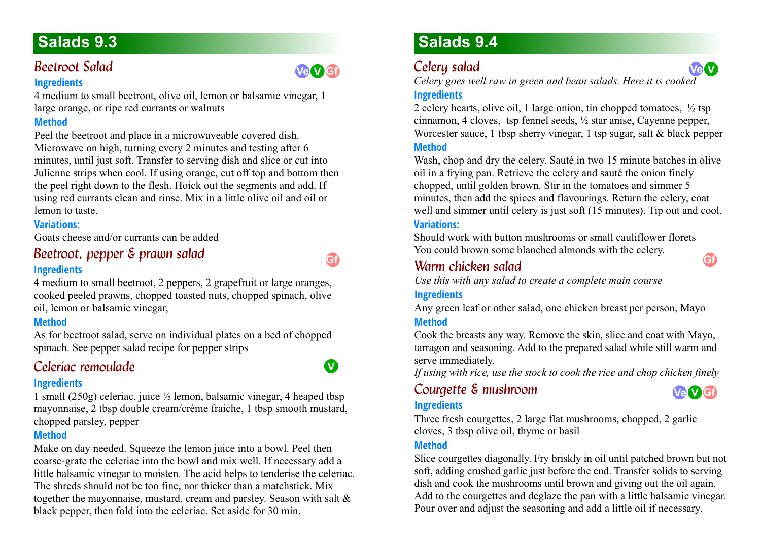# **Beetroot Salad**

#### **Ingredients**

4 medium to small beetroot, olive oil, lemon or balsamic vinegar, 1 large orange, or ripe red currants or walnuts

# **Method**

Peel the beetroot and place in a microwaveable covered dish. Microwave on high, turning every 2 minutes and testing after 6 minutes, until just soft. Transfer to serving dish and slice or cut into Julienne strips when cool. If using orange, cut off top and bottom then the peel right down to the flesh. Hoick out the segments and add. If using red currants clean and rinse. Mix in a little olive oil and oil or lemon to taste.

# **Variations:**

Goats cheese and/or currants can be added

## Beetroot, pepper & prawn salad **Ingredients**

4 medium to small beetroot, 2 peppers, 2 grapefruit or large oranges, cooked peeled prawns, chopped toasted nuts, chopped spinach, olive oil, lemon or balsamic vinegar,

# **Method**

As for beetroot salad, serve on individual plates on a bed of chopped spinach. See pepper salad recipe for pepper strips

# *Celeríac remoulade*

### **Ingredients**

1 small (250g) celeriac, juice ½ lemon, balsamic vinegar, 4 heaped tbsp mayonnaise, 2 tbsp double cream/crème fraiche, 1 tbsp smooth mustard, chopped parsley, pepper

# **Method**

Make on day needed. Squeeze the lemon juice into a bowl. Peel then coarse-grate the celeriac into the bowl and mix well. If necessary add a little balsamic vinegar to moisten. The acid helps to tenderise the celeriac. The shreds should not be too fine, nor thicker than a matchstick. Mix together the mayonnaise, mustard, cream and parsley. Season with salt & black pepper, then fold into the celeriac. Set aside for 30 min.

# **Salads 9.4**

# *Celery salad*

*Celery goes well raw in green and bean salads. Here it is cooked*

# **Ingredients**

2 celery hearts, olive oil, 1 large onion, tin chopped tomatoes,  $\frac{1}{2}$  tsp cinnamon, 4 cloves, tsp fennel seeds, ½ star anise, Cayenne pepper, Worcester sauce, 1 tbsp sherry vinegar, 1 tsp sugar, salt  $\&$  black pepper

#### **Method**

Wash, chop and dry the celery. Sauté in two 15 minute batches in olive oil in a frying pan. Retrieve the celery and sauté the onion finely chopped, until golden brown. Stir in the tomatoes and simmer 5 minutes, then add the spices and flavourings. Return the celery, coat well and simmer until celery is just soft (15 minutes). Tip out and cool.

### **Variations:**

Should work with button mushrooms or small cauliflower florets You could brown some blanched almonds with the celery.

# *Warm chicken salad 9.4*

*Use this with any salad to create a complete main course*

#### **Ingredients**

Any green leaf or other salad, one chicken breast per person, Mayo **Method**

Cook the breasts any way. Remove the skin, slice and coat with Mayo, tarragon and seasoning. Add to the prepared salad while still warm and serve immediately.

*If using with rice, use the stock to cook the rice and chop chicken finely*

# *Courgette & mushroom 9.4*

**Ve V Gf**

# **Ingredients**

Three fresh courgettes, 2 large flat mushrooms, chopped, 2 garlic cloves, 3 tbsp olive oil, thyme or basil

### **Method**

Slice courgettes diagonally. Fry briskly in oil until patched brown but not soft, adding crushed garlic just before the end. Transfer solids to serving dish and cook the mushrooms until brown and giving out the oil again. Add to the courgettes and deglaze the pan with a little balsamic vinegar. Pour over and adjust the seasoning and add a little oil if necessary.



**Gf**

**Ve V Gf**





**Gf**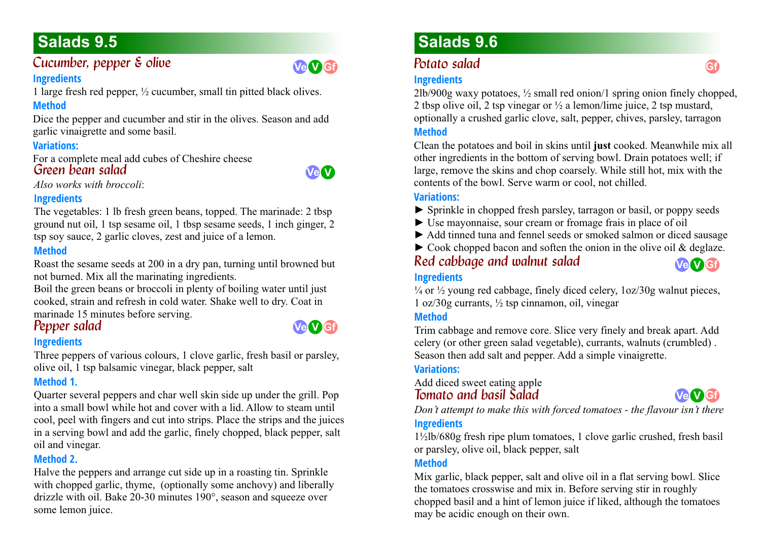### *Cucumber, pepper & olive* **Ingredients**



1 large fresh red pepper, ½ cucumber, small tin pitted black olives.

# **Method**

Dice the pepper and cucumber and stir in the olives. Season and add garlic vinaigrette and some basil.

### **Variations:**

For a complete meal add cubes of Cheshire cheese *Green bean salad* 



*Also works with broccoli*:

# **Ingredients**

The vegetables: 1 lb fresh green beans, topped. The marinade: 2 tbsp ground nut oil, 1 tsp sesame oil, 1 tbsp sesame seeds, 1 inch ginger, 2 tsp soy sauce, 2 garlic cloves, zest and juice of a lemon.

### **Method**

Roast the sesame seeds at 200 in a dry pan, turning until browned but not burned. Mix all the marinating ingredients.

Boil the green beans or broccoli in plenty of boiling water until just cooked, strain and refresh in cold water. Shake well to dry. Coat in marinade 15 minutes before serving.

# **Pepper salad**

### **Ingredients**

Three peppers of various colours, 1 clove garlic, fresh basil or parsley, olive oil, 1 tsp balsamic vinegar, black pepper, salt

# **Method 1.**

Quarter several peppers and char well skin side up under the grill. Pop into a small bowl while hot and cover with a lid. Allow to steam until cool, peel with fingers and cut into strips. Place the strips and the juices in a serving bowl and add the garlic, finely chopped, black pepper, salt oil and vinegar.

# **Method 2.**

Halve the peppers and arrange cut side up in a roasting tin. Sprinkle with chopped garlic, thyme, (optionally some anchovy) and liberally drizzle with oil. Bake 20-30 minutes 190°, season and squeeze over some lemon juice.

# **Salads 9.6**

# **Potato salad**

### **Ingredients**

2lb/900g waxy potatoes, ½ small red onion/1 spring onion finely chopped, 2 tbsp olive oil, 2 tsp vinegar or ½ a lemon/lime juice, 2 tsp mustard, optionally a crushed garlic clove, salt, pepper, chives, parsley, tarragon **Method**

Clean the potatoes and boil in skins until **just** cooked. Meanwhile mix all other ingredients in the bottom of serving bowl. Drain potatoes well; if large, remove the skins and chop coarsely. While still hot, mix with the contents of the bowl. Serve warm or cool, not chilled.

#### **Variations:**

- ► Sprinkle in chopped fresh parsley, tarragon or basil, or poppy seeds
- ► Use mayonnaise, sour cream or fromage frais in place of oil
- ► Add tinned tuna and fennel seeds or smoked salmon or diced sausage
- $\triangleright$  Cook chopped bacon and soften the onion in the olive oil & deglaze.

*Red cabbage and walnut salad* **Ingredients**

**Ve V Gf**

#### $\frac{1}{4}$  or  $\frac{1}{2}$  young red cabbage, finely diced celery,  $1oz/30g$  walnut pieces, 1 oz/30g currants, ½ tsp cinnamon, oil, vinegar

#### **Method**

Trim cabbage and remove core. Slice very finely and break apart. Add celery (or other green salad vegetable), currants, walnuts (crumbled) . Season then add salt and pepper. Add a simple vinaigrette.

# **Variations:**

Add diced sweet eating apple *Tomato and basil Salad* 



*Don't attempt to make this with forced tomatoes - the flavour isn't there* **Ingredients**

1½lb/680g fresh ripe plum tomatoes, 1 clove garlic crushed, fresh basil or parsley, olive oil, black pepper, salt

### **Method**

Mix garlic, black pepper, salt and olive oil in a flat serving bowl. Slice the tomatoes crosswise and mix in. Before serving stir in roughly chopped basil and a hint of lemon juice if liked, although the tomatoes may be acidic enough on their own.

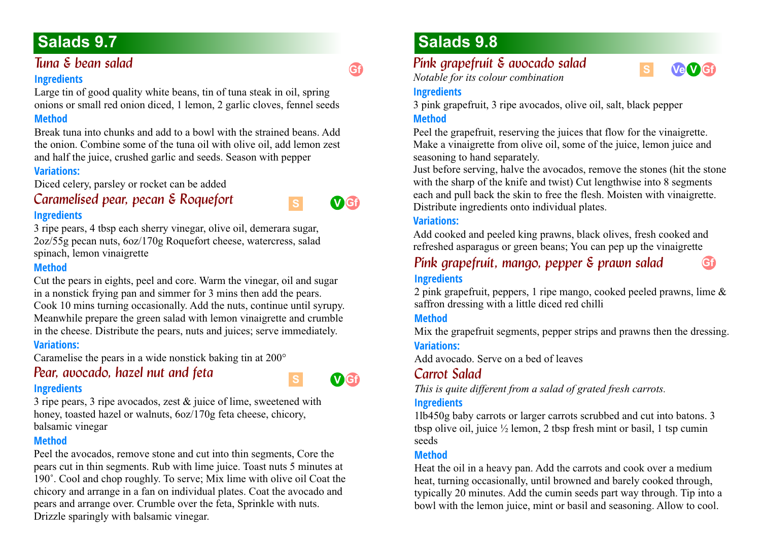# *Tuna & bean salad*

#### **Ingredients**

Large tin of good quality white beans, tin of tuna steak in oil, spring onions or small red onion diced, 1 lemon, 2 garlic cloves, fennel seeds

#### **Method**

Break tuna into chunks and add to a bowl with the strained beans. Add the onion. Combine some of the tuna oil with olive oil, add lemon zest and half the juice, crushed garlic and seeds. Season with pepper

### **Variations:**

Diced celery, parsley or rocket can be added

# *Caramelised pear, pecan & Roquefort* **Ingredients**

3 ripe pears, 4 tbsp each sherry vinegar, olive oil, demerara sugar, 2oz/55g pecan nuts, 6oz/170g Roquefort cheese, watercress, salad spinach, lemon vinaigrette

### **Method**

Cut the pears in eights, peel and core. Warm the vinegar, oil and sugar in a nonstick frying pan and simmer for 3 mins then add the pears. Cook 10 mins turning occasionally. Add the nuts, continue until syrupy. Meanwhile prepare the green salad with lemon vinaigrette and crumble in the cheese. Distribute the pears, nuts and juices; serve immediately. **Variations:**

Caramelise the pears in a wide nonstick baking tin at 200°

# *Pear, avocado, hazel nut and feta* **Ingredients**



**Gf**

**V Gf**

**S**

**S**

3 ripe pears, 3 ripe avocados, zest & juice of lime, sweetened with honey, toasted hazel or walnuts, 6oz/170g feta cheese, chicory, balsamic vinegar

### **Method**

Peel the avocados, remove stone and cut into thin segments, Core the pears cut in thin segments. Rub with lime juice. Toast nuts 5 minutes at 190˚. Cool and chop roughly. To serve; Mix lime with olive oil Coat the chicory and arrange in a fan on individual plates. Coat the avocado and pears and arrange over. Crumble over the feta, Sprinkle with nuts. Drizzle sparingly with balsamic vinegar.

# **Salads 9.8**

# *Pink grapefruit & avocado salad*





**Gf**

### **Ingredients**

3 pink grapefruit, 3 ripe avocados, olive oil, salt, black pepper **Method**

Peel the grapefruit, reserving the juices that flow for the vinaigrette. Make a vinaigrette from olive oil, some of the juice, lemon juice and seasoning to hand separately.

Just before serving, halve the avocados, remove the stones (hit the stone with the sharp of the knife and twist) Cut lengthwise into 8 segments each and pull back the skin to free the flesh. Moisten with vinaigrette. Distribute ingredients onto individual plates.

### **Variations:**

Add cooked and peeled king prawns, black olives, fresh cooked and refreshed asparagus or green beans; You can pep up the vinaigrette

# *Pink grapefruit, mango, pepper & prawn salad* **Ingredients**

2 pink grapefruit, peppers, 1 ripe mango, cooked peeled prawns, lime & saffron dressing with a little diced red chilli

# **Method**

Mix the grapefruit segments, pepper strips and prawns then the dressing. **Variations:**

Add avocado. Serve on a bed of leaves

# *Carrot Salad*

*This is quite different from a salad of grated fresh carrots.*

# **Ingredients**

1lb450g baby carrots or larger carrots scrubbed and cut into batons. 3 tbsp olive oil, juice  $\frac{1}{2}$  lemon, 2 tbsp fresh mint or basil, 1 tsp cumin seeds

# **Method**

Heat the oil in a heavy pan. Add the carrots and cook over a medium heat, turning occasionally, until browned and barely cooked through, typically 20 minutes. Add the cumin seeds part way through. Tip into a bowl with the lemon juice, mint or basil and seasoning. Allow to cool.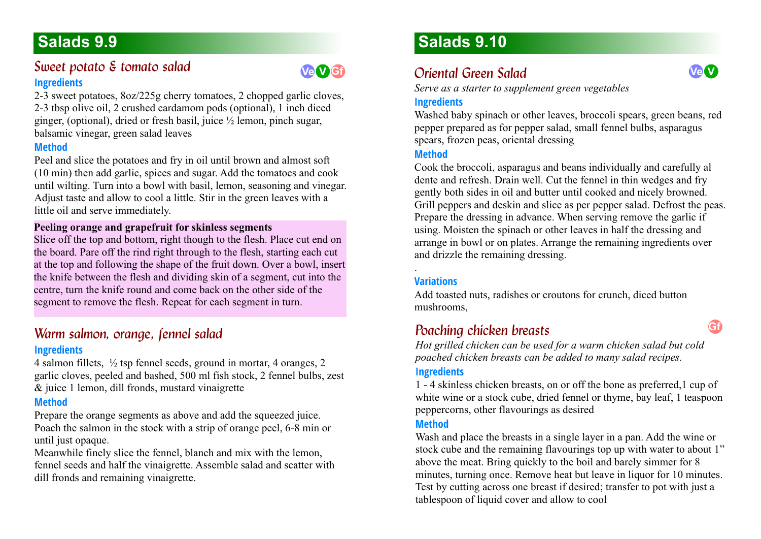# **Sweet potato & tomato salad Ingredients**



2-3 sweet potatoes, 8oz/225g cherry tomatoes, 2 chopped garlic cloves, 2-3 tbsp olive oil, 2 crushed cardamom pods (optional), 1 inch diced ginger, (optional), dried or fresh basil, juice ½ lemon, pinch sugar, balsamic vinegar, green salad leaves

#### **Method**

Peel and slice the potatoes and fry in oil until brown and almost soft (10 min) then add garlic, spices and sugar. Add the tomatoes and cook until wilting. Turn into a bowl with basil, lemon, seasoning and vinegar. Adjust taste and allow to cool a little. Stir in the green leaves with a little oil and serve immediately.

### **Peeling orange and grapefruit for skinless segments**

Slice off the top and bottom, right though to the flesh. Place cut end on the board. Pare off the rind right through to the flesh, starting each cut at the top and following the shape of the fruit down. Over a bowl, insert the knife between the flesh and dividing skin of a segment, cut into the centre, turn the knife round and come back on the other side of the segment to remove the flesh. Repeat for each segment in turn.

# **Warm salmon, orange, fennel salad 6.9** Can be a controller **Poaching chicken breasts Ingredients**

4 salmon fillets, ½ tsp fennel seeds, ground in mortar, 4 oranges, 2 garlic cloves, peeled and bashed, 500 ml fish stock, 2 fennel bulbs, zest & juice 1 lemon, dill fronds, mustard vinaigrette

# **Method**

Prepare the orange segments as above and add the squeezed juice. Poach the salmon in the stock with a strip of orange peel, 6-8 min or until just opaque.

Meanwhile finely slice the fennel, blanch and mix with the lemon, fennel seeds and half the vinaigrette. Assemble salad and scatter with dill fronds and remaining vinaigrette.

# **Salads 9.10**

# *Oriental Green Salad*

*Serve as a starter to supplement green vegetables*

### **Ingredients**

Washed baby spinach or other leaves, broccoli spears, green beans, red pepper prepared as for pepper salad, small fennel bulbs, asparagus spears, frozen peas, oriental dressing

#### **Method**

Cook the broccoli, asparagus and beans individually and carefully al dente and refresh. Drain well. Cut the fennel in thin wedges and fry gently both sides in oil and butter until cooked and nicely browned. Grill peppers and deskin and slice as per pepper salad. Defrost the peas. Prepare the dressing in advance. When serving remove the garlic if using. Moisten the spinach or other leaves in half the dressing and arrange in bowl or on plates. Arrange the remaining ingredients over and drizzle the remaining dressing.

### **Variations**

.

Add toasted nuts, radishes or croutons for crunch, diced button mushrooms,

# **Poaching chicken breasts**

*Hot grilled chicken can be used for a warm chicken salad but cold poached chicken breasts can be added to many salad recipes.*

### **Ingredients**

1 - 4 skinless chicken breasts, on or off the bone as preferred,1 cup of white wine or a stock cube, dried fennel or thyme, bay leaf, 1 teaspoon peppercorns, other flavourings as desired

### **Method**

Wash and place the breasts in a single layer in a pan. Add the wine or stock cube and the remaining flavourings top up with water to about 1" above the meat. Bring quickly to the boil and barely simmer for 8 minutes, turning once. Remove heat but leave in liquor for 10 minutes. Test by cutting across one breast if desired; transfer to pot with just a tablespoon of liquid cover and allow to cool

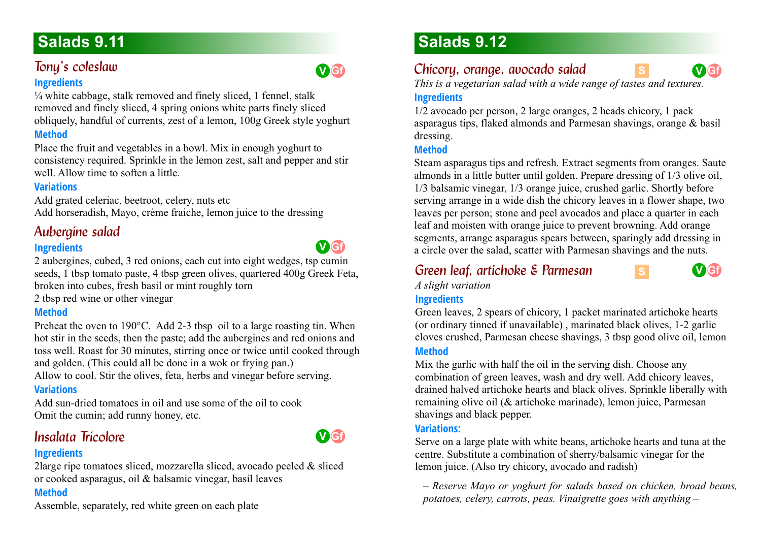# *Tony's coleslaw*

### **Ingredients**

 $\frac{1}{4}$  white cabbage, stalk removed and finely sliced, 1 fennel, stalk removed and finely sliced, 4 spring onions white parts finely sliced obliquely, handful of currents, zest of a lemon, 100g Greek style yoghurt

# **Method**

Place the fruit and vegetables in a bowl. Mix in enough yoghurt to consistency required. Sprinkle in the lemon zest, salt and pepper and stir well. Allow time to soften a little.

## **Variations**

Add grated celeriac, beetroot, celery, nuts etc Add horseradish, Mayo, crème fraiche, lemon juice to the dressing

# Aubergine salad

# **Ingredients**

2 aubergines, cubed, 3 red onions, each cut into eight wedges, tsp cumin seeds, 1 tbsp tomato paste, 4 tbsp green olives, quartered 400g Greek Feta, broken into cubes, fresh basil or mint roughly torn

2 tbsp red wine or other vinegar

# **Method**

Preheat the oven to 190°C. Add 2-3 tbsp oil to a large roasting tin. When hot stir in the seeds, then the paste; add the aubergines and red onions and toss well. Roast for 30 minutes, stirring once or twice until cooked through and golden. (This could all be done in a wok or frying pan.)

Allow to cool. Stir the olives, feta, herbs and vinegar before serving.

# **Variations**

Add sun-dried tomatoes in oil and use some of the oil to cook Omit the cumin; add runny honey, etc.

# *Insalata Tricolore*

### **Ingredients**

2large ripe tomatoes sliced, mozzarella sliced, avocado peeled & sliced or cooked asparagus, oil & balsamic vinegar, basil leaves

# **Method**

Assemble, separately, red white green on each plate

# **Salads 9.12**

# *Chicory, orange, avocado salad*

*This is a vegetarian salad with a wide range of tastes and textures.* 

# **Ingredients**

1/2 avocado per person, 2 large oranges, 2 heads chicory, 1 pack asparagus tips, flaked almonds and Parmesan shavings, orange & basil dressing.

### **Method**

Steam asparagus tips and refresh. Extract segments from oranges. Saute almonds in a little butter until golden. Prepare dressing of 1/3 olive oil, 1/3 balsamic vinegar, 1/3 orange juice, crushed garlic. Shortly before serving arrange in a wide dish the chicory leaves in a flower shape, two leaves per person; stone and peel avocados and place a quarter in each leaf and moisten with orange juice to prevent browning. Add orange segments, arrange asparagus spears between, sparingly add dressing in a circle over the salad, scatter with Parmesan shavings and the nuts.

# *Green leaf, artichoke & Parmesan*

*A slight variation* 

# **Ingredients**

Green leaves, 2 spears of chicory, 1 packet marinated artichoke hearts (or ordinary tinned if unavailable) , marinated black olives, 1-2 garlic cloves crushed, Parmesan cheese shavings, 3 tbsp good olive oil, lemon

### **Method**

Mix the garlic with half the oil in the serving dish. Choose any combination of green leaves, wash and dry well. Add chicory leaves, drained halved artichoke hearts and black olives. Sprinkle liberally with remaining olive oil (& artichoke marinade), lemon juice, Parmesan shavings and black pepper.

#### **Variations:**

Serve on a large plate with white beans, artichoke hearts and tuna at the centre. Substitute a combination of sherry/balsamic vinegar for the lemon juice. (Also try chicory, avocado and radish)

*– Reserve Mayo or yoghurt for salads based on chicken, broad beans, potatoes, celery, carrots, peas. Vinaigrette goes with anything –*





**V Gf**

**S**

**S**



**V Gf**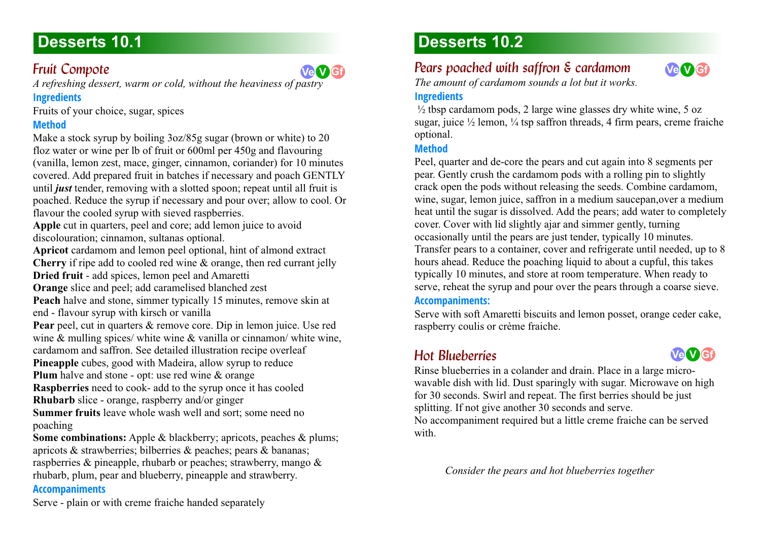# **Desserts 10.1**

# **Fruit Compote**

*A refreshing dessert, warm or cold, without the heaviness of pastry*

# **Ingredients**

Fruits of your choice, sugar, spices

# **Method**

Make a stock syrup by boiling 3oz/85g sugar (brown or white) to 20 floz water or wine per lb of fruit or 600ml per 450g and flavouring (vanilla, lemon zest, mace, ginger, cinnamon, coriander) for 10 minutes covered. Add prepared fruit in batches if necessary and poach GENTLY until *just* tender, removing with a slotted spoon; repeat until all fruit is poached. Reduce the syrup if necessary and pour over; allow to cool. Or flavour the cooled syrup with sieved raspberries.

**Apple** cut in quarters, peel and core; add lemon juice to avoid discolouration; cinnamon, sultanas optional.

**Apricot** cardamom and lemon peel optional, hint of almond extract **Cherry** if ripe add to cooled red wine & orange, then red currant jelly **Dried fruit** - add spices, lemon peel and Amaretti

**Orange** slice and peel; add caramelised blanched zest

**Peach** halve and stone, simmer typically 15 minutes, remove skin at end - flavour syrup with kirsch or vanilla

**Pear** peel, cut in quarters & remove core. Dip in lemon juice. Use red wine & mulling spices/ white wine & vanilla or cinnamon/ white wine,

cardamom and saffron. See detailed illustration recipe overleaf

**Pineapple** cubes, good with Madeira, allow syrup to reduce

**Plum** halve and stone - opt: use red wine & orange

**Raspberries** need to cook- add to the syrup once it has cooled

**Rhubarb** slice - orange, raspberry and/or ginger

**Summer fruits** leave whole wash well and sort; some need no poaching

**Some combinations:** Apple & blackberry; apricots, peaches & plums; apricots & strawberries; bilberries & peaches; pears & bananas; raspberries & pineapple, rhubarb or peaches; strawberry, mango & rhubarb, plum, pear and blueberry, pineapple and strawberry.

### **Accompaniments**

# **Desserts 10.2**

# *Pears poached with saffron & cardamom*

*The amount of cardamom sounds a lot but it works.*

### **Ingredients**

**Ve V Gf**



 $\frac{1}{2}$  tbsp cardamom pods, 2 large wine glasses dry white wine, 5 oz sugar, juice  $\frac{1}{2}$  lemon,  $\frac{1}{4}$  tsp saffron threads, 4 firm pears, creme fraiche optional.

### **Method**

Peel, quarter and de-core the pears and cut again into 8 segments per pear. Gently crush the cardamom pods with a rolling pin to slightly crack open the pods without releasing the seeds. Combine cardamom, wine, sugar, lemon juice, saffron in a medium saucepan,over a medium heat until the sugar is dissolved. Add the pears; add water to completely cover. Cover with lid slightly ajar and simmer gently, turning occasionally until the pears are just tender, typically 10 minutes. Transfer pears to a container, cover and refrigerate until needed, up to 8 hours ahead. Reduce the poaching liquid to about a cupful, this takes typically 10 minutes, and store at room temperature. When ready to serve, reheat the syrup and pour over the pears through a coarse sieve.

### **Accompaniments:**

Serve with soft Amaretti biscuits and lemon posset, orange ceder cake, raspberry coulis or crème fraiche.

# **Hot Blueberries**



Rinse blueberries in a colander and drain. Place in a large microwavable dish with lid. Dust sparingly with sugar. Microwave on high for 30 seconds. Swirl and repeat. The first berries should be just splitting. If not give another 30 seconds and serve.

No accompaniment required but a little creme fraiche can be served with.

*Consider the pears and hot blueberries together*

Serve - plain or with creme fraiche handed separately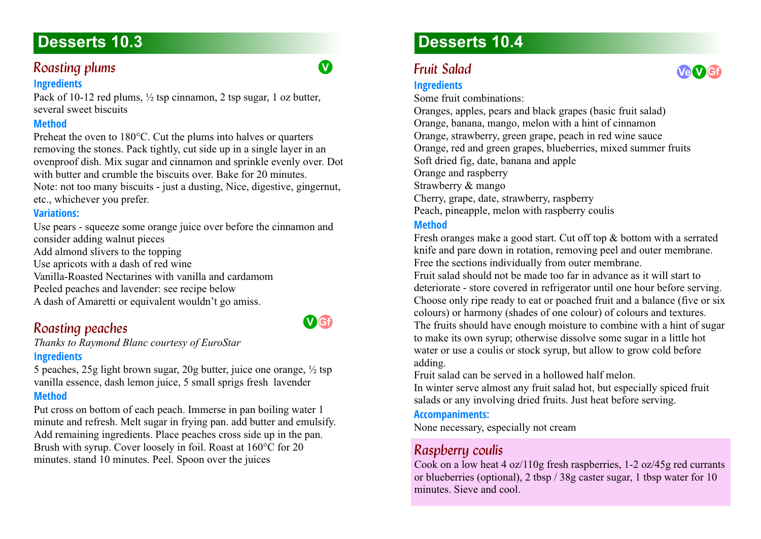### *Roasting plums*

#### **Ingredients**

Pack of 10-12 red plums,  $\frac{1}{2}$  tsp cinnamon, 2 tsp sugar, 1 oz butter, several sweet biscuits

#### **Method**

Preheat the oven to 180°C. Cut the plums into halves or quarters removing the stones. Pack tightly, cut side up in a single layer in an ovenproof dish. Mix sugar and cinnamon and sprinkle evenly over. Dot with butter and crumble the biscuits over. Bake for 20 minutes. Note: not too many biscuits - just a dusting, Nice, digestive, gingernut, etc., whichever you prefer.

#### **Variations:**

Use pears - squeeze some orange juice over before the cinnamon and consider adding walnut pieces Add almond slivers to the topping Use apricots with a dash of red wine Vanilla-Roasted Nectarines with vanilla and cardamom Peeled peaches and lavender: see recipe below A dash of Amaretti or equivalent wouldn't go amiss.

# **Roasting peaches**

*Thanks to Raymond Blanc courtesy of EuroStar* **Ingredients**

5 peaches, 25g light brown sugar, 20g butter, juice one orange, ½ tsp vanilla essence, dash lemon juice, 5 small sprigs fresh lavender **Method**

Put cross on bottom of each peach. Immerse in pan boiling water 1 minute and refresh. Melt sugar in frying pan. add butter and emulsify. Add remaining ingredients. Place peaches cross side up in the pan. Brush with syrup. Cover loosely in foil. Roast at 160°C for 20 minutes. stand 10 minutes. Peel. Spoon over the juices

# **Desserts 10.4**

### **Fruit Salad**

#### **Ingredients**

Some fruit combinations: Oranges, apples, pears and black grapes (basic fruit salad) Orange, banana, mango, melon with a hint of cinnamon Orange, strawberry, green grape, peach in red wine sauce Orange, red and green grapes, blueberries, mixed summer fruits Soft dried fig, date, banana and apple Orange and raspberry Strawberry & mango Cherry, grape, date, strawberry, raspberry Peach, pineapple, melon with raspberry coulis **Method**

Fresh oranges make a good start. Cut off top & bottom with a serrated knife and pare down in rotation, removing peel and outer membrane. Free the sections individually from outer membrane.

Fruit salad should not be made too far in advance as it will start to deteriorate - store covered in refrigerator until one hour before serving. Choose only ripe ready to eat or poached fruit and a balance (five or six colours) or harmony (shades of one colour) of colours and textures. The fruits should have enough moisture to combine with a hint of sugar to make its own syrup; otherwise dissolve some sugar in a little hot water or use a coulis or stock syrup, but allow to grow cold before adding.

Fruit salad can be served in a hollowed half melon.

In winter serve almost any fruit salad hot, but especially spiced fruit salads or any involving dried fruits. Just heat before serving.

#### **Accompaniments:**

None necessary, especially not cream

### *Raspberry coulis 10.4*

Cook on a low heat 4 oz/110g fresh raspberries, 1-2 oz/45g red currants or blueberries (optional), 2 tbsp / 38g caster sugar, 1 tbsp water for 10 minutes. Sieve and cool.



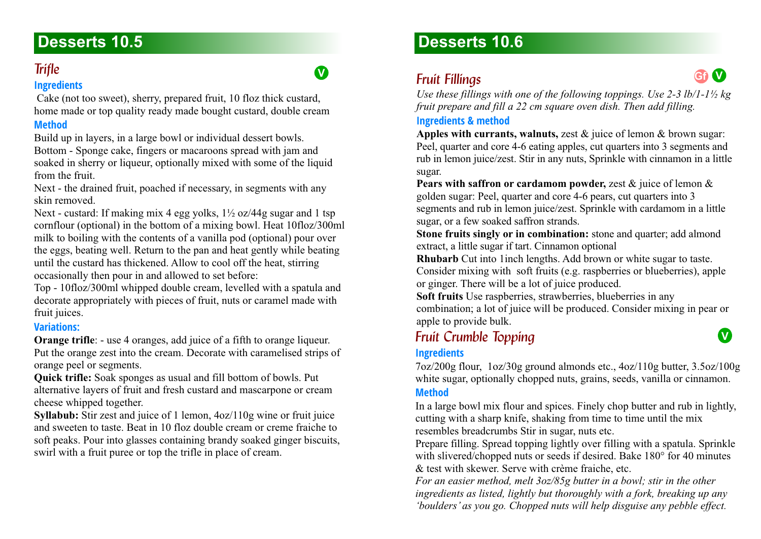### **Trifle**

#### **Ingredients**

 Cake (not too sweet), sherry, prepared fruit, 10 floz thick custard, home made or top quality ready made bought custard, double cream

#### **Method**

Build up in layers, in a large bowl or individual dessert bowls. Bottom - Sponge cake, fingers or macaroons spread with jam and soaked in sherry or liqueur, optionally mixed with some of the liquid from the fruit.

Next - the drained fruit, poached if necessary, in segments with any skin removed.

Next - custard: If making mix 4 egg yolks, 1½ oz/44g sugar and 1 tsp cornflour (optional) in the bottom of a mixing bowl. Heat 10floz/300ml milk to boiling with the contents of a vanilla pod (optional) pour over the eggs, beating well. Return to the pan and heat gently while beating until the custard has thickened. Allow to cool off the heat, stirring occasionally then pour in and allowed to set before:

Top - 10floz/300ml whipped double cream, levelled with a spatula and decorate appropriately with pieces of fruit, nuts or caramel made with fruit juices.

#### **Variations:**

**Orange trifle:** - use 4 oranges, add juice of a fifth to orange liqueur. Put the orange zest into the cream. Decorate with caramelised strips of orange peel or segments.

**Quick trifle:** Soak sponges as usual and fill bottom of bowls. Put alternative layers of fruit and fresh custard and mascarpone or cream cheese whipped together.

**Syllabub:** Stir zest and juice of 1 lemon,  $4oz/110g$  wine or fruit juice and sweeten to taste. Beat in 10 floz double cream or creme fraiche to soft peaks. Pour into glasses containing brandy soaked ginger biscuits, swirl with a fruit puree or top the trifle in place of cream.

# **Desserts 10.6**

# **Fruit Fillings**

**V**



**V**

*Use these fillings with one of the following toppings. Use 2-3 lb/1-1½ kg fruit prepare and fill a 22 cm square oven dish. Then add filling.*

#### **Ingredients & method**

**Apples with currants, walnuts,** zest & juice of lemon & brown sugar: Peel, quarter and core 4-6 eating apples, cut quarters into 3 segments and rub in lemon juice/zest. Stir in any nuts, Sprinkle with cinnamon in a little sugar.

**Pears with saffron or cardamom powder,** zest & juice of lemon & golden sugar: Peel, quarter and core 4-6 pears, cut quarters into 3 segments and rub in lemon juice/zest. Sprinkle with cardamom in a little sugar, or a few soaked saffron strands.

**Stone fruits singly or in combination:** stone and quarter; add almond extract, a little sugar if tart. Cinnamon optional

**Rhubarb** Cut into 1inch lengths. Add brown or white sugar to taste. Consider mixing with soft fruits (e.g. raspberries or blueberries), apple or ginger. There will be a lot of juice produced.

**Soft fruits** Use raspberries, strawberries, blueberries in any combination; a lot of juice will be produced. Consider mixing in pear or apple to provide bulk.

# **Fruit Crumble Topping**

#### **Ingredients**

7oz/200g flour, 1oz/30g ground almonds etc., 4oz/110g butter, 3.5oz/100g white sugar, optionally chopped nuts, grains, seeds, vanilla or cinnamon.

### **Method**

In a large bowl mix flour and spices. Finely chop butter and rub in lightly, cutting with a sharp knife, shaking from time to time until the mix resembles breadcrumbs Stir in sugar, nuts etc.

Prepare filling. Spread topping lightly over filling with a spatula. Sprinkle with slivered/chopped nuts or seeds if desired. Bake 180° for 40 minutes & test with skewer. Serve with crème fraiche, etc.

*For an easier method, melt 3oz/85g butter in a bowl; stir in the other ingredients as listed, lightly but thoroughly with a fork, breaking up any 'boulders' as you go. Chopped nuts will help disguise any pebble effect.*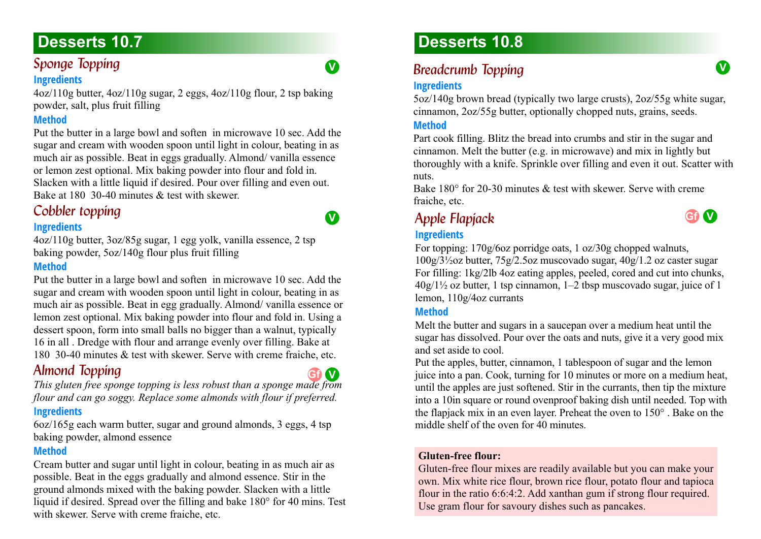# **Sponge Topping**

#### **Ingredients**

4oz/110g butter, 4oz/110g sugar, 2 eggs, 4oz/110g flour, 2 tsp baking powder, salt, plus fruit filling

#### **Method**

Put the butter in a large bowl and soften in microwave 10 sec. Add the sugar and cream with wooden spoon until light in colour, beating in as much air as possible. Beat in eggs gradually. Almond/ vanilla essence or lemon zest optional. Mix baking powder into flour and fold in. Slacken with a little liquid if desired. Pour over filling and even out. Bake at 180 30-40 minutes & test with skewer.

# *Cobbler topping*

#### **Ingredients**

4oz/110g butter, 3oz/85g sugar, 1 egg yolk, vanilla essence, 2 tsp baking powder, 5oz/140g flour plus fruit filling

#### **Method**

Put the butter in a large bowl and soften in microwave 10 sec. Add the sugar and cream with wooden spoon until light in colour, beating in as much air as possible. Beat in egg gradually. Almond/ vanilla essence or lemon zest optional. Mix baking powder into flour and fold in. Using a dessert spoon, form into small balls no bigger than a walnut, typically 16 in all . Dredge with flour and arrange evenly over filling. Bake at 180 30-40 minutes & test with skewer. Serve with creme fraiche, etc.

### *Almond Topping 10.7*

*This gluten free sponge topping is less robust than a sponge made from flour and can go soggy. Replace some almonds with flour if preferred.* **Ingredients Gf V**

6oz/165g each warm butter, sugar and ground almonds, 3 eggs, 4 tsp baking powder, almond essence

#### **Method**

Cream butter and sugar until light in colour, beating in as much air as possible. Beat in the eggs gradually and almond essence. Stir in the ground almonds mixed with the baking powder. Slacken with a little liquid if desired. Spread over the filling and bake 180° for 40 mins. Test with skewer. Serve with creme fraiche, etc.

# **Desserts 10.8**

# **Breadcrumb Topping**

#### **Ingredients**

5oz/140g brown bread (typically two large crusts), 2oz/55g white sugar, cinnamon, 2oz/55g butter, optionally chopped nuts, grains, seeds.

#### **Method**

Part cook filling. Blitz the bread into crumbs and stir in the sugar and cinnamon. Melt the butter (e.g. in microwave) and mix in lightly but thoroughly with a knife. Sprinkle over filling and even it out. Scatter with nuts.

Bake 180 $^{\circ}$  for 20-30 minutes  $\&$  test with skewer. Serve with creme fraiche, etc.

# Apple Flapjack 10.8 **Gf V**

#### **Ingredients**

For topping: 170g/6oz porridge oats, 1 oz/30g chopped walnuts,

100g/3½oz butter, 75g/2.5oz muscovado sugar, 40g/1.2 oz caster sugar For filling: 1kg/2lb 4oz eating apples, peeled, cored and cut into chunks,  $40g/1\frac{1}{2}$  oz butter, 1 tsp cinnamon,  $1-2$  tbsp muscovado sugar, juice of 1 lemon, 110g/4oz currants

#### **Method**

Melt the butter and sugars in a saucepan over a medium heat until the sugar has dissolved. Pour over the oats and nuts, give it a very good mix and set aside to cool.

Put the apples, butter, cinnamon, 1 tablespoon of sugar and the lemon juice into a pan. Cook, turning for 10 minutes or more on a medium heat, until the apples are just softened. Stir in the currants, then tip the mixture into a 10in square or round ovenproof baking dish until needed. Top with the flapjack mix in an even layer. Preheat the oven to 150° . Bake on the middle shelf of the oven for 40 minutes.

#### **Gluten-free flour:**

Gluten-free flour mixes are readily available but you can make your own. Mix white rice flour, brown rice flour, potato flour and tapioca flour in the ratio 6:6:4:2. Add xanthan gum if strong flour required. Use gram flour for savoury dishes such as pancakes.



**V**

**V**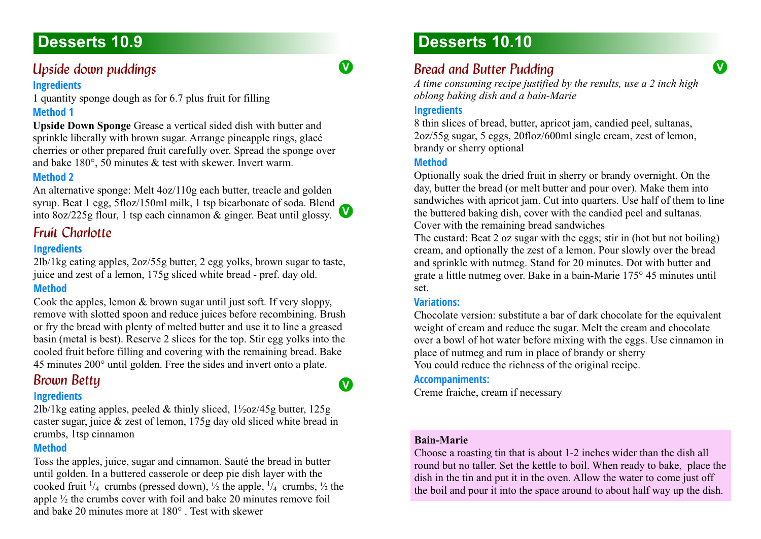### *<i>Upside down puddings*

#### **Ingredients**

1 quantity sponge dough as for 6.7 plus fruit for filling **Method 1**

**Upside Down Sponge** Grease a vertical sided dish with butter and sprinkle liberally with brown sugar. Arrange pineapple rings, glacé cherries or other prepared fruit carefully over. Spread the sponge over and bake 180°, 50 minutes & test with skewer. Invert warm.

#### **Method 2**

**V** into 8oz/225g flour, 1 tsp each cinnamon & ginger. Beat until glossy. An alternative sponge: Melt 4oz/110g each butter, treacle and golden syrup. Beat 1 egg, 5floz/150ml milk, 1 tsp bicarbonate of soda. Blend

### **Fruit Charlotte**

#### **Ingredients**

2lb/1kg eating apples, 2oz/55g butter, 2 egg yolks, brown sugar to taste, juice and zest of a lemon, 175g sliced white bread - pref. day old.

#### **Method**

Cook the apples, lemon & brown sugar until just soft. If very sloppy, remove with slotted spoon and reduce juices before recombining. Brush or fry the bread with plenty of melted butter and use it to line a greased basin (metal is best). Reserve 2 slices for the top. Stir egg yolks into the cooled fruit before filling and covering with the remaining bread. Bake 45 minutes 200° until golden. Free the sides and invert onto a plate.

### **Brown Bettu**

#### **Ingredients**

2lb/1kg eating apples, peeled & thinly sliced, 1½oz/45g butter, 125g caster sugar, juice & zest of lemon, 175g day old sliced white bread in crumbs, 1tsp cinnamon

#### **Method**

Toss the apples, juice, sugar and cinnamon. Sauté the bread in butter until golden. In a buttered casserole or deep pie dish layer with the cooked fruit  $\frac{1}{4}$  crumbs (pressed down),  $\frac{1}{2}$  the apple,  $\frac{1}{4}$  crumbs,  $\frac{1}{2}$  the apple ½ the crumbs cover with foil and bake 20 minutes remove foil and bake 20 minutes more at 180° . Test with skewer

# **Desserts 10.10**

### **Bread and Butter Pudding**

*A time consuming recipe justified by the results, use a 2 inch high oblong baking dish and a bain-Marie*

**V**

#### **Ingredients**

8 thin slices of bread, butter, apricot jam, candied peel, sultanas, 2oz/55g sugar, 5 eggs, 20floz/600ml single cream, zest of lemon, brandy or sherry optional

#### **Method**

Optionally soak the dried fruit in sherry or brandy overnight. On the day, butter the bread (or melt butter and pour over). Make them into sandwiches with apricot jam. Cut into quarters. Use half of them to line the buttered baking dish, cover with the candied peel and sultanas. Cover with the remaining bread sandwiches

The custard: Beat 2 oz sugar with the eggs; stir in (hot but not boiling) cream, and optionally the zest of a lemon. Pour slowly over the bread and sprinkle with nutmeg. Stand for 20 minutes. Dot with butter and grate a little nutmeg over. Bake in a bain-Marie 175° 45 minutes until set.

#### **Variations:**

Chocolate version: substitute a bar of dark chocolate for the equivalent weight of cream and reduce the sugar. Melt the cream and chocolate over a bowl of hot water before mixing with the eggs. Use cinnamon in place of nutmeg and rum in place of brandy or sherry You could reduce the richness of the original recipe.

#### **Accompaniments:**

Creme fraiche, cream if necessary

#### **Bain-Marie**

Choose a roasting tin that is about 1-2 inches wider than the dish all round but no taller. Set the kettle to boil. When ready to bake, place the dish in the tin and put it in the oven. Allow the water to come just off the boil and pour it into the space around to about half way up the dish.

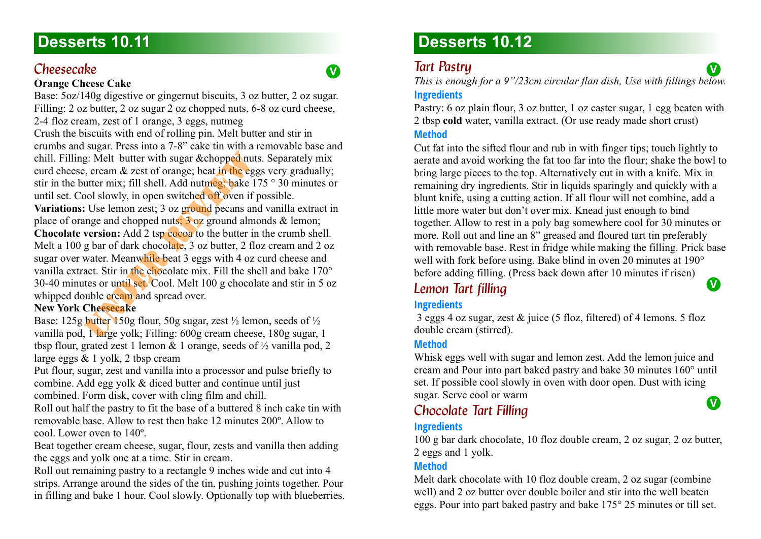#### *Cheesecake*

#### **Orange Cheese Cake**

Base: 5oz/140g digestive or gingernut biscuits, 3 oz butter, 2 oz sugar. Filling: 2 oz butter, 2 oz sugar 2 oz chopped nuts, 6-8 oz curd cheese, 2-4 floz cream, zest of 1 orange, 3 eggs, nutmeg

Crush the biscuits with end of rolling pin. Melt butter and stir in crumbs and sugar. Press into a 7-8" cake tin with a removable base and chill. Filling: Melt butter with sugar &chopped nuts. Separately mix curd cheese, cream & zest of orange; beat in the eggs very gradually; stir in the butter mix; fill shell. Add nutmeg; bake 175 ° 30 minutes or until set. Cool slowly, in open switched off oven if possible.

**Variations:** Use lemon zest; 3 oz ground pecans and vanilla extract in place of orange and chopped nuts; 3 oz ground almonds & lemon;

**Chocolate version:** Add 2 tsp cocoa to the butter in the crumb shell. Melt a 100 g bar of dark chocolate, 3 oz butter, 2 floz cream and 2 oz sugar over water. Meanwhile beat 3 eggs with 4 oz curd cheese and vanilla extract. Stir in the chocolate mix. Fill the shell and bake 170° 30-40 minutes or until set. Cool. Melt 100 g chocolate and stir in 5 oz whipped double cream and spread over.

#### **New York Cheesecake**

Base: 125g butter 150g flour, 50g sugar, zest  $\frac{1}{2}$  lemon, seeds of  $\frac{1}{2}$ vanilla pod, 1 large yolk; Filling: 600g cream cheese, 180g sugar, 1 tbsp flour, grated zest 1 lemon  $\&$  1 orange, seeds of  $\frac{1}{2}$  vanilla pod, 2 large eggs & 1 yolk, 2 tbsp cream

Put flour, sugar, zest and vanilla into a processor and pulse briefly to combine. Add egg yolk & diced butter and continue until just combined. Form disk, cover with cling film and chill.

Roll out half the pastry to fit the base of a buttered 8 inch cake tin with removable base. Allow to rest then bake 12 minutes 200º. Allow to cool. Lower oven to 140º.

Beat together cream cheese, sugar, flour, zests and vanilla then adding the eggs and yolk one at a time. Stir in cream.

Roll out remaining pastry to a rectangle 9 inches wide and cut into 4 strips. Arrange around the sides of the tin, pushing joints together. Pour in filling and bake 1 hour. Cool slowly. Optionally top with blueberries.

# **Desserts 10.12**

### **Tart Pastru**

**V**

*This is enough for a 9"/23cm circular flan dish, Use with fillings below.* **Ingredients**

**V**

Pastry: 6 oz plain flour, 3 oz butter, 1 oz caster sugar, 1 egg beaten with 2 tbsp **cold** water, vanilla extract. (Or use ready made short crust) **Method**

Cut fat into the sifted flour and rub in with finger tips; touch lightly to aerate and avoid working the fat too far into the flour; shake the bowl to bring large pieces to the top. Alternatively cut in with a knife. Mix in remaining dry ingredients. Stir in liquids sparingly and quickly with a blunt knife, using a cutting action. If all flour will not combine, add a little more water but don't over mix. Knead just enough to bind together. Allow to rest in a poly bag somewhere cool for 30 minutes or more. Roll out and line an 8" greased and floured tart tin preferably with removable base. Rest in fridge while making the filling. Prick base well with fork before using. Bake blind in oven 20 minutes at 190 $^{\circ}$ before adding filling. (Press back down after 10 minutes if risen) **V**

### **Lemon Tart filling**

#### **Ingredients**

 3 eggs 4 oz sugar, zest & juice (5 floz, filtered) of 4 lemons. 5 floz double cream (stirred).

#### **Method**

Whisk eggs well with sugar and lemon zest. Add the lemon juice and cream and Pour into part baked pastry and bake 30 minutes 160° until set. If possible cool slowly in oven with door open. Dust with icing sugar. Serve cool or warm **V**

### *Chocolate Tart Filling*

#### **Ingredients**

100 g bar dark chocolate, 10 floz double cream, 2 oz sugar, 2 oz butter, 2 eggs and 1 yolk.

#### **Method**

Melt dark chocolate with 10 floz double cream, 2 oz sugar (combine well) and 2 oz butter over double boiler and stir into the well beaten eggs. Pour into part baked pastry and bake 175° 25 minutes or till set.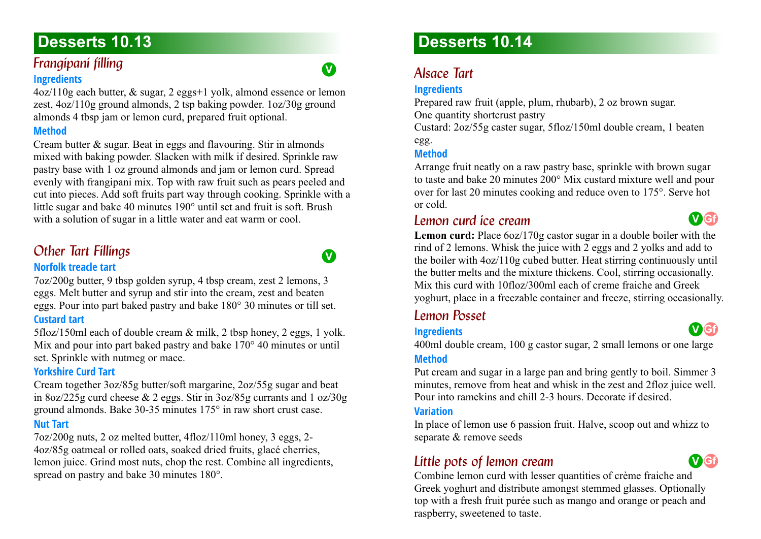#### **Frangipani filling Ingredients**

4oz/110g each butter, & sugar, 2 eggs+1 yolk, almond essence or lemon zest, 4oz/110g ground almonds, 2 tsp baking powder. 1oz/30g ground almonds 4 tbsp jam or lemon curd, prepared fruit optional.

#### **Method**

Cream butter & sugar. Beat in eggs and flavouring. Stir in almonds mixed with baking powder. Slacken with milk if desired. Sprinkle raw pastry base with 1 oz ground almonds and jam or lemon curd. Spread evenly with frangipani mix. Top with raw fruit such as pears peeled and cut into pieces. Add soft fruits part way through cooking. Sprinkle with a little sugar and bake 40 minutes 190° until set and fruit is soft. Brush with a solution of sugar in a little water and eat warm or cool.

# **Other Tart Fillings**

#### **Norfolk treacle tart**

7oz/200g butter, 9 tbsp golden syrup, 4 tbsp cream, zest 2 lemons, 3 eggs. Melt butter and syrup and stir into the cream, zest and beaten eggs. Pour into part baked pastry and bake 180° 30 minutes or till set.

#### **Custard tart**

5floz/150ml each of double cream & milk, 2 tbsp honey, 2 eggs, 1 yolk. Mix and pour into part baked pastry and bake 170° 40 minutes or until set. Sprinkle with nutmeg or mace.

#### **Yorkshire Curd Tart**

Cream together 3oz/85g butter/soft margarine, 2oz/55g sugar and beat in 8oz/225g curd cheese & 2 eggs. Stir in 3oz/85g currants and 1 oz/30g ground almonds. Bake 30-35 minutes 175° in raw short crust case.

#### **Nut Tart**

7oz/200g nuts, 2 oz melted butter, 4floz/110ml honey, 3 eggs, 2- 4oz/85g oatmeal or rolled oats, soaked dried fruits, glacé cherries, lemon juice. Grind most nuts, chop the rest. Combine all ingredients, spread on pastry and bake 30 minutes 180°.

# **Desserts 10.14**

### *Alsace Tart*

#### **Ingredients**

Prepared raw fruit (apple, plum, rhubarb), 2 oz brown sugar. One quantity shortcrust pastry

Custard: 2oz/55g caster sugar, 5floz/150ml double cream, 1 beaten egg.

### **Method**

Arrange fruit neatly on a raw pastry base, sprinkle with brown sugar to taste and bake 20 minutes 200° Mix custard mixture well and pour over for last 20 minutes cooking and reduce oven to 175°. Serve hot or cold.

### *Lemon curd ice cream*



**V Gf**

**Lemon curd:** Place 6oz/170g castor sugar in a double boiler with the rind of 2 lemons. Whisk the juice with 2 eggs and 2 yolks and add to the boiler with 4oz/110g cubed butter. Heat stirring continuously until the butter melts and the mixture thickens. Cool, stirring occasionally. Mix this curd with 10floz/300ml each of creme fraiche and Greek yoghurt, place in a freezable container and freeze, stirring occasionally.

### <span id="page-77-0"></span>*Lemon Posset*

#### **Ingredients**

400ml double cream, 100 g castor sugar, 2 small lemons or one large **Method**

Put cream and sugar in a large pan and bring gently to boil. Simmer 3 minutes, remove from heat and whisk in the zest and 2floz juice well. Pour into ramekins and chill 2-3 hours. Decorate if desired.

#### **Variation**

In place of lemon use 6 passion fruit. Halve, scoop out and whizz to separate & remove seeds

### *Little pots of lemon cream*



Combine lemon curd with lesser quantities of crème fraiche and Greek yoghurt and distribute amongst stemmed glasses. Optionally top with a fresh fruit purée such as mango and orange or peach and raspberry, sweetened to taste.

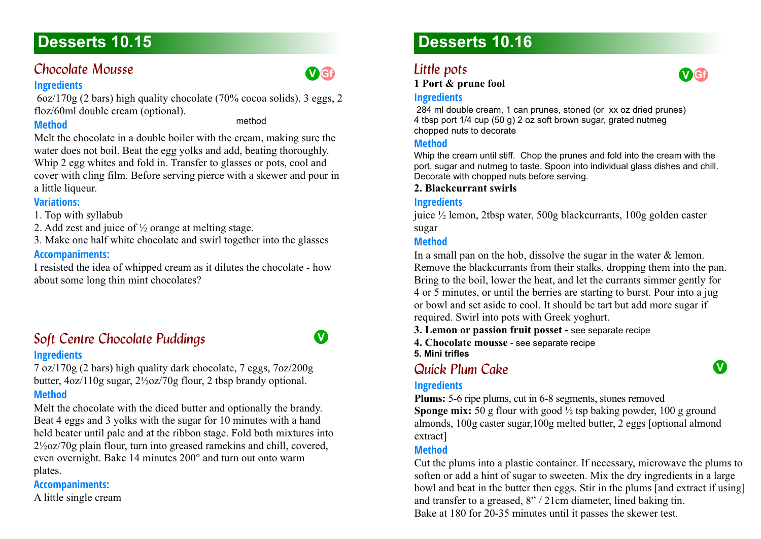### <span id="page-78-0"></span>*Chocolate Mousse*

#### **Ingredients**

 6oz/170g (2 bars) high quality chocolate (70% cocoa solids), 3 eggs, 2 floz/60ml double cream (optional).

#### **Method**

method

**V Gf**

Melt the chocolate in a double boiler with the cream, making sure the water does not boil. Beat the egg yolks and add, beating thoroughly. Whip 2 egg whites and fold in. Transfer to glasses or pots, cool and cover with cling film. Before serving pierce with a skewer and pour in a little liqueur.

#### **Variations:**

1. Top with syllabub

2. Add zest and juice of ½ orange at melting stage.

3. Make one half white chocolate and swirl together into the glasses

#### **Accompaniments:**

I resisted the idea of whipped cream as it dilutes the chocolate - how about some long thin mint chocolates?

### **Soft Centre Chocolate Puddings 10.15 V Ingredients**

7 oz/170g (2 bars) high quality dark chocolate, 7 eggs, 7oz/200g butter, 4oz/110g sugar, 2½oz/70g flour, 2 tbsp brandy optional.

#### **Method**

Melt the chocolate with the diced butter and optionally the brandy. Beat 4 eggs and 3 yolks with the sugar for 10 minutes with a hand held beater until pale and at the ribbon stage. Fold both mixtures into 2½oz/70g plain flour, turn into greased ramekins and chill, covered, even overnight. Bake 14 minutes 200° and turn out onto warm plates.

**Accompaniments:**

A little single cream

# **Desserts 10.16**

### Little pots

**1 Port & prune fool**



 284 ml double cream, 1 can prunes, stoned (or xx oz dried prunes) 4 tbsp port 1/4 cup (50 g) 2 oz soft brown sugar, grated nutmeg chopped nuts to decorate

#### **Method**

Whip the cream until stiff. Chop the prunes and fold into the cream with the port, sugar and nutmeg to taste. Spoon into individual glass dishes and chill. Decorate with chopped nuts before serving.

#### **2. Blackcurrant swirls**

#### **Ingredients**

juice ½ lemon, 2tbsp water, 500g blackcurrants, 100g golden caster sugar

#### **Method**

In a small pan on the hob, dissolve the sugar in the water & lemon. Remove the blackcurrants from their stalks, dropping them into the pan. Bring to the boil, lower the heat, and let the currants simmer gently for 4 or 5 minutes, or until the berries are starting to burst. Pour into a jug or bowl and set aside to cool. It should be tart but add more sugar if required. Swirl into pots with Greek yoghurt.

**3. Lemon or passion fruit posset -** [see separate recipe](#page-77-0)

**4. Chocolate mousse** - [see separate recipe](#page-78-0)

**5. Mini trifles**

### *Quick Plum Cake 10.16* **V**

#### **Ingredients**

**Plums:** 5-6 ripe plums, cut in 6-8 segments, stones removed **Sponge mix:** 50 g flour with good  $\frac{1}{2}$  tsp baking powder, 100 g ground almonds, 100g caster sugar,100g melted butter, 2 eggs [optional almond extract]

#### **Method**

Cut the plums into a plastic container. If necessary, microwave the plums to soften or add a hint of sugar to sweeten. Mix the dry ingredients in a large bowl and beat in the butter then eggs. Stir in the plums [and extract if using] and transfer to a greased, 8" / 21cm diameter, lined baking tin. Bake at 180 for 20-35 minutes until it passes the skewer test.

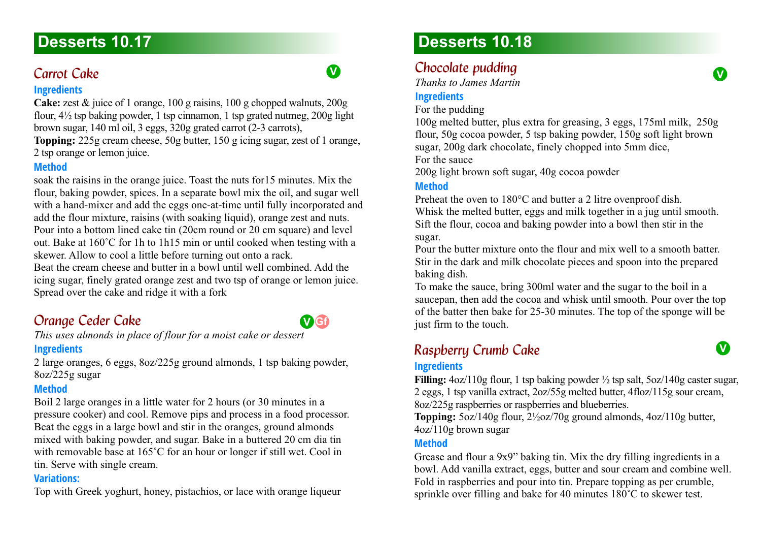### *Carrot Cake*

#### **Ingredients**

**Cake:** zest & juice of 1 orange, 100 g raisins, 100 g chopped walnuts, 200g flour, 4½ tsp baking powder, 1 tsp cinnamon, 1 tsp grated nutmeg, 200g light brown sugar, 140 ml oil, 3 eggs, 320g grated carrot (2-3 carrots),

**Topping:** 225g cream cheese, 50g butter, 150 g icing sugar, zest of 1 orange, 2 tsp orange or lemon juice.

#### **Method**

soak the raisins in the orange juice. Toast the nuts for15 minutes. Mix the flour, baking powder, spices. In a separate bowl mix the oil, and sugar well with a hand-mixer and add the eggs one-at-time until fully incorporated and add the flour mixture, raisins (with soaking liquid), orange zest and nuts. Pour into a bottom lined cake tin (20cm round or 20 cm square) and level out. Bake at 160˚C for 1h to 1h15 min or until cooked when testing with a skewer. Allow to cool a little before turning out onto a rack.

Beat the cream cheese and butter in a bowl until well combined. Add the icing sugar, finely grated orange zest and two tsp of orange or lemon juice. Spread over the cake and ridge it with a fork

# *Orange Ceder Cake*

*This uses almonds in place of flour for a moist cake or dessert* **Ingredients**

2 large oranges, 6 eggs, 8oz/225g ground almonds, 1 tsp baking powder, 8oz/225g sugar

#### **Method**

Boil 2 large oranges in a little water for 2 hours (or 30 minutes in a pressure cooker) and cool. Remove pips and process in a food processor. Beat the eggs in a large bowl and stir in the oranges, ground almonds mixed with baking powder, and sugar. Bake in a buttered 20 cm dia tin with removable base at 165˚C for an hour or longer if still wet. Cool in tin. Serve with single cream.

#### **Variations:**

Top with Greek yoghurt, honey, pistachios, or lace with orange liqueur

# **Desserts 10.18**

# *Chocolate pudding*

*Thanks to James Martin*

#### **Ingredients**

For the pudding

100g melted butter, plus extra for greasing, 3 eggs, 175ml milk, 250g flour, 50g cocoa powder, 5 tsp baking powder, 150g soft light brown sugar, 200g dark chocolate, finely chopped into 5mm dice,

**V**

For the sauce

200g light brown soft sugar, 40g cocoa powder

#### **Method**

Preheat the oven to 180°C and butter a 2 litre ovenproof dish. Whisk the melted butter, eggs and milk together in a jug until smooth. Sift the flour, cocoa and baking powder into a bowl then stir in the sugar.

Pour the butter mixture onto the flour and mix well to a smooth batter. Stir in the dark and milk chocolate pieces and spoon into the prepared baking dish.

To make the sauce, bring 300ml water and the sugar to the boil in a saucepan, then add the cocoa and whisk until smooth. Pour over the top of the batter then bake for 25-30 minutes. The top of the sponge will be just firm to the touch.

### **Raspberry Crumb Cake 10.188 V**

#### **Ingredients**

**Filling:** 4oz/110g flour, 1 tsp baking powder ½ tsp salt, 5oz/140g caster sugar, 2 eggs, 1 tsp vanilla extract, 2oz/55g melted butter, 4floz/115g sour cream, 8oz/225g raspberries or raspberries and blueberries.

**Topping:** 5oz/140g flour, 2½oz/70g ground almonds, 4oz/110g butter, 4oz/110g brown sugar

#### **Method**

Grease and flour a 9x9" baking tin. Mix the dry filling ingredients in a bowl. Add vanilla extract, eggs, butter and sour cream and combine well. Fold in raspberries and pour into tin. Prepare topping as per crumble, sprinkle over filling and bake for 40 minutes 180˚C to skewer test.

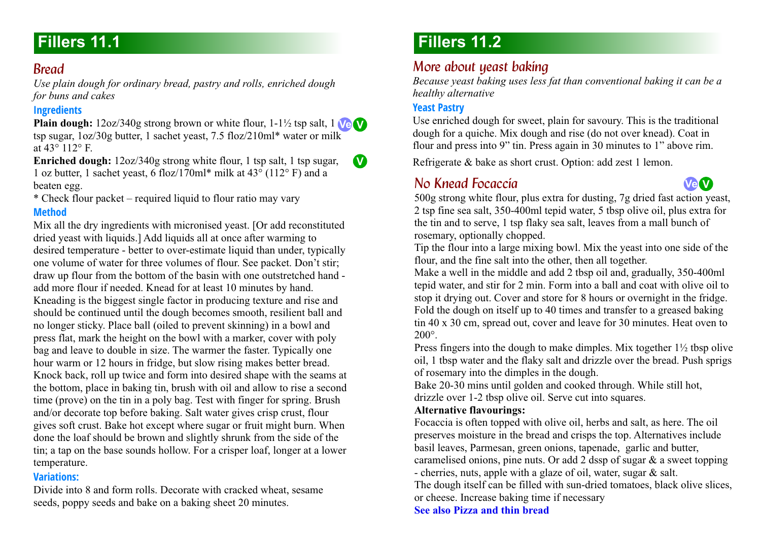### *Bread*

*Use plain dough for ordinary bread, pastry and rolls, enriched dough for buns and cakes*

#### **Ingredients**

**Plain dough:** 12oz/340g strong brown or white flour, 1-1½ tsp salt, 1 **Ve V** tsp sugar, 1oz/30g butter, 1 sachet yeast, 7.5 floz/210ml\* water or milk at 43° 112° F.

**Enriched dough:** 12oz/340g strong white flour, 1 tsp salt, 1 tsp sugar, 1 oz butter, 1 sachet yeast, 6 floz/170ml\* milk at 43° (112° F) and a beaten egg.

\* Check flour packet – required liquid to flour ratio may vary

### **Method**

Mix all the dry ingredients with micronised yeast. [Or add reconstituted dried yeast with liquids.] Add liquids all at once after warming to desired temperature - better to over-estimate liquid than under, typically one volume of water for three volumes of flour. See packet. Don't stir; draw up flour from the bottom of the basin with one outstretched hand add more flour if needed. Knead for at least 10 minutes by hand. Kneading is the biggest single factor in producing texture and rise and should be continued until the dough becomes smooth, resilient ball and no longer sticky. Place ball (oiled to prevent skinning) in a bowl and press flat, mark the height on the bowl with a marker, cover with poly bag and leave to double in size. The warmer the faster. Typically one hour warm or 12 hours in fridge, but slow rising makes better bread. Knock back, roll up twice and form into desired shape with the seams at the bottom, place in baking tin, brush with oil and allow to rise a second time (prove) on the tin in a poly bag. Test with finger for spring. Brush and/or decorate top before baking. Salt water gives crisp crust, flour gives soft crust. Bake hot except where sugar or fruit might burn. When done the loaf should be brown and slightly shrunk from the side of the tin; a tap on the base sounds hollow. For a crisper loaf, longer at a lower temperature.

#### **Variations:**

Divide into 8 and form rolls. Decorate with cracked wheat, sesame seeds, poppy seeds and bake on a baking sheet 20 minutes.

# **Fillers 11.2**

### *More about yeast baking*

*Because yeast baking uses less fat than conventional baking it can be a healthy alternative* 

#### **Yeast Pastry**

**V**

Use enriched dough for sweet, plain for savoury. This is the traditional dough for a quiche. Mix dough and rise (do not over knead). Coat in flour and press into 9" tin. Press again in 30 minutes to 1" above rim.

Refrigerate & bake as short crust. Option: add zest 1 lemon.

### **No Knead Focaccia** 11.22 **Ve V**



500g strong white flour, plus extra for dusting, 7g dried fast action yeast, 2 tsp fine sea salt, 350-400ml tepid water, 5 tbsp olive oil, plus extra for the tin and to serve, 1 tsp flaky sea salt, leaves from a mall bunch of rosemary, optionally chopped.

Tip the flour into a large mixing bowl. Mix the yeast into one side of the flour, and the fine salt into the other, then all together.

Make a well in the middle and add 2 tbsp oil and, gradually, 350-400ml tepid water, and stir for 2 min. Form into a ball and coat with olive oil to stop it drying out. Cover and store for 8 hours or overnight in the fridge. Fold the dough on itself up to 40 times and transfer to a greased baking tin 40 x 30 cm, spread out, cover and leave for 30 minutes. Heat oven to 200°.

Press fingers into the dough to make dimples. Mix together 1½ tbsp olive oil, 1 tbsp water and the flaky salt and drizzle over the bread. Push sprigs of rosemary into the dimples in the dough.

Bake 20-30 mins until golden and cooked through. While still hot, drizzle over 1-2 tbsp olive oil. Serve cut into squares.

#### **Alternative flavourings:**

Focaccia is often topped with olive oil, herbs and salt, as here. The oil preserves moisture in the bread and crisps the top. Alternatives include basil leaves, Parmesan, green onions, tapenade, garlic and butter, caramelised onions, pine nuts. Or add 2 dssp of sugar & a sweet topping - cherries, nuts, apple with a glaze of oil, water, sugar & salt. The dough itself can be filled with sun-dried tomatoes, black olive slices,

or cheese. Increase baking time if necessary

**[See also Pizza and thin bread](#page-42-0)**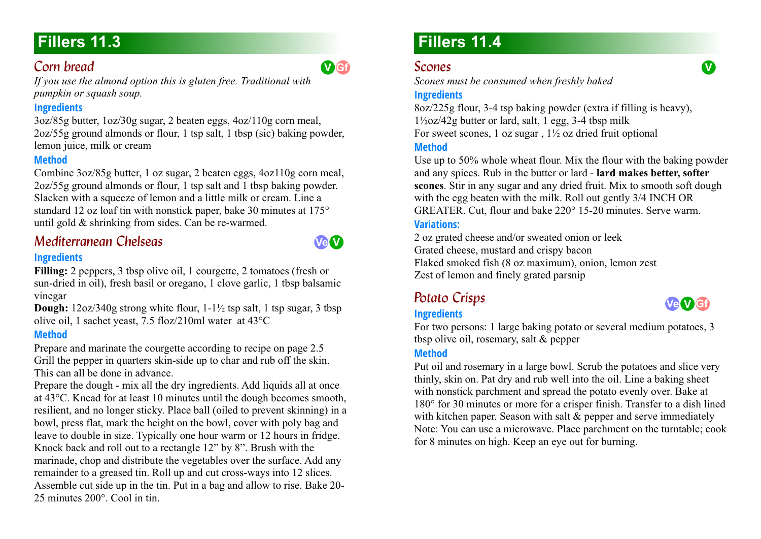### *Corn bread*

*If you use the almond option this is gluten free. Traditional with pumpkin or squash soup.*

#### **Ingredients**

3oz/85g butter, 1oz/30g sugar, 2 beaten eggs, 4oz/110g corn meal, 2oz/55g ground almonds or flour, 1 tsp salt, 1 tbsp (sic) baking powder, lemon juice, milk or cream

#### **Method**

Combine 3oz/85g butter, 1 oz sugar, 2 beaten eggs, 4oz110g corn meal, 2oz/55g ground almonds or flour, 1 tsp salt and 1 tbsp baking powder. Slacken with a squeeze of lemon and a little milk or cream. Line a standard 12 oz loaf tin with nonstick paper, bake 30 minutes at 175° until gold & shrinking from sides. Can be re-warmed.

# *Mediterranean Chelseas*

### **Ingredients**

Filling: 2 peppers, 3 tbsp olive oil, 1 courgette, 2 tomatoes (fresh or sun-dried in oil), fresh basil or oregano, 1 clove garlic, 1 tbsp balsamic vinegar

**Dough:** 12oz/340g strong white flour, 1-1½ tsp salt, 1 tsp sugar, 3 tbsp olive oil, 1 sachet yeast, 7.5 floz/210ml water at 43°C

### **Method**

Prepare and marinate the courgette according to recipe on page 2.5 Grill the pepper in quarters skin-side up to char and rub off the skin. This can all be done in advance.

Prepare the dough - mix all the dry ingredients. Add liquids all at once at 43°C. Knead for at least 10 minutes until the dough becomes smooth, resilient, and no longer sticky. Place ball (oiled to prevent skinning) in a bowl, press flat, mark the height on the bowl, cover with poly bag and leave to double in size. Typically one hour warm or 12 hours in fridge. Knock back and roll out to a rectangle 12" by 8". Brush with the marinade, chop and distribute the vegetables over the surface. Add any remainder to a greased tin. Roll up and cut cross-ways into 12 slices. Assemble cut side up in the tin. Put in a bag and allow to rise. Bake 20- 25 minutes 200°. Cool in tin.

# **Fillers 11.4**

### *Scones*

*Scones must be consumed when freshly baked*

#### **Ingredients**

8oz/225g flour, 3-4 tsp baking powder (extra if filling is heavy),  $1\frac{1}{2}$ oz/42g butter or lard, salt, 1 egg, 3-4 tbsp milk For sweet scones, 1 oz sugar,  $1\frac{1}{2}$  oz dried fruit optional

#### **Method**

Use up to 50% whole wheat flour. Mix the flour with the baking powder and any spices. Rub in the butter or lard - **lard makes better, softer scones**. Stir in any sugar and any dried fruit. Mix to smooth soft dough with the egg beaten with the milk. Roll out gently  $3/4$  INCH OR GREATER. Cut, flour and bake 220° 15-20 minutes. Serve warm.

### **Variations:**

2 oz grated cheese and/or sweated onion or leek Grated cheese, mustard and crispy bacon Flaked smoked fish (8 oz maximum), onion, lemon zest Zest of lemon and finely grated parsnip

# *Potato Crisps 11.4*

### **Ingredients**

**Ve V Gf**

For two persons: 1 large baking potato or several medium potatoes, 3 tbsp olive oil, rosemary, salt & pepper

#### **Method**

Put oil and rosemary in a large bowl. Scrub the potatoes and slice very thinly, skin on. Pat dry and rub well into the oil. Line a baking sheet with nonstick parchment and spread the potato evenly over. Bake at 180° for 30 minutes or more for a crisper finish. Transfer to a dish lined with kitchen paper. Season with salt & pepper and serve immediately Note: You can use a microwave. Place parchment on the turntable; cook for 8 minutes on high. Keep an eye out for burning.



**V Gf**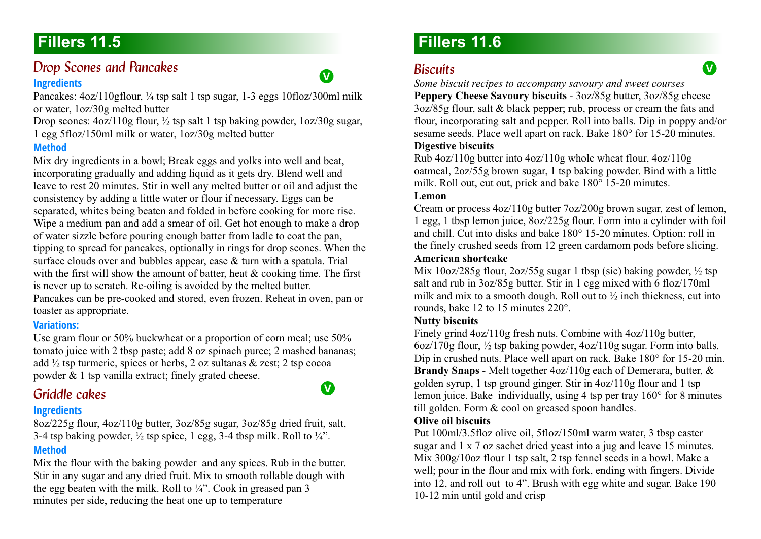### *Drop Scones and Pancakes* **Ingredients**



**V**

Pancakes: 4oz/110gflour, ¼ tsp salt 1 tsp sugar, 1-3 eggs 10floz/300ml milk or water, 1oz/30g melted butter

Drop scones: 4oz/110g flour, ½ tsp salt 1 tsp baking powder, 1oz/30g sugar, 1 egg 5floz/150ml milk or water, 1oz/30g melted butter

#### **Method**

Mix dry ingredients in a bowl; Break eggs and yolks into well and beat, incorporating gradually and adding liquid as it gets dry. Blend well and leave to rest 20 minutes. Stir in well any melted butter or oil and adjust the consistency by adding a little water or flour if necessary. Eggs can be separated, whites being beaten and folded in before cooking for more rise. Wipe a medium pan and add a smear of oil. Get hot enough to make a drop of water sizzle before pouring enough batter from ladle to coat the pan, tipping to spread for pancakes, optionally in rings for drop scones. When the surface clouds over and bubbles appear, ease & turn with a spatula. Trial with the first will show the amount of batter, heat & cooking time. The first is never up to scratch. Re-oiling is avoided by the melted butter. Pancakes can be pre-cooked and stored, even frozen. Reheat in oven, pan or toaster as appropriate.

#### **Variations:**

Use gram flour or 50% buckwheat or a proportion of corn meal; use 50% tomato juice with 2 tbsp paste; add 8 oz spinach puree; 2 mashed bananas; add  $\frac{1}{2}$  tsp turmeric, spices or herbs, 2 oz sultanas & zest; 2 tsp cocoa powder & 1 tsp vanilla extract; finely grated cheese.

### *Griddle cakes*

#### **Ingredients**

8oz/225g flour, 4oz/110g butter, 3oz/85g sugar, 3oz/85g dried fruit, salt, 3-4 tsp baking powder,  $\frac{1}{2}$  tsp spice, 1 egg, 3-4 tbsp milk. Roll to  $\frac{1}{4}$ ". **Method**

Mix the flour with the baking powder and any spices. Rub in the butter. Stir in any sugar and any dried fruit. Mix to smooth rollable dough with the egg beaten with the milk. Roll to  $\frac{1}{4}$ . Cook in greased pan 3 minutes per side, reducing the heat one up to temperature

# **Fillers 11.6**

### *Biscuits 11.6*

*Some biscuit recipes to accompany savoury and sweet courses* **Peppery Cheese Savoury biscuits** - 3oz/85g butter, 3oz/85g cheese 3oz/85g flour, salt & black pepper; rub, process or cream the fats and flour, incorporating salt and pepper. Roll into balls. Dip in poppy and/or sesame seeds. Place well apart on rack. Bake 180° for 15-20 minutes. **Digestive biscuits**

Rub 4oz/110g butter into 4oz/110g whole wheat flour, 4oz/110g oatmeal, 2oz/55g brown sugar, 1 tsp baking powder. Bind with a little milk. Roll out, cut out, prick and bake 180° 15-20 minutes.

#### **Lemon**

Cream or process 4oz/110g butter 7oz/200g brown sugar, zest of lemon, 1 egg, 1 tbsp lemon juice, 8oz/225g flour. Form into a cylinder with foil and chill. Cut into disks and bake 180° 15-20 minutes. Option: roll in the finely crushed seeds from 12 green cardamom pods before slicing. **American shortcake**

Mix 10oz/285g flour, 2oz/55g sugar 1 tbsp (sic) baking powder,  $\frac{1}{2}$  tsp salt and rub in 3oz/85g butter. Stir in 1 egg mixed with 6 floz/170ml milk and mix to a smooth dough. Roll out to ½ inch thickness, cut into rounds, bake 12 to 15 minutes 220°.

#### **Nutty biscuits**

Finely grind 4oz/110g fresh nuts. Combine with 4oz/110g butter, 6oz/170g flour, ½ tsp baking powder, 4oz/110g sugar. Form into balls. Dip in crushed nuts. Place well apart on rack. Bake 180° for 15-20 min. **Brandy Snaps** - Melt together 4oz/110g each of Demerara, butter, & golden syrup, 1 tsp ground ginger. Stir in 4oz/110g flour and 1 tsp lemon juice. Bake individually, using 4 tsp per tray 160° for 8 minutes till golden. Form & cool on greased spoon handles.

#### **Olive oil biscuits**

Put 100ml/3.5floz olive oil, 5floz/150ml warm water, 3 tbsp caster sugar and 1 x 7 oz sachet dried yeast into a jug and leave 15 minutes. Mix 300g/10oz flour 1 tsp salt, 2 tsp fennel seeds in a bowl. Make a well; pour in the flour and mix with fork, ending with fingers. Divide into 12, and roll out to 4". Brush with egg white and sugar. Bake 190 10-12 min until gold and crisp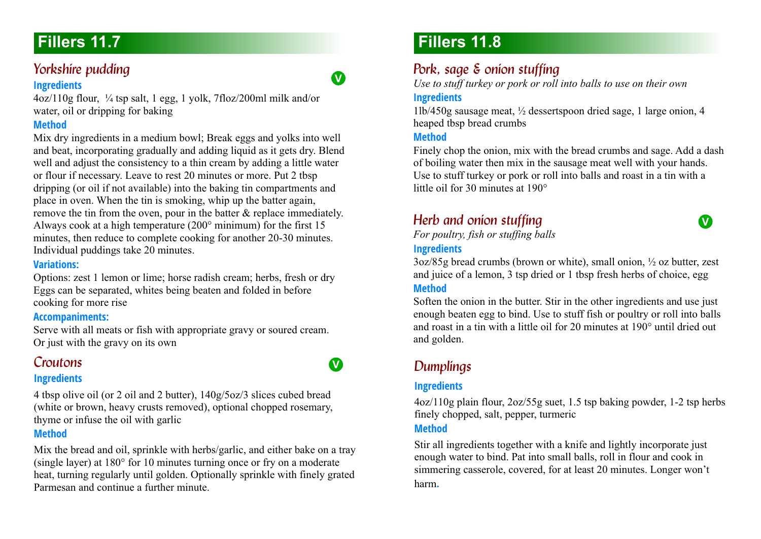### *Yorkshire pudding*

#### **Ingredients**

4oz/110g flour, ¼ tsp salt, 1 egg, 1 yolk, 7floz/200ml milk and/or water, oil or dripping for baking

#### **Method**

Mix dry ingredients in a medium bowl; Break eggs and yolks into well and beat, incorporating gradually and adding liquid as it gets dry. Blend well and adjust the consistency to a thin cream by adding a little water or flour if necessary. Leave to rest 20 minutes or more. Put 2 tbsp dripping (or oil if not available) into the baking tin compartments and place in oven. When the tin is smoking, whip up the batter again, remove the tin from the oven, pour in the batter & replace immediately. Always cook at a high temperature (200° minimum) for the first 15 minutes, then reduce to complete cooking for another 20-30 minutes. Individual puddings take 20 minutes.

#### **Variations:**

Options: zest 1 lemon or lime; horse radish cream; herbs, fresh or dry Eggs can be separated, whites being beaten and folded in before cooking for more rise

#### **Accompaniments:**

Serve with all meats or fish with appropriate gravy or soured cream. Or just with the gravy on its own

### *Croutons 11.7*

#### **Ingredients**

4 tbsp olive oil (or 2 oil and 2 butter), 140g/5oz/3 slices cubed bread (white or brown, heavy crusts removed), optional chopped rosemary, thyme or infuse the oil with garlic

#### **Method**

Mix the bread and oil, sprinkle with herbs/garlic, and either bake on a tray (single layer) at 180° for 10 minutes turning once or fry on a moderate heat, turning regularly until golden. Optionally sprinkle with finely grated Parmesan and continue a further minute.

# **Fillers 11.8**

### *Pork, sage & onion stuffing*

*Use to stuff turkey or pork or roll into balls to use on their own*

#### **Ingredients**

**V**

**V**

1lb/450g sausage meat, ½ dessertspoon dried sage, 1 large onion, 4 heaped tbsp bread crumbs

#### **Method**

Finely chop the onion, mix with the bread crumbs and sage. Add a dash of boiling water then mix in the sausage meat well with your hands. Use to stuff turkey or pork or roll into balls and roast in a tin with a little oil for 30 minutes at 190°

**V**

### **Herb and onion stuffing**

*For poultry, fish or stuffing balls*

#### **Ingredients**

3oz/85g bread crumbs (brown or white), small onion, ½ oz butter, zest and juice of a lemon, 3 tsp dried or 1 tbsp fresh herbs of choice, egg

#### **Method**

Soften the onion in the butter. Stir in the other ingredients and use just enough beaten egg to bind. Use to stuff fish or poultry or roll into balls and roast in a tin with a little oil for 20 minutes at 190° until dried out and golden.

### **Dumplings**

#### **Ingredients**

4oz/110g plain flour, 2oz/55g suet, 1.5 tsp baking powder, 1-2 tsp herbs finely chopped, salt, pepper, turmeric

#### **Method**

Stir all ingredients together with a knife and lightly incorporate just enough water to bind. Pat into small balls, roll in flour and cook in simmering casserole, covered, for at least 20 minutes. Longer won't harm**.**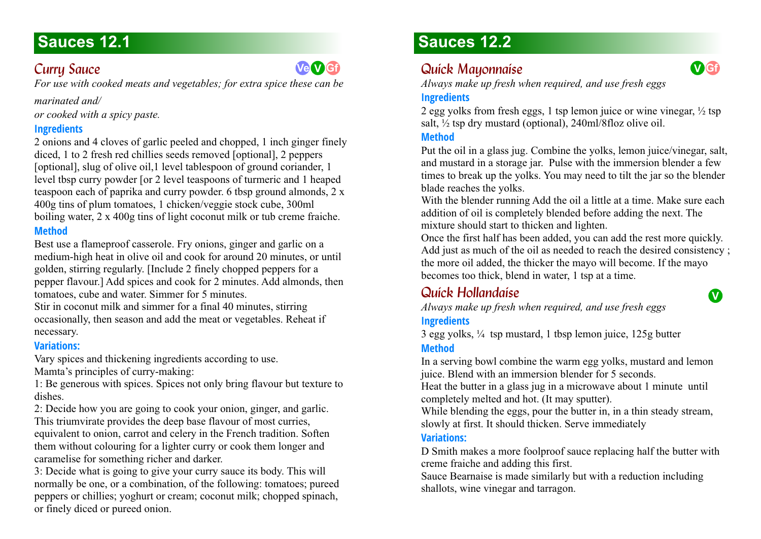### **Curry Sauce**

*For use with cooked meats and vegetables; for extra spice these can be* 

**Ve V Gf**

#### *marinated and/*

*or cooked with a spicy paste.*

#### **Ingredients**

2 onions and 4 cloves of garlic peeled and chopped, 1 inch ginger finely diced, 1 to 2 fresh red chillies seeds removed [optional], 2 peppers [optional], slug of olive oil,1 level tablespoon of ground coriander, 1 level tbsp curry powder [or 2 level teaspoons of turmeric and 1 heaped teaspoon each of paprika and curry powder. 6 tbsp ground almonds, 2 x 400g tins of plum tomatoes, 1 chicken/veggie stock cube, 300ml boiling water, 2 x 400g tins of light coconut milk or tub creme fraiche. **Method**

Best use a flameproof casserole. Fry onions, ginger and garlic on a medium-high heat in olive oil and cook for around 20 minutes, or until golden, stirring regularly. [Include 2 finely chopped peppers for a pepper flavour.] Add spices and cook for 2 minutes. Add almonds, then tomatoes, cube and water. Simmer for 5 minutes.

Stir in coconut milk and simmer for a final 40 minutes, stirring occasionally, then season and add the meat or vegetables. Reheat if necessary.

#### **Variations:**

Vary spices and thickening ingredients according to use.

Mamta's principles of curry-making:

1: Be generous with spices. Spices not only bring flavour but texture to dishes.

2: Decide how you are going to cook your onion, ginger, and garlic.

This triumvirate provides the deep base flavour of most curries, equivalent to onion, carrot and celery in the French tradition. Soften them without colouring for a lighter curry or cook them longer and caramelise for something richer and darker.

3: Decide what is going to give your curry sauce its body. This will normally be one, or a combination, of the following: tomatoes; pureed peppers or chillies; yoghurt or cream; coconut milk; chopped spinach, or finely diced or pureed onion.

# **Sauces 12.2**

# *Quick Mayonnaise 12.2*

*Always make up fresh when required, and use fresh eggs*

### **Ingredients**

2 egg yolks from fresh eggs, 1 tsp lemon juice or wine vinegar,  $\frac{1}{2}$  tsp salt,  $\frac{1}{2}$  tsp dry mustard (optional), 240ml/8floz olive oil.

#### **Method**

Put the oil in a glass jug. Combine the yolks, lemon juice/vinegar, salt, and mustard in a storage jar. Pulse with the immersion blender a few times to break up the yolks. You may need to tilt the jar so the blender blade reaches the yolks.

With the blender running Add the oil a little at a time. Make sure each addition of oil is completely blended before adding the next. The mixture should start to thicken and lighten.

Once the first half has been added, you can add the rest more quickly. Add just as much of the oil as needed to reach the desired consistency ; the more oil added, the thicker the mayo will become. If the mayo becomes too thick, blend in water, 1 tsp at a time.

# *Quick Hollandaise 12.2*

*Always make up fresh when required, and use fresh eggs*

### **Ingredients**

3 egg yolks, ¼ tsp mustard, 1 tbsp lemon juice, 125g butter **Method**

In a serving bowl combine the warm egg yolks, mustard and lemon juice. Blend with an immersion blender for 5 seconds.

Heat the butter in a glass jug in a microwave about 1 minute until completely melted and hot. (It may sputter).

While blending the eggs, pour the butter in, in a thin steady stream, slowly at first. It should thicken. Serve immediately

#### **Variations:**

D Smith makes a more foolproof sauce replacing half the butter with creme fraiche and adding this first.

Sauce Bearnaise is made similarly but with a reduction including shallots, wine vinegar and tarragon.

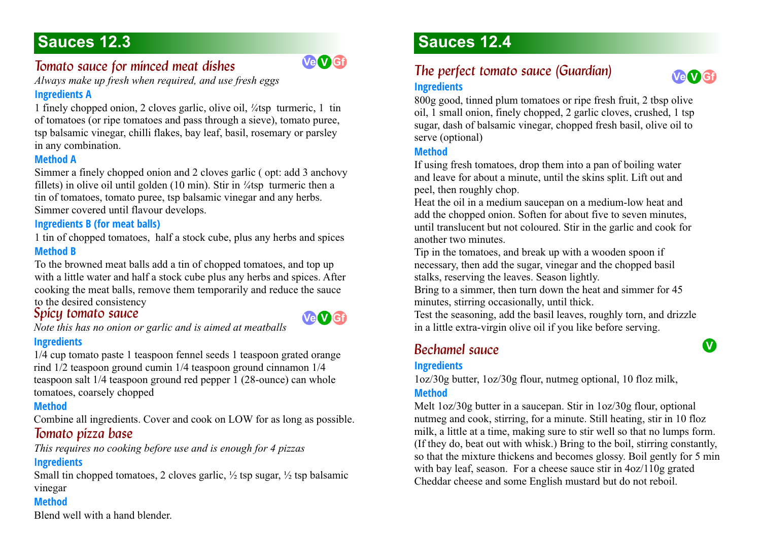### *Tomato sauce for minced meat dishes*



*Always make up fresh when required, and use fresh eggs*

#### **Ingredients A**

1 finely chopped onion, 2 cloves garlic, olive oil, *¼*tsp turmeric, 1 tin of tomatoes (or ripe tomatoes and pass through a sieve), tomato puree, tsp balsamic vinegar, chilli flakes, bay leaf, basil, rosemary or parsley in any combination.

#### **Method A**

Simmer a finely chopped onion and 2 cloves garlic ( opt: add 3 anchovy fillets) in olive oil until golden (10 min). Stir in *¼*tsp turmeric then a tin of tomatoes, tomato puree, tsp balsamic vinegar and any herbs. Simmer covered until flavour develops.

#### **Ingredients B (for meat balls)**

1 tin of chopped tomatoes, half a stock cube, plus any herbs and spices **Method B**

To the browned meat balls add a tin of chopped tomatoes, and top up with a little water and half a stock cube plus any herbs and spices. After cooking the meat balls, remove them temporarily and reduce the sauce to the desired consistency

### *Spicu tomato sauce*



*Note this has no onion or garlic and is aimed at meatballs*

#### **Ingredients**

1/4 cup tomato paste 1 teaspoon fennel seeds 1 teaspoon grated orange rind 1/2 teaspoon ground cumin 1/4 teaspoon ground cinnamon 1/4 teaspoon salt 1/4 teaspoon ground red pepper 1 (28-ounce) can whole tomatoes, coarsely chopped

#### **Method**

Combine all ingredients. Cover and cook on LOW for as long as possible. *Tomato pizza base* 

*This requires no cooking before use and is enough for 4 pizzas*

### **Ingredients**

Small tin chopped tomatoes, 2 cloves garlic,  $\frac{1}{2}$  tsp sugar,  $\frac{1}{2}$  tsp balsamic vinegar

#### **Method**

Blend well with a hand blender.

# **Sauces 12.4**

### *The perfect tomato sauce (Guardian)* **Ingredients**



**V**

800g good, tinned plum tomatoes or ripe fresh fruit, 2 tbsp olive oil, 1 small onion, finely chopped, 2 garlic cloves, crushed, 1 tsp sugar, dash of balsamic vinegar, chopped fresh basil, olive oil to serve (optional)

#### **Method**

If using fresh tomatoes, drop them into a pan of boiling water and leave for about a minute, until the skins split. Lift out and peel, then roughly chop.

Heat the oil in a medium saucepan on a medium-low heat and add the chopped onion. Soften for about five to seven minutes, until translucent but not coloured. Stir in the garlic and cook for another two minutes.

Tip in the tomatoes, and break up with a wooden spoon if necessary, then add the sugar, vinegar and the chopped basil stalks, reserving the leaves. Season lightly.

Bring to a simmer, then turn down the heat and simmer for 45 minutes, stirring occasionally, until thick.

Test the seasoning, add the basil leaves, roughly torn, and drizzle in a little extra-virgin olive oil if you like before serving.

### *Bechamel sauce 12.4*

#### **Ingredients**

1oz/30g butter, 1oz/30g flour, nutmeg optional, 10 floz milk, **Method**

Melt 1oz/30g butter in a saucepan. Stir in 1oz/30g flour, optional nutmeg and cook, stirring, for a minute. Still heating, stir in 10 floz milk, a little at a time, making sure to stir well so that no lumps form. (If they do, beat out with whisk.) Bring to the boil, stirring constantly, so that the mixture thickens and becomes glossy. Boil gently for 5 min with bay leaf, season. For a cheese sauce stir in  $4oz/110g$  grated Cheddar cheese and some English mustard but do not reboil.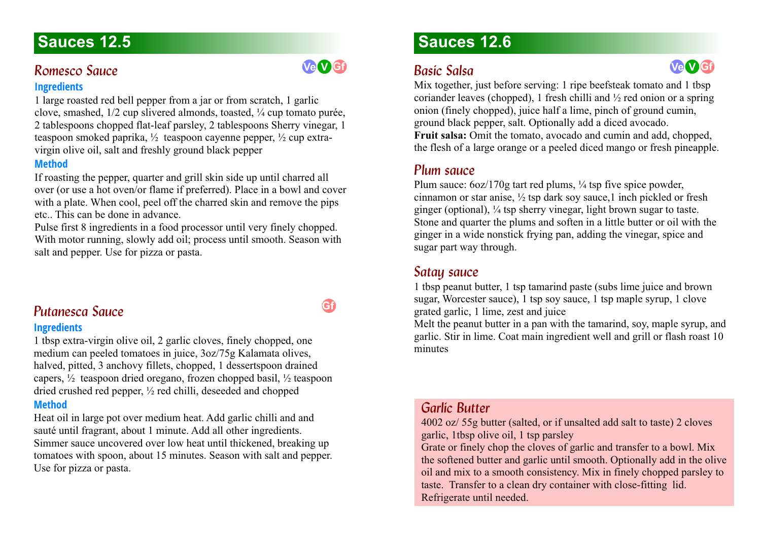#### **Romesco Squee**

#### **Ingredients**

1 large roasted red bell pepper from a jar or from scratch, 1 garlic clove, smashed, 1/2 cup slivered almonds, toasted, ¼ cup tomato purée, 2 tablespoons chopped flat-leaf parsley, 2 tablespoons Sherry vinegar, 1 teaspoon smoked paprika, ½ teaspoon cayenne pepper, ½ cup extravirgin olive oil, salt and freshly ground black pepper

#### **Method**

If roasting the pepper, quarter and grill skin side up until charred all over (or use a hot oven/or flame if preferred). Place in a bowl and cover with a plate. When cool, peel off the charred skin and remove the pips etc.. This can be done in advance.

Pulse first 8 ingredients in a food processor until very finely chopped. With motor running, slowly add oil; process until smooth. Season with salt and pepper. Use for pizza or pasta.

### **Putanesca Sauce**

#### **Ingredients**

1 tbsp extra-virgin olive oil, 2 garlic cloves, finely chopped, one medium can peeled tomatoes in juice, 3oz/75g Kalamata olives, halved, pitted, 3 anchovy fillets, chopped, 1 dessertspoon drained capers,  $\frac{1}{2}$  teaspoon dried oregano, frozen chopped basil,  $\frac{1}{2}$  teaspoon dried crushed red pepper, ½ red chilli, deseeded and chopped

#### **Method**

Heat oil in large pot over medium heat. Add garlic chilli and and sauté until fragrant, about 1 minute. Add all other ingredients. Simmer sauce uncovered over low heat until thickened, breaking up tomatoes with spoon, about 15 minutes. Season with salt and pepper. Use for pizza or pasta.

# **Sauces 12.6**

### *Basic Salsa 12.6*

Mix together, just before serving: 1 ripe beefsteak tomato and 1 tbsp coriander leaves (chopped), 1 fresh chilli and  $\frac{1}{2}$  red onion or a spring onion (finely chopped), juice half a lime, pinch of ground cumin, ground black pepper, salt. Optionally add a diced avocado. **Fruit salsa:** Omit the tomato, avocado and cumin and add, chopped, the flesh of a large orange or a peeled diced mango or fresh pineapple.

### *Plum sauce 12.6*

Plum sauce:  $6oz/170g$  tart red plums,  $\frac{1}{4}$  tsp five spice powder, cinnamon or star anise, ½ tsp dark soy sauce,1 inch pickled or fresh ginger (optional), ¼ tsp sherry vinegar, light brown sugar to taste. Stone and quarter the plums and soften in a little butter or oil with the ginger in a wide nonstick frying pan, adding the vinegar, spice and sugar part way through.

#### *Satay sauce*

1 tbsp peanut butter, 1 tsp tamarind paste (subs lime juice and brown sugar, Worcester sauce), 1 tsp soy sauce, 1 tsp maple syrup, 1 clove grated garlic, 1 lime, zest and juice

Melt the peanut butter in a pan with the tamarind, soy, maple syrup, and garlic. Stir in lime. Coat main ingredient well and grill or flash roast 10 minutes

### *Garlíc Butter*

4002 oz/ 55g butter (salted, or if unsalted add salt to taste) 2 cloves garlic, 1tbsp olive oil, 1 tsp parsley

Grate or finely chop the cloves of garlic and transfer to a bowl. Mix the softened butter and garlic until smooth. Optionally add in the olive oil and mix to a smooth consistency. Mix in finely chopped parsley to taste. Transfer to a clean dry container with close-fitting lid. Refrigerate until needed.

### **Gf**

**Ve V Gf**

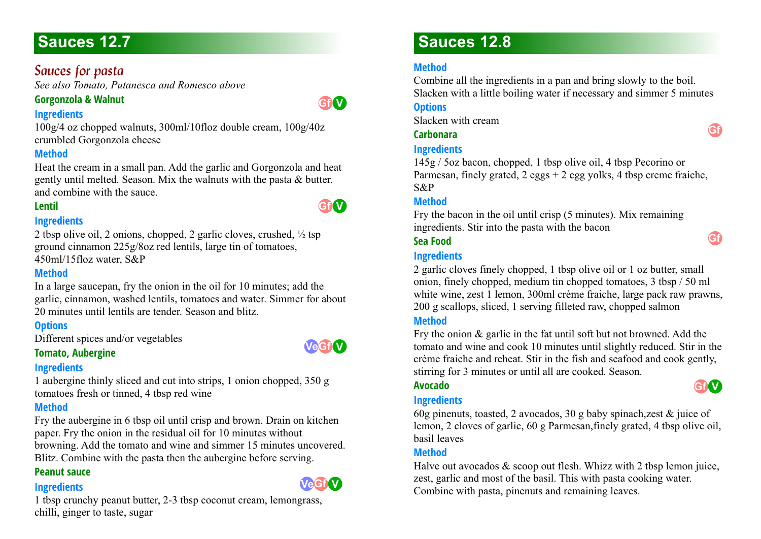### *Sauces for pasta*

*See also Tomato, Putanesca and Romesco above*

### **Gorgonzola & Walnut**



**V Gf**

#### **Ingredients**

100g/4 oz chopped walnuts, 300ml/10floz double cream, 100g/40z crumbled Gorgonzola cheese

#### **Method**

Heat the cream in a small pan. Add the garlic and Gorgonzola and heat gently until melted. Season. Mix the walnuts with the pasta & butter. and combine with the sauce.

#### **Lentil**

#### **Ingredients**

2 tbsp olive oil, 2 onions, chopped, 2 garlic cloves, crushed, ½ tsp ground cinnamon 225g/8oz red lentils, large tin of tomatoes, 450ml/15floz water, S&P

#### **Method**

In a large saucepan, fry the onion in the oil for 10 minutes; add the garlic, cinnamon, washed lentils, tomatoes and water. Simmer for about 20 minutes until lentils are tender. Season and blitz.

#### **Options**

Different spices and/or vegetables

#### **Tomato, Aubergine**

#### **Ingredients**

1 aubergine thinly sliced and cut into strips, 1 onion chopped, 350 g tomatoes fresh or tinned, 4 tbsp red wine

#### **Method**

Fry the aubergine in 6 tbsp oil until crisp and brown. Drain on kitchen paper. Fry the onion in the residual oil for 10 minutes without browning. Add the tomato and wine and simmer 15 minutes uncovered.

Blitz. Combine with the pasta then the aubergine before serving.

#### **Peanut sauce**

#### **Ingredients**



 $VeGf$ <sup>V</sup>

1 tbsp crunchy peanut butter, 2-3 tbsp coconut cream, lemongrass, chilli, ginger to taste, sugar

# **Sauces 12.8**

### **Method**

Combine all the ingredients in a pan and bring slowly to the boil. Slacken with a little boiling water if necessary and simmer 5 minutes

#### **Options**

Slacken with cream

#### **Carbonara**

#### **Ingredients**

145g / 5oz bacon, chopped, 1 tbsp olive oil, 4 tbsp Pecorino or Parmesan, finely grated,  $2 \text{ eggs} + 2 \text{ egg volts}$ , 4 tbsp creme fraiche, S&P

#### **Method**

Fry the bacon in the oil until crisp (5 minutes). Mix remaining ingredients. Stir into the pasta with the bacon

#### **Sea Food**

#### **Ingredients**

2 garlic cloves finely chopped, 1 tbsp olive oil or 1 oz butter, small onion, finely chopped, medium tin chopped tomatoes, 3 tbsp / 50 ml white wine, zest 1 lemon, 300ml crème fraiche, large pack raw prawns, 200 g scallops, sliced, 1 serving filleted raw, chopped salmon

#### **Method**

Fry the onion & garlic in the fat until soft but not browned. Add the tomato and wine and cook 10 minutes until slightly reduced. Stir in the crème fraiche and reheat. Stir in the fish and seafood and cook gently, stirring for 3 minutes or until all are cooked. Season.

#### **Avocado**

#### **Ingredients**



60g pinenuts, toasted, 2 avocados, 30 g baby spinach,zest & juice of lemon, 2 cloves of garlic, 60 g Parmesan,finely grated, 4 tbsp olive oil, basil leaves

#### **Method**

Halve out avocados & scoop out flesh. Whizz with 2 tbsp lemon juice, zest, garlic and most of the basil. This with pasta cooking water. Combine with pasta, pinenuts and remaining leaves.



**Gf**

**Gf**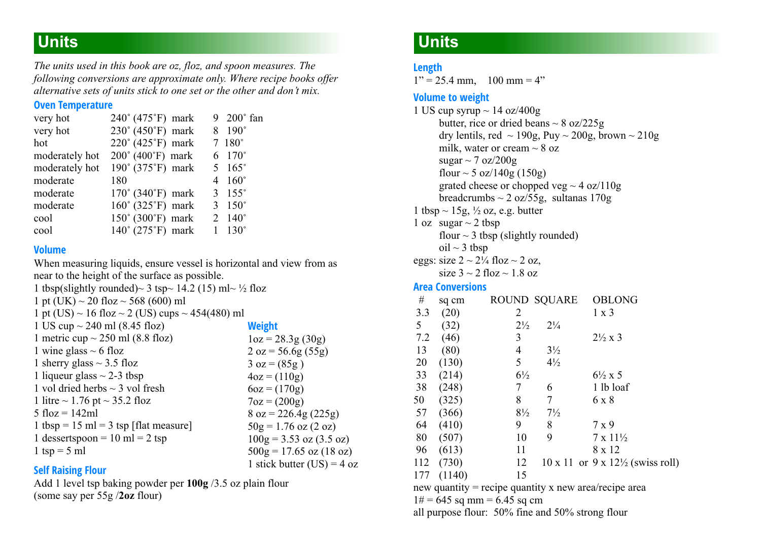# **Units**

*The units used in this book are oz, floz, and spoon measures. The following conversions are approximate only. Where recipe books offer alternative sets of units stick to one set or the other and don't mix.*

#### **Oven Temperature**

| very hot       | 240° (475°F) mark                     |                | 9 200° fan        |
|----------------|---------------------------------------|----------------|-------------------|
| very hot       | 230° (450°F) mark                     | 8              | $190^\circ$       |
| hot            | 220° (425°F) mark                     |                | $7~180^\circ$     |
| moderately hot | 200° (400°F) mark                     |                | 6 170°            |
| moderately hot | 190° (375°F) mark                     |                | $5\quad165^\circ$ |
| moderate       | 180                                   | $\overline{4}$ | $160^\circ$       |
| moderate       | $170^{\circ}$ (340 $^{\circ}$ F) mark | 3              | $155^\circ$       |
| moderate       | $160^\circ$ (325°F) mark              | 3              | $150^\circ$       |
| cool           | $150^{\circ}$ (300 $^{\circ}$ F) mark |                | $2 \ 140^\circ$   |
| cool           | 140° (275°F) mark                     |                | $130^\circ$       |

#### **Volume**

When measuring liquids, ensure vessel is horizontal and view from as near to the height of the surface as possible.

1 tbsp(slightly rounded) $\sim$  3 tsp $\sim$  14.2 (15) ml $\sim$  ½ floz 1 pt (UK)  $\sim$  20 floz  $\sim$  568 (600) ml 1 pt (US)  $\sim$  16 floz  $\sim$  2 (US) cups  $\sim$  454(480) ml 1 US cup  $\sim$  240 ml (8.45 floz) 1 metric cup  $\sim$  250 ml (8.8 floz) 1 wine glass  $\sim$  6 floz 1 sherry glass  $\sim$  3.5 floz 1 liqueur glass  $\sim$  2-3 tbsp 1 vol dried herbs  $\sim$  3 vol fresh 1 litre  $\sim$  1.76 pt  $\sim$  35.2 floz 5 floz =  $142$ ml 1 tbsp = 15 ml = 3 tsp [flat measure] 1 dessertspoon =  $10 \text{ ml} = 2 \text{ tsp}$ 1 tsp =  $5$  ml **Weight**  $1oz = 28.3g(30g)$  $2 oz = 56.6g(55g)$  $3 oz = (85g)$  $4oz = (110g)$  $6oz = (170g)$  $7oz = (200g)$  $8$  oz = 226.4g (225g)  $50g = 1.76$  oz  $(2 \text{ oz})$  $100g = 3.53$  oz  $(3.5$  oz)  $500g = 17.65$  oz  $(18 \text{ oz})$ 1 stick butter  $(US) = 4$  oz

#### **Self Raising Flour**

Add 1 level tsp baking powder per **100g** /3.5 oz plain flour (some say per 55g /**2oz** flour)

### **Units**

#### **Length**

 $1" = 25.4$  mm,  $100$  mm = 4"

#### **Volume to weight**

1 US cup syrup  $\sim$  14 oz/400g butter, rice or dried beans  $\sim 8$  oz/225g dry lentils, red  $\sim$  190g, Puy  $\sim$  200g, brown  $\sim$  210g milk, water or cream  $\sim 8$  oz sugar  $\sim$  7 oz/200g flour  $\sim$  5 oz/140g (150g) grated cheese or chopped veg  $\sim$  4 oz/110g breadcrumbs  $\sim$  2 oz/55g, sultanas 170g 1 tbsp  $\sim$  15g,  $\frac{1}{2}$  oz, e.g. butter 1 oz  $sugar \sim 2 tbsp$ flour  $\sim$  3 tbsp (slightly rounded) oil  $\sim$  3 tbsp eggs: size  $2 \sim 2\frac{1}{4}$  floz  $\sim 2$  oz, size  $3 \approx 2$  floz  $\approx 1.8$  oz

#### **Area Conversions**

| #                                                     | sq cm  | <b>ROUND SQUARE</b> |                | <b>OBLONG</b>                                           |  |
|-------------------------------------------------------|--------|---------------------|----------------|---------------------------------------------------------|--|
| 3.3                                                   | (20)   | 2                   |                | $1 \times 3$                                            |  |
| 5                                                     | (32)   | $2\frac{1}{2}$      | $2\frac{1}{4}$ |                                                         |  |
| 7.2                                                   | (46)   | 3                   |                | $2\frac{1}{2} \times 3$                                 |  |
| 13                                                    | (80)   | 4                   | $3\frac{1}{2}$ |                                                         |  |
| 20                                                    | (130)  | 5                   | $4\frac{1}{2}$ |                                                         |  |
| 33                                                    | (214)  | $6\frac{1}{2}$      |                | $6\frac{1}{2} x 5$                                      |  |
| 38                                                    | (248)  | 7                   | 6              | 1 lb loaf                                               |  |
| 50                                                    | (325)  | 8                   | 7              | 6 x 8                                                   |  |
| 57                                                    | (366)  | $8\frac{1}{2}$      | $7\frac{1}{2}$ |                                                         |  |
| 64                                                    | (410)  | 9                   | 8              | 7 x 9                                                   |  |
| 80                                                    | (507)  | 10                  | 9              | $7 \times 11\frac{1}{2}$                                |  |
| 96                                                    | (613)  | 11                  |                | 8 x 12                                                  |  |
| 112                                                   | (730)  | 12                  |                | $10 \times 11$ or $9 \times 12\frac{1}{2}$ (swiss roll) |  |
| 177                                                   | (1140) | 15                  |                |                                                         |  |
| new quantity = recipe quantity x new area/recipe area |        |                     |                |                                                         |  |

 $1# = 645$  sq mm = 6.45 sq cm

all purpose flour: 50% fine and 50% strong flour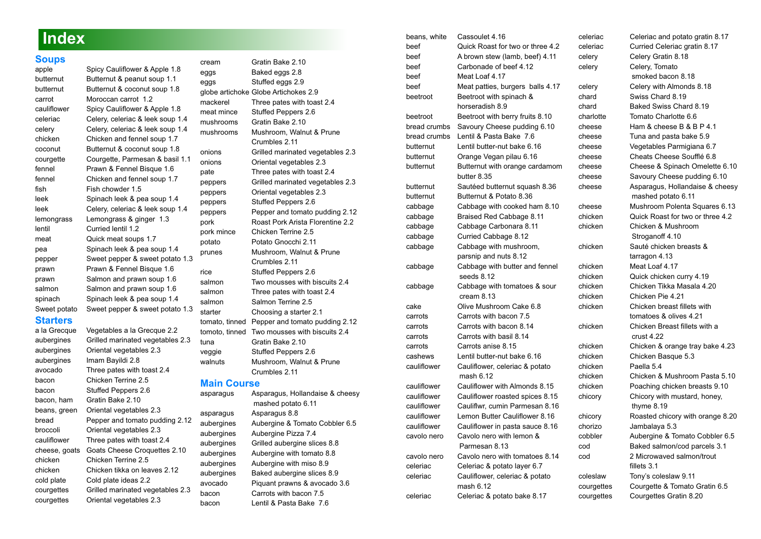### **Index**

**Soups** [Spicy Cauliflower & Apple 1.8](#page-6-0) butternut Butternut & peanut soup 1.1 butternut [Butternut & coconut soup 1.8](#page-6-1) carrot [Moroccan carrot 1.2](#page-3-0) cauliflower [Spicy Cauliflower & Apple 1.8](#page-6-0) celeriac [Celery, celeriac & leek soup 1.4](#page-4-0) celery Celery, celeriac & leek soup 1.4 chicken Chicken and fennel soup 1.7 coconut Butternut & coconut soup 1.8 courgette Courgette, Parmesan & basil 1.1 fennel Prawn & Fennel Bisque 1.6 fennel Chicken and fennel soup 1.7 fish Fish chowder 1.5 leek Spinach leek & pea soup 1.4 leek Celery, celeriac & leek soup 1.4 lemongrass Lemongrass & ginger 1.3 lentil Curried lentil 1.2 meat Quick meat soups 1.7 pea Spinach leek & pea soup 1.4 prawn Prawn & Fennel Bisque 1.6 prawn Salmon and prawn soup 1.6 salmon Salmon and prawn soup 1.6 spinach Spinach leek & pea soup 1.4 **Starters** a la Grecque Vegetables a la Grecque 2.2 aubergines Grilled marinated vegetables 2.3 aubergines Oriental vegetables 2.3 aubergines Imam Bayildi 2.8 avocado Three pates with toast 2.4 bacon Chicken Terrine 2.5 bacon Stuffed Peppers 2.6 bacon, ham Gratin Bake 2.10 beans, green Oriental vegetables 2.3 bread Pepper and tomato pudding 2.12

pepper Sweet pepper & sweet potato 1.3 Sweet potato Sweet pepper & sweet potato 1.3 broccoli Oriental vegetables 2.3 cauliflower Three pates with toast 2.4 cheese, goats Goats Cheese Croquettes 2.10 chicken Chicken Terrine 2.5 chicken Chicken tikka on leaves 2.12 cold plate Cold plate ideas 2.2 courgettes Grilled marinated vegetables 2.3 courgettes Oriental vegetables 2.3

cream Gratin Bake 2.10 eggs Baked eggs 2.8 eggs Stuffed eggs 2.9 globe artichoke Globe Artichokes 2.9 mackerel Three pates with toast 2.4 meat mince Stuffed Peppers 2.6 mushrooms Gratin Bake 2.10 mushrooms Mushroom, Walnut & Prune Crumbles 2.11 onions Grilled marinated vegetables 2.3 onions Oriental vegetables 2.3 pate Three pates with toast 2.4 peppers Grilled marinated vegetables 2.3 peppers Oriental vegetables 2.3 peppers Stuffed Peppers 2.6 peppers Pepper and tomato pudding 2.12 pork Roast Pork Arista Florentine 2.2 pork mince Chicken Terrine 2.5 potato Potato Gnocchi 2.11 prunes Mushroom, Walnut & Prune Crumbles 2.11 rice Stuffed Peppers 2.6 salmon Two mousses with biscuits 2.4 salmon Three pates with toast 2.4 salmon Salmon Terrine 2.5 starter Choosing a starter 2.1 tomato, tinned Pepper and tomato pudding 2.12 tomoto, tinned Two mousses with biscuits 2.4 tuna Gratin Bake 2.10 veggie Stuffed Peppers 2.6 walnuts Mushroom, Walnut & Prune Crumbles 2.11

### **Main Course**<br> **Asparagus** As

Asparagus, Hollandaise & cheesy mashed potato 6.11 asparagus Asparagus 8.8 aubergines Aubergine & Tomato Cobbler 6.5 aubergines Aubergine Pizza 7.4 aubergines Grilled aubergine slices 8.8 aubergines Aubergine with tomato 8.8 aubergines Aubergine with miso 8.9 aubergines Baked aubergine slices 8.9 avocado Piquant prawns & avocado 3.6 bacon Carrots with bacon 7.5 bacon Lentil & Pasta Bake 7.6

| beans, white | Cassoulet 4.16                   | celeria |
|--------------|----------------------------------|---------|
| beef         | Quick Roast for two or three 4.2 | celeria |
| beef         | A brown stew (lamb, beef) 4.11   | celery  |
| beef         | Carbonade of beef 4.12           | celery  |
| beef         | Meat Loaf 4.17                   |         |
| beef         | Meat patties, burgers balls 4.17 | celery  |
| beetroot     | Beetroot with spinach &          | chard   |
|              | horseradish 8.9                  | chard   |
| beetroot     | Beetroot with berry fruits 8.10  | charlot |
| bread crumbs | Savoury Cheese pudding 6.10      | cheese  |
| bread crumbs | Lentil & Pasta Bake 7.6          | cheese  |
| butternut    | Lentil butter-nut bake 6.16      | cheese  |
| butternut    | Orange Vegan pilau 6.16          | cheese  |
| butternut    | Butternut with orange cardamom   | cheese  |
|              | butter 8.35                      | cheese  |
| butternut    | Sautéed butternut squash 8.36    | cheese  |
| butternut    | Butternut & Potato 8.36          |         |
| cabbage      | Cabbage with cooked ham 8.10     | cheese  |
| cabbage      | Braised Red Cabbage 8.11         | chicker |
| cabbage      | Cabbage Carbonara 8.11           | chicker |
| cabbage      | Curried Cabbage 8.12             |         |
| cabbage      | Cabbage with mushroom,           | chicker |
|              | parsnip and nuts 8.12            |         |
| cabbage      | Cabbage with butter and fennel   | chicker |
|              | seeds 8.12                       | chicker |
| cabbage      | Cabbage with tomatoes & sour     | chicker |
|              | cream 8.13                       | chicker |
| cake         | Olive Mushroom Cake 6.8          | chicker |
| carrots      | Carrots with bacon 7.5           |         |
| carrots      | Carrots with bacon 8.14          | chicker |
| carrots      | Carrots with basil 8.14          |         |
| carrots      | Carrots anise 8.15               | chicker |
| cashews      | Lentil butter-nut bake 6.16      | chicker |
| cauliflower  | Cauliflower, celeriac & potato   | chicker |
|              | mash 6.12                        | chicker |
| cauliflower  | Cauliflower with Almonds 8.15    | chicker |
| cauliflower  | Cauliflower roasted spices 8.15  | chicory |
| cauliflower  | Cauliflwr, cumin Parmesan 8.16   |         |
| cauliflower  | Lemon Butter Cauliflower 8.16    | chicory |
| cauliflower  | Cauliflower in pasta sauce 8.16  | chorizc |
| cavolo nero  | Cavolo nero with lemon &         | cobbler |
|              | Parmesan 8.13                    | cod     |
| cavolo nero  | Cavolo nero with tomatoes 8.14   | cod     |
| celeriac     | Celeriac & potato layer 6.7      |         |
| celeriac     | Cauliflower, celeriac & potato   | colesla |
|              | mash 6.12                        | courge  |
| celeriac     | Celeriac & potato bake 8.17      | courge  |

celeriac Celeriac and potato gratin 8.17 c Curried Celeriac gratin 8.17 celery Celery Gratin 8.18 Celery, Tomato smoked bacon 8.18 Celery with Almonds 8.18 Swiss Chard 8.19 chard Baked Swiss Chard 8.19 te Tomato Charlotte 6.6 Ham & cheese B & B P 4.1 Tuna and pasta bake 5.9 Vegetables Parmigiana 6.7 cheese Cheats Cheese Soufflé 6.8 Cheese & Spinach Omelette 6.10 Savoury Cheese pudding 6.10 Asparagus, Hollandaise & cheesy mashed potato 6.11 Mushroom Polenta Squares 6.13 n Cuick Roast for two or three 4.2 chicken Chicken & Mushroom Stroganoff 4.10 chicken Sauté chicken breasts & tarragon 4.13 n Meat Loaf 4.17 n **Quick chicken curry 4.19** chicken Chicken Tikka Masala 4.20 chicken Chicken Pie 4.21 chicken Chicken breast fillets with tomatoes & olives 4.21 chicken Chicken Breast fillets with a crust 4.22 chicken Chicken & orange tray bake 4.23 chicken Chicken Basque 5.3 n Paella 5.4 chicken Chicken & Mushroom Pasta 5.10 Poaching chicken breasts 9.10 Chicory with mustard, honey, thyme 8.19 Roasted chicory with orange 8.20 Jambalaya 5.3 Aubergine & Tomato Cobbler 6.5 Baked salmon/cod parcels 3.1 2 Microwaved salmon/trout fillets 3.1 w Tony's coleslaw 9.11 ttes Courgette & Tomato Gratin 6.5 ettes Courgettes Gratin 8.20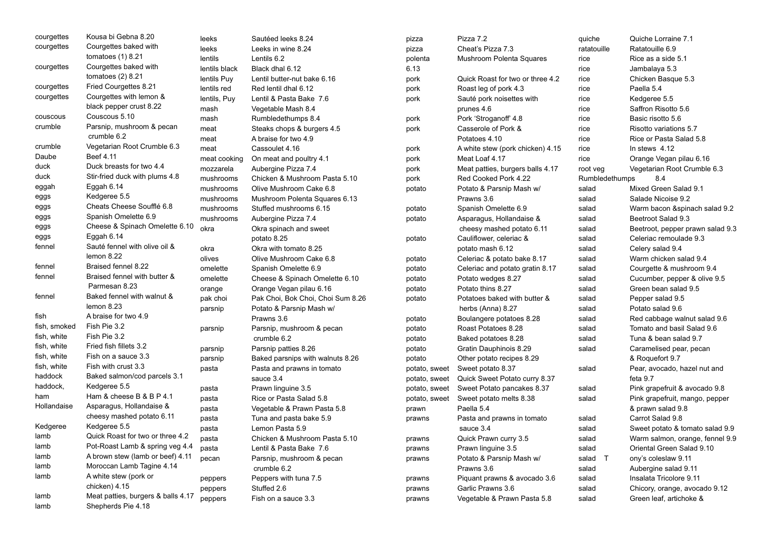| courgettes   | Kousa bi Gebna 8.20                | leeks         | Sautéed leeks 8.24                | pizza         | Pizza 7.2                        | quiche         | Quiche Lorraine 7.1              |
|--------------|------------------------------------|---------------|-----------------------------------|---------------|----------------------------------|----------------|----------------------------------|
| courgettes   | Courgettes baked with              | leeks         | Leeks in wine 8.24                | pizza         | Cheat's Pizza 7.3                | ratatouille    | Ratatouille 6.9                  |
|              | tomatoes $(1)$ 8.21                | lentils       | Lentils 6.2                       | polenta       | Mushroom Polenta Squares         | rice           | Rice as a side 5.1               |
| courgettes   | Courgettes baked with              | lentils black | Black dhal 6.12                   | 6.13          |                                  | rice           | Jambalaya 5.3                    |
|              | tomatoes $(2)$ 8.21                | lentils Puy   | Lentil butter-nut bake 6.16       | pork          | Quick Roast for two or three 4.2 | rice           | Chicken Basque 5.3               |
| courgettes   | Fried Courgettes 8.21              | lentils red   | Red lentil dhal 6.12              | pork          | Roast leg of pork 4.3            | rice           | Paella 5.4                       |
| courgettes   | Courgettes with lemon &            | lentils, Puy  | Lentil & Pasta Bake 7.6           | pork          | Sauté pork noisettes with        | rice           | Kedgeree 5.5                     |
|              | black pepper crust 8.22            | mash          | Vegetable Mash 8.4                |               | prunes 4.6                       | rice           | Saffron Risotto 5.6              |
| couscous     | Couscous 5.10                      | mash          | Rumbledethumps 8.4                | pork          | Pork 'Stroganoff' 4.8            | rice           | Basic risotto 5.6                |
| crumble      | Parsnip, mushroom & pecan          | meat          | Steaks chops & burgers 4.5        | pork          | Casserole of Pork &              | rice           | Risotto variations 5.7           |
|              | crumble 6.2                        | meat          | A braise for two 4.9              |               | Potatoes 4.10                    | rice           | Rice or Pasta Salad 5.8          |
| crumble      | Vegetarian Root Crumble 6.3        | meat          | Cassoulet 4.16                    | pork          | A white stew (pork chicken) 4.15 | rice           | In stews $4.12$                  |
| Daube        | Beef 4.11                          | meat cooking  | On meat and poultry 4.1           | pork          | Meat Loaf 4.17                   | rice           | Orange Vegan pilau 6.16          |
| duck         | Duck breasts for two 4.4           | mozzarela     | Aubergine Pizza 7.4               | pork          | Meat patties, burgers balls 4.17 | root veg       | Vegetarian Root Crumble 6.3      |
| duck         | Stir-fried duck with plums 4.8     | mushrooms     | Chicken & Mushroom Pasta 5.10     | pork          | Red Cooked Pork 4.22             | Rumbledethumps | 8.4                              |
| eggah        | Eggah 6.14                         | mushrooms     | Olive Mushroom Cake 6.8           | potato        | Potato & Parsnip Mash w/         | salad          | Mixed Green Salad 9.1            |
| eggs         | Kedgeree 5.5                       | mushrooms     | Mushroom Polenta Squares 6.13     |               | Prawns 3.6                       | salad          | Salade Nicoise 9.2               |
| eggs         | Cheats Cheese Soufflé 6.8          | mushrooms     | Stuffed mushrooms 6.15            | potato        | Spanish Omelette 6.9             | salad          | Warm bacon &spinach salad 9.2    |
| eggs         | Spanish Omelette 6.9               | mushrooms     | Aubergine Pizza 7.4               | potato        | Asparagus, Hollandaise &         | salad          | Beetroot Salad 9.3               |
| eggs         | Cheese & Spinach Omelette 6.10     | okra          | Okra spinach and sweet            |               | cheesy mashed potato 6.11        | salad          | Beetroot, pepper prawn salad 9.3 |
| eggs         | Eggah 6.14                         |               | potato 8.25                       | potato        | Cauliflower, celeriac &          | salad          | Celeriac remoulade 9.3           |
| fennel       | Sauté fennel with olive oil &      | okra          | Okra with tomato 8.25             |               | potato mash 6.12                 | salad          | Celery salad 9.4                 |
|              | lemon 8.22                         | olives        | Olive Mushroom Cake 6.8           | potato        | Celeriac & potato bake 8.17      | salad          | Warm chicken salad 9.4           |
| fennel       | Braised fennel 8.22                | omelette      | Spanish Omelette 6.9              | potato        | Celeriac and potato gratin 8.17  | salad          | Courgette & mushroom 9.4         |
| fennel       | Braised fennel with butter &       | omelette      | Cheese & Spinach Omelette 6.10    | potato        | Potato wedges 8.27               | salad          | Cucumber, pepper & olive 9.5     |
|              | Parmesan 8.23                      | orange        | Orange Vegan pilau 6.16           | potato        | Potato thins 8.27                | salad          | Green bean salad 9.5             |
| fennel       | Baked fennel with walnut &         | pak choi      | Pak Choi, Bok Choi, Choi Sum 8.26 | potato        | Potatoes baked with butter &     | salad          | Pepper salad 9.5                 |
|              | lemon 8.23                         | parsnip       | Potato & Parsnip Mash w/          |               | herbs (Anna) 8.27                | salad          | Potato salad 9.6                 |
| fish         | A braise for two 4.9               |               | Prawns 3.6                        | potato        | Boulangere potatoes 8.28         | salad          | Red cabbage walnut salad 9.6     |
| fish, smoked | Fish Pie 3.2                       | parsnip       | Parsnip, mushroom & pecan         | potato        | Roast Potatoes 8.28              | salad          | Tomato and basil Salad 9.6       |
| fish, white  | Fish Pie 3.2                       |               | crumble 6.2                       | potato        | Baked potatoes 8.28              | salad          | Tuna & bean salad 9.7            |
| fish, white  | Fried fish fillets 3.2             | parsnip       | Parsnip patties 8.26              | potato        | Gratin Dauphinois 8.29           | salad          | Caramelised pear, pecan          |
| fish, white  | Fish on a sauce 3.3                | parsnip       | Baked parsnips with walnuts 8.26  | potato        | Other potato recipes 8.29        |                | & Roquefort 9.7                  |
| fish, white  | Fish with crust 3.3                | pasta         | Pasta and prawns in tomato        | potato, sweet | Sweet potato 8.37                | salad          | Pear, avocado, hazel nut and     |
| haddock      | Baked salmon/cod parcels 3.1       |               | sauce 3.4                         | potato, sweet | Quick Sweet Potato curry 8.37    |                | feta 9.7                         |
| haddock,     | Kedgeree 5.5                       | pasta         | Prawn linguine 3.5                | potato, sweet | Sweet Potato pancakes 8.37       | salad          | Pink grapefruit & avocado 9.8    |
| ham          | Ham & cheese B & B P 4.1           | pasta         | Rice or Pasta Salad 5.8           | potato, sweet | Sweet potato melts 8.38          | salad          | Pink grapefruit, mango, pepper   |
| Hollandaise  | Asparagus, Hollandaise &           | pasta         | Vegetable & Prawn Pasta 5.8       | prawn         | Paella 5.4                       |                | & prawn salad 9.8                |
|              | cheesy mashed potato 6.11          | pasta         | Tuna and pasta bake 5.9           | prawns        | Pasta and prawns in tomato       | salad          | Carrot Salad 9.8                 |
| Kedgeree     | Kedgeree 5.5                       | pasta         | Lemon Pasta 5.9                   |               | sauce 3.4                        | salad          | Sweet potato & tomato salad 9.9  |
| lamb         | Quick Roast for two or three 4.2   | pasta         | Chicken & Mushroom Pasta 5.10     | prawns        | Quick Prawn curry 3.5            | salad          | Warm salmon, orange, fennel 9.9  |
| lamb         | Pot-Roast Lamb & spring veg 4.4    | pasta         | Lentil & Pasta Bake 7.6           | prawns        | Prawn linguine 3.5               | salad          | Oriental Green Salad 9.10        |
| lamb         | A brown stew (lamb or beef) 4.11   | pecan         | Parsnip, mushroom & pecan         | prawns        | Potato & Parsnip Mash w/         | salad T        | ony's coleslaw 9.11              |
| lamb         | Moroccan Lamb Tagine 4.14          |               | crumble 6.2                       |               | Prawns 3.6                       | salad          | Aubergine salad 9.11             |
| lamb         | A white stew (pork or              | peppers       | Peppers with tuna 7.5             | prawns        | Piquant prawns & avocado 3.6     | salad          | Insalata Tricolore 9.11          |
|              | chicken) 4.15                      | peppers       | Stuffed 2.6                       | prawns        | Garlic Prawns 3.6                | salad          | Chicory, orange, avocado 9.12    |
| lamb         | Meat patties, burgers & balls 4.17 | peppers       | Fish on a sauce 3.3               | prawns        | Vegetable & Prawn Pasta 5.8      | salad          | Green leaf, artichoke &          |
| lamb         | Shepherds Pie 4.18                 |               |                                   |               |                                  |                |                                  |